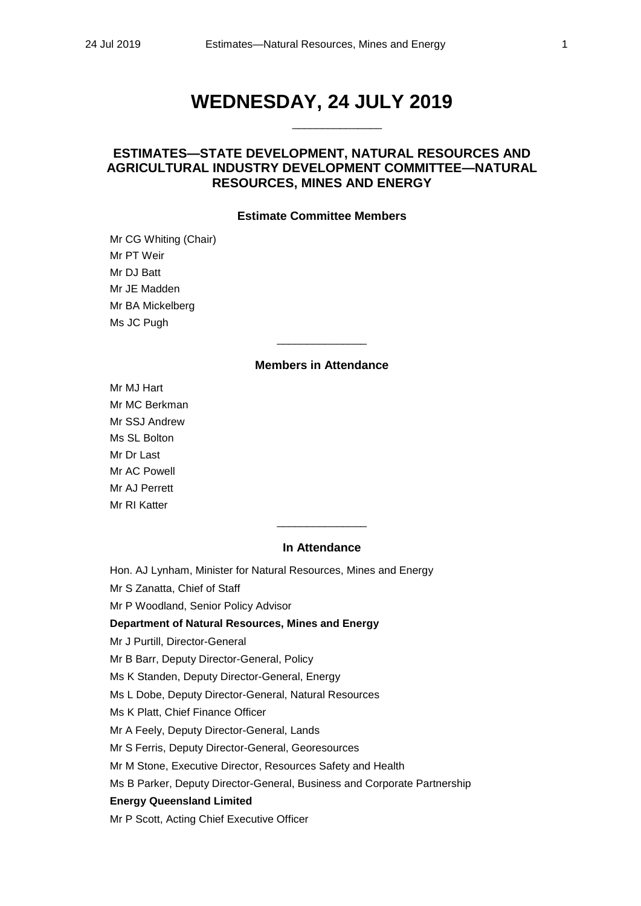# **WEDNESDAY, 24 JULY 2019**

\_\_\_\_\_\_\_\_\_\_\_\_\_\_\_

## **ESTIMATES—STATE DEVELOPMENT, NATURAL RESOURCES AND AGRICULTURAL INDUSTRY DEVELOPMENT COMMITTEE—NATURAL RESOURCES, MINES AND ENERGY**

## **Estimate Committee Members**

Mr CG Whiting (Chair) Mr PT Weir Mr DJ Batt Mr JE Madden Mr BA Mickelberg Ms JC Pugh

#### **Members in Attendance**

\_\_\_\_\_\_\_\_\_\_\_\_\_\_\_

Mr MJ Hart Mr MC Berkman Mr SSJ Andrew Ms SL Bolton Mr Dr Last Mr AC Powell Mr AJ Perrett Mr RI Katter

## **In Attendance**

 $\overline{\phantom{a}}$  , where the contract of the contract of  $\overline{\phantom{a}}$ 

Hon. AJ Lynham, Minister for Natural Resources, Mines and Energy Mr S Zanatta, Chief of Staff Mr P Woodland, Senior Policy Advisor **Department of Natural Resources, Mines and Energy** Mr J Purtill, Director-General Mr B Barr, Deputy Director-General, Policy Ms K Standen, Deputy Director-General, Energy Ms L Dobe, Deputy Director-General, Natural Resources Ms K Platt, Chief Finance Officer Mr A Feely, Deputy Director-General, Lands Mr S Ferris, Deputy Director-General, Georesources Mr M Stone, Executive Director, Resources Safety and Health Ms B Parker, Deputy Director-General, Business and Corporate Partnership **Energy Queensland Limited**

Mr P Scott, Acting Chief Executive Officer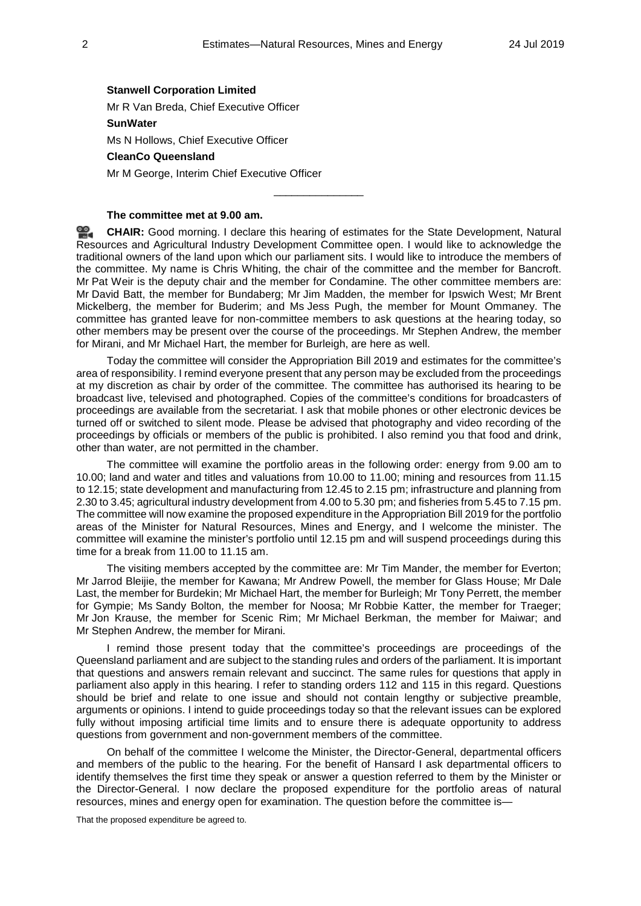#### **Stanwell Corporation Limited**

Mr R Van Breda, Chief Executive Officer

## **SunWater**

Ms N Hollows, Chief Executive Officer

#### **CleanCo Queensland**

Mr M George, Interim Chief Executive Officer

## **The committee met at 9.00 am.**

<u>ഇ</u> **[CHAIR:](http://www.parliament.qld.gov.au/docs/find.aspx?id=0Mba20190724_090018)** Good morning. I declare this hearing of estimates for the State Development, Natural Resources and Agricultural Industry Development Committee open. I would like to acknowledge the traditional owners of the land upon which our parliament sits. I would like to introduce the members of the committee. My name is Chris Whiting, the chair of the committee and the member for Bancroft. Mr Pat Weir is the deputy chair and the member for Condamine. The other committee members are: Mr David Batt, the member for Bundaberg; Mr Jim Madden, the member for Ipswich West; Mr Brent Mickelberg, the member for Buderim; and Ms Jess Pugh, the member for Mount Ommaney. The committee has granted leave for non-committee members to ask questions at the hearing today, so other members may be present over the course of the proceedings. Mr Stephen Andrew, the member for Mirani, and Mr Michael Hart, the member for Burleigh, are here as well.

\_\_\_\_\_\_\_\_\_\_\_\_\_\_\_

Today the committee will consider the Appropriation Bill 2019 and estimates for the committee's area of responsibility. I remind everyone present that any person may be excluded from the proceedings at my discretion as chair by order of the committee. The committee has authorised its hearing to be broadcast live, televised and photographed. Copies of the committee's conditions for broadcasters of proceedings are available from the secretariat. I ask that mobile phones or other electronic devices be turned off or switched to silent mode. Please be advised that photography and video recording of the proceedings by officials or members of the public is prohibited. I also remind you that food and drink, other than water, are not permitted in the chamber.

The committee will examine the portfolio areas in the following order: energy from 9.00 am to 10.00; land and water and titles and valuations from 10.00 to 11.00; mining and resources from 11.15 to 12.15; state development and manufacturing from 12.45 to 2.15 pm; infrastructure and planning from 2.30 to 3.45; agricultural industry development from 4.00 to 5.30 pm; and fisheries from 5.45 to 7.15 pm. The committee will now examine the proposed expenditure in the Appropriation Bill 2019 for the portfolio areas of the Minister for Natural Resources, Mines and Energy, and I welcome the minister. The committee will examine the minister's portfolio until 12.15 pm and will suspend proceedings during this time for a break from 11.00 to 11.15 am.

The visiting members accepted by the committee are: Mr Tim Mander, the member for Everton; Mr Jarrod Bleijie, the member for Kawana; Mr Andrew Powell, the member for Glass House; Mr Dale Last, the member for Burdekin; Mr Michael Hart, the member for Burleigh; Mr Tony Perrett, the member for Gympie; Ms Sandy Bolton, the member for Noosa; Mr Robbie Katter, the member for Traeger; Mr Jon Krause, the member for Scenic Rim; Mr Michael Berkman, the member for Maiwar; and Mr Stephen Andrew, the member for Mirani.

I remind those present today that the committee's proceedings are proceedings of the Queensland parliament and are subject to the standing rules and orders of the parliament. It is important that questions and answers remain relevant and succinct. The same rules for questions that apply in parliament also apply in this hearing. I refer to standing orders 112 and 115 in this regard. Questions should be brief and relate to one issue and should not contain lengthy or subjective preamble, arguments or opinions. I intend to guide proceedings today so that the relevant issues can be explored fully without imposing artificial time limits and to ensure there is adequate opportunity to address questions from government and non-government members of the committee.

On behalf of the committee I welcome the Minister, the Director-General, departmental officers and members of the public to the hearing. For the benefit of Hansard I ask departmental officers to identify themselves the first time they speak or answer a question referred to them by the Minister or the Director-General. I now declare the proposed expenditure for the portfolio areas of natural resources, mines and energy open for examination. The question before the committee is—

That the proposed expenditure be agreed to.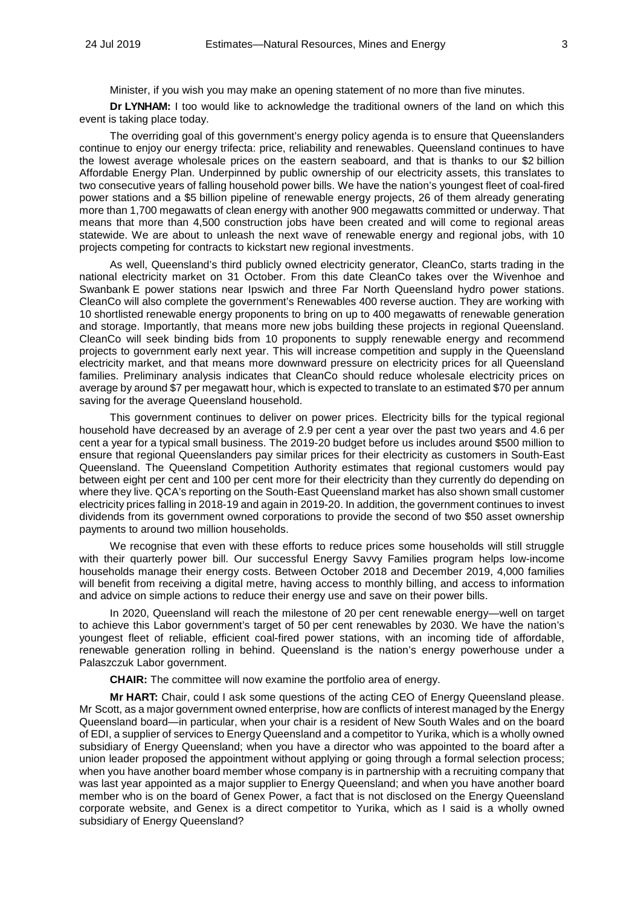Minister, if you wish you may make an opening statement of no more than five minutes.

**Dr LYNHAM:** I too would like to acknowledge the traditional owners of the land on which this event is taking place today.

The overriding goal of this government's energy policy agenda is to ensure that Queenslanders continue to enjoy our energy trifecta: price, reliability and renewables. Queensland continues to have the lowest average wholesale prices on the eastern seaboard, and that is thanks to our \$2 billion Affordable Energy Plan. Underpinned by public ownership of our electricity assets, this translates to two consecutive years of falling household power bills. We have the nation's youngest fleet of coal-fired power stations and a \$5 billion pipeline of renewable energy projects, 26 of them already generating more than 1,700 megawatts of clean energy with another 900 megawatts committed or underway. That means that more than 4,500 construction jobs have been created and will come to regional areas statewide. We are about to unleash the next wave of renewable energy and regional jobs, with 10 projects competing for contracts to kickstart new regional investments.

As well, Queensland's third publicly owned electricity generator, CleanCo, starts trading in the national electricity market on 31 October. From this date CleanCo takes over the Wivenhoe and Swanbank E power stations near Ipswich and three Far North Queensland hydro power stations. CleanCo will also complete the government's Renewables 400 reverse auction. They are working with 10 shortlisted renewable energy proponents to bring on up to 400 megawatts of renewable generation and storage. Importantly, that means more new jobs building these projects in regional Queensland. CleanCo will seek binding bids from 10 proponents to supply renewable energy and recommend projects to government early next year. This will increase competition and supply in the Queensland electricity market, and that means more downward pressure on electricity prices for all Queensland families. Preliminary analysis indicates that CleanCo should reduce wholesale electricity prices on average by around \$7 per megawatt hour, which is expected to translate to an estimated \$70 per annum saving for the average Queensland household.

This government continues to deliver on power prices. Electricity bills for the typical regional household have decreased by an average of 2.9 per cent a year over the past two years and 4.6 per cent a year for a typical small business. The 2019-20 budget before us includes around \$500 million to ensure that regional Queenslanders pay similar prices for their electricity as customers in South-East Queensland. The Queensland Competition Authority estimates that regional customers would pay between eight per cent and 100 per cent more for their electricity than they currently do depending on where they live. QCA's reporting on the South-East Queensland market has also shown small customer electricity prices falling in 2018-19 and again in 2019-20. In addition, the government continues to invest dividends from its government owned corporations to provide the second of two \$50 asset ownership payments to around two million households.

We recognise that even with these efforts to reduce prices some households will still struggle with their quarterly power bill. Our successful Energy Sayyy Families program helps low-income households manage their energy costs. Between October 2018 and December 2019, 4,000 families will benefit from receiving a digital metre, having access to monthly billing, and access to information and advice on simple actions to reduce their energy use and save on their power bills.

In 2020, Queensland will reach the milestone of 20 per cent renewable energy—well on target to achieve this Labor government's target of 50 per cent renewables by 2030. We have the nation's youngest fleet of reliable, efficient coal-fired power stations, with an incoming tide of affordable, renewable generation rolling in behind. Queensland is the nation's energy powerhouse under a Palaszczuk Labor government.

**CHAIR:** The committee will now examine the portfolio area of energy.

**Mr HART:** Chair, could I ask some questions of the acting CEO of Energy Queensland please. Mr Scott, as a major government owned enterprise, how are conflicts of interest managed by the Energy Queensland board—in particular, when your chair is a resident of New South Wales and on the board of EDI, a supplier of services to Energy Queensland and a competitor to Yurika, which is a wholly owned subsidiary of Energy Queensland; when you have a director who was appointed to the board after a union leader proposed the appointment without applying or going through a formal selection process; when you have another board member whose company is in partnership with a recruiting company that was last year appointed as a major supplier to Energy Queensland; and when you have another board member who is on the board of Genex Power, a fact that is not disclosed on the Energy Queensland corporate website, and Genex is a direct competitor to Yurika, which as I said is a wholly owned subsidiary of Energy Queensland?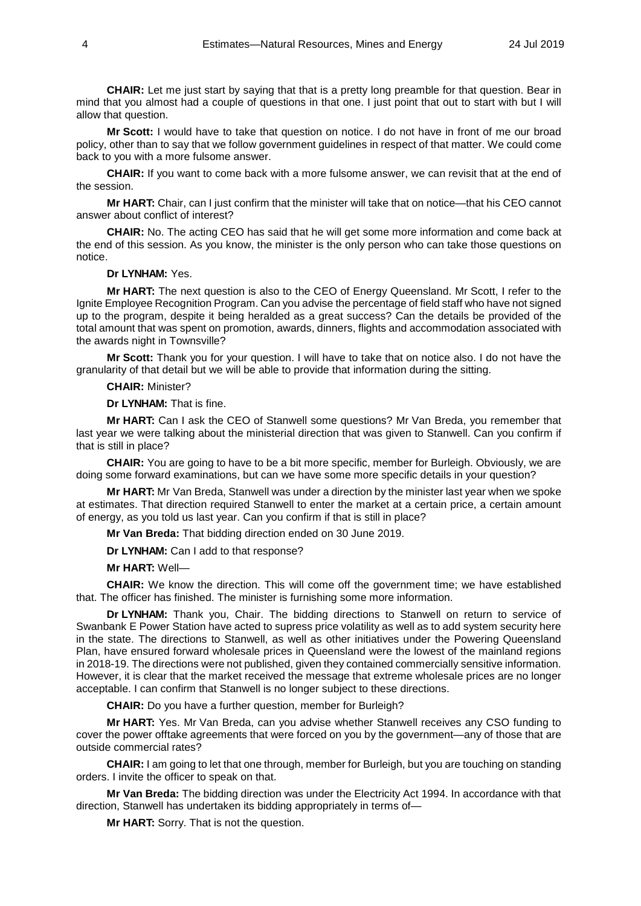**CHAIR:** Let me just start by saying that that is a pretty long preamble for that question. Bear in mind that you almost had a couple of questions in that one. I just point that out to start with but I will allow that question.

**Mr Scott:** I would have to take that question on notice. I do not have in front of me our broad policy, other than to say that we follow government guidelines in respect of that matter. We could come back to you with a more fulsome answer.

**CHAIR:** If you want to come back with a more fulsome answer, we can revisit that at the end of the session.

**Mr HART:** Chair, can I just confirm that the minister will take that on notice—that his CEO cannot answer about conflict of interest?

**CHAIR:** No. The acting CEO has said that he will get some more information and come back at the end of this session. As you know, the minister is the only person who can take those questions on notice.

#### **Dr LYNHAM:** Yes.

**Mr HART:** The next question is also to the CEO of Energy Queensland. Mr Scott, I refer to the Ignite Employee Recognition Program. Can you advise the percentage of field staff who have not signed up to the program, despite it being heralded as a great success? Can the details be provided of the total amount that was spent on promotion, awards, dinners, flights and accommodation associated with the awards night in Townsville?

**Mr Scott:** Thank you for your question. I will have to take that on notice also. I do not have the granularity of that detail but we will be able to provide that information during the sitting.

**CHAIR:** Minister?

**Dr LYNHAM:** That is fine.

**Mr HART:** Can I ask the CEO of Stanwell some questions? Mr Van Breda, you remember that last year we were talking about the ministerial direction that was given to Stanwell. Can you confirm if that is still in place?

**CHAIR:** You are going to have to be a bit more specific, member for Burleigh. Obviously, we are doing some forward examinations, but can we have some more specific details in your question?

**Mr HART:** Mr Van Breda, Stanwell was under a direction by the minister last year when we spoke at estimates. That direction required Stanwell to enter the market at a certain price, a certain amount of energy, as you told us last year. Can you confirm if that is still in place?

**Mr Van Breda:** That bidding direction ended on 30 June 2019.

**Dr LYNHAM:** Can I add to that response?

**Mr HART:** Well—

**CHAIR:** We know the direction. This will come off the government time; we have established that. The officer has finished. The minister is furnishing some more information.

**Dr LYNHAM:** Thank you, Chair. The bidding directions to Stanwell on return to service of Swanbank E Power Station have acted to supress price volatility as well as to add system security here in the state. The directions to Stanwell, as well as other initiatives under the Powering Queensland Plan, have ensured forward wholesale prices in Queensland were the lowest of the mainland regions in 2018-19. The directions were not published, given they contained commercially sensitive information. However, it is clear that the market received the message that extreme wholesale prices are no longer acceptable. I can confirm that Stanwell is no longer subject to these directions.

**CHAIR:** Do you have a further question, member for Burleigh?

**Mr HART:** Yes. Mr Van Breda, can you advise whether Stanwell receives any CSO funding to cover the power offtake agreements that were forced on you by the government—any of those that are outside commercial rates?

**CHAIR:** I am going to let that one through, member for Burleigh, but you are touching on standing orders. I invite the officer to speak on that.

**Mr Van Breda:** The bidding direction was under the Electricity Act 1994. In accordance with that direction, Stanwell has undertaken its bidding appropriately in terms of—

**Mr HART:** Sorry. That is not the question.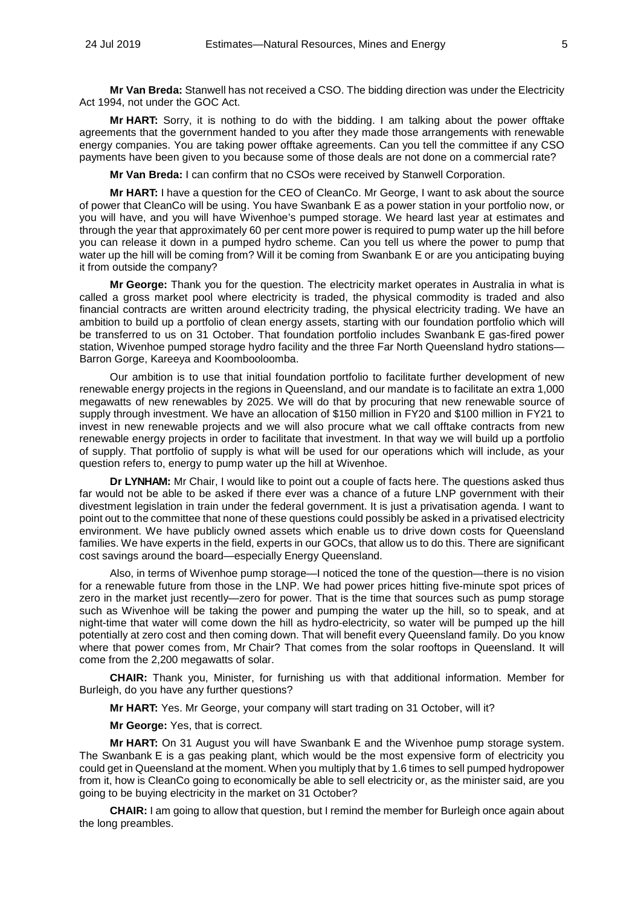**Mr Van Breda:** Stanwell has not received a CSO. The bidding direction was under the Electricity Act 1994, not under the GOC Act.

**Mr HART:** Sorry, it is nothing to do with the bidding. I am talking about the power offtake agreements that the government handed to you after they made those arrangements with renewable energy companies. You are taking power offtake agreements. Can you tell the committee if any CSO payments have been given to you because some of those deals are not done on a commercial rate?

**Mr Van Breda:** I can confirm that no CSOs were received by Stanwell Corporation.

**Mr HART:** I have a question for the CEO of CleanCo. Mr George, I want to ask about the source of power that CleanCo will be using. You have Swanbank E as a power station in your portfolio now, or you will have, and you will have Wivenhoe's pumped storage. We heard last year at estimates and through the year that approximately 60 per cent more power is required to pump water up the hill before you can release it down in a pumped hydro scheme. Can you tell us where the power to pump that water up the hill will be coming from? Will it be coming from Swanbank E or are you anticipating buying it from outside the company?

**Mr George:** Thank you for the question. The electricity market operates in Australia in what is called a gross market pool where electricity is traded, the physical commodity is traded and also financial contracts are written around electricity trading, the physical electricity trading. We have an ambition to build up a portfolio of clean energy assets, starting with our foundation portfolio which will be transferred to us on 31 October. That foundation portfolio includes Swanbank E gas-fired power station, Wivenhoe pumped storage hydro facility and the three Far North Queensland hydro stations— Barron Gorge, Kareeya and Koombooloomba.

Our ambition is to use that initial foundation portfolio to facilitate further development of new renewable energy projects in the regions in Queensland, and our mandate is to facilitate an extra 1,000 megawatts of new renewables by 2025. We will do that by procuring that new renewable source of supply through investment. We have an allocation of \$150 million in FY20 and \$100 million in FY21 to invest in new renewable projects and we will also procure what we call offtake contracts from new renewable energy projects in order to facilitate that investment. In that way we will build up a portfolio of supply. That portfolio of supply is what will be used for our operations which will include, as your question refers to, energy to pump water up the hill at Wivenhoe.

**Dr LYNHAM:** Mr Chair, I would like to point out a couple of facts here. The questions asked thus far would not be able to be asked if there ever was a chance of a future LNP government with their divestment legislation in train under the federal government. It is just a privatisation agenda. I want to point out to the committee that none of these questions could possibly be asked in a privatised electricity environment. We have publicly owned assets which enable us to drive down costs for Queensland families. We have experts in the field, experts in our GOCs, that allow us to do this. There are significant cost savings around the board—especially Energy Queensland.

Also, in terms of Wivenhoe pump storage—I noticed the tone of the question—there is no vision for a renewable future from those in the LNP. We had power prices hitting five-minute spot prices of zero in the market just recently—zero for power. That is the time that sources such as pump storage such as Wivenhoe will be taking the power and pumping the water up the hill, so to speak, and at night-time that water will come down the hill as hydro-electricity, so water will be pumped up the hill potentially at zero cost and then coming down. That will benefit every Queensland family. Do you know where that power comes from, Mr Chair? That comes from the solar rooftops in Queensland. It will come from the 2,200 megawatts of solar.

**CHAIR:** Thank you, Minister, for furnishing us with that additional information. Member for Burleigh, do you have any further questions?

**Mr HART:** Yes. Mr George, your company will start trading on 31 October, will it?

**Mr George:** Yes, that is correct.

**Mr HART:** On 31 August you will have Swanbank E and the Wivenhoe pump storage system. The Swanbank E is a gas peaking plant, which would be the most expensive form of electricity you could get in Queensland at the moment. When you multiply that by 1.6 times to sell pumped hydropower from it, how is CleanCo going to economically be able to sell electricity or, as the minister said, are you going to be buying electricity in the market on 31 October?

**CHAIR:** I am going to allow that question, but I remind the member for Burleigh once again about the long preambles.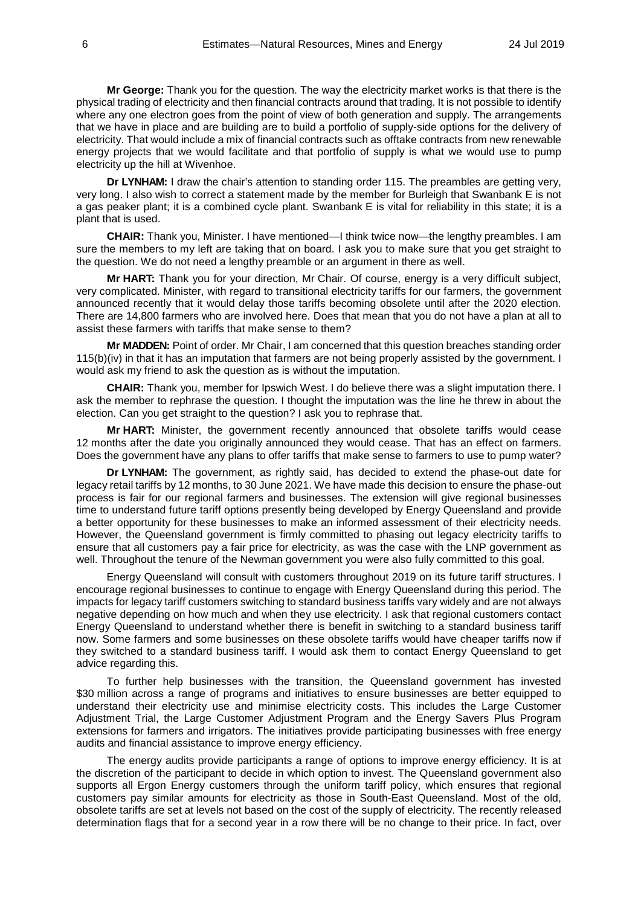**Mr George:** Thank you for the question. The way the electricity market works is that there is the physical trading of electricity and then financial contracts around that trading. It is not possible to identify where any one electron goes from the point of view of both generation and supply. The arrangements that we have in place and are building are to build a portfolio of supply-side options for the delivery of electricity. That would include a mix of financial contracts such as offtake contracts from new renewable energy projects that we would facilitate and that portfolio of supply is what we would use to pump electricity up the hill at Wivenhoe.

**Dr LYNHAM:** I draw the chair's attention to standing order 115. The preambles are getting very, very long. I also wish to correct a statement made by the member for Burleigh that Swanbank E is not a gas peaker plant; it is a combined cycle plant. Swanbank E is vital for reliability in this state; it is a plant that is used.

**CHAIR:** Thank you, Minister. I have mentioned—I think twice now—the lengthy preambles. I am sure the members to my left are taking that on board. I ask you to make sure that you get straight to the question. We do not need a lengthy preamble or an argument in there as well.

**Mr HART:** Thank you for your direction, Mr Chair. Of course, energy is a very difficult subject, very complicated. Minister, with regard to transitional electricity tariffs for our farmers, the government announced recently that it would delay those tariffs becoming obsolete until after the 2020 election. There are 14,800 farmers who are involved here. Does that mean that you do not have a plan at all to assist these farmers with tariffs that make sense to them?

**Mr MADDEN:** Point of order. Mr Chair, I am concerned that this question breaches standing order 115(b)(iv) in that it has an imputation that farmers are not being properly assisted by the government. I would ask my friend to ask the question as is without the imputation.

**CHAIR:** Thank you, member for Ipswich West. I do believe there was a slight imputation there. I ask the member to rephrase the question. I thought the imputation was the line he threw in about the election. Can you get straight to the question? I ask you to rephrase that.

**Mr HART:** Minister, the government recently announced that obsolete tariffs would cease 12 months after the date you originally announced they would cease. That has an effect on farmers. Does the government have any plans to offer tariffs that make sense to farmers to use to pump water?

**Dr LYNHAM:** The government, as rightly said, has decided to extend the phase-out date for legacy retail tariffs by 12 months, to 30 June 2021. We have made this decision to ensure the phase-out process is fair for our regional farmers and businesses. The extension will give regional businesses time to understand future tariff options presently being developed by Energy Queensland and provide a better opportunity for these businesses to make an informed assessment of their electricity needs. However, the Queensland government is firmly committed to phasing out legacy electricity tariffs to ensure that all customers pay a fair price for electricity, as was the case with the LNP government as well. Throughout the tenure of the Newman government you were also fully committed to this goal.

Energy Queensland will consult with customers throughout 2019 on its future tariff structures. I encourage regional businesses to continue to engage with Energy Queensland during this period. The impacts for legacy tariff customers switching to standard business tariffs vary widely and are not always negative depending on how much and when they use electricity. I ask that regional customers contact Energy Queensland to understand whether there is benefit in switching to a standard business tariff now. Some farmers and some businesses on these obsolete tariffs would have cheaper tariffs now if they switched to a standard business tariff. I would ask them to contact Energy Queensland to get advice regarding this.

To further help businesses with the transition, the Queensland government has invested \$30 million across a range of programs and initiatives to ensure businesses are better equipped to understand their electricity use and minimise electricity costs. This includes the Large Customer Adjustment Trial, the Large Customer Adjustment Program and the Energy Savers Plus Program extensions for farmers and irrigators. The initiatives provide participating businesses with free energy audits and financial assistance to improve energy efficiency.

The energy audits provide participants a range of options to improve energy efficiency. It is at the discretion of the participant to decide in which option to invest. The Queensland government also supports all Ergon Energy customers through the uniform tariff policy, which ensures that regional customers pay similar amounts for electricity as those in South-East Queensland. Most of the old, obsolete tariffs are set at levels not based on the cost of the supply of electricity. The recently released determination flags that for a second year in a row there will be no change to their price. In fact, over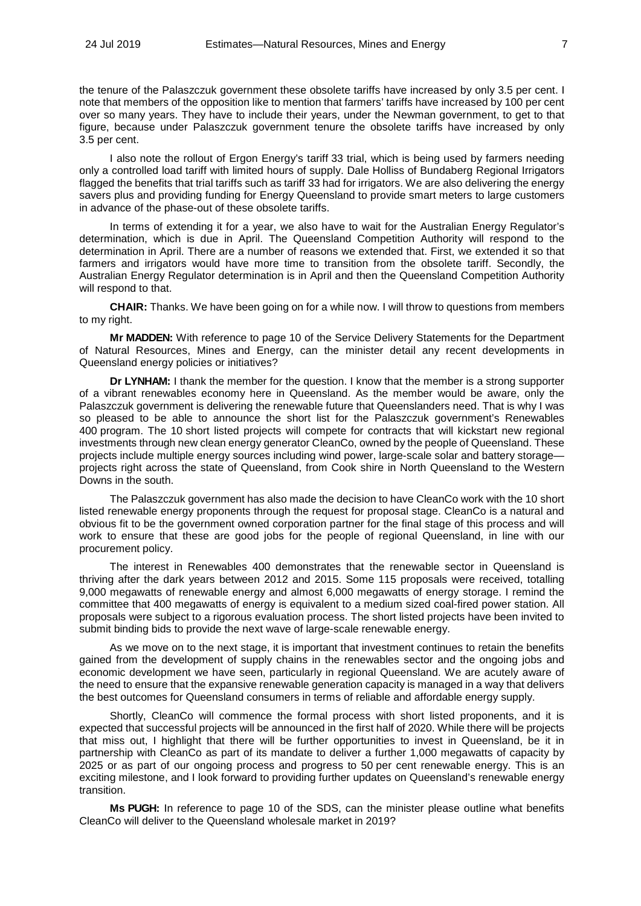the tenure of the Palaszczuk government these obsolete tariffs have increased by only 3.5 per cent. I note that members of the opposition like to mention that farmers' tariffs have increased by 100 per cent over so many years. They have to include their years, under the Newman government, to get to that figure, because under Palaszczuk government tenure the obsolete tariffs have increased by only 3.5 per cent.

I also note the rollout of Ergon Energy's tariff 33 trial, which is being used by farmers needing only a controlled load tariff with limited hours of supply. Dale Holliss of Bundaberg Regional Irrigators flagged the benefits that trial tariffs such as tariff 33 had for irrigators. We are also delivering the energy savers plus and providing funding for Energy Queensland to provide smart meters to large customers in advance of the phase-out of these obsolete tariffs.

In terms of extending it for a year, we also have to wait for the Australian Energy Regulator's determination, which is due in April. The Queensland Competition Authority will respond to the determination in April. There are a number of reasons we extended that. First, we extended it so that farmers and irrigators would have more time to transition from the obsolete tariff. Secondly, the Australian Energy Regulator determination is in April and then the Queensland Competition Authority will respond to that.

**CHAIR:** Thanks. We have been going on for a while now. I will throw to questions from members to my right.

**Mr MADDEN:** With reference to page 10 of the Service Delivery Statements for the Department of Natural Resources, Mines and Energy, can the minister detail any recent developments in Queensland energy policies or initiatives?

**Dr LYNHAM:** I thank the member for the question. I know that the member is a strong supporter of a vibrant renewables economy here in Queensland. As the member would be aware, only the Palaszczuk government is delivering the renewable future that Queenslanders need. That is why I was so pleased to be able to announce the short list for the Palaszczuk government's Renewables 400 program. The 10 short listed projects will compete for contracts that will kickstart new regional investments through new clean energy generator CleanCo, owned by the people of Queensland. These projects include multiple energy sources including wind power, large-scale solar and battery storage projects right across the state of Queensland, from Cook shire in North Queensland to the Western Downs in the south.

The Palaszczuk government has also made the decision to have CleanCo work with the 10 short listed renewable energy proponents through the request for proposal stage. CleanCo is a natural and obvious fit to be the government owned corporation partner for the final stage of this process and will work to ensure that these are good jobs for the people of regional Queensland, in line with our procurement policy.

The interest in Renewables 400 demonstrates that the renewable sector in Queensland is thriving after the dark years between 2012 and 2015. Some 115 proposals were received, totalling 9,000 megawatts of renewable energy and almost 6,000 megawatts of energy storage. I remind the committee that 400 megawatts of energy is equivalent to a medium sized coal-fired power station. All proposals were subject to a rigorous evaluation process. The short listed projects have been invited to submit binding bids to provide the next wave of large-scale renewable energy.

As we move on to the next stage, it is important that investment continues to retain the benefits gained from the development of supply chains in the renewables sector and the ongoing jobs and economic development we have seen, particularly in regional Queensland. We are acutely aware of the need to ensure that the expansive renewable generation capacity is managed in a way that delivers the best outcomes for Queensland consumers in terms of reliable and affordable energy supply.

Shortly, CleanCo will commence the formal process with short listed proponents, and it is expected that successful projects will be announced in the first half of 2020. While there will be projects that miss out, I highlight that there will be further opportunities to invest in Queensland, be it in partnership with CleanCo as part of its mandate to deliver a further 1,000 megawatts of capacity by 2025 or as part of our ongoing process and progress to 50 per cent renewable energy. This is an exciting milestone, and I look forward to providing further updates on Queensland's renewable energy transition.

**Ms PUGH:** In reference to page 10 of the SDS, can the minister please outline what benefits CleanCo will deliver to the Queensland wholesale market in 2019?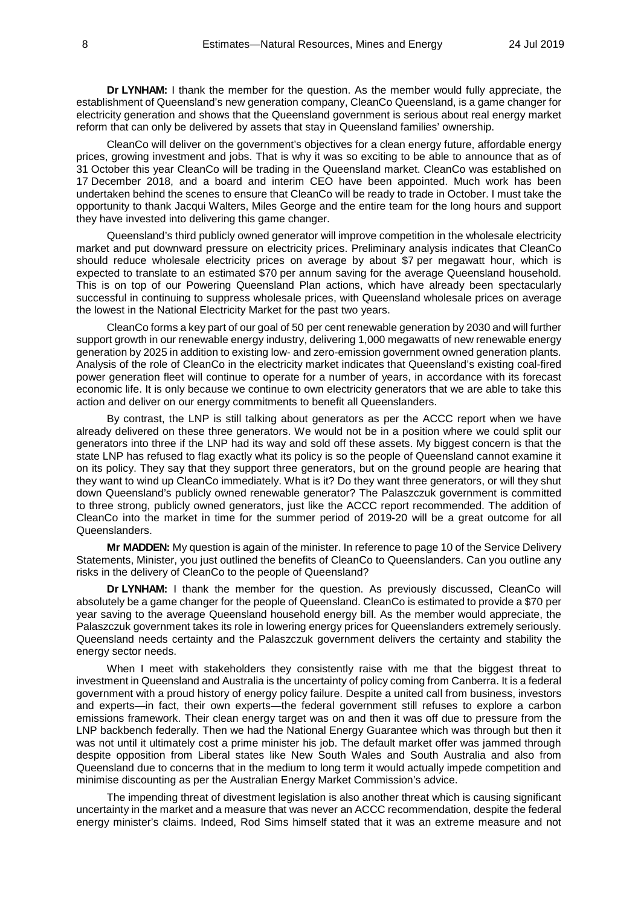**Dr LYNHAM:** I thank the member for the question. As the member would fully appreciate, the establishment of Queensland's new generation company, CleanCo Queensland, is a game changer for electricity generation and shows that the Queensland government is serious about real energy market reform that can only be delivered by assets that stay in Queensland families' ownership.

CleanCo will deliver on the government's objectives for a clean energy future, affordable energy prices, growing investment and jobs. That is why it was so exciting to be able to announce that as of 31 October this year CleanCo will be trading in the Queensland market. CleanCo was established on 17 December 2018, and a board and interim CEO have been appointed. Much work has been undertaken behind the scenes to ensure that CleanCo will be ready to trade in October. I must take the opportunity to thank Jacqui Walters, Miles George and the entire team for the long hours and support they have invested into delivering this game changer.

Queensland's third publicly owned generator will improve competition in the wholesale electricity market and put downward pressure on electricity prices. Preliminary analysis indicates that CleanCo should reduce wholesale electricity prices on average by about \$7 per megawatt hour, which is expected to translate to an estimated \$70 per annum saving for the average Queensland household. This is on top of our Powering Queensland Plan actions, which have already been spectacularly successful in continuing to suppress wholesale prices, with Queensland wholesale prices on average the lowest in the National Electricity Market for the past two years.

CleanCo forms a key part of our goal of 50 per cent renewable generation by 2030 and will further support growth in our renewable energy industry, delivering 1,000 megawatts of new renewable energy generation by 2025 in addition to existing low- and zero-emission government owned generation plants. Analysis of the role of CleanCo in the electricity market indicates that Queensland's existing coal-fired power generation fleet will continue to operate for a number of years, in accordance with its forecast economic life. It is only because we continue to own electricity generators that we are able to take this action and deliver on our energy commitments to benefit all Queenslanders.

By contrast, the LNP is still talking about generators as per the ACCC report when we have already delivered on these three generators. We would not be in a position where we could split our generators into three if the LNP had its way and sold off these assets. My biggest concern is that the state LNP has refused to flag exactly what its policy is so the people of Queensland cannot examine it on its policy. They say that they support three generators, but on the ground people are hearing that they want to wind up CleanCo immediately. What is it? Do they want three generators, or will they shut down Queensland's publicly owned renewable generator? The Palaszczuk government is committed to three strong, publicly owned generators, just like the ACCC report recommended. The addition of CleanCo into the market in time for the summer period of 2019-20 will be a great outcome for all Queenslanders.

**Mr MADDEN:** My question is again of the minister. In reference to page 10 of the Service Delivery Statements, Minister, you just outlined the benefits of CleanCo to Queenslanders. Can you outline any risks in the delivery of CleanCo to the people of Queensland?

**Dr LYNHAM:** I thank the member for the question. As previously discussed, CleanCo will absolutely be a game changer for the people of Queensland. CleanCo is estimated to provide a \$70 per year saving to the average Queensland household energy bill. As the member would appreciate, the Palaszczuk government takes its role in lowering energy prices for Queenslanders extremely seriously. Queensland needs certainty and the Palaszczuk government delivers the certainty and stability the energy sector needs.

When I meet with stakeholders they consistently raise with me that the biggest threat to investment in Queensland and Australia is the uncertainty of policy coming from Canberra. It is a federal government with a proud history of energy policy failure. Despite a united call from business, investors and experts—in fact, their own experts—the federal government still refuses to explore a carbon emissions framework. Their clean energy target was on and then it was off due to pressure from the LNP backbench federally. Then we had the National Energy Guarantee which was through but then it was not until it ultimately cost a prime minister his job. The default market offer was jammed through despite opposition from Liberal states like New South Wales and South Australia and also from Queensland due to concerns that in the medium to long term it would actually impede competition and minimise discounting as per the Australian Energy Market Commission's advice.

The impending threat of divestment legislation is also another threat which is causing significant uncertainty in the market and a measure that was never an ACCC recommendation, despite the federal energy minister's claims. Indeed, Rod Sims himself stated that it was an extreme measure and not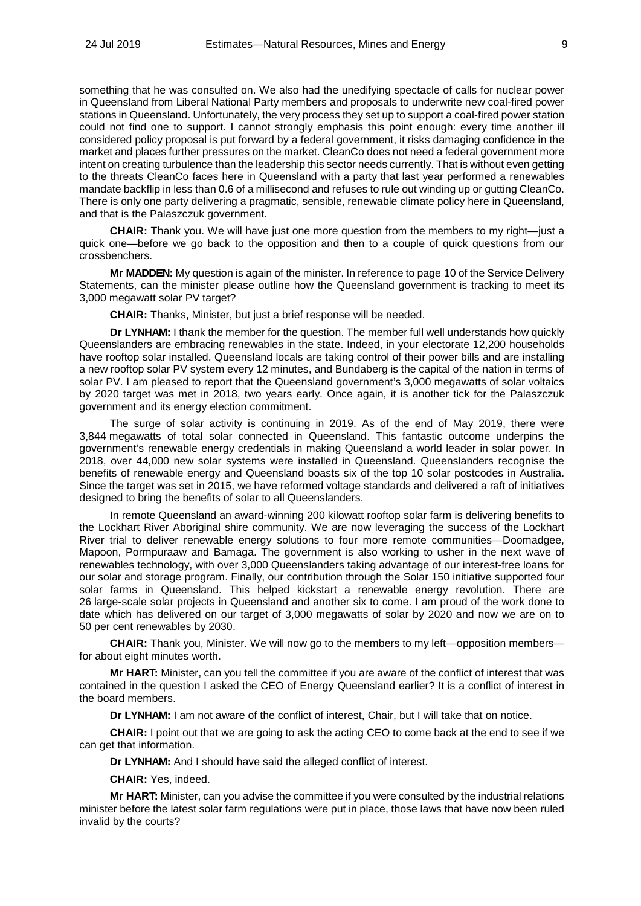something that he was consulted on. We also had the unedifying spectacle of calls for nuclear power in Queensland from Liberal National Party members and proposals to underwrite new coal-fired power stations in Queensland. Unfortunately, the very process they set up to support a coal-fired power station could not find one to support. I cannot strongly emphasis this point enough: every time another ill considered policy proposal is put forward by a federal government, it risks damaging confidence in the market and places further pressures on the market. CleanCo does not need a federal government more intent on creating turbulence than the leadership this sector needs currently. That is without even getting to the threats CleanCo faces here in Queensland with a party that last year performed a renewables mandate backflip in less than 0.6 of a millisecond and refuses to rule out winding up or gutting CleanCo. There is only one party delivering a pragmatic, sensible, renewable climate policy here in Queensland, and that is the Palaszczuk government.

**CHAIR:** Thank you. We will have just one more question from the members to my right—just a quick one—before we go back to the opposition and then to a couple of quick questions from our crossbenchers.

**Mr MADDEN:** My question is again of the minister. In reference to page 10 of the Service Delivery Statements, can the minister please outline how the Queensland government is tracking to meet its 3,000 megawatt solar PV target?

**CHAIR:** Thanks, Minister, but just a brief response will be needed.

**Dr LYNHAM:** I thank the member for the question. The member full well understands how quickly Queenslanders are embracing renewables in the state. Indeed, in your electorate 12,200 households have rooftop solar installed. Queensland locals are taking control of their power bills and are installing a new rooftop solar PV system every 12 minutes, and Bundaberg is the capital of the nation in terms of solar PV. I am pleased to report that the Queensland government's 3,000 megawatts of solar voltaics by 2020 target was met in 2018, two years early. Once again, it is another tick for the Palaszczuk government and its energy election commitment.

The surge of solar activity is continuing in 2019. As of the end of May 2019, there were 3,844 megawatts of total solar connected in Queensland. This fantastic outcome underpins the government's renewable energy credentials in making Queensland a world leader in solar power. In 2018, over 44,000 new solar systems were installed in Queensland. Queenslanders recognise the benefits of renewable energy and Queensland boasts six of the top 10 solar postcodes in Australia. Since the target was set in 2015, we have reformed voltage standards and delivered a raft of initiatives designed to bring the benefits of solar to all Queenslanders.

In remote Queensland an award-winning 200 kilowatt rooftop solar farm is delivering benefits to the Lockhart River Aboriginal shire community. We are now leveraging the success of the Lockhart River trial to deliver renewable energy solutions to four more remote communities—Doomadgee, Mapoon, Pormpuraaw and Bamaga. The government is also working to usher in the next wave of renewables technology, with over 3,000 Queenslanders taking advantage of our interest-free loans for our solar and storage program. Finally, our contribution through the Solar 150 initiative supported four solar farms in Queensland. This helped kickstart a renewable energy revolution. There are 26 large-scale solar projects in Queensland and another six to come. I am proud of the work done to date which has delivered on our target of 3,000 megawatts of solar by 2020 and now we are on to 50 per cent renewables by 2030.

**CHAIR:** Thank you, Minister. We will now go to the members to my left—opposition members for about eight minutes worth.

**Mr HART:** Minister, can you tell the committee if you are aware of the conflict of interest that was contained in the question I asked the CEO of Energy Queensland earlier? It is a conflict of interest in the board members.

**Dr LYNHAM:** I am not aware of the conflict of interest, Chair, but I will take that on notice.

**CHAIR:** I point out that we are going to ask the acting CEO to come back at the end to see if we can get that information.

**Dr LYNHAM:** And I should have said the alleged conflict of interest.

**CHAIR:** Yes, indeed.

**Mr HART:** Minister, can you advise the committee if you were consulted by the industrial relations minister before the latest solar farm regulations were put in place, those laws that have now been ruled invalid by the courts?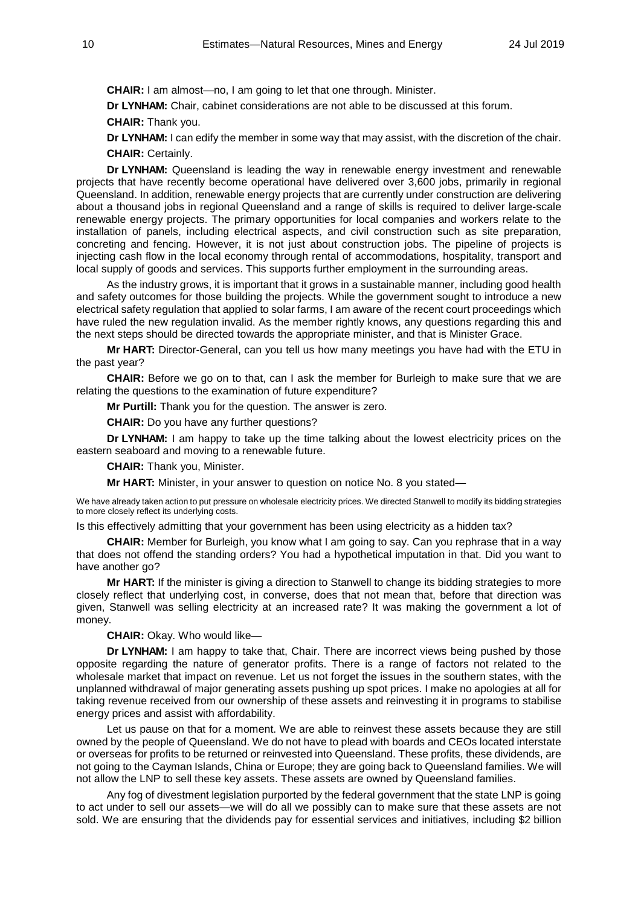**CHAIR:** I am almost—no, I am going to let that one through. Minister.

**Dr LYNHAM:** Chair, cabinet considerations are not able to be discussed at this forum.

**CHAIR:** Thank you.

**Dr LYNHAM:** I can edify the member in some way that may assist, with the discretion of the chair. **CHAIR:** Certainly.

**Dr LYNHAM:** Queensland is leading the way in renewable energy investment and renewable projects that have recently become operational have delivered over 3,600 jobs, primarily in regional Queensland. In addition, renewable energy projects that are currently under construction are delivering about a thousand jobs in regional Queensland and a range of skills is required to deliver large-scale renewable energy projects. The primary opportunities for local companies and workers relate to the installation of panels, including electrical aspects, and civil construction such as site preparation, concreting and fencing. However, it is not just about construction jobs. The pipeline of projects is injecting cash flow in the local economy through rental of accommodations, hospitality, transport and local supply of goods and services. This supports further employment in the surrounding areas.

As the industry grows, it is important that it grows in a sustainable manner, including good health and safety outcomes for those building the projects. While the government sought to introduce a new electrical safety regulation that applied to solar farms, I am aware of the recent court proceedings which have ruled the new regulation invalid. As the member rightly knows, any questions regarding this and the next steps should be directed towards the appropriate minister, and that is Minister Grace.

**Mr HART:** Director-General, can you tell us how many meetings you have had with the ETU in the past year?

**CHAIR:** Before we go on to that, can I ask the member for Burleigh to make sure that we are relating the questions to the examination of future expenditure?

**Mr Purtill:** Thank you for the question. The answer is zero.

**CHAIR:** Do you have any further questions?

**Dr LYNHAM:** I am happy to take up the time talking about the lowest electricity prices on the eastern seaboard and moving to a renewable future.

**CHAIR:** Thank you, Minister.

**Mr HART:** Minister, in your answer to question on notice No. 8 you stated—

We have already taken action to put pressure on wholesale electricity prices. We directed Stanwell to modify its bidding strategies to more closely reflect its underlying costs.

Is this effectively admitting that your government has been using electricity as a hidden tax?

**CHAIR:** Member for Burleigh, you know what I am going to say. Can you rephrase that in a way that does not offend the standing orders? You had a hypothetical imputation in that. Did you want to have another go?

**Mr HART:** If the minister is giving a direction to Stanwell to change its bidding strategies to more closely reflect that underlying cost, in converse, does that not mean that, before that direction was given, Stanwell was selling electricity at an increased rate? It was making the government a lot of money.

**CHAIR:** Okay. Who would like—

**Dr LYNHAM:** I am happy to take that, Chair. There are incorrect views being pushed by those opposite regarding the nature of generator profits. There is a range of factors not related to the wholesale market that impact on revenue. Let us not forget the issues in the southern states, with the unplanned withdrawal of major generating assets pushing up spot prices. I make no apologies at all for taking revenue received from our ownership of these assets and reinvesting it in programs to stabilise energy prices and assist with affordability.

Let us pause on that for a moment. We are able to reinvest these assets because they are still owned by the people of Queensland. We do not have to plead with boards and CEOs located interstate or overseas for profits to be returned or reinvested into Queensland. These profits, these dividends, are not going to the Cayman Islands, China or Europe; they are going back to Queensland families. We will not allow the LNP to sell these key assets. These assets are owned by Queensland families.

Any fog of divestment legislation purported by the federal government that the state LNP is going to act under to sell our assets—we will do all we possibly can to make sure that these assets are not sold. We are ensuring that the dividends pay for essential services and initiatives, including \$2 billion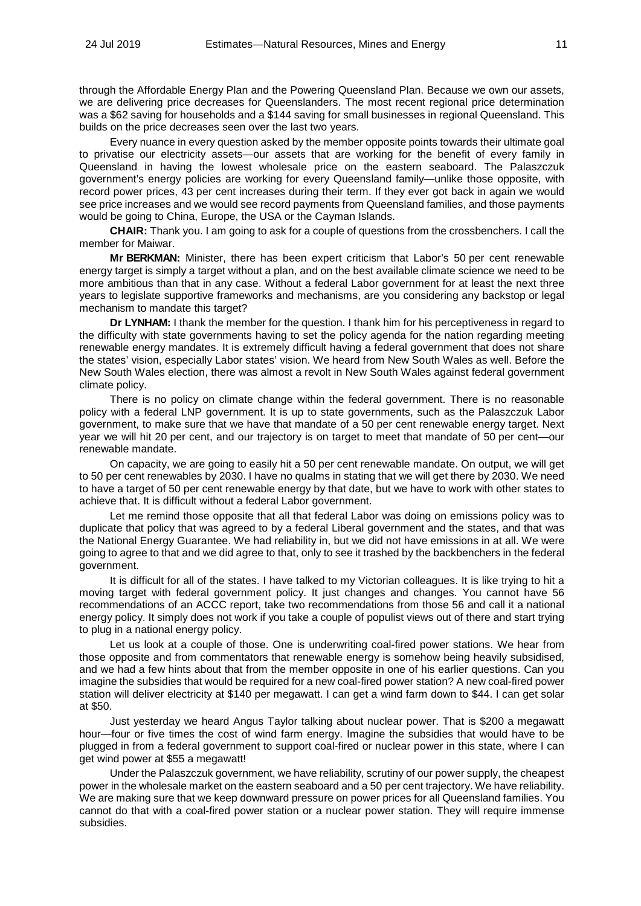through the Affordable Energy Plan and the Powering Queensland Plan. Because we own our assets, we are delivering price decreases for Queenslanders. The most recent regional price determination was a \$62 saving for households and a \$144 saving for small businesses in regional Queensland. This builds on the price decreases seen over the last two years.

Every nuance in every question asked by the member opposite points towards their ultimate goal to privatise our electricity assets—our assets that are working for the benefit of every family in Queensland in having the lowest wholesale price on the eastern seaboard. The Palaszczuk government's energy policies are working for every Queensland family—unlike those opposite, with record power prices, 43 per cent increases during their term. If they ever got back in again we would see price increases and we would see record payments from Queensland families, and those payments would be going to China, Europe, the USA or the Cayman Islands.

**CHAIR:** Thank you. I am going to ask for a couple of questions from the crossbenchers. I call the member for Maiwar.

**Mr BERKMAN:** Minister, there has been expert criticism that Labor's 50 per cent renewable energy target is simply a target without a plan, and on the best available climate science we need to be more ambitious than that in any case. Without a federal Labor government for at least the next three years to legislate supportive frameworks and mechanisms, are you considering any backstop or legal mechanism to mandate this target?

**Dr LYNHAM:** I thank the member for the question. I thank him for his perceptiveness in regard to the difficulty with state governments having to set the policy agenda for the nation regarding meeting renewable energy mandates. It is extremely difficult having a federal government that does not share the states' vision, especially Labor states' vision. We heard from New South Wales as well. Before the New South Wales election, there was almost a revolt in New South Wales against federal government climate policy.

There is no policy on climate change within the federal government. There is no reasonable policy with a federal LNP government. It is up to state governments, such as the Palaszczuk Labor government, to make sure that we have that mandate of a 50 per cent renewable energy target. Next year we will hit 20 per cent, and our trajectory is on target to meet that mandate of 50 per cent—our renewable mandate.

On capacity, we are going to easily hit a 50 per cent renewable mandate. On output, we will get to 50 per cent renewables by 2030. I have no qualms in stating that we will get there by 2030. We need to have a target of 50 per cent renewable energy by that date, but we have to work with other states to achieve that. It is difficult without a federal Labor government.

Let me remind those opposite that all that federal Labor was doing on emissions policy was to duplicate that policy that was agreed to by a federal Liberal government and the states, and that was the National Energy Guarantee. We had reliability in, but we did not have emissions in at all. We were going to agree to that and we did agree to that, only to see it trashed by the backbenchers in the federal government.

It is difficult for all of the states. I have talked to my Victorian colleagues. It is like trying to hit a moving target with federal government policy. It just changes and changes. You cannot have 56 recommendations of an ACCC report, take two recommendations from those 56 and call it a national energy policy. It simply does not work if you take a couple of populist views out of there and start trying to plug in a national energy policy.

Let us look at a couple of those. One is underwriting coal-fired power stations. We hear from those opposite and from commentators that renewable energy is somehow being heavily subsidised, and we had a few hints about that from the member opposite in one of his earlier questions. Can you imagine the subsidies that would be required for a new coal-fired power station? A new coal-fired power station will deliver electricity at \$140 per megawatt. I can get a wind farm down to \$44. I can get solar at \$50.

Just yesterday we heard Angus Taylor talking about nuclear power. That is \$200 a megawatt hour—four or five times the cost of wind farm energy. Imagine the subsidies that would have to be plugged in from a federal government to support coal-fired or nuclear power in this state, where I can get wind power at \$55 a megawatt!

Under the Palaszczuk government, we have reliability, scrutiny of our power supply, the cheapest power in the wholesale market on the eastern seaboard and a 50 per cent trajectory. We have reliability. We are making sure that we keep downward pressure on power prices for all Queensland families. You cannot do that with a coal-fired power station or a nuclear power station. They will require immense subsidies.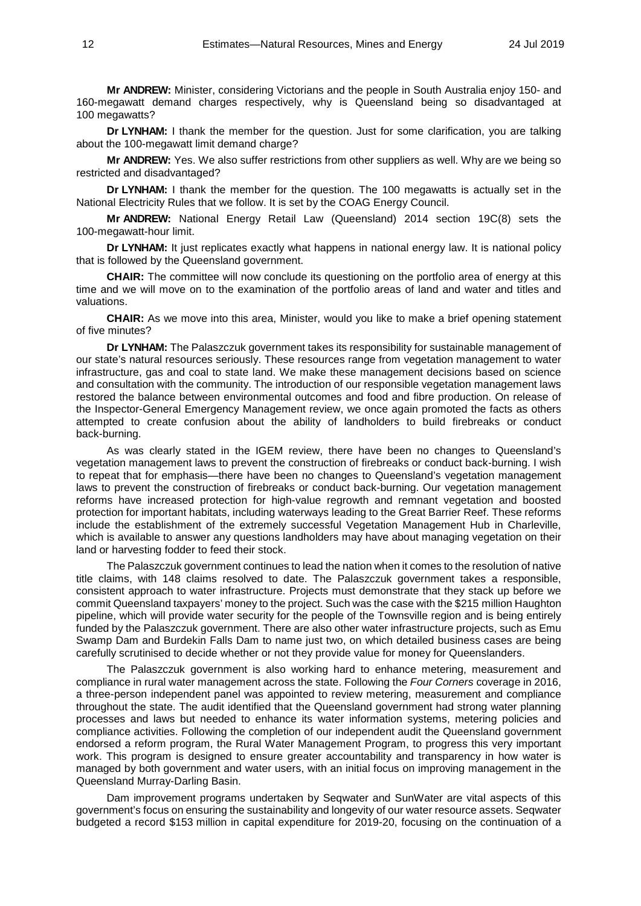**Mr ANDREW:** Minister, considering Victorians and the people in South Australia enjoy 150- and 160-megawatt demand charges respectively, why is Queensland being so disadvantaged at 100 megawatts?

**Dr LYNHAM:** I thank the member for the question. Just for some clarification, you are talking about the 100-megawatt limit demand charge?

**Mr ANDREW:** Yes. We also suffer restrictions from other suppliers as well. Why are we being so restricted and disadvantaged?

**Dr LYNHAM:** I thank the member for the question. The 100 megawatts is actually set in the National Electricity Rules that we follow. It is set by the COAG Energy Council.

**Mr ANDREW:** National Energy Retail Law (Queensland) 2014 section 19C(8) sets the 100-megawatt-hour limit.

**Dr LYNHAM:** It just replicates exactly what happens in national energy law. It is national policy that is followed by the Queensland government.

**CHAIR:** The committee will now conclude its questioning on the portfolio area of energy at this time and we will move on to the examination of the portfolio areas of land and water and titles and valuations.

**CHAIR:** As we move into this area, Minister, would you like to make a brief opening statement of five minutes?

**Dr LYNHAM:** The Palaszczuk government takes its responsibility for sustainable management of our state's natural resources seriously. These resources range from vegetation management to water infrastructure, gas and coal to state land. We make these management decisions based on science and consultation with the community. The introduction of our responsible vegetation management laws restored the balance between environmental outcomes and food and fibre production. On release of the Inspector-General Emergency Management review, we once again promoted the facts as others attempted to create confusion about the ability of landholders to build firebreaks or conduct back-burning.

As was clearly stated in the IGEM review, there have been no changes to Queensland's vegetation management laws to prevent the construction of firebreaks or conduct back-burning. I wish to repeat that for emphasis—there have been no changes to Queensland's vegetation management laws to prevent the construction of firebreaks or conduct back-burning. Our vegetation management reforms have increased protection for high-value regrowth and remnant vegetation and boosted protection for important habitats, including waterways leading to the Great Barrier Reef. These reforms include the establishment of the extremely successful Vegetation Management Hub in Charleville, which is available to answer any questions landholders may have about managing vegetation on their land or harvesting fodder to feed their stock.

The Palaszczuk government continues to lead the nation when it comes to the resolution of native title claims, with 148 claims resolved to date. The Palaszczuk government takes a responsible, consistent approach to water infrastructure. Projects must demonstrate that they stack up before we commit Queensland taxpayers' money to the project. Such was the case with the \$215 million Haughton pipeline, which will provide water security for the people of the Townsville region and is being entirely funded by the Palaszczuk government. There are also other water infrastructure projects, such as Emu Swamp Dam and Burdekin Falls Dam to name just two, on which detailed business cases are being carefully scrutinised to decide whether or not they provide value for money for Queenslanders.

The Palaszczuk government is also working hard to enhance metering, measurement and compliance in rural water management across the state. Following the *Four Corners* coverage in 2016, a three-person independent panel was appointed to review metering, measurement and compliance throughout the state. The audit identified that the Queensland government had strong water planning processes and laws but needed to enhance its water information systems, metering policies and compliance activities. Following the completion of our independent audit the Queensland government endorsed a reform program, the Rural Water Management Program, to progress this very important work. This program is designed to ensure greater accountability and transparency in how water is managed by both government and water users, with an initial focus on improving management in the Queensland Murray-Darling Basin.

Dam improvement programs undertaken by Seqwater and SunWater are vital aspects of this government's focus on ensuring the sustainability and longevity of our water resource assets. Seqwater budgeted a record \$153 million in capital expenditure for 2019-20, focusing on the continuation of a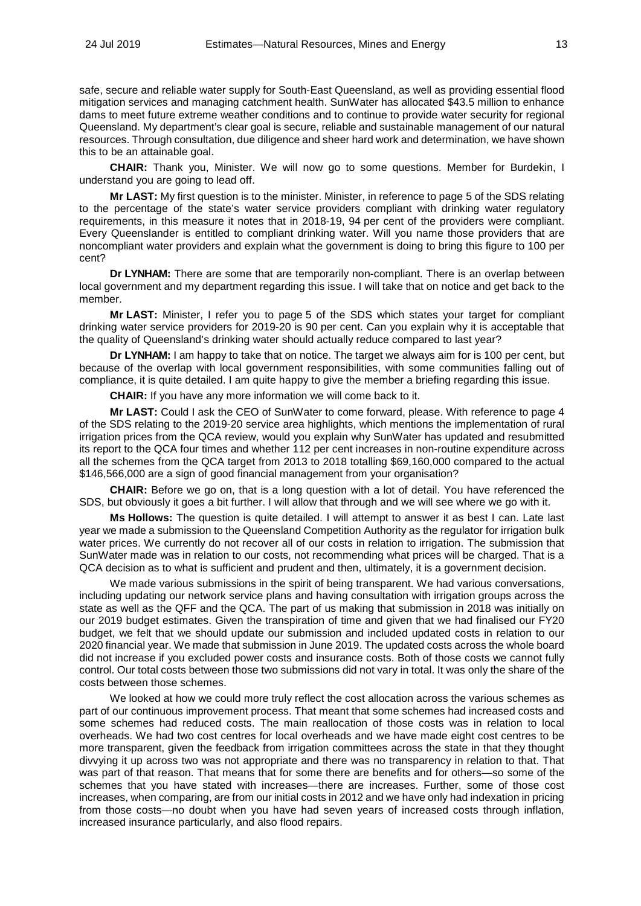safe, secure and reliable water supply for South-East Queensland, as well as providing essential flood mitigation services and managing catchment health. SunWater has allocated \$43.5 million to enhance dams to meet future extreme weather conditions and to continue to provide water security for regional Queensland. My department's clear goal is secure, reliable and sustainable management of our natural resources. Through consultation, due diligence and sheer hard work and determination, we have shown this to be an attainable goal.

**CHAIR:** Thank you, Minister. We will now go to some questions. Member for Burdekin, I understand you are going to lead off.

**Mr LAST:** My first question is to the minister. Minister, in reference to page 5 of the SDS relating to the percentage of the state's water service providers compliant with drinking water regulatory requirements, in this measure it notes that in 2018-19, 94 per cent of the providers were compliant. Every Queenslander is entitled to compliant drinking water. Will you name those providers that are noncompliant water providers and explain what the government is doing to bring this figure to 100 per cent?

**Dr LYNHAM:** There are some that are temporarily non-compliant. There is an overlap between local government and my department regarding this issue. I will take that on notice and get back to the member.

**Mr LAST:** Minister, I refer you to page 5 of the SDS which states your target for compliant drinking water service providers for 2019-20 is 90 per cent. Can you explain why it is acceptable that the quality of Queensland's drinking water should actually reduce compared to last year?

**Dr LYNHAM:** I am happy to take that on notice. The target we always aim for is 100 per cent, but because of the overlap with local government responsibilities, with some communities falling out of compliance, it is quite detailed. I am quite happy to give the member a briefing regarding this issue.

**CHAIR:** If you have any more information we will come back to it.

**Mr LAST:** Could I ask the CEO of SunWater to come forward, please. With reference to page 4 of the SDS relating to the 2019-20 service area highlights, which mentions the implementation of rural irrigation prices from the QCA review, would you explain why SunWater has updated and resubmitted its report to the QCA four times and whether 112 per cent increases in non-routine expenditure across all the schemes from the QCA target from 2013 to 2018 totalling \$69,160,000 compared to the actual \$146,566,000 are a sign of good financial management from your organisation?

**CHAIR:** Before we go on, that is a long question with a lot of detail. You have referenced the SDS, but obviously it goes a bit further. I will allow that through and we will see where we go with it.

**Ms Hollows:** The question is quite detailed. I will attempt to answer it as best I can. Late last year we made a submission to the Queensland Competition Authority as the regulator for irrigation bulk water prices. We currently do not recover all of our costs in relation to irrigation. The submission that SunWater made was in relation to our costs, not recommending what prices will be charged. That is a QCA decision as to what is sufficient and prudent and then, ultimately, it is a government decision.

We made various submissions in the spirit of being transparent. We had various conversations, including updating our network service plans and having consultation with irrigation groups across the state as well as the QFF and the QCA. The part of us making that submission in 2018 was initially on our 2019 budget estimates. Given the transpiration of time and given that we had finalised our FY20 budget, we felt that we should update our submission and included updated costs in relation to our 2020 financial year. We made that submission in June 2019. The updated costs across the whole board did not increase if you excluded power costs and insurance costs. Both of those costs we cannot fully control. Our total costs between those two submissions did not vary in total. It was only the share of the costs between those schemes.

We looked at how we could more truly reflect the cost allocation across the various schemes as part of our continuous improvement process. That meant that some schemes had increased costs and some schemes had reduced costs. The main reallocation of those costs was in relation to local overheads. We had two cost centres for local overheads and we have made eight cost centres to be more transparent, given the feedback from irrigation committees across the state in that they thought divvying it up across two was not appropriate and there was no transparency in relation to that. That was part of that reason. That means that for some there are benefits and for others—so some of the schemes that you have stated with increases—there are increases. Further, some of those cost increases, when comparing, are from our initial costs in 2012 and we have only had indexation in pricing from those costs—no doubt when you have had seven years of increased costs through inflation, increased insurance particularly, and also flood repairs.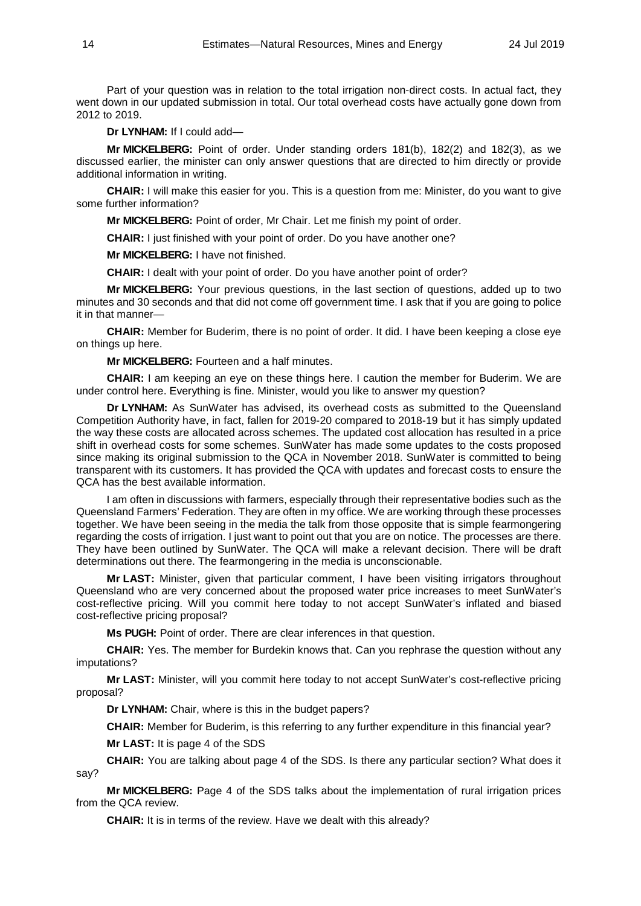Part of your question was in relation to the total irrigation non-direct costs. In actual fact, they went down in our updated submission in total. Our total overhead costs have actually gone down from 2012 to 2019.

**Dr LYNHAM:** If I could add—

**Mr MICKELBERG:** Point of order. Under standing orders 181(b), 182(2) and 182(3), as we discussed earlier, the minister can only answer questions that are directed to him directly or provide additional information in writing.

**CHAIR:** I will make this easier for you. This is a question from me: Minister, do you want to give some further information?

**Mr MICKELBERG:** Point of order, Mr Chair. Let me finish my point of order.

**CHAIR:** I just finished with your point of order. Do you have another one?

**Mr MICKELBERG:** I have not finished.

**CHAIR:** I dealt with your point of order. Do you have another point of order?

**Mr MICKELBERG:** Your previous questions, in the last section of questions, added up to two minutes and 30 seconds and that did not come off government time. I ask that if you are going to police it in that manner—

**CHAIR:** Member for Buderim, there is no point of order. It did. I have been keeping a close eye on things up here.

**Mr MICKELBERG:** Fourteen and a half minutes.

**CHAIR:** I am keeping an eye on these things here. I caution the member for Buderim. We are under control here. Everything is fine. Minister, would you like to answer my question?

**Dr LYNHAM:** As SunWater has advised, its overhead costs as submitted to the Queensland Competition Authority have, in fact, fallen for 2019-20 compared to 2018-19 but it has simply updated the way these costs are allocated across schemes. The updated cost allocation has resulted in a price shift in overhead costs for some schemes. SunWater has made some updates to the costs proposed since making its original submission to the QCA in November 2018. SunWater is committed to being transparent with its customers. It has provided the QCA with updates and forecast costs to ensure the QCA has the best available information.

I am often in discussions with farmers, especially through their representative bodies such as the Queensland Farmers' Federation. They are often in my office. We are working through these processes together. We have been seeing in the media the talk from those opposite that is simple fearmongering regarding the costs of irrigation. I just want to point out that you are on notice. The processes are there. They have been outlined by SunWater. The QCA will make a relevant decision. There will be draft determinations out there. The fearmongering in the media is unconscionable.

**Mr LAST:** Minister, given that particular comment, I have been visiting irrigators throughout Queensland who are very concerned about the proposed water price increases to meet SunWater's cost-reflective pricing. Will you commit here today to not accept SunWater's inflated and biased cost-reflective pricing proposal?

**Ms PUGH:** Point of order. There are clear inferences in that question.

**CHAIR:** Yes. The member for Burdekin knows that. Can you rephrase the question without any imputations?

**Mr LAST:** Minister, will you commit here today to not accept SunWater's cost-reflective pricing proposal?

**Dr LYNHAM:** Chair, where is this in the budget papers?

**CHAIR:** Member for Buderim, is this referring to any further expenditure in this financial year?

**Mr LAST:** It is page 4 of the SDS

**CHAIR:** You are talking about page 4 of the SDS. Is there any particular section? What does it say?

**Mr MICKELBERG:** Page 4 of the SDS talks about the implementation of rural irrigation prices from the QCA review.

**CHAIR:** It is in terms of the review. Have we dealt with this already?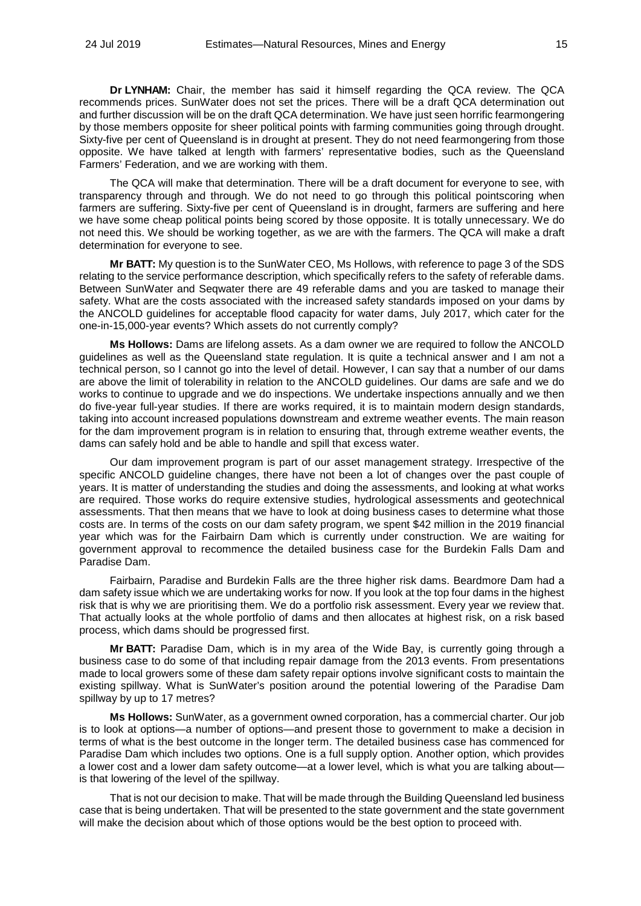**Dr LYNHAM:** Chair, the member has said it himself regarding the QCA review. The QCA recommends prices. SunWater does not set the prices. There will be a draft QCA determination out and further discussion will be on the draft QCA determination. We have just seen horrific fearmongering by those members opposite for sheer political points with farming communities going through drought. Sixty-five per cent of Queensland is in drought at present. They do not need fearmongering from those opposite. We have talked at length with farmers' representative bodies, such as the Queensland Farmers' Federation, and we are working with them.

The QCA will make that determination. There will be a draft document for everyone to see, with transparency through and through. We do not need to go through this political pointscoring when farmers are suffering. Sixty-five per cent of Queensland is in drought, farmers are suffering and here we have some cheap political points being scored by those opposite. It is totally unnecessary. We do not need this. We should be working together, as we are with the farmers. The QCA will make a draft determination for everyone to see.

**Mr BATT:** My question is to the SunWater CEO, Ms Hollows, with reference to page 3 of the SDS relating to the service performance description, which specifically refers to the safety of referable dams. Between SunWater and Seqwater there are 49 referable dams and you are tasked to manage their safety. What are the costs associated with the increased safety standards imposed on your dams by the ANCOLD guidelines for acceptable flood capacity for water dams, July 2017, which cater for the one-in-15,000-year events? Which assets do not currently comply?

**Ms Hollows:** Dams are lifelong assets. As a dam owner we are required to follow the ANCOLD guidelines as well as the Queensland state regulation. It is quite a technical answer and I am not a technical person, so I cannot go into the level of detail. However, I can say that a number of our dams are above the limit of tolerability in relation to the ANCOLD guidelines. Our dams are safe and we do works to continue to upgrade and we do inspections. We undertake inspections annually and we then do five-year full-year studies. If there are works required, it is to maintain modern design standards, taking into account increased populations downstream and extreme weather events. The main reason for the dam improvement program is in relation to ensuring that, through extreme weather events, the dams can safely hold and be able to handle and spill that excess water.

Our dam improvement program is part of our asset management strategy. Irrespective of the specific ANCOLD guideline changes, there have not been a lot of changes over the past couple of years. It is matter of understanding the studies and doing the assessments, and looking at what works are required. Those works do require extensive studies, hydrological assessments and geotechnical assessments. That then means that we have to look at doing business cases to determine what those costs are. In terms of the costs on our dam safety program, we spent \$42 million in the 2019 financial year which was for the Fairbairn Dam which is currently under construction. We are waiting for government approval to recommence the detailed business case for the Burdekin Falls Dam and Paradise Dam.

Fairbairn, Paradise and Burdekin Falls are the three higher risk dams. Beardmore Dam had a dam safety issue which we are undertaking works for now. If you look at the top four dams in the highest risk that is why we are prioritising them. We do a portfolio risk assessment. Every year we review that. That actually looks at the whole portfolio of dams and then allocates at highest risk, on a risk based process, which dams should be progressed first.

**Mr BATT:** Paradise Dam, which is in my area of the Wide Bay, is currently going through a business case to do some of that including repair damage from the 2013 events. From presentations made to local growers some of these dam safety repair options involve significant costs to maintain the existing spillway. What is SunWater's position around the potential lowering of the Paradise Dam spillway by up to 17 metres?

**Ms Hollows:** SunWater, as a government owned corporation, has a commercial charter. Our job is to look at options—a number of options—and present those to government to make a decision in terms of what is the best outcome in the longer term. The detailed business case has commenced for Paradise Dam which includes two options. One is a full supply option. Another option, which provides a lower cost and a lower dam safety outcome—at a lower level, which is what you are talking about is that lowering of the level of the spillway.

That is not our decision to make. That will be made through the Building Queensland led business case that is being undertaken. That will be presented to the state government and the state government will make the decision about which of those options would be the best option to proceed with.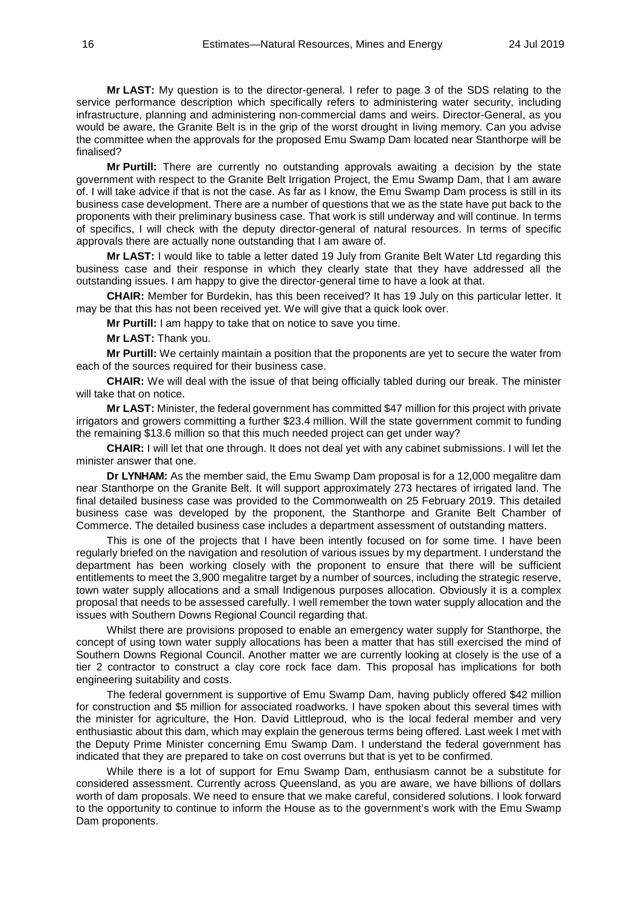**Mr LAST:** My question is to the director-general. I refer to page 3 of the SDS relating to the service performance description which specifically refers to administering water security, including infrastructure, planning and administering non-commercial dams and weirs. Director-General, as you would be aware, the Granite Belt is in the grip of the worst drought in living memory. Can you advise the committee when the approvals for the proposed Emu Swamp Dam located near Stanthorpe will be finalised?

**Mr Purtill:** There are currently no outstanding approvals awaiting a decision by the state government with respect to the Granite Belt Irrigation Project, the Emu Swamp Dam, that I am aware of. I will take advice if that is not the case. As far as I know, the Emu Swamp Dam process is still in its business case development. There are a number of questions that we as the state have put back to the proponents with their preliminary business case. That work is still underway and will continue. In terms of specifics, I will check with the deputy director-general of natural resources. In terms of specific approvals there are actually none outstanding that I am aware of.

**Mr LAST:** I would like to table a letter dated 19 July from Granite Belt Water Ltd regarding this business case and their response in which they clearly state that they have addressed all the outstanding issues. I am happy to give the director-general time to have a look at that.

**CHAIR:** Member for Burdekin, has this been received? It has 19 July on this particular letter. It may be that this has not been received yet. We will give that a quick look over.

**Mr Purtill:** I am happy to take that on notice to save you time.

**Mr LAST:** Thank you.

**Mr Purtill:** We certainly maintain a position that the proponents are yet to secure the water from each of the sources required for their business case.

**CHAIR:** We will deal with the issue of that being officially tabled during our break. The minister will take that on notice.

**Mr LAST:** Minister, the federal government has committed \$47 million for this project with private irrigators and growers committing a further \$23.4 million. Will the state government commit to funding the remaining \$13.6 million so that this much needed project can get under way?

**CHAIR:** I will let that one through. It does not deal yet with any cabinet submissions. I will let the minister answer that one.

**Dr LYNHAM:** As the member said, the Emu Swamp Dam proposal is for a 12,000 megalitre dam near Stanthorpe on the Granite Belt. It will support approximately 273 hectares of irrigated land. The final detailed business case was provided to the Commonwealth on 25 February 2019. This detailed business case was developed by the proponent, the Stanthorpe and Granite Belt Chamber of Commerce. The detailed business case includes a department assessment of outstanding matters.

This is one of the projects that I have been intently focused on for some time. I have been regularly briefed on the navigation and resolution of various issues by my department. I understand the department has been working closely with the proponent to ensure that there will be sufficient entitlements to meet the 3,900 megalitre target by a number of sources, including the strategic reserve, town water supply allocations and a small Indigenous purposes allocation. Obviously it is a complex proposal that needs to be assessed carefully. I well remember the town water supply allocation and the issues with Southern Downs Regional Council regarding that.

Whilst there are provisions proposed to enable an emergency water supply for Stanthorpe, the concept of using town water supply allocations has been a matter that has still exercised the mind of Southern Downs Regional Council. Another matter we are currently looking at closely is the use of a tier 2 contractor to construct a clay core rock face dam. This proposal has implications for both engineering suitability and costs.

The federal government is supportive of Emu Swamp Dam, having publicly offered \$42 million for construction and \$5 million for associated roadworks. I have spoken about this several times with the minister for agriculture, the Hon. David Littleproud, who is the local federal member and very enthusiastic about this dam, which may explain the generous terms being offered. Last week I met with the Deputy Prime Minister concerning Emu Swamp Dam. I understand the federal government has indicated that they are prepared to take on cost overruns but that is yet to be confirmed.

While there is a lot of support for Emu Swamp Dam, enthusiasm cannot be a substitute for considered assessment. Currently across Queensland, as you are aware, we have billions of dollars worth of dam proposals. We need to ensure that we make careful, considered solutions. I look forward to the opportunity to continue to inform the House as to the government's work with the Emu Swamp Dam proponents.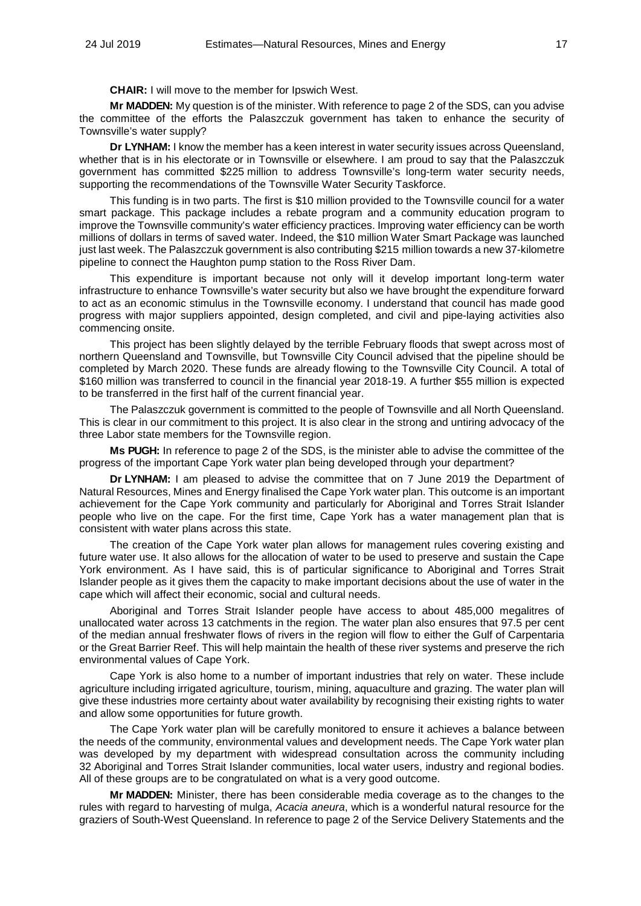**CHAIR:** I will move to the member for Ipswich West.

**Mr MADDEN:** My question is of the minister. With reference to page 2 of the SDS, can you advise the committee of the efforts the Palaszczuk government has taken to enhance the security of Townsville's water supply?

**Dr LYNHAM:** I know the member has a keen interest in water security issues across Queensland, whether that is in his electorate or in Townsville or elsewhere. I am proud to say that the Palaszczuk government has committed \$225 million to address Townsville's long-term water security needs, supporting the recommendations of the Townsville Water Security Taskforce.

This funding is in two parts. The first is \$10 million provided to the Townsville council for a water smart package. This package includes a rebate program and a community education program to improve the Townsville community's water efficiency practices. Improving water efficiency can be worth millions of dollars in terms of saved water. Indeed, the \$10 million Water Smart Package was launched just last week. The Palaszczuk government is also contributing \$215 million towards a new 37-kilometre pipeline to connect the Haughton pump station to the Ross River Dam.

This expenditure is important because not only will it develop important long-term water infrastructure to enhance Townsville's water security but also we have brought the expenditure forward to act as an economic stimulus in the Townsville economy. I understand that council has made good progress with major suppliers appointed, design completed, and civil and pipe-laying activities also commencing onsite.

This project has been slightly delayed by the terrible February floods that swept across most of northern Queensland and Townsville, but Townsville City Council advised that the pipeline should be completed by March 2020. These funds are already flowing to the Townsville City Council. A total of \$160 million was transferred to council in the financial year 2018-19. A further \$55 million is expected to be transferred in the first half of the current financial year.

The Palaszczuk government is committed to the people of Townsville and all North Queensland. This is clear in our commitment to this project. It is also clear in the strong and untiring advocacy of the three Labor state members for the Townsville region.

**Ms PUGH:** In reference to page 2 of the SDS, is the minister able to advise the committee of the progress of the important Cape York water plan being developed through your department?

**Dr LYNHAM:** I am pleased to advise the committee that on 7 June 2019 the Department of Natural Resources, Mines and Energy finalised the Cape York water plan. This outcome is an important achievement for the Cape York community and particularly for Aboriginal and Torres Strait Islander people who live on the cape. For the first time, Cape York has a water management plan that is consistent with water plans across this state.

The creation of the Cape York water plan allows for management rules covering existing and future water use. It also allows for the allocation of water to be used to preserve and sustain the Cape York environment. As I have said, this is of particular significance to Aboriginal and Torres Strait Islander people as it gives them the capacity to make important decisions about the use of water in the cape which will affect their economic, social and cultural needs.

Aboriginal and Torres Strait Islander people have access to about 485,000 megalitres of unallocated water across 13 catchments in the region. The water plan also ensures that 97.5 per cent of the median annual freshwater flows of rivers in the region will flow to either the Gulf of Carpentaria or the Great Barrier Reef. This will help maintain the health of these river systems and preserve the rich environmental values of Cape York.

Cape York is also home to a number of important industries that rely on water. These include agriculture including irrigated agriculture, tourism, mining, aquaculture and grazing. The water plan will give these industries more certainty about water availability by recognising their existing rights to water and allow some opportunities for future growth.

The Cape York water plan will be carefully monitored to ensure it achieves a balance between the needs of the community, environmental values and development needs. The Cape York water plan was developed by my department with widespread consultation across the community including 32 Aboriginal and Torres Strait Islander communities, local water users, industry and regional bodies. All of these groups are to be congratulated on what is a very good outcome.

**Mr MADDEN:** Minister, there has been considerable media coverage as to the changes to the rules with regard to harvesting of mulga, *Acacia aneura*, which is a wonderful natural resource for the graziers of South-West Queensland. In reference to page 2 of the Service Delivery Statements and the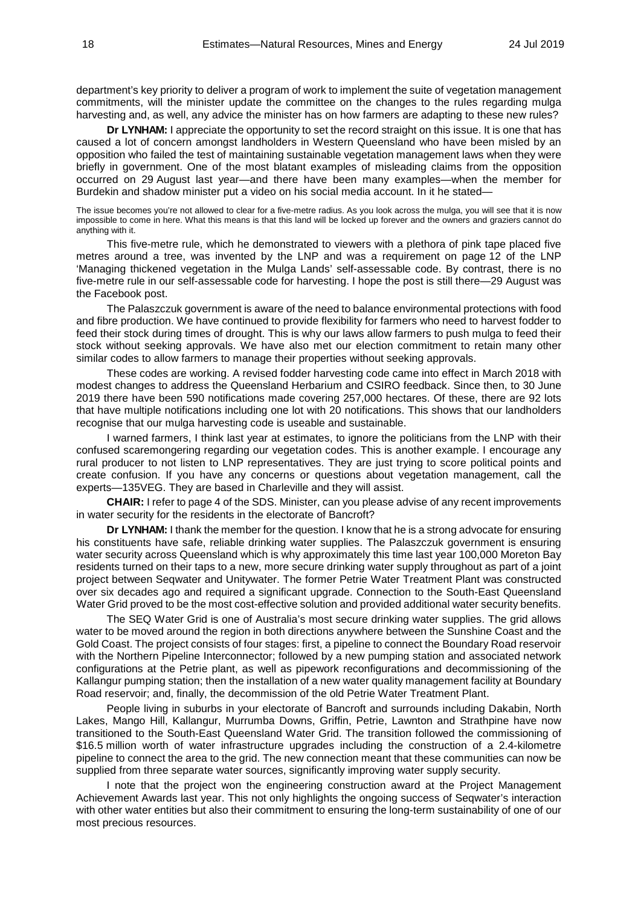department's key priority to deliver a program of work to implement the suite of vegetation management commitments, will the minister update the committee on the changes to the rules regarding mulga harvesting and, as well, any advice the minister has on how farmers are adapting to these new rules?

**Dr LYNHAM:** I appreciate the opportunity to set the record straight on this issue. It is one that has caused a lot of concern amongst landholders in Western Queensland who have been misled by an opposition who failed the test of maintaining sustainable vegetation management laws when they were briefly in government. One of the most blatant examples of misleading claims from the opposition occurred on 29 August last year—and there have been many examples—when the member for Burdekin and shadow minister put a video on his social media account. In it he stated—

The issue becomes you're not allowed to clear for a five-metre radius. As you look across the mulga, you will see that it is now impossible to come in here. What this means is that this land will be locked up forever and the owners and graziers cannot do anything with it.

This five-metre rule, which he demonstrated to viewers with a plethora of pink tape placed five metres around a tree, was invented by the LNP and was a requirement on page 12 of the LNP 'Managing thickened vegetation in the Mulga Lands' self-assessable code. By contrast, there is no five-metre rule in our self-assessable code for harvesting. I hope the post is still there—29 August was the Facebook post.

The Palaszczuk government is aware of the need to balance environmental protections with food and fibre production. We have continued to provide flexibility for farmers who need to harvest fodder to feed their stock during times of drought. This is why our laws allow farmers to push mulga to feed their stock without seeking approvals. We have also met our election commitment to retain many other similar codes to allow farmers to manage their properties without seeking approvals.

These codes are working. A revised fodder harvesting code came into effect in March 2018 with modest changes to address the Queensland Herbarium and CSIRO feedback. Since then, to 30 June 2019 there have been 590 notifications made covering 257,000 hectares. Of these, there are 92 lots that have multiple notifications including one lot with 20 notifications. This shows that our landholders recognise that our mulga harvesting code is useable and sustainable.

I warned farmers, I think last year at estimates, to ignore the politicians from the LNP with their confused scaremongering regarding our vegetation codes. This is another example. I encourage any rural producer to not listen to LNP representatives. They are just trying to score political points and create confusion. If you have any concerns or questions about vegetation management, call the experts—135VEG. They are based in Charleville and they will assist.

**CHAIR:** I refer to page 4 of the SDS. Minister, can you please advise of any recent improvements in water security for the residents in the electorate of Bancroft?

**Dr LYNHAM:** I thank the member for the question. I know that he is a strong advocate for ensuring his constituents have safe, reliable drinking water supplies. The Palaszczuk government is ensuring water security across Queensland which is why approximately this time last year 100,000 Moreton Bay residents turned on their taps to a new, more secure drinking water supply throughout as part of a joint project between Seqwater and Unitywater. The former Petrie Water Treatment Plant was constructed over six decades ago and required a significant upgrade. Connection to the South-East Queensland Water Grid proved to be the most cost-effective solution and provided additional water security benefits.

The SEQ Water Grid is one of Australia's most secure drinking water supplies. The grid allows water to be moved around the region in both directions anywhere between the Sunshine Coast and the Gold Coast. The project consists of four stages: first, a pipeline to connect the Boundary Road reservoir with the Northern Pipeline Interconnector; followed by a new pumping station and associated network configurations at the Petrie plant, as well as pipework reconfigurations and decommissioning of the Kallangur pumping station; then the installation of a new water quality management facility at Boundary Road reservoir; and, finally, the decommission of the old Petrie Water Treatment Plant.

People living in suburbs in your electorate of Bancroft and surrounds including Dakabin, North Lakes, Mango Hill, Kallangur, Murrumba Downs, Griffin, Petrie, Lawnton and Strathpine have now transitioned to the South-East Queensland Water Grid. The transition followed the commissioning of \$16.5 million worth of water infrastructure upgrades including the construction of a 2.4-kilometre pipeline to connect the area to the grid. The new connection meant that these communities can now be supplied from three separate water sources, significantly improving water supply security.

I note that the project won the engineering construction award at the Project Management Achievement Awards last year. This not only highlights the ongoing success of Seqwater's interaction with other water entities but also their commitment to ensuring the long-term sustainability of one of our most precious resources.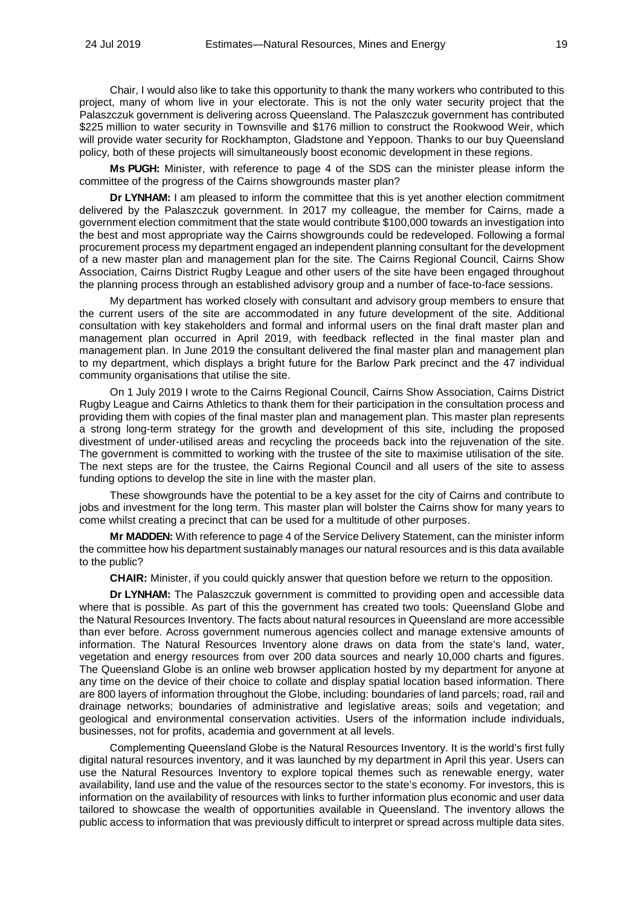Chair, I would also like to take this opportunity to thank the many workers who contributed to this project, many of whom live in your electorate. This is not the only water security project that the Palaszczuk government is delivering across Queensland. The Palaszczuk government has contributed \$225 million to water security in Townsville and \$176 million to construct the Rookwood Weir, which will provide water security for Rockhampton, Gladstone and Yeppoon. Thanks to our buy Queensland policy, both of these projects will simultaneously boost economic development in these regions.

**Ms PUGH:** Minister, with reference to page 4 of the SDS can the minister please inform the committee of the progress of the Cairns showgrounds master plan?

**Dr LYNHAM:** I am pleased to inform the committee that this is yet another election commitment delivered by the Palaszczuk government. In 2017 my colleague, the member for Cairns, made a government election commitment that the state would contribute \$100,000 towards an investigation into the best and most appropriate way the Cairns showgrounds could be redeveloped. Following a formal procurement process my department engaged an independent planning consultant for the development of a new master plan and management plan for the site. The Cairns Regional Council, Cairns Show Association, Cairns District Rugby League and other users of the site have been engaged throughout the planning process through an established advisory group and a number of face-to-face sessions.

My department has worked closely with consultant and advisory group members to ensure that the current users of the site are accommodated in any future development of the site. Additional consultation with key stakeholders and formal and informal users on the final draft master plan and management plan occurred in April 2019, with feedback reflected in the final master plan and management plan. In June 2019 the consultant delivered the final master plan and management plan to my department, which displays a bright future for the Barlow Park precinct and the 47 individual community organisations that utilise the site.

On 1 July 2019 I wrote to the Cairns Regional Council, Cairns Show Association, Cairns District Rugby League and Cairns Athletics to thank them for their participation in the consultation process and providing them with copies of the final master plan and management plan. This master plan represents a strong long-term strategy for the growth and development of this site, including the proposed divestment of under-utilised areas and recycling the proceeds back into the rejuvenation of the site. The government is committed to working with the trustee of the site to maximise utilisation of the site. The next steps are for the trustee, the Cairns Regional Council and all users of the site to assess funding options to develop the site in line with the master plan.

These showgrounds have the potential to be a key asset for the city of Cairns and contribute to jobs and investment for the long term. This master plan will bolster the Cairns show for many years to come whilst creating a precinct that can be used for a multitude of other purposes.

**Mr MADDEN:** With reference to page 4 of the Service Delivery Statement, can the minister inform the committee how his department sustainably manages our natural resources and is this data available to the public?

**CHAIR:** Minister, if you could quickly answer that question before we return to the opposition.

**Dr LYNHAM:** The Palaszczuk government is committed to providing open and accessible data where that is possible. As part of this the government has created two tools: Queensland Globe and the Natural Resources Inventory. The facts about natural resources in Queensland are more accessible than ever before. Across government numerous agencies collect and manage extensive amounts of information. The Natural Resources Inventory alone draws on data from the state's land, water, vegetation and energy resources from over 200 data sources and nearly 10,000 charts and figures. The Queensland Globe is an online web browser application hosted by my department for anyone at any time on the device of their choice to collate and display spatial location based information. There are 800 layers of information throughout the Globe, including: boundaries of land parcels; road, rail and drainage networks; boundaries of administrative and legislative areas; soils and vegetation; and geological and environmental conservation activities. Users of the information include individuals, businesses, not for profits, academia and government at all levels.

Complementing Queensland Globe is the Natural Resources Inventory. It is the world's first fully digital natural resources inventory, and it was launched by my department in April this year. Users can use the Natural Resources Inventory to explore topical themes such as renewable energy, water availability, land use and the value of the resources sector to the state's economy. For investors, this is information on the availability of resources with links to further information plus economic and user data tailored to showcase the wealth of opportunities available in Queensland. The inventory allows the public access to information that was previously difficult to interpret or spread across multiple data sites.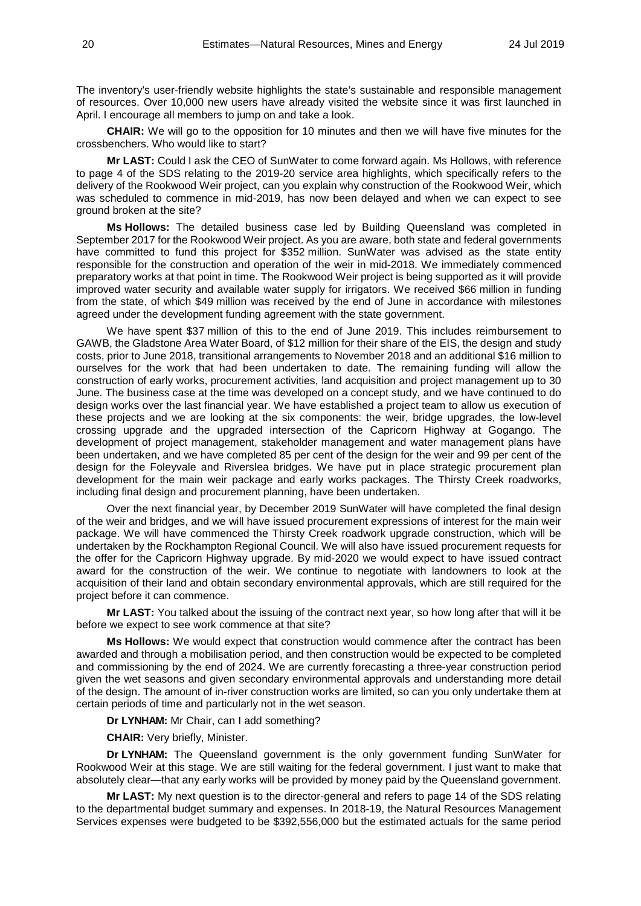The inventory's user-friendly website highlights the state's sustainable and responsible management of resources. Over 10,000 new users have already visited the website since it was first launched in April. I encourage all members to jump on and take a look.

**CHAIR:** We will go to the opposition for 10 minutes and then we will have five minutes for the crossbenchers. Who would like to start?

**Mr LAST:** Could I ask the CEO of SunWater to come forward again. Ms Hollows, with reference to page 4 of the SDS relating to the 2019-20 service area highlights, which specifically refers to the delivery of the Rookwood Weir project, can you explain why construction of the Rookwood Weir, which was scheduled to commence in mid-2019, has now been delayed and when we can expect to see ground broken at the site?

**Ms Hollows:** The detailed business case led by Building Queensland was completed in September 2017 for the Rookwood Weir project. As you are aware, both state and federal governments have committed to fund this project for \$352 million. SunWater was advised as the state entity responsible for the construction and operation of the weir in mid-2018. We immediately commenced preparatory works at that point in time. The Rookwood Weir project is being supported as it will provide improved water security and available water supply for irrigators. We received \$66 million in funding from the state, of which \$49 million was received by the end of June in accordance with milestones agreed under the development funding agreement with the state government.

We have spent \$37 million of this to the end of June 2019. This includes reimbursement to GAWB, the Gladstone Area Water Board, of \$12 million for their share of the EIS, the design and study costs, prior to June 2018, transitional arrangements to November 2018 and an additional \$16 million to ourselves for the work that had been undertaken to date. The remaining funding will allow the construction of early works, procurement activities, land acquisition and project management up to 30 June. The business case at the time was developed on a concept study, and we have continued to do design works over the last financial year. We have established a project team to allow us execution of these projects and we are looking at the six components: the weir, bridge upgrades, the low-level crossing upgrade and the upgraded intersection of the Capricorn Highway at Gogango. The development of project management, stakeholder management and water management plans have been undertaken, and we have completed 85 per cent of the design for the weir and 99 per cent of the design for the Foleyvale and Riverslea bridges. We have put in place strategic procurement plan development for the main weir package and early works packages. The Thirsty Creek roadworks, including final design and procurement planning, have been undertaken.

Over the next financial year, by December 2019 SunWater will have completed the final design of the weir and bridges, and we will have issued procurement expressions of interest for the main weir package. We will have commenced the Thirsty Creek roadwork upgrade construction, which will be undertaken by the Rockhampton Regional Council. We will also have issued procurement requests for the offer for the Capricorn Highway upgrade. By mid-2020 we would expect to have issued contract award for the construction of the weir. We continue to negotiate with landowners to look at the acquisition of their land and obtain secondary environmental approvals, which are still required for the project before it can commence.

**Mr LAST:** You talked about the issuing of the contract next year, so how long after that will it be before we expect to see work commence at that site?

**Ms Hollows:** We would expect that construction would commence after the contract has been awarded and through a mobilisation period, and then construction would be expected to be completed and commissioning by the end of 2024. We are currently forecasting a three-year construction period given the wet seasons and given secondary environmental approvals and understanding more detail of the design. The amount of in-river construction works are limited, so can you only undertake them at certain periods of time and particularly not in the wet season.

**Dr LYNHAM:** Mr Chair, can I add something?

**CHAIR:** Very briefly, Minister.

**Dr LYNHAM:** The Queensland government is the only government funding SunWater for Rookwood Weir at this stage. We are still waiting for the federal government. I just want to make that absolutely clear—that any early works will be provided by money paid by the Queensland government.

**Mr LAST:** My next question is to the director-general and refers to page 14 of the SDS relating to the departmental budget summary and expenses. In 2018-19, the Natural Resources Management Services expenses were budgeted to be \$392,556,000 but the estimated actuals for the same period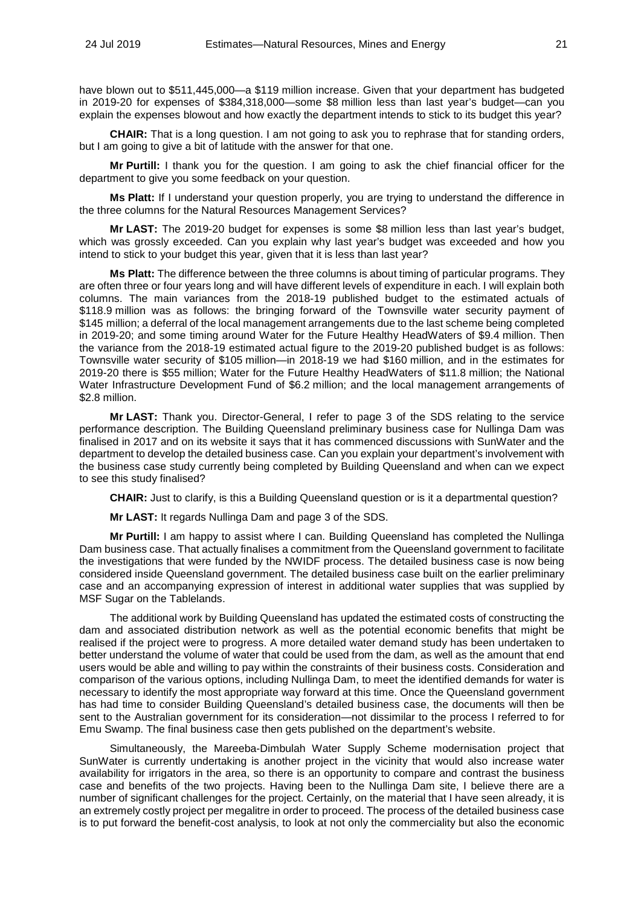have blown out to \$511,445,000—a \$119 million increase. Given that your department has budgeted in 2019-20 for expenses of \$384,318,000—some \$8 million less than last year's budget—can you explain the expenses blowout and how exactly the department intends to stick to its budget this year?

**CHAIR:** That is a long question. I am not going to ask you to rephrase that for standing orders, but I am going to give a bit of latitude with the answer for that one.

**Mr Purtill:** I thank you for the question. I am going to ask the chief financial officer for the department to give you some feedback on your question.

**Ms Platt:** If I understand your question properly, you are trying to understand the difference in the three columns for the Natural Resources Management Services?

**Mr LAST:** The 2019-20 budget for expenses is some \$8 million less than last year's budget, which was grossly exceeded. Can you explain why last year's budget was exceeded and how you intend to stick to your budget this year, given that it is less than last year?

**Ms Platt:** The difference between the three columns is about timing of particular programs. They are often three or four years long and will have different levels of expenditure in each. I will explain both columns. The main variances from the 2018-19 published budget to the estimated actuals of \$118.9 million was as follows: the bringing forward of the Townsville water security payment of \$145 million; a deferral of the local management arrangements due to the last scheme being completed in 2019-20; and some timing around Water for the Future Healthy HeadWaters of \$9.4 million. Then the variance from the 2018-19 estimated actual figure to the 2019-20 published budget is as follows: Townsville water security of \$105 million—in 2018-19 we had \$160 million, and in the estimates for 2019-20 there is \$55 million; Water for the Future Healthy HeadWaters of \$11.8 million; the National Water Infrastructure Development Fund of \$6.2 million; and the local management arrangements of \$2.8 million.

**Mr LAST:** Thank you. Director-General, I refer to page 3 of the SDS relating to the service performance description. The Building Queensland preliminary business case for Nullinga Dam was finalised in 2017 and on its website it says that it has commenced discussions with SunWater and the department to develop the detailed business case. Can you explain your department's involvement with the business case study currently being completed by Building Queensland and when can we expect to see this study finalised?

**CHAIR:** Just to clarify, is this a Building Queensland question or is it a departmental question?

**Mr LAST:** It regards Nullinga Dam and page 3 of the SDS.

**Mr Purtill:** I am happy to assist where I can. Building Queensland has completed the Nullinga Dam business case. That actually finalises a commitment from the Queensland government to facilitate the investigations that were funded by the NWIDF process. The detailed business case is now being considered inside Queensland government. The detailed business case built on the earlier preliminary case and an accompanying expression of interest in additional water supplies that was supplied by MSF Sugar on the Tablelands.

The additional work by Building Queensland has updated the estimated costs of constructing the dam and associated distribution network as well as the potential economic benefits that might be realised if the project were to progress. A more detailed water demand study has been undertaken to better understand the volume of water that could be used from the dam, as well as the amount that end users would be able and willing to pay within the constraints of their business costs. Consideration and comparison of the various options, including Nullinga Dam, to meet the identified demands for water is necessary to identify the most appropriate way forward at this time. Once the Queensland government has had time to consider Building Queensland's detailed business case, the documents will then be sent to the Australian government for its consideration—not dissimilar to the process I referred to for Emu Swamp. The final business case then gets published on the department's website.

Simultaneously, the Mareeba-Dimbulah Water Supply Scheme modernisation project that SunWater is currently undertaking is another project in the vicinity that would also increase water availability for irrigators in the area, so there is an opportunity to compare and contrast the business case and benefits of the two projects. Having been to the Nullinga Dam site, I believe there are a number of significant challenges for the project. Certainly, on the material that I have seen already, it is an extremely costly project per megalitre in order to proceed. The process of the detailed business case is to put forward the benefit-cost analysis, to look at not only the commerciality but also the economic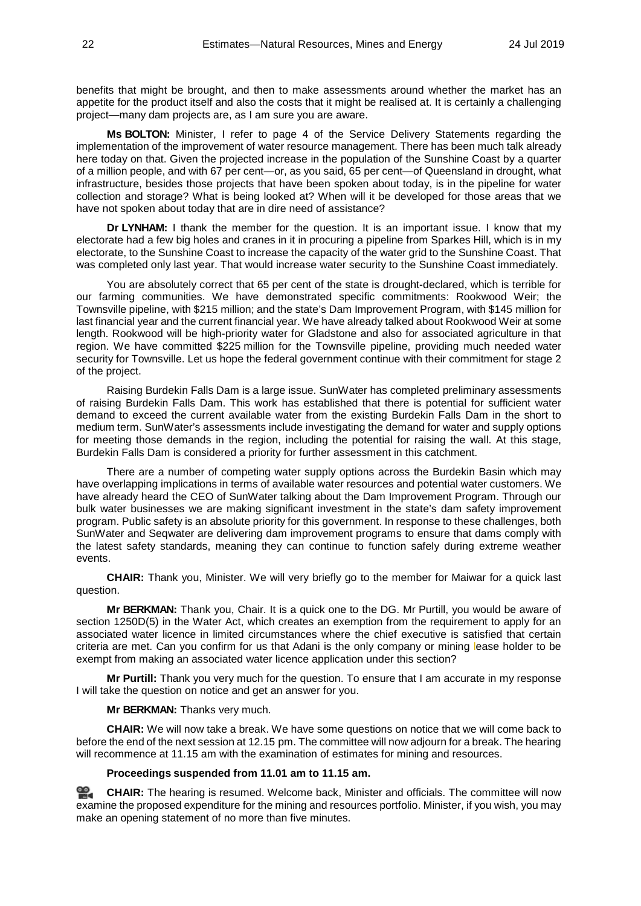benefits that might be brought, and then to make assessments around whether the market has an appetite for the product itself and also the costs that it might be realised at. It is certainly a challenging project—many dam projects are, as I am sure you are aware.

**Ms BOLTON:** Minister, I refer to page 4 of the Service Delivery Statements regarding the implementation of the improvement of water resource management. There has been much talk already here today on that. Given the projected increase in the population of the Sunshine Coast by a quarter of a million people, and with 67 per cent—or, as you said, 65 per cent—of Queensland in drought, what infrastructure, besides those projects that have been spoken about today, is in the pipeline for water collection and storage? What is being looked at? When will it be developed for those areas that we have not spoken about today that are in dire need of assistance?

**Dr LYNHAM:** I thank the member for the question. It is an important issue. I know that my electorate had a few big holes and cranes in it in procuring a pipeline from Sparkes Hill, which is in my electorate, to the Sunshine Coast to increase the capacity of the water grid to the Sunshine Coast. That was completed only last year. That would increase water security to the Sunshine Coast immediately.

You are absolutely correct that 65 per cent of the state is drought-declared, which is terrible for our farming communities. We have demonstrated specific commitments: Rookwood Weir; the Townsville pipeline, with \$215 million; and the state's Dam Improvement Program, with \$145 million for last financial year and the current financial year. We have already talked about Rookwood Weir at some length. Rookwood will be high-priority water for Gladstone and also for associated agriculture in that region. We have committed \$225 million for the Townsville pipeline, providing much needed water security for Townsville. Let us hope the federal government continue with their commitment for stage 2 of the project.

Raising Burdekin Falls Dam is a large issue. SunWater has completed preliminary assessments of raising Burdekin Falls Dam. This work has established that there is potential for sufficient water demand to exceed the current available water from the existing Burdekin Falls Dam in the short to medium term. SunWater's assessments include investigating the demand for water and supply options for meeting those demands in the region, including the potential for raising the wall. At this stage, Burdekin Falls Dam is considered a priority for further assessment in this catchment.

There are a number of competing water supply options across the Burdekin Basin which may have overlapping implications in terms of available water resources and potential water customers. We have already heard the CEO of SunWater talking about the Dam Improvement Program. Through our bulk water businesses we are making significant investment in the state's dam safety improvement program. Public safety is an absolute priority for this government. In response to these challenges, both SunWater and Seqwater are delivering dam improvement programs to ensure that dams comply with the latest safety standards, meaning they can continue to function safely during extreme weather events.

**CHAIR:** Thank you, Minister. We will very briefly go to the member for Maiwar for a quick last question.

**Mr BERKMAN:** Thank you, Chair. It is a quick one to the DG. Mr Purtill, you would be aware of section 1250D(5) in the Water Act, which creates an exemption from the requirement to apply for an associated water licence in limited circumstances where the chief executive is satisfied that certain criteria are met. Can you confirm for us that Adani is the only company or mining lease holder to be exempt from making an associated water licence application under this section?

**Mr Purtill:** Thank you very much for the question. To ensure that I am accurate in my response I will take the question on notice and get an answer for you.

**Mr BERKMAN:** Thanks very much.

**CHAIR:** We will now take a break. We have some questions on notice that we will come back to before the end of the next session at 12.15 pm. The committee will now adjourn for a break. The hearing will recommence at 11.15 am with the examination of estimates for mining and resources.

### **Proceedings suspended from 11.01 am to 11.15 am.**

≌. **[CHAIR:](http://www.parliament.qld.gov.au/docs/find.aspx?id=0Mba20190724_111549)** The hearing is resumed. Welcome back, Minister and officials. The committee will now examine the proposed expenditure for the mining and resources portfolio. Minister, if you wish, you may make an opening statement of no more than five minutes.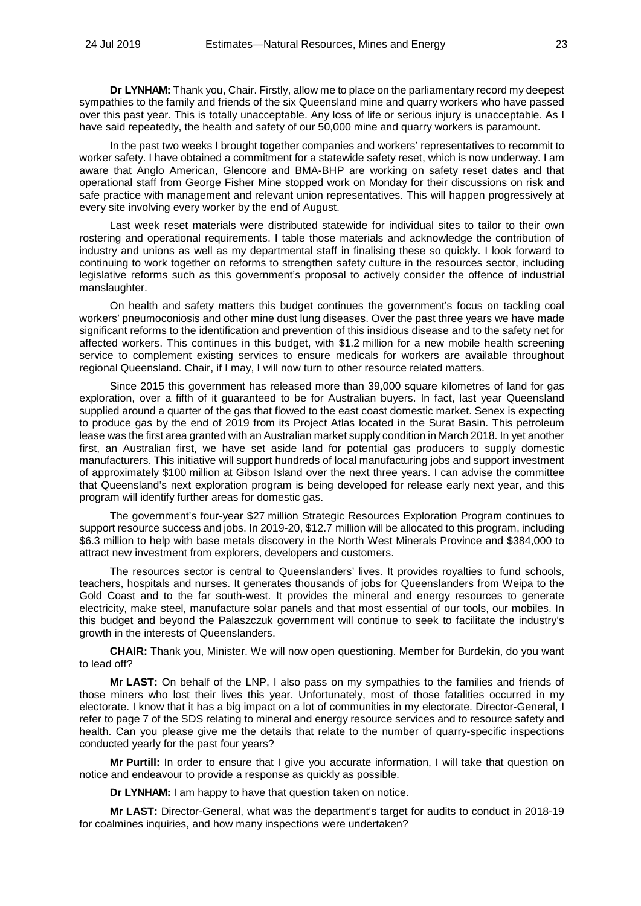**Dr LYNHAM:** Thank you, Chair. Firstly, allow me to place on the parliamentary record my deepest sympathies to the family and friends of the six Queensland mine and quarry workers who have passed over this past year. This is totally unacceptable. Any loss of life or serious injury is unacceptable. As I have said repeatedly, the health and safety of our 50,000 mine and quarry workers is paramount.

In the past two weeks I brought together companies and workers' representatives to recommit to worker safety. I have obtained a commitment for a statewide safety reset, which is now underway. I am aware that Anglo American, Glencore and BMA-BHP are working on safety reset dates and that operational staff from George Fisher Mine stopped work on Monday for their discussions on risk and safe practice with management and relevant union representatives. This will happen progressively at every site involving every worker by the end of August.

Last week reset materials were distributed statewide for individual sites to tailor to their own rostering and operational requirements. I table those materials and acknowledge the contribution of industry and unions as well as my departmental staff in finalising these so quickly. I look forward to continuing to work together on reforms to strengthen safety culture in the resources sector, including legislative reforms such as this government's proposal to actively consider the offence of industrial manslaughter.

On health and safety matters this budget continues the government's focus on tackling coal workers' pneumoconiosis and other mine dust lung diseases. Over the past three years we have made significant reforms to the identification and prevention of this insidious disease and to the safety net for affected workers. This continues in this budget, with \$1.2 million for a new mobile health screening service to complement existing services to ensure medicals for workers are available throughout regional Queensland. Chair, if I may, I will now turn to other resource related matters.

Since 2015 this government has released more than 39,000 square kilometres of land for gas exploration, over a fifth of it guaranteed to be for Australian buyers. In fact, last year Queensland supplied around a quarter of the gas that flowed to the east coast domestic market. Senex is expecting to produce gas by the end of 2019 from its Project Atlas located in the Surat Basin. This petroleum lease was the first area granted with an Australian market supply condition in March 2018. In yet another first, an Australian first, we have set aside land for potential gas producers to supply domestic manufacturers. This initiative will support hundreds of local manufacturing jobs and support investment of approximately \$100 million at Gibson Island over the next three years. I can advise the committee that Queensland's next exploration program is being developed for release early next year, and this program will identify further areas for domestic gas.

The government's four-year \$27 million Strategic Resources Exploration Program continues to support resource success and jobs. In 2019-20, \$12.7 million will be allocated to this program, including \$6.3 million to help with base metals discovery in the North West Minerals Province and \$384,000 to attract new investment from explorers, developers and customers.

The resources sector is central to Queenslanders' lives. It provides royalties to fund schools, teachers, hospitals and nurses. It generates thousands of jobs for Queenslanders from Weipa to the Gold Coast and to the far south-west. It provides the mineral and energy resources to generate electricity, make steel, manufacture solar panels and that most essential of our tools, our mobiles. In this budget and beyond the Palaszczuk government will continue to seek to facilitate the industry's growth in the interests of Queenslanders.

**CHAIR:** Thank you, Minister. We will now open questioning. Member for Burdekin, do you want to lead off?

**Mr LAST:** On behalf of the LNP, I also pass on my sympathies to the families and friends of those miners who lost their lives this year. Unfortunately, most of those fatalities occurred in my electorate. I know that it has a big impact on a lot of communities in my electorate. Director-General, I refer to page 7 of the SDS relating to mineral and energy resource services and to resource safety and health. Can you please give me the details that relate to the number of quarry-specific inspections conducted yearly for the past four years?

**Mr Purtill:** In order to ensure that I give you accurate information, I will take that question on notice and endeavour to provide a response as quickly as possible.

**Dr LYNHAM:** I am happy to have that question taken on notice.

**Mr LAST:** Director-General, what was the department's target for audits to conduct in 2018-19 for coalmines inquiries, and how many inspections were undertaken?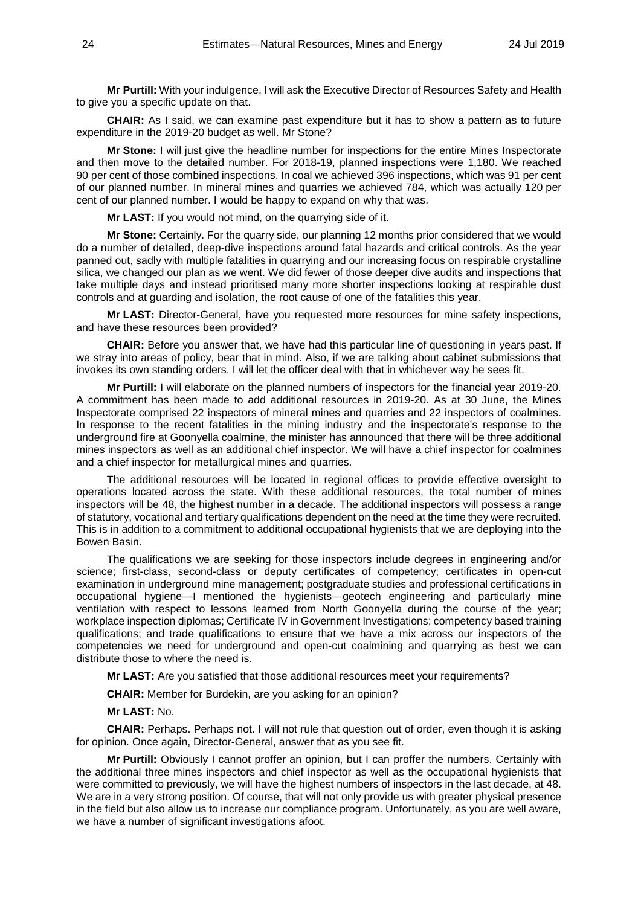**Mr Purtill:** With your indulgence, I will ask the Executive Director of Resources Safety and Health to give you a specific update on that.

**CHAIR:** As I said, we can examine past expenditure but it has to show a pattern as to future expenditure in the 2019-20 budget as well. Mr Stone?

**Mr Stone:** I will just give the headline number for inspections for the entire Mines Inspectorate and then move to the detailed number. For 2018-19, planned inspections were 1,180. We reached 90 per cent of those combined inspections. In coal we achieved 396 inspections, which was 91 per cent of our planned number. In mineral mines and quarries we achieved 784, which was actually 120 per cent of our planned number. I would be happy to expand on why that was.

**Mr LAST:** If you would not mind, on the quarrying side of it.

**Mr Stone:** Certainly. For the quarry side, our planning 12 months prior considered that we would do a number of detailed, deep-dive inspections around fatal hazards and critical controls. As the year panned out, sadly with multiple fatalities in quarrying and our increasing focus on respirable crystalline silica, we changed our plan as we went. We did fewer of those deeper dive audits and inspections that take multiple days and instead prioritised many more shorter inspections looking at respirable dust controls and at guarding and isolation, the root cause of one of the fatalities this year.

**Mr LAST:** Director-General, have you requested more resources for mine safety inspections, and have these resources been provided?

**CHAIR:** Before you answer that, we have had this particular line of questioning in years past. If we stray into areas of policy, bear that in mind. Also, if we are talking about cabinet submissions that invokes its own standing orders. I will let the officer deal with that in whichever way he sees fit.

**Mr Purtill:** I will elaborate on the planned numbers of inspectors for the financial year 2019-20. A commitment has been made to add additional resources in 2019-20. As at 30 June, the Mines Inspectorate comprised 22 inspectors of mineral mines and quarries and 22 inspectors of coalmines. In response to the recent fatalities in the mining industry and the inspectorate's response to the underground fire at Goonyella coalmine, the minister has announced that there will be three additional mines inspectors as well as an additional chief inspector. We will have a chief inspector for coalmines and a chief inspector for metallurgical mines and quarries.

The additional resources will be located in regional offices to provide effective oversight to operations located across the state. With these additional resources, the total number of mines inspectors will be 48, the highest number in a decade. The additional inspectors will possess a range of statutory, vocational and tertiary qualifications dependent on the need at the time they were recruited. This is in addition to a commitment to additional occupational hygienists that we are deploying into the Bowen Basin.

The qualifications we are seeking for those inspectors include degrees in engineering and/or science; first-class, second-class or deputy certificates of competency; certificates in open-cut examination in underground mine management; postgraduate studies and professional certifications in occupational hygiene—I mentioned the hygienists—geotech engineering and particularly mine ventilation with respect to lessons learned from North Goonyella during the course of the year; workplace inspection diplomas; Certificate IV in Government Investigations; competency based training qualifications; and trade qualifications to ensure that we have a mix across our inspectors of the competencies we need for underground and open-cut coalmining and quarrying as best we can distribute those to where the need is.

**Mr LAST:** Are you satisfied that those additional resources meet your requirements?

**CHAIR:** Member for Burdekin, are you asking for an opinion?

## **Mr LAST:** No.

**CHAIR:** Perhaps. Perhaps not. I will not rule that question out of order, even though it is asking for opinion. Once again, Director-General, answer that as you see fit.

**Mr Purtill:** Obviously I cannot proffer an opinion, but I can proffer the numbers. Certainly with the additional three mines inspectors and chief inspector as well as the occupational hygienists that were committed to previously, we will have the highest numbers of inspectors in the last decade, at 48. We are in a very strong position. Of course, that will not only provide us with greater physical presence in the field but also allow us to increase our compliance program. Unfortunately, as you are well aware, we have a number of significant investigations afoot.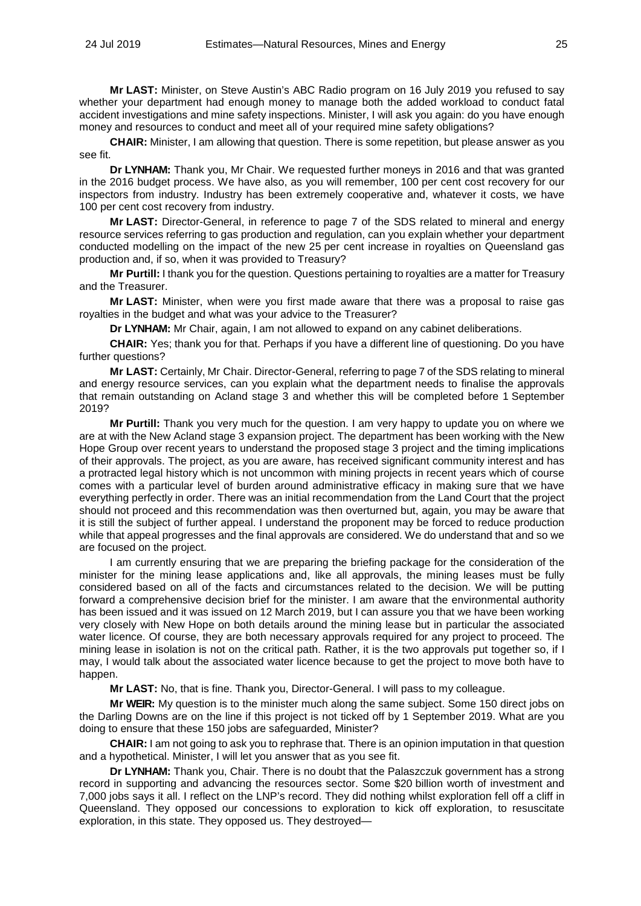**Mr LAST:** Minister, on Steve Austin's ABC Radio program on 16 July 2019 you refused to say whether your department had enough money to manage both the added workload to conduct fatal accident investigations and mine safety inspections. Minister, I will ask you again: do you have enough money and resources to conduct and meet all of your required mine safety obligations?

**CHAIR:** Minister, I am allowing that question. There is some repetition, but please answer as you see fit.

**Dr LYNHAM:** Thank you, Mr Chair. We requested further moneys in 2016 and that was granted in the 2016 budget process. We have also, as you will remember, 100 per cent cost recovery for our inspectors from industry. Industry has been extremely cooperative and, whatever it costs, we have 100 per cent cost recovery from industry.

**Mr LAST:** Director-General, in reference to page 7 of the SDS related to mineral and energy resource services referring to gas production and regulation, can you explain whether your department conducted modelling on the impact of the new 25 per cent increase in royalties on Queensland gas production and, if so, when it was provided to Treasury?

**Mr Purtill:** I thank you for the question. Questions pertaining to royalties are a matter for Treasury and the Treasurer.

**Mr LAST:** Minister, when were you first made aware that there was a proposal to raise gas royalties in the budget and what was your advice to the Treasurer?

**Dr LYNHAM:** Mr Chair, again, I am not allowed to expand on any cabinet deliberations.

**CHAIR:** Yes; thank you for that. Perhaps if you have a different line of questioning. Do you have further questions?

**Mr LAST:** Certainly, Mr Chair. Director-General, referring to page 7 of the SDS relating to mineral and energy resource services, can you explain what the department needs to finalise the approvals that remain outstanding on Acland stage 3 and whether this will be completed before 1 September 2019?

**Mr Purtill:** Thank you very much for the question. I am very happy to update you on where we are at with the New Acland stage 3 expansion project. The department has been working with the New Hope Group over recent years to understand the proposed stage 3 project and the timing implications of their approvals. The project, as you are aware, has received significant community interest and has a protracted legal history which is not uncommon with mining projects in recent years which of course comes with a particular level of burden around administrative efficacy in making sure that we have everything perfectly in order. There was an initial recommendation from the Land Court that the project should not proceed and this recommendation was then overturned but, again, you may be aware that it is still the subject of further appeal. I understand the proponent may be forced to reduce production while that appeal progresses and the final approvals are considered. We do understand that and so we are focused on the project.

I am currently ensuring that we are preparing the briefing package for the consideration of the minister for the mining lease applications and, like all approvals, the mining leases must be fully considered based on all of the facts and circumstances related to the decision. We will be putting forward a comprehensive decision brief for the minister. I am aware that the environmental authority has been issued and it was issued on 12 March 2019, but I can assure you that we have been working very closely with New Hope on both details around the mining lease but in particular the associated water licence. Of course, they are both necessary approvals required for any project to proceed. The mining lease in isolation is not on the critical path. Rather, it is the two approvals put together so, if I may, I would talk about the associated water licence because to get the project to move both have to happen.

**Mr LAST:** No, that is fine. Thank you, Director-General. I will pass to my colleague.

**Mr WEIR:** My question is to the minister much along the same subject. Some 150 direct jobs on the Darling Downs are on the line if this project is not ticked off by 1 September 2019. What are you doing to ensure that these 150 jobs are safeguarded, Minister?

**CHAIR:** I am not going to ask you to rephrase that. There is an opinion imputation in that question and a hypothetical. Minister, I will let you answer that as you see fit.

**Dr LYNHAM:** Thank you, Chair. There is no doubt that the Palaszczuk government has a strong record in supporting and advancing the resources sector. Some \$20 billion worth of investment and 7,000 jobs says it all. I reflect on the LNP's record. They did nothing whilst exploration fell off a cliff in Queensland. They opposed our concessions to exploration to kick off exploration, to resuscitate exploration, in this state. They opposed us. They destroyed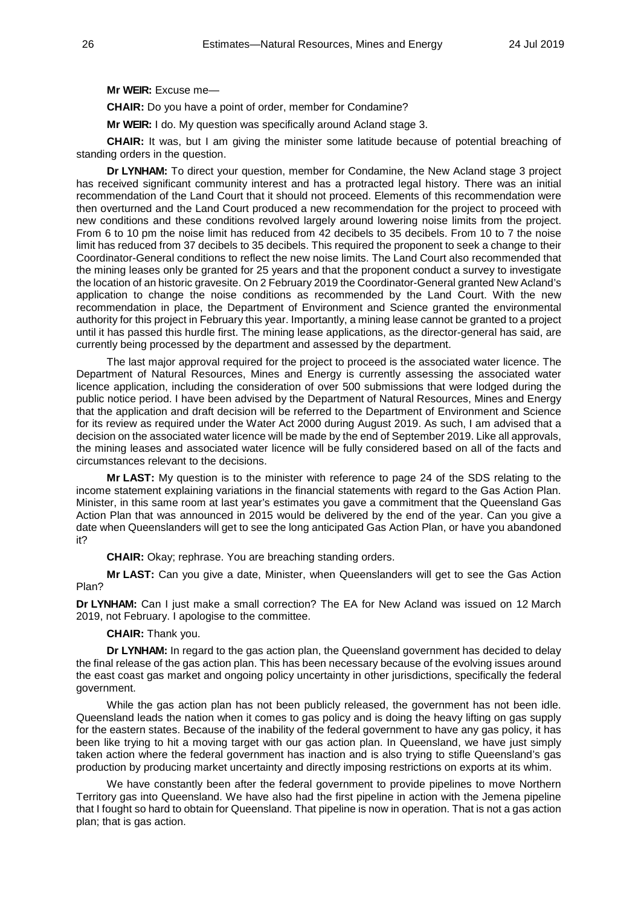**Mr WEIR:** Excuse me—

**CHAIR:** Do you have a point of order, member for Condamine?

**Mr WEIR:** I do. My question was specifically around Acland stage 3.

**CHAIR:** It was, but I am giving the minister some latitude because of potential breaching of standing orders in the question.

**Dr LYNHAM:** To direct your question, member for Condamine, the New Acland stage 3 project has received significant community interest and has a protracted legal history. There was an initial recommendation of the Land Court that it should not proceed. Elements of this recommendation were then overturned and the Land Court produced a new recommendation for the project to proceed with new conditions and these conditions revolved largely around lowering noise limits from the project. From 6 to 10 pm the noise limit has reduced from 42 decibels to 35 decibels. From 10 to 7 the noise limit has reduced from 37 decibels to 35 decibels. This required the proponent to seek a change to their Coordinator-General conditions to reflect the new noise limits. The Land Court also recommended that the mining leases only be granted for 25 years and that the proponent conduct a survey to investigate the location of an historic gravesite. On 2 February 2019 the Coordinator-General granted New Acland's application to change the noise conditions as recommended by the Land Court. With the new recommendation in place, the Department of Environment and Science granted the environmental authority for this project in February this year. Importantly, a mining lease cannot be granted to a project until it has passed this hurdle first. The mining lease applications, as the director-general has said, are currently being processed by the department and assessed by the department.

The last major approval required for the project to proceed is the associated water licence. The Department of Natural Resources, Mines and Energy is currently assessing the associated water licence application, including the consideration of over 500 submissions that were lodged during the public notice period. I have been advised by the Department of Natural Resources, Mines and Energy that the application and draft decision will be referred to the Department of Environment and Science for its review as required under the Water Act 2000 during August 2019. As such, I am advised that a decision on the associated water licence will be made by the end of September 2019. Like all approvals, the mining leases and associated water licence will be fully considered based on all of the facts and circumstances relevant to the decisions.

**Mr LAST:** My question is to the minister with reference to page 24 of the SDS relating to the income statement explaining variations in the financial statements with regard to the Gas Action Plan. Minister, in this same room at last year's estimates you gave a commitment that the Queensland Gas Action Plan that was announced in 2015 would be delivered by the end of the year. Can you give a date when Queenslanders will get to see the long anticipated Gas Action Plan, or have you abandoned it?

**CHAIR:** Okay; rephrase. You are breaching standing orders.

**Mr LAST:** Can you give a date, Minister, when Queenslanders will get to see the Gas Action Plan?

**Dr LYNHAM:** Can I just make a small correction? The EA for New Acland was issued on 12 March 2019, not February. I apologise to the committee.

**CHAIR:** Thank you.

**Dr LYNHAM:** In regard to the gas action plan, the Queensland government has decided to delay the final release of the gas action plan. This has been necessary because of the evolving issues around the east coast gas market and ongoing policy uncertainty in other jurisdictions, specifically the federal government.

While the gas action plan has not been publicly released, the government has not been idle. Queensland leads the nation when it comes to gas policy and is doing the heavy lifting on gas supply for the eastern states. Because of the inability of the federal government to have any gas policy, it has been like trying to hit a moving target with our gas action plan. In Queensland, we have just simply taken action where the federal government has inaction and is also trying to stifle Queensland's gas production by producing market uncertainty and directly imposing restrictions on exports at its whim.

We have constantly been after the federal government to provide pipelines to move Northern Territory gas into Queensland. We have also had the first pipeline in action with the Jemena pipeline that I fought so hard to obtain for Queensland. That pipeline is now in operation. That is not a gas action plan; that is gas action.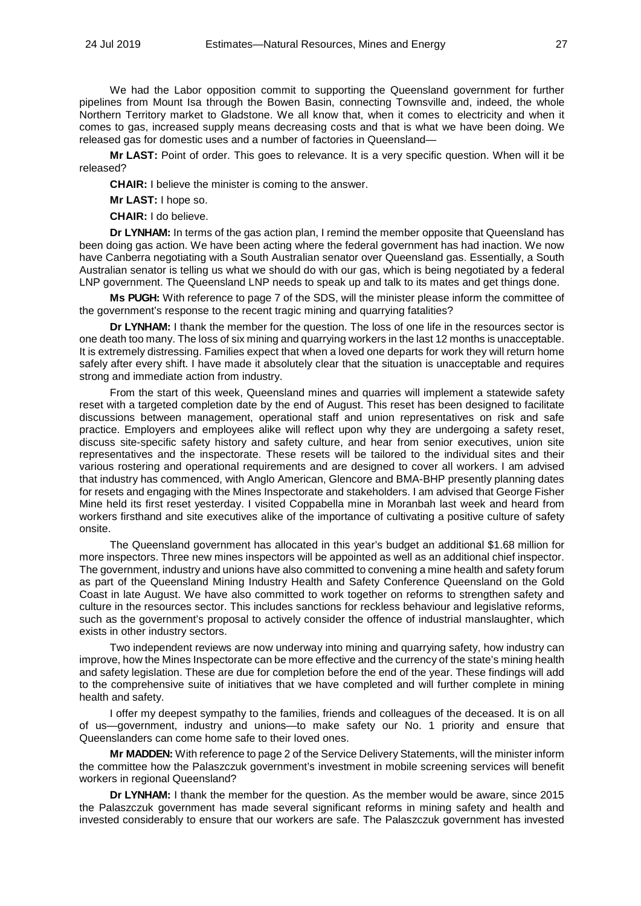We had the Labor opposition commit to supporting the Queensland government for further pipelines from Mount Isa through the Bowen Basin, connecting Townsville and, indeed, the whole Northern Territory market to Gladstone. We all know that, when it comes to electricity and when it comes to gas, increased supply means decreasing costs and that is what we have been doing. We released gas for domestic uses and a number of factories in Queensland—

**Mr LAST:** Point of order. This goes to relevance. It is a very specific question. When will it be released?

**CHAIR:** I believe the minister is coming to the answer.

**Mr LAST:** I hope so.

**CHAIR:** I do believe.

**Dr LYNHAM:** In terms of the gas action plan, I remind the member opposite that Queensland has been doing gas action. We have been acting where the federal government has had inaction. We now have Canberra negotiating with a South Australian senator over Queensland gas. Essentially, a South Australian senator is telling us what we should do with our gas, which is being negotiated by a federal LNP government. The Queensland LNP needs to speak up and talk to its mates and get things done.

**Ms PUGH:** With reference to page 7 of the SDS, will the minister please inform the committee of the government's response to the recent tragic mining and quarrying fatalities?

**Dr LYNHAM:** I thank the member for the question. The loss of one life in the resources sector is one death too many. The loss of six mining and quarrying workers in the last 12 months is unacceptable. It is extremely distressing. Families expect that when a loved one departs for work they will return home safely after every shift. I have made it absolutely clear that the situation is unacceptable and requires strong and immediate action from industry.

From the start of this week, Queensland mines and quarries will implement a statewide safety reset with a targeted completion date by the end of August. This reset has been designed to facilitate discussions between management, operational staff and union representatives on risk and safe practice. Employers and employees alike will reflect upon why they are undergoing a safety reset, discuss site-specific safety history and safety culture, and hear from senior executives, union site representatives and the inspectorate. These resets will be tailored to the individual sites and their various rostering and operational requirements and are designed to cover all workers. I am advised that industry has commenced, with Anglo American, Glencore and BMA-BHP presently planning dates for resets and engaging with the Mines Inspectorate and stakeholders. I am advised that George Fisher Mine held its first reset yesterday. I visited Coppabella mine in Moranbah last week and heard from workers firsthand and site executives alike of the importance of cultivating a positive culture of safety onsite.

The Queensland government has allocated in this year's budget an additional \$1.68 million for more inspectors. Three new mines inspectors will be appointed as well as an additional chief inspector. The government, industry and unions have also committed to convening a mine health and safety forum as part of the Queensland Mining Industry Health and Safety Conference Queensland on the Gold Coast in late August. We have also committed to work together on reforms to strengthen safety and culture in the resources sector. This includes sanctions for reckless behaviour and legislative reforms, such as the government's proposal to actively consider the offence of industrial manslaughter, which exists in other industry sectors.

Two independent reviews are now underway into mining and quarrying safety, how industry can improve, how the Mines Inspectorate can be more effective and the currency of the state's mining health and safety legislation. These are due for completion before the end of the year. These findings will add to the comprehensive suite of initiatives that we have completed and will further complete in mining health and safety.

I offer my deepest sympathy to the families, friends and colleagues of the deceased. It is on all of us—government, industry and unions—to make safety our No. 1 priority and ensure that Queenslanders can come home safe to their loved ones.

**Mr MADDEN:** With reference to page 2 of the Service Delivery Statements, will the minister inform the committee how the Palaszczuk government's investment in mobile screening services will benefit workers in regional Queensland?

**Dr LYNHAM:** I thank the member for the question. As the member would be aware, since 2015 the Palaszczuk government has made several significant reforms in mining safety and health and invested considerably to ensure that our workers are safe. The Palaszczuk government has invested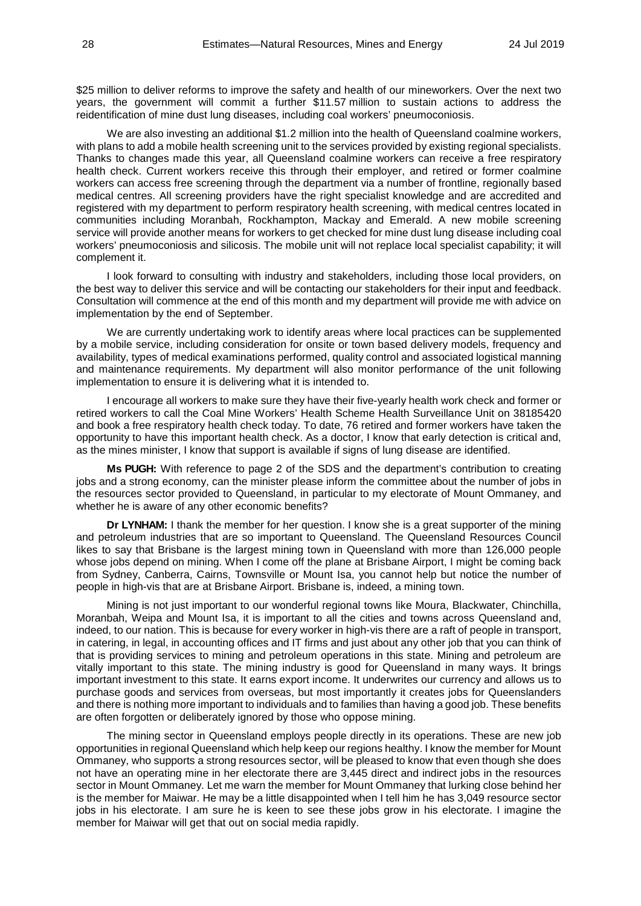\$25 million to deliver reforms to improve the safety and health of our mineworkers. Over the next two years, the government will commit a further \$11.57 million to sustain actions to address the reidentification of mine dust lung diseases, including coal workers' pneumoconiosis.

We are also investing an additional \$1.2 million into the health of Queensland coalmine workers, with plans to add a mobile health screening unit to the services provided by existing regional specialists. Thanks to changes made this year, all Queensland coalmine workers can receive a free respiratory health check. Current workers receive this through their employer, and retired or former coalmine workers can access free screening through the department via a number of frontline, regionally based medical centres. All screening providers have the right specialist knowledge and are accredited and registered with my department to perform respiratory health screening, with medical centres located in communities including Moranbah, Rockhampton, Mackay and Emerald. A new mobile screening service will provide another means for workers to get checked for mine dust lung disease including coal workers' pneumoconiosis and silicosis. The mobile unit will not replace local specialist capability; it will complement it.

I look forward to consulting with industry and stakeholders, including those local providers, on the best way to deliver this service and will be contacting our stakeholders for their input and feedback. Consultation will commence at the end of this month and my department will provide me with advice on implementation by the end of September.

We are currently undertaking work to identify areas where local practices can be supplemented by a mobile service, including consideration for onsite or town based delivery models, frequency and availability, types of medical examinations performed, quality control and associated logistical manning and maintenance requirements. My department will also monitor performance of the unit following implementation to ensure it is delivering what it is intended to.

I encourage all workers to make sure they have their five-yearly health work check and former or retired workers to call the Coal Mine Workers' Health Scheme Health Surveillance Unit on 38185420 and book a free respiratory health check today. To date, 76 retired and former workers have taken the opportunity to have this important health check. As a doctor, I know that early detection is critical and, as the mines minister, I know that support is available if signs of lung disease are identified.

**Ms PUGH:** With reference to page 2 of the SDS and the department's contribution to creating jobs and a strong economy, can the minister please inform the committee about the number of jobs in the resources sector provided to Queensland, in particular to my electorate of Mount Ommaney, and whether he is aware of any other economic benefits?

**Dr LYNHAM:** I thank the member for her question. I know she is a great supporter of the mining and petroleum industries that are so important to Queensland. The Queensland Resources Council likes to say that Brisbane is the largest mining town in Queensland with more than 126,000 people whose jobs depend on mining. When I come off the plane at Brisbane Airport, I might be coming back from Sydney, Canberra, Cairns, Townsville or Mount Isa, you cannot help but notice the number of people in high-vis that are at Brisbane Airport. Brisbane is, indeed, a mining town.

Mining is not just important to our wonderful regional towns like Moura, Blackwater, Chinchilla, Moranbah, Weipa and Mount Isa, it is important to all the cities and towns across Queensland and, indeed, to our nation. This is because for every worker in high-vis there are a raft of people in transport, in catering, in legal, in accounting offices and IT firms and just about any other job that you can think of that is providing services to mining and petroleum operations in this state. Mining and petroleum are vitally important to this state. The mining industry is good for Queensland in many ways. It brings important investment to this state. It earns export income. It underwrites our currency and allows us to purchase goods and services from overseas, but most importantly it creates jobs for Queenslanders and there is nothing more important to individuals and to families than having a good job. These benefits are often forgotten or deliberately ignored by those who oppose mining.

The mining sector in Queensland employs people directly in its operations. These are new job opportunities in regional Queensland which help keep our regions healthy. I know the member for Mount Ommaney, who supports a strong resources sector, will be pleased to know that even though she does not have an operating mine in her electorate there are 3,445 direct and indirect jobs in the resources sector in Mount Ommaney. Let me warn the member for Mount Ommaney that lurking close behind her is the member for Maiwar. He may be a little disappointed when I tell him he has 3,049 resource sector jobs in his electorate. I am sure he is keen to see these jobs grow in his electorate. I imagine the member for Maiwar will get that out on social media rapidly.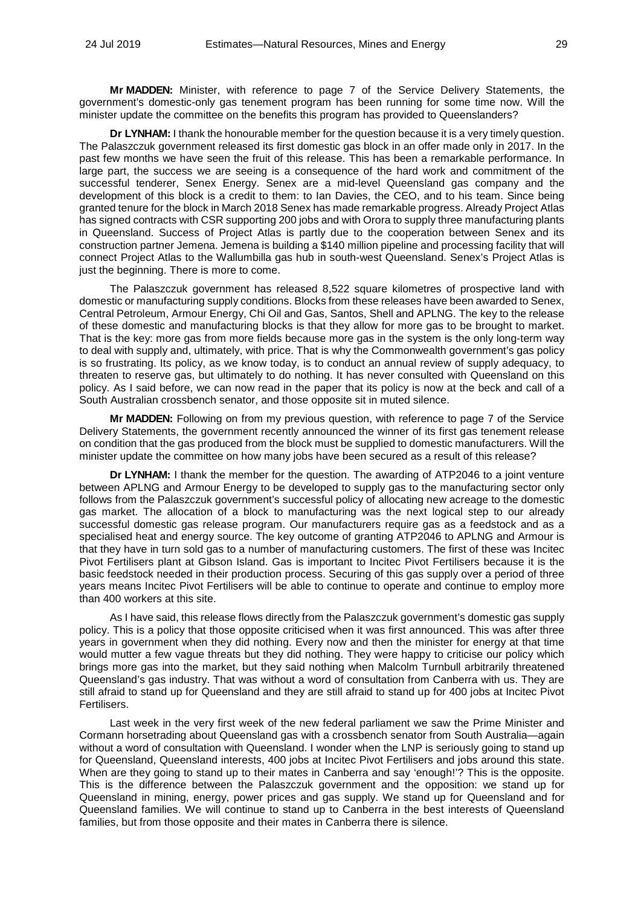**Mr MADDEN:** Minister, with reference to page 7 of the Service Delivery Statements, the government's domestic-only gas tenement program has been running for some time now. Will the minister update the committee on the benefits this program has provided to Queenslanders?

**Dr LYNHAM:** I thank the honourable member for the question because it is a very timely question. The Palaszczuk government released its first domestic gas block in an offer made only in 2017. In the past few months we have seen the fruit of this release. This has been a remarkable performance. In large part, the success we are seeing is a consequence of the hard work and commitment of the successful tenderer, Senex Energy. Senex are a mid-level Queensland gas company and the development of this block is a credit to them: to Ian Davies, the CEO, and to his team. Since being granted tenure for the block in March 2018 Senex has made remarkable progress. Already Project Atlas has signed contracts with CSR supporting 200 jobs and with Orora to supply three manufacturing plants in Queensland. Success of Project Atlas is partly due to the cooperation between Senex and its construction partner Jemena. Jemena is building a \$140 million pipeline and processing facility that will connect Project Atlas to the Wallumbilla gas hub in south-west Queensland. Senex's Project Atlas is just the beginning. There is more to come.

The Palaszczuk government has released 8,522 square kilometres of prospective land with domestic or manufacturing supply conditions. Blocks from these releases have been awarded to Senex, Central Petroleum, Armour Energy, Chi Oil and Gas, Santos, Shell and APLNG. The key to the release of these domestic and manufacturing blocks is that they allow for more gas to be brought to market. That is the key: more gas from more fields because more gas in the system is the only long-term way to deal with supply and, ultimately, with price. That is why the Commonwealth government's gas policy is so frustrating. Its policy, as we know today, is to conduct an annual review of supply adequacy, to threaten to reserve gas, but ultimately to do nothing. It has never consulted with Queensland on this policy. As I said before, we can now read in the paper that its policy is now at the beck and call of a South Australian crossbench senator, and those opposite sit in muted silence.

**Mr MADDEN:** Following on from my previous question, with reference to page 7 of the Service Delivery Statements, the government recently announced the winner of its first gas tenement release on condition that the gas produced from the block must be supplied to domestic manufacturers. Will the minister update the committee on how many jobs have been secured as a result of this release?

**Dr LYNHAM:** I thank the member for the question. The awarding of ATP2046 to a joint venture between APLNG and Armour Energy to be developed to supply gas to the manufacturing sector only follows from the Palaszczuk government's successful policy of allocating new acreage to the domestic gas market. The allocation of a block to manufacturing was the next logical step to our already successful domestic gas release program. Our manufacturers require gas as a feedstock and as a specialised heat and energy source. The key outcome of granting ATP2046 to APLNG and Armour is that they have in turn sold gas to a number of manufacturing customers. The first of these was Incitec Pivot Fertilisers plant at Gibson Island. Gas is important to Incitec Pivot Fertilisers because it is the basic feedstock needed in their production process. Securing of this gas supply over a period of three years means Incitec Pivot Fertilisers will be able to continue to operate and continue to employ more than 400 workers at this site.

As I have said, this release flows directly from the Palaszczuk government's domestic gas supply policy. This is a policy that those opposite criticised when it was first announced. This was after three years in government when they did nothing. Every now and then the minister for energy at that time would mutter a few vague threats but they did nothing. They were happy to criticise our policy which brings more gas into the market, but they said nothing when Malcolm Turnbull arbitrarily threatened Queensland's gas industry. That was without a word of consultation from Canberra with us. They are still afraid to stand up for Queensland and they are still afraid to stand up for 400 jobs at Incitec Pivot Fertilisers.

Last week in the very first week of the new federal parliament we saw the Prime Minister and Cormann horsetrading about Queensland gas with a crossbench senator from South Australia—again without a word of consultation with Queensland. I wonder when the LNP is seriously going to stand up for Queensland, Queensland interests, 400 jobs at Incitec Pivot Fertilisers and jobs around this state. When are they going to stand up to their mates in Canberra and say 'enough!'? This is the opposite. This is the difference between the Palaszczuk government and the opposition: we stand up for Queensland in mining, energy, power prices and gas supply. We stand up for Queensland and for Queensland families. We will continue to stand up to Canberra in the best interests of Queensland families, but from those opposite and their mates in Canberra there is silence.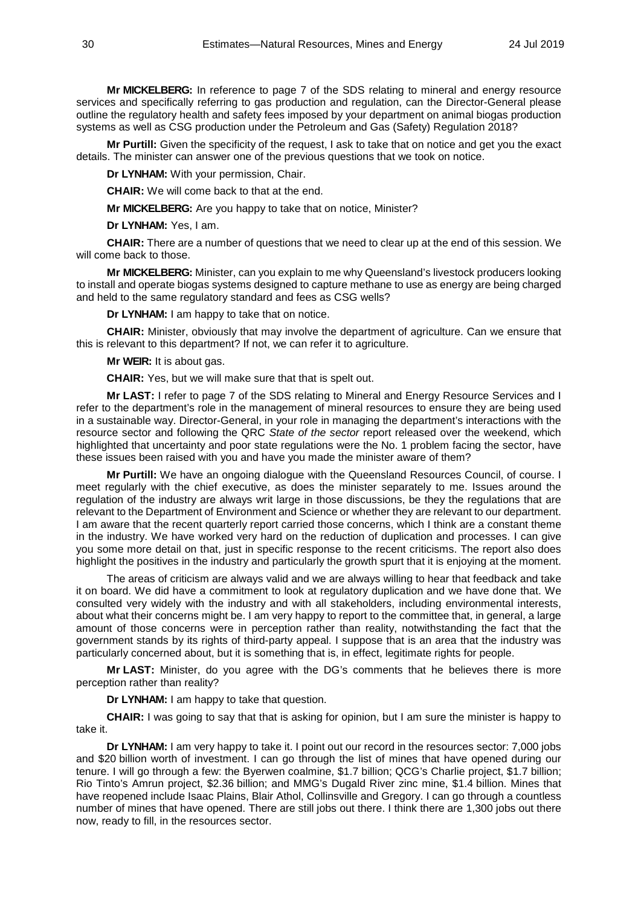**Mr MICKELBERG:** In reference to page 7 of the SDS relating to mineral and energy resource services and specifically referring to gas production and regulation, can the Director-General please outline the regulatory health and safety fees imposed by your department on animal biogas production systems as well as CSG production under the Petroleum and Gas (Safety) Regulation 2018?

**Mr Purtill:** Given the specificity of the request, I ask to take that on notice and get you the exact details. The minister can answer one of the previous questions that we took on notice.

**Dr LYNHAM:** With your permission, Chair.

**CHAIR:** We will come back to that at the end.

**Mr MICKELBERG:** Are you happy to take that on notice, Minister?

**Dr LYNHAM:** Yes, I am.

**CHAIR:** There are a number of questions that we need to clear up at the end of this session. We will come back to those.

**Mr MICKELBERG:** Minister, can you explain to me why Queensland's livestock producers looking to install and operate biogas systems designed to capture methane to use as energy are being charged and held to the same regulatory standard and fees as CSG wells?

**Dr LYNHAM:** I am happy to take that on notice.

**CHAIR:** Minister, obviously that may involve the department of agriculture. Can we ensure that this is relevant to this department? If not, we can refer it to agriculture.

**Mr WEIR:** It is about gas.

**CHAIR:** Yes, but we will make sure that that is spelt out.

**Mr LAST:** I refer to page 7 of the SDS relating to Mineral and Energy Resource Services and I refer to the department's role in the management of mineral resources to ensure they are being used in a sustainable way. Director-General, in your role in managing the department's interactions with the resource sector and following the QRC *State of the sector* report released over the weekend, which highlighted that uncertainty and poor state regulations were the No. 1 problem facing the sector, have these issues been raised with you and have you made the minister aware of them?

**Mr Purtill:** We have an ongoing dialogue with the Queensland Resources Council, of course. I meet regularly with the chief executive, as does the minister separately to me. Issues around the regulation of the industry are always writ large in those discussions, be they the regulations that are relevant to the Department of Environment and Science or whether they are relevant to our department. I am aware that the recent quarterly report carried those concerns, which I think are a constant theme in the industry. We have worked very hard on the reduction of duplication and processes. I can give you some more detail on that, just in specific response to the recent criticisms. The report also does highlight the positives in the industry and particularly the growth spurt that it is enjoying at the moment.

The areas of criticism are always valid and we are always willing to hear that feedback and take it on board. We did have a commitment to look at regulatory duplication and we have done that. We consulted very widely with the industry and with all stakeholders, including environmental interests, about what their concerns might be. I am very happy to report to the committee that, in general, a large amount of those concerns were in perception rather than reality, notwithstanding the fact that the government stands by its rights of third-party appeal. I suppose that is an area that the industry was particularly concerned about, but it is something that is, in effect, legitimate rights for people.

**Mr LAST:** Minister, do you agree with the DG's comments that he believes there is more perception rather than reality?

**Dr LYNHAM:** I am happy to take that question.

**CHAIR:** I was going to say that that is asking for opinion, but I am sure the minister is happy to take it.

**Dr LYNHAM:** I am very happy to take it. I point out our record in the resources sector: 7,000 jobs and \$20 billion worth of investment. I can go through the list of mines that have opened during our tenure. I will go through a few: the Byerwen coalmine, \$1.7 billion; QCG's Charlie project, \$1.7 billion; Rio Tinto's Amrun project, \$2.36 billion; and MMG's Dugald River zinc mine, \$1.4 billion. Mines that have reopened include Isaac Plains, Blair Athol, Collinsville and Gregory. I can go through a countless number of mines that have opened. There are still jobs out there. I think there are 1,300 jobs out there now, ready to fill, in the resources sector.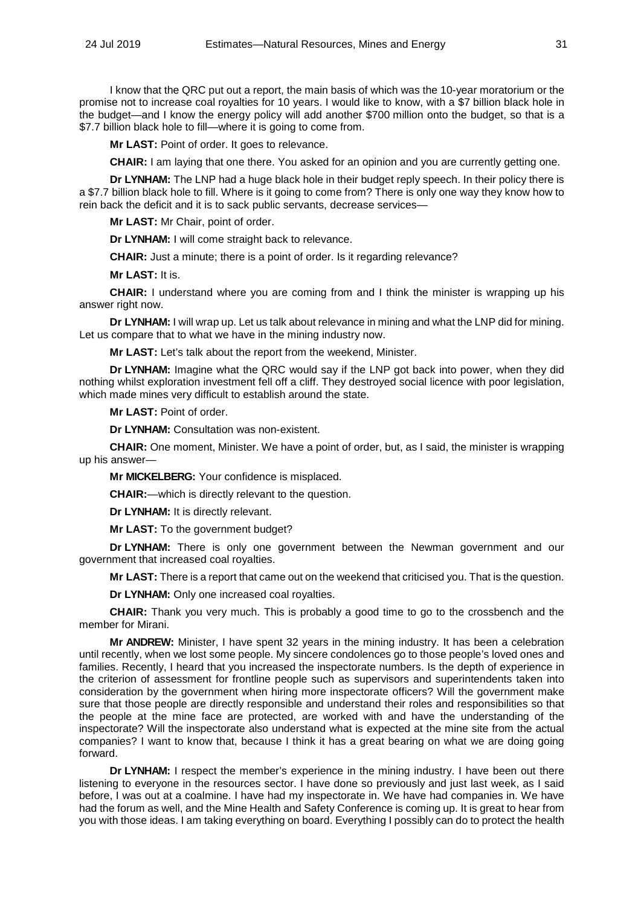I know that the QRC put out a report, the main basis of which was the 10-year moratorium or the promise not to increase coal royalties for 10 years. I would like to know, with a \$7 billion black hole in the budget—and I know the energy policy will add another \$700 million onto the budget, so that is a \$7.7 billion black hole to fill—where it is going to come from.

**Mr LAST:** Point of order. It goes to relevance.

**CHAIR:** I am laying that one there. You asked for an opinion and you are currently getting one.

**Dr LYNHAM:** The LNP had a huge black hole in their budget reply speech. In their policy there is a \$7.7 billion black hole to fill. Where is it going to come from? There is only one way they know how to rein back the deficit and it is to sack public servants, decrease services—

**Mr LAST:** Mr Chair, point of order.

**Dr LYNHAM:** I will come straight back to relevance.

**CHAIR:** Just a minute: there is a point of order. Is it regarding relevance?

**Mr LAST:** It is.

**CHAIR:** I understand where you are coming from and I think the minister is wrapping up his answer right now.

**Dr LYNHAM:** I will wrap up. Let us talk about relevance in mining and what the LNP did for mining. Let us compare that to what we have in the mining industry now.

**Mr LAST:** Let's talk about the report from the weekend, Minister.

**Dr LYNHAM:** Imagine what the QRC would say if the LNP got back into power, when they did nothing whilst exploration investment fell off a cliff. They destroyed social licence with poor legislation, which made mines very difficult to establish around the state.

**Mr LAST:** Point of order.

**Dr LYNHAM:** Consultation was non-existent.

**CHAIR:** One moment, Minister. We have a point of order, but, as I said, the minister is wrapping up his answer—

**Mr MICKELBERG:** Your confidence is misplaced.

**CHAIR:**—which is directly relevant to the question.

**Dr LYNHAM:** It is directly relevant.

**Mr LAST:** To the government budget?

**Dr LYNHAM:** There is only one government between the Newman government and our government that increased coal royalties.

**Mr LAST:** There is a report that came out on the weekend that criticised you. That is the question.

**Dr LYNHAM:** Only one increased coal royalties.

**CHAIR:** Thank you very much. This is probably a good time to go to the crossbench and the member for Mirani.

**Mr ANDREW:** Minister, I have spent 32 years in the mining industry. It has been a celebration until recently, when we lost some people. My sincere condolences go to those people's loved ones and families. Recently, I heard that you increased the inspectorate numbers. Is the depth of experience in the criterion of assessment for frontline people such as supervisors and superintendents taken into consideration by the government when hiring more inspectorate officers? Will the government make sure that those people are directly responsible and understand their roles and responsibilities so that the people at the mine face are protected, are worked with and have the understanding of the inspectorate? Will the inspectorate also understand what is expected at the mine site from the actual companies? I want to know that, because I think it has a great bearing on what we are doing going forward.

**Dr LYNHAM:** I respect the member's experience in the mining industry. I have been out there listening to everyone in the resources sector. I have done so previously and just last week, as I said before, I was out at a coalmine. I have had my inspectorate in. We have had companies in. We have had the forum as well, and the Mine Health and Safety Conference is coming up. It is great to hear from you with those ideas. I am taking everything on board. Everything I possibly can do to protect the health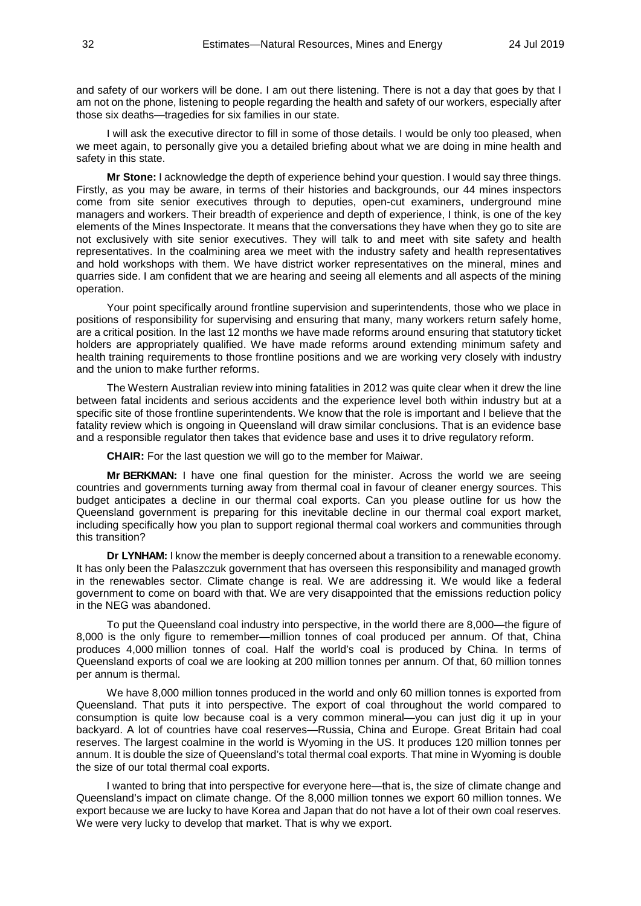and safety of our workers will be done. I am out there listening. There is not a day that goes by that I am not on the phone, listening to people regarding the health and safety of our workers, especially after those six deaths—tragedies for six families in our state.

I will ask the executive director to fill in some of those details. I would be only too pleased, when we meet again, to personally give you a detailed briefing about what we are doing in mine health and safety in this state.

**Mr Stone:** I acknowledge the depth of experience behind your question. I would say three things. Firstly, as you may be aware, in terms of their histories and backgrounds, our 44 mines inspectors come from site senior executives through to deputies, open-cut examiners, underground mine managers and workers. Their breadth of experience and depth of experience, I think, is one of the key elements of the Mines Inspectorate. It means that the conversations they have when they go to site are not exclusively with site senior executives. They will talk to and meet with site safety and health representatives. In the coalmining area we meet with the industry safety and health representatives and hold workshops with them. We have district worker representatives on the mineral, mines and quarries side. I am confident that we are hearing and seeing all elements and all aspects of the mining operation.

Your point specifically around frontline supervision and superintendents, those who we place in positions of responsibility for supervising and ensuring that many, many workers return safely home, are a critical position. In the last 12 months we have made reforms around ensuring that statutory ticket holders are appropriately qualified. We have made reforms around extending minimum safety and health training requirements to those frontline positions and we are working very closely with industry and the union to make further reforms.

The Western Australian review into mining fatalities in 2012 was quite clear when it drew the line between fatal incidents and serious accidents and the experience level both within industry but at a specific site of those frontline superintendents. We know that the role is important and I believe that the fatality review which is ongoing in Queensland will draw similar conclusions. That is an evidence base and a responsible regulator then takes that evidence base and uses it to drive regulatory reform.

**CHAIR:** For the last question we will go to the member for Maiwar.

**Mr BERKMAN:** I have one final question for the minister. Across the world we are seeing countries and governments turning away from thermal coal in favour of cleaner energy sources. This budget anticipates a decline in our thermal coal exports. Can you please outline for us how the Queensland government is preparing for this inevitable decline in our thermal coal export market, including specifically how you plan to support regional thermal coal workers and communities through this transition?

**Dr LYNHAM:** I know the member is deeply concerned about a transition to a renewable economy. It has only been the Palaszczuk government that has overseen this responsibility and managed growth in the renewables sector. Climate change is real. We are addressing it. We would like a federal government to come on board with that. We are very disappointed that the emissions reduction policy in the NEG was abandoned.

To put the Queensland coal industry into perspective, in the world there are 8,000—the figure of 8,000 is the only figure to remember—million tonnes of coal produced per annum. Of that, China produces 4,000 million tonnes of coal. Half the world's coal is produced by China. In terms of Queensland exports of coal we are looking at 200 million tonnes per annum. Of that, 60 million tonnes per annum is thermal.

We have 8,000 million tonnes produced in the world and only 60 million tonnes is exported from Queensland. That puts it into perspective. The export of coal throughout the world compared to consumption is quite low because coal is a very common mineral—you can just dig it up in your backyard. A lot of countries have coal reserves—Russia, China and Europe. Great Britain had coal reserves. The largest coalmine in the world is Wyoming in the US. It produces 120 million tonnes per annum. It is double the size of Queensland's total thermal coal exports. That mine in Wyoming is double the size of our total thermal coal exports.

I wanted to bring that into perspective for everyone here—that is, the size of climate change and Queensland's impact on climate change. Of the 8,000 million tonnes we export 60 million tonnes. We export because we are lucky to have Korea and Japan that do not have a lot of their own coal reserves. We were very lucky to develop that market. That is why we export.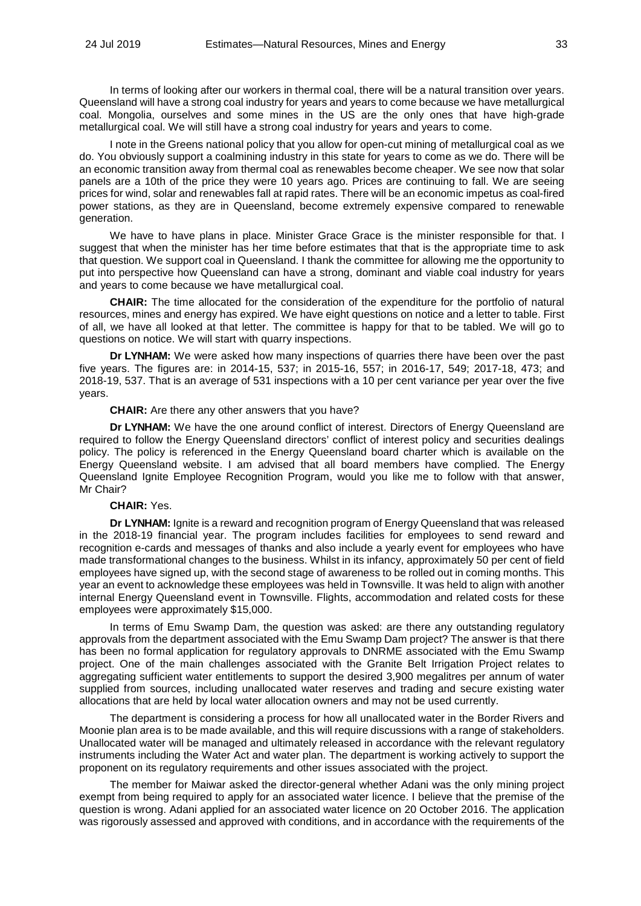In terms of looking after our workers in thermal coal, there will be a natural transition over years. Queensland will have a strong coal industry for years and years to come because we have metallurgical coal. Mongolia, ourselves and some mines in the US are the only ones that have high-grade metallurgical coal. We will still have a strong coal industry for years and years to come.

I note in the Greens national policy that you allow for open-cut mining of metallurgical coal as we do. You obviously support a coalmining industry in this state for years to come as we do. There will be an economic transition away from thermal coal as renewables become cheaper. We see now that solar panels are a 10th of the price they were 10 years ago. Prices are continuing to fall. We are seeing prices for wind, solar and renewables fall at rapid rates. There will be an economic impetus as coal-fired power stations, as they are in Queensland, become extremely expensive compared to renewable generation.

We have to have plans in place. Minister Grace Grace is the minister responsible for that. I suggest that when the minister has her time before estimates that that is the appropriate time to ask that question. We support coal in Queensland. I thank the committee for allowing me the opportunity to put into perspective how Queensland can have a strong, dominant and viable coal industry for years and years to come because we have metallurgical coal.

**CHAIR:** The time allocated for the consideration of the expenditure for the portfolio of natural resources, mines and energy has expired. We have eight questions on notice and a letter to table. First of all, we have all looked at that letter. The committee is happy for that to be tabled. We will go to questions on notice. We will start with quarry inspections.

**Dr LYNHAM:** We were asked how many inspections of quarries there have been over the past five years. The figures are: in 2014-15, 537; in 2015-16, 557; in 2016-17, 549; 2017-18, 473; and 2018-19, 537. That is an average of 531 inspections with a 10 per cent variance per year over the five years.

**CHAIR:** Are there any other answers that you have?

**Dr LYNHAM:** We have the one around conflict of interest. Directors of Energy Queensland are required to follow the Energy Queensland directors' conflict of interest policy and securities dealings policy. The policy is referenced in the Energy Queensland board charter which is available on the Energy Queensland website. I am advised that all board members have complied. The Energy Queensland Ignite Employee Recognition Program, would you like me to follow with that answer, Mr Chair?

#### **CHAIR:** Yes.

**Dr LYNHAM:** Ignite is a reward and recognition program of Energy Queensland that was released in the 2018-19 financial year. The program includes facilities for employees to send reward and recognition e-cards and messages of thanks and also include a yearly event for employees who have made transformational changes to the business. Whilst in its infancy, approximately 50 per cent of field employees have signed up, with the second stage of awareness to be rolled out in coming months. This year an event to acknowledge these employees was held in Townsville. It was held to align with another internal Energy Queensland event in Townsville. Flights, accommodation and related costs for these employees were approximately \$15,000.

In terms of Emu Swamp Dam, the question was asked: are there any outstanding regulatory approvals from the department associated with the Emu Swamp Dam project? The answer is that there has been no formal application for regulatory approvals to DNRME associated with the Emu Swamp project. One of the main challenges associated with the Granite Belt Irrigation Project relates to aggregating sufficient water entitlements to support the desired 3,900 megalitres per annum of water supplied from sources, including unallocated water reserves and trading and secure existing water allocations that are held by local water allocation owners and may not be used currently.

The department is considering a process for how all unallocated water in the Border Rivers and Moonie plan area is to be made available, and this will require discussions with a range of stakeholders. Unallocated water will be managed and ultimately released in accordance with the relevant regulatory instruments including the Water Act and water plan. The department is working actively to support the proponent on its regulatory requirements and other issues associated with the project.

The member for Maiwar asked the director-general whether Adani was the only mining project exempt from being required to apply for an associated water licence. I believe that the premise of the question is wrong. Adani applied for an associated water licence on 20 October 2016. The application was rigorously assessed and approved with conditions, and in accordance with the requirements of the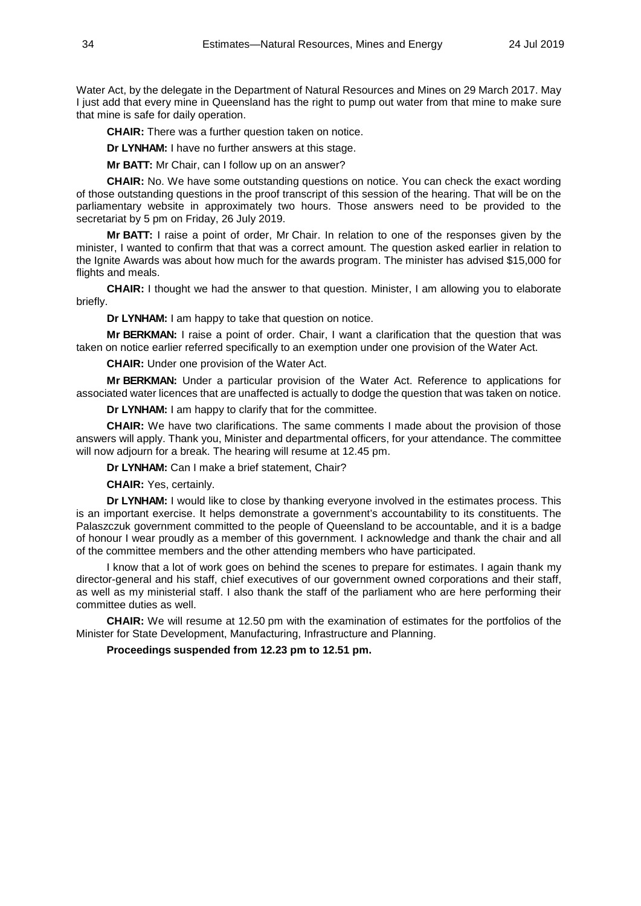Water Act, by the delegate in the Department of Natural Resources and Mines on 29 March 2017. May I just add that every mine in Queensland has the right to pump out water from that mine to make sure that mine is safe for daily operation.

**CHAIR:** There was a further question taken on notice.

**Dr LYNHAM:** I have no further answers at this stage.

**Mr BATT:** Mr Chair, can I follow up on an answer?

**CHAIR:** No. We have some outstanding questions on notice. You can check the exact wording of those outstanding questions in the proof transcript of this session of the hearing. That will be on the parliamentary website in approximately two hours. Those answers need to be provided to the secretariat by 5 pm on Friday, 26 July 2019.

**Mr BATT:** I raise a point of order, Mr Chair. In relation to one of the responses given by the minister, I wanted to confirm that that was a correct amount. The question asked earlier in relation to the Ignite Awards was about how much for the awards program. The minister has advised \$15,000 for flights and meals.

**CHAIR:** I thought we had the answer to that question. Minister, I am allowing you to elaborate briefly.

**Dr LYNHAM:** I am happy to take that question on notice.

**Mr BERKMAN:** I raise a point of order. Chair, I want a clarification that the question that was taken on notice earlier referred specifically to an exemption under one provision of the Water Act.

**CHAIR:** Under one provision of the Water Act.

**Mr BERKMAN:** Under a particular provision of the Water Act. Reference to applications for associated water licences that are unaffected is actually to dodge the question that was taken on notice.

**Dr LYNHAM:** I am happy to clarify that for the committee.

**CHAIR:** We have two clarifications. The same comments I made about the provision of those answers will apply. Thank you, Minister and departmental officers, for your attendance. The committee will now adjourn for a break. The hearing will resume at 12.45 pm.

**Dr LYNHAM:** Can I make a brief statement, Chair?

**CHAIR:** Yes, certainly.

**Dr LYNHAM:** I would like to close by thanking everyone involved in the estimates process. This is an important exercise. It helps demonstrate a government's accountability to its constituents. The Palaszczuk government committed to the people of Queensland to be accountable, and it is a badge of honour I wear proudly as a member of this government. I acknowledge and thank the chair and all of the committee members and the other attending members who have participated.

I know that a lot of work goes on behind the scenes to prepare for estimates. I again thank my director-general and his staff, chief executives of our government owned corporations and their staff, as well as my ministerial staff. I also thank the staff of the parliament who are here performing their committee duties as well.

**CHAIR:** We will resume at 12.50 pm with the examination of estimates for the portfolios of the Minister for State Development, Manufacturing, Infrastructure and Planning.

**Proceedings suspended from 12.23 pm to 12.51 pm.**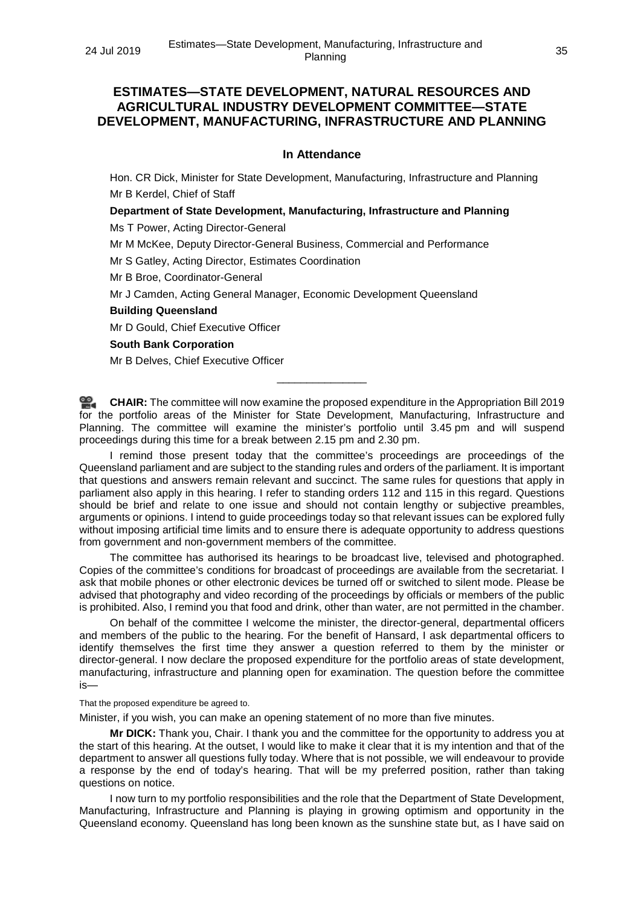## **ESTIMATES—STATE DEVELOPMENT, NATURAL RESOURCES AND AGRICULTURAL INDUSTRY DEVELOPMENT COMMITTEE—STATE DEVELOPMENT, MANUFACTURING, INFRASTRUCTURE AND PLANNING**

## **In Attendance**

Hon. CR Dick, Minister for State Development, Manufacturing, Infrastructure and Planning Mr B Kerdel, Chief of Staff

## **Department of State Development, Manufacturing, Infrastructure and Planning**

Ms T Power, Acting Director-General

Mr M McKee, Deputy Director-General Business, Commercial and Performance

Mr S Gatley, Acting Director, Estimates Coordination

Mr B Broe, Coordinator-General

Mr J Camden, Acting General Manager, Economic Development Queensland

## **Building Queensland**

Mr D Gould, Chief Executive Officer

#### **South Bank Corporation**

Mr B Delves, Chief Executive Officer

**[CHAIR:](http://www.parliament.qld.gov.au/docs/find.aspx?id=0Mba20190724_125100)** The committee will now examine the proposed expenditure in the Appropriation Bill 2019 for the portfolio areas of the Minister for State Development, Manufacturing, Infrastructure and Planning. The committee will examine the minister's portfolio until 3.45 pm and will suspend proceedings during this time for a break between 2.15 pm and 2.30 pm.

\_\_\_\_\_\_\_\_\_\_\_\_\_\_\_

I remind those present today that the committee's proceedings are proceedings of the Queensland parliament and are subject to the standing rules and orders of the parliament. It is important that questions and answers remain relevant and succinct. The same rules for questions that apply in parliament also apply in this hearing. I refer to standing orders 112 and 115 in this regard. Questions should be brief and relate to one issue and should not contain lengthy or subjective preambles, arguments or opinions. I intend to guide proceedings today so that relevant issues can be explored fully without imposing artificial time limits and to ensure there is adequate opportunity to address questions from government and non-government members of the committee.

The committee has authorised its hearings to be broadcast live, televised and photographed. Copies of the committee's conditions for broadcast of proceedings are available from the secretariat. I ask that mobile phones or other electronic devices be turned off or switched to silent mode. Please be advised that photography and video recording of the proceedings by officials or members of the public is prohibited. Also, I remind you that food and drink, other than water, are not permitted in the chamber.

On behalf of the committee I welcome the minister, the director-general, departmental officers and members of the public to the hearing. For the benefit of Hansard, I ask departmental officers to identify themselves the first time they answer a question referred to them by the minister or director-general. I now declare the proposed expenditure for the portfolio areas of state development, manufacturing, infrastructure and planning open for examination. The question before the committee is—

That the proposed expenditure be agreed to.

Minister, if you wish, you can make an opening statement of no more than five minutes.

**Mr DICK:** Thank you, Chair. I thank you and the committee for the opportunity to address you at the start of this hearing. At the outset, I would like to make it clear that it is my intention and that of the department to answer all questions fully today. Where that is not possible, we will endeavour to provide a response by the end of today's hearing. That will be my preferred position, rather than taking questions on notice.

I now turn to my portfolio responsibilities and the role that the Department of State Development, Manufacturing, Infrastructure and Planning is playing in growing optimism and opportunity in the Queensland economy. Queensland has long been known as the sunshine state but, as I have said on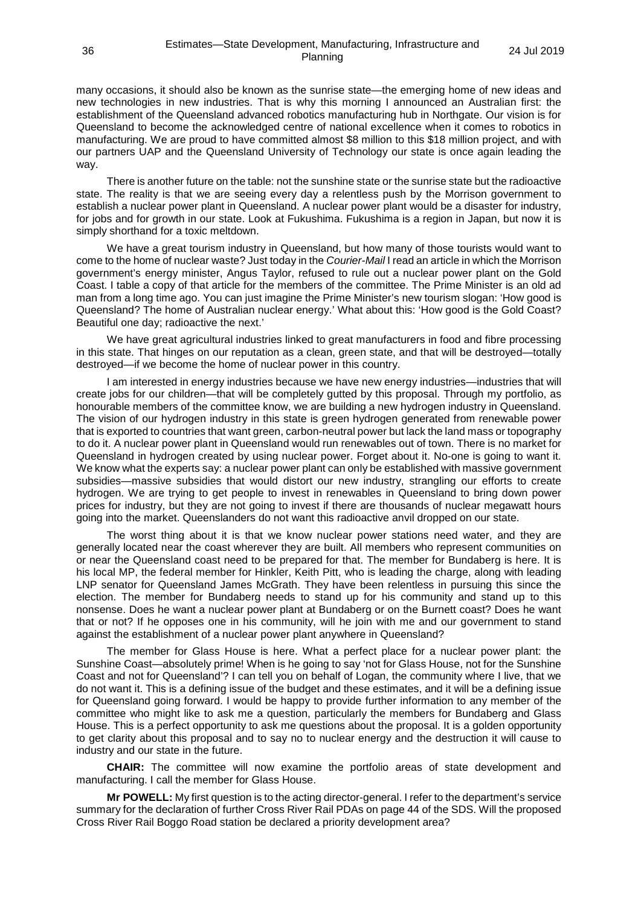many occasions, it should also be known as the sunrise state—the emerging home of new ideas and new technologies in new industries. That is why this morning I announced an Australian first: the establishment of the Queensland advanced robotics manufacturing hub in Northgate. Our vision is for Queensland to become the acknowledged centre of national excellence when it comes to robotics in manufacturing. We are proud to have committed almost \$8 million to this \$18 million project, and with our partners UAP and the Queensland University of Technology our state is once again leading the way.

There is another future on the table: not the sunshine state or the sunrise state but the radioactive state. The reality is that we are seeing every day a relentless push by the Morrison government to establish a nuclear power plant in Queensland. A nuclear power plant would be a disaster for industry, for jobs and for growth in our state. Look at Fukushima. Fukushima is a region in Japan, but now it is simply shorthand for a toxic meltdown.

We have a great tourism industry in Queensland, but how many of those tourists would want to come to the home of nuclear waste? Just today in the *Courier-Mail* I read an article in which the Morrison government's energy minister, Angus Taylor, refused to rule out a nuclear power plant on the Gold Coast. I table a copy of that article for the members of the committee. The Prime Minister is an old ad man from a long time ago. You can just imagine the Prime Minister's new tourism slogan: 'How good is Queensland? The home of Australian nuclear energy.' What about this: 'How good is the Gold Coast? Beautiful one day; radioactive the next.'

We have great agricultural industries linked to great manufacturers in food and fibre processing in this state. That hinges on our reputation as a clean, green state, and that will be destroyed—totally destroyed—if we become the home of nuclear power in this country.

I am interested in energy industries because we have new energy industries—industries that will create jobs for our children—that will be completely gutted by this proposal. Through my portfolio, as honourable members of the committee know, we are building a new hydrogen industry in Queensland. The vision of our hydrogen industry in this state is green hydrogen generated from renewable power that is exported to countries that want green, carbon-neutral power but lack the land mass or topography to do it. A nuclear power plant in Queensland would run renewables out of town. There is no market for Queensland in hydrogen created by using nuclear power. Forget about it. No-one is going to want it. We know what the experts say: a nuclear power plant can only be established with massive government subsidies—massive subsidies that would distort our new industry, strangling our efforts to create hydrogen. We are trying to get people to invest in renewables in Queensland to bring down power prices for industry, but they are not going to invest if there are thousands of nuclear megawatt hours going into the market. Queenslanders do not want this radioactive anvil dropped on our state.

The worst thing about it is that we know nuclear power stations need water, and they are generally located near the coast wherever they are built. All members who represent communities on or near the Queensland coast need to be prepared for that. The member for Bundaberg is here. It is his local MP, the federal member for Hinkler, Keith Pitt, who is leading the charge, along with leading LNP senator for Queensland James McGrath. They have been relentless in pursuing this since the election. The member for Bundaberg needs to stand up for his community and stand up to this nonsense. Does he want a nuclear power plant at Bundaberg or on the Burnett coast? Does he want that or not? If he opposes one in his community, will he join with me and our government to stand against the establishment of a nuclear power plant anywhere in Queensland?

The member for Glass House is here. What a perfect place for a nuclear power plant: the Sunshine Coast—absolutely prime! When is he going to say 'not for Glass House, not for the Sunshine Coast and not for Queensland'? I can tell you on behalf of Logan, the community where I live, that we do not want it. This is a defining issue of the budget and these estimates, and it will be a defining issue for Queensland going forward. I would be happy to provide further information to any member of the committee who might like to ask me a question, particularly the members for Bundaberg and Glass House. This is a perfect opportunity to ask me questions about the proposal. It is a golden opportunity to get clarity about this proposal and to say no to nuclear energy and the destruction it will cause to industry and our state in the future.

**CHAIR:** The committee will now examine the portfolio areas of state development and manufacturing. I call the member for Glass House.

**Mr POWELL:** My first question is to the acting director-general. I refer to the department's service summary for the declaration of further Cross River Rail PDAs on page 44 of the SDS. Will the proposed Cross River Rail Boggo Road station be declared a priority development area?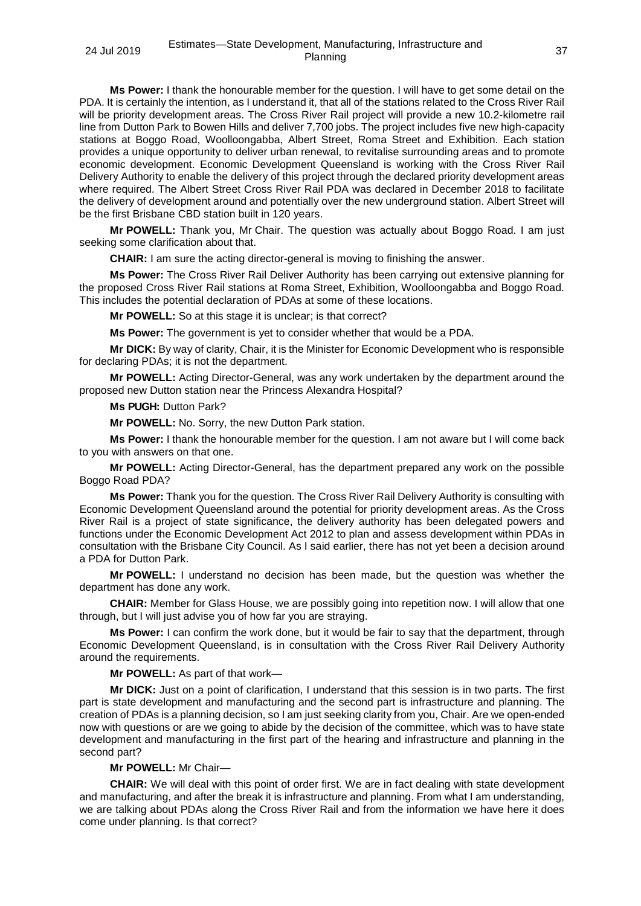**Ms Power:** I thank the honourable member for the question. I will have to get some detail on the PDA. It is certainly the intention, as I understand it, that all of the stations related to the Cross River Rail will be priority development areas. The Cross River Rail project will provide a new 10.2-kilometre rail line from Dutton Park to Bowen Hills and deliver 7,700 jobs. The project includes five new high-capacity stations at Boggo Road, Woolloongabba, Albert Street, Roma Street and Exhibition. Each station provides a unique opportunity to deliver urban renewal, to revitalise surrounding areas and to promote economic development. Economic Development Queensland is working with the Cross River Rail Delivery Authority to enable the delivery of this project through the declared priority development areas where required. The Albert Street Cross River Rail PDA was declared in December 2018 to facilitate the delivery of development around and potentially over the new underground station. Albert Street will be the first Brisbane CBD station built in 120 years.

**Mr POWELL:** Thank you, Mr Chair. The question was actually about Boggo Road. I am just seeking some clarification about that.

**CHAIR:** I am sure the acting director-general is moving to finishing the answer.

**Ms Power:** The Cross River Rail Deliver Authority has been carrying out extensive planning for the proposed Cross River Rail stations at Roma Street, Exhibition, Woolloongabba and Boggo Road. This includes the potential declaration of PDAs at some of these locations.

**Mr POWELL:** So at this stage it is unclear; is that correct?

**Ms Power:** The government is yet to consider whether that would be a PDA.

**Mr DICK:** By way of clarity, Chair, it is the Minister for Economic Development who is responsible for declaring PDAs; it is not the department.

**Mr POWELL:** Acting Director-General, was any work undertaken by the department around the proposed new Dutton station near the Princess Alexandra Hospital?

**Ms PUGH:** Dutton Park?

**Mr POWELL:** No. Sorry, the new Dutton Park station.

**Ms Power:** I thank the honourable member for the question. I am not aware but I will come back to you with answers on that one.

**Mr POWELL:** Acting Director-General, has the department prepared any work on the possible Boggo Road PDA?

**Ms Power:** Thank you for the question. The Cross River Rail Delivery Authority is consulting with Economic Development Queensland around the potential for priority development areas. As the Cross River Rail is a project of state significance, the delivery authority has been delegated powers and functions under the Economic Development Act 2012 to plan and assess development within PDAs in consultation with the Brisbane City Council. As I said earlier, there has not yet been a decision around a PDA for Dutton Park.

**Mr POWELL:** I understand no decision has been made, but the question was whether the department has done any work.

**CHAIR:** Member for Glass House, we are possibly going into repetition now. I will allow that one through, but I will just advise you of how far you are straying.

**Ms Power:** I can confirm the work done, but it would be fair to say that the department, through Economic Development Queensland, is in consultation with the Cross River Rail Delivery Authority around the requirements.

**Mr POWELL:** As part of that work—

**Mr DICK:** Just on a point of clarification, I understand that this session is in two parts. The first part is state development and manufacturing and the second part is infrastructure and planning. The creation of PDAs is a planning decision, so I am just seeking clarity from you, Chair. Are we open-ended now with questions or are we going to abide by the decision of the committee, which was to have state development and manufacturing in the first part of the hearing and infrastructure and planning in the second part?

**Mr POWELL:** Mr Chair—

**CHAIR:** We will deal with this point of order first. We are in fact dealing with state development and manufacturing, and after the break it is infrastructure and planning. From what I am understanding, we are talking about PDAs along the Cross River Rail and from the information we have here it does come under planning. Is that correct?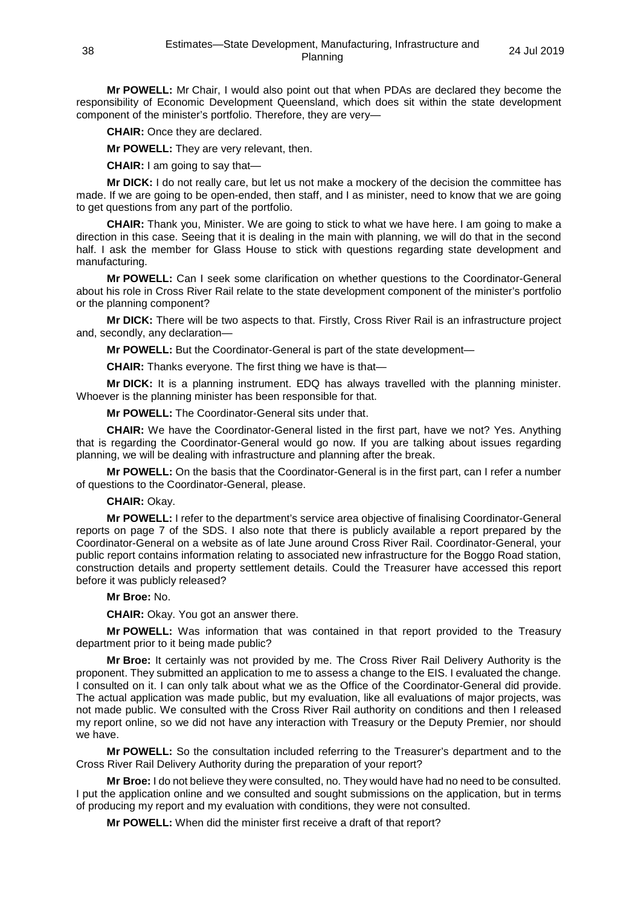**Mr POWELL:** Mr Chair, I would also point out that when PDAs are declared they become the responsibility of Economic Development Queensland, which does sit within the state development component of the minister's portfolio. Therefore, they are very—

**CHAIR:** Once they are declared.

**Mr POWELL:** They are very relevant, then.

**CHAIR:** I am going to say that—

**Mr DICK:** I do not really care, but let us not make a mockery of the decision the committee has made. If we are going to be open-ended, then staff, and I as minister, need to know that we are going to get questions from any part of the portfolio.

**CHAIR:** Thank you, Minister. We are going to stick to what we have here. I am going to make a direction in this case. Seeing that it is dealing in the main with planning, we will do that in the second half. I ask the member for Glass House to stick with questions regarding state development and manufacturing.

**Mr POWELL:** Can I seek some clarification on whether questions to the Coordinator-General about his role in Cross River Rail relate to the state development component of the minister's portfolio or the planning component?

**Mr DICK:** There will be two aspects to that. Firstly, Cross River Rail is an infrastructure project and, secondly, any declaration—

**Mr POWELL:** But the Coordinator-General is part of the state development—

**CHAIR:** Thanks everyone. The first thing we have is that—

**Mr DICK:** It is a planning instrument. EDQ has always travelled with the planning minister. Whoever is the planning minister has been responsible for that.

**Mr POWELL:** The Coordinator-General sits under that.

**CHAIR:** We have the Coordinator-General listed in the first part, have we not? Yes. Anything that is regarding the Coordinator-General would go now. If you are talking about issues regarding planning, we will be dealing with infrastructure and planning after the break.

**Mr POWELL:** On the basis that the Coordinator-General is in the first part, can I refer a number of questions to the Coordinator-General, please.

## **CHAIR:** Okay.

**Mr POWELL:** I refer to the department's service area objective of finalising Coordinator-General reports on page 7 of the SDS. I also note that there is publicly available a report prepared by the Coordinator-General on a website as of late June around Cross River Rail. Coordinator-General, your public report contains information relating to associated new infrastructure for the Boggo Road station, construction details and property settlement details. Could the Treasurer have accessed this report before it was publicly released?

**Mr Broe:** No.

**CHAIR:** Okay. You got an answer there.

**Mr POWELL:** Was information that was contained in that report provided to the Treasury department prior to it being made public?

**Mr Broe:** It certainly was not provided by me. The Cross River Rail Delivery Authority is the proponent. They submitted an application to me to assess a change to the EIS. I evaluated the change. I consulted on it. I can only talk about what we as the Office of the Coordinator-General did provide. The actual application was made public, but my evaluation, like all evaluations of major projects, was not made public. We consulted with the Cross River Rail authority on conditions and then I released my report online, so we did not have any interaction with Treasury or the Deputy Premier, nor should we have.

**Mr POWELL:** So the consultation included referring to the Treasurer's department and to the Cross River Rail Delivery Authority during the preparation of your report?

**Mr Broe:** I do not believe they were consulted, no. They would have had no need to be consulted. I put the application online and we consulted and sought submissions on the application, but in terms of producing my report and my evaluation with conditions, they were not consulted.

**Mr POWELL:** When did the minister first receive a draft of that report?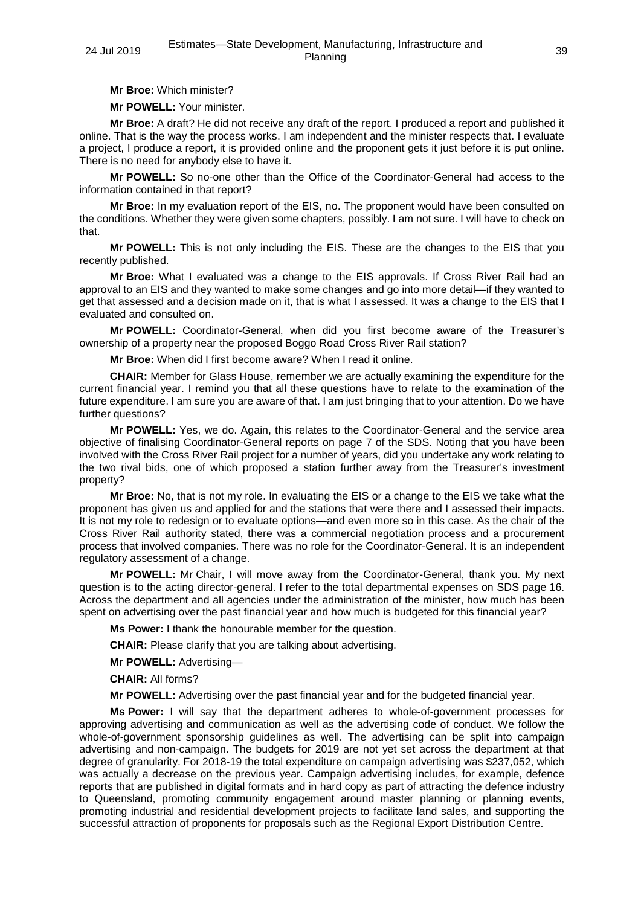**Mr Broe:** Which minister?

**Mr POWELL:** Your minister.

**Mr Broe:** A draft? He did not receive any draft of the report. I produced a report and published it online. That is the way the process works. I am independent and the minister respects that. I evaluate a project, I produce a report, it is provided online and the proponent gets it just before it is put online. There is no need for anybody else to have it.

**Mr POWELL:** So no-one other than the Office of the Coordinator-General had access to the information contained in that report?

**Mr Broe:** In my evaluation report of the EIS, no. The proponent would have been consulted on the conditions. Whether they were given some chapters, possibly. I am not sure. I will have to check on that.

**Mr POWELL:** This is not only including the EIS. These are the changes to the EIS that you recently published.

**Mr Broe:** What I evaluated was a change to the EIS approvals. If Cross River Rail had an approval to an EIS and they wanted to make some changes and go into more detail—if they wanted to get that assessed and a decision made on it, that is what I assessed. It was a change to the EIS that I evaluated and consulted on.

**Mr POWELL:** Coordinator-General, when did you first become aware of the Treasurer's ownership of a property near the proposed Boggo Road Cross River Rail station?

**Mr Broe:** When did I first become aware? When I read it online.

**CHAIR:** Member for Glass House, remember we are actually examining the expenditure for the current financial year. I remind you that all these questions have to relate to the examination of the future expenditure. I am sure you are aware of that. I am just bringing that to your attention. Do we have further questions?

**Mr POWELL:** Yes, we do. Again, this relates to the Coordinator-General and the service area objective of finalising Coordinator-General reports on page 7 of the SDS. Noting that you have been involved with the Cross River Rail project for a number of years, did you undertake any work relating to the two rival bids, one of which proposed a station further away from the Treasurer's investment property?

**Mr Broe:** No, that is not my role. In evaluating the EIS or a change to the EIS we take what the proponent has given us and applied for and the stations that were there and I assessed their impacts. It is not my role to redesign or to evaluate options—and even more so in this case. As the chair of the Cross River Rail authority stated, there was a commercial negotiation process and a procurement process that involved companies. There was no role for the Coordinator-General. It is an independent regulatory assessment of a change.

**Mr POWELL:** Mr Chair, I will move away from the Coordinator-General, thank you. My next question is to the acting director-general. I refer to the total departmental expenses on SDS page 16. Across the department and all agencies under the administration of the minister, how much has been spent on advertising over the past financial year and how much is budgeted for this financial year?

**Ms Power:** I thank the honourable member for the question.

**CHAIR:** Please clarify that you are talking about advertising.

**Mr POWELL:** Advertising—

**CHAIR:** All forms?

**Mr POWELL:** Advertising over the past financial year and for the budgeted financial year.

**Ms Power:** I will say that the department adheres to whole-of-government processes for approving advertising and communication as well as the advertising code of conduct. We follow the whole-of-government sponsorship guidelines as well. The advertising can be split into campaign advertising and non-campaign. The budgets for 2019 are not yet set across the department at that degree of granularity. For 2018-19 the total expenditure on campaign advertising was \$237,052, which was actually a decrease on the previous year. Campaign advertising includes, for example, defence reports that are published in digital formats and in hard copy as part of attracting the defence industry to Queensland, promoting community engagement around master planning or planning events, promoting industrial and residential development projects to facilitate land sales, and supporting the successful attraction of proponents for proposals such as the Regional Export Distribution Centre.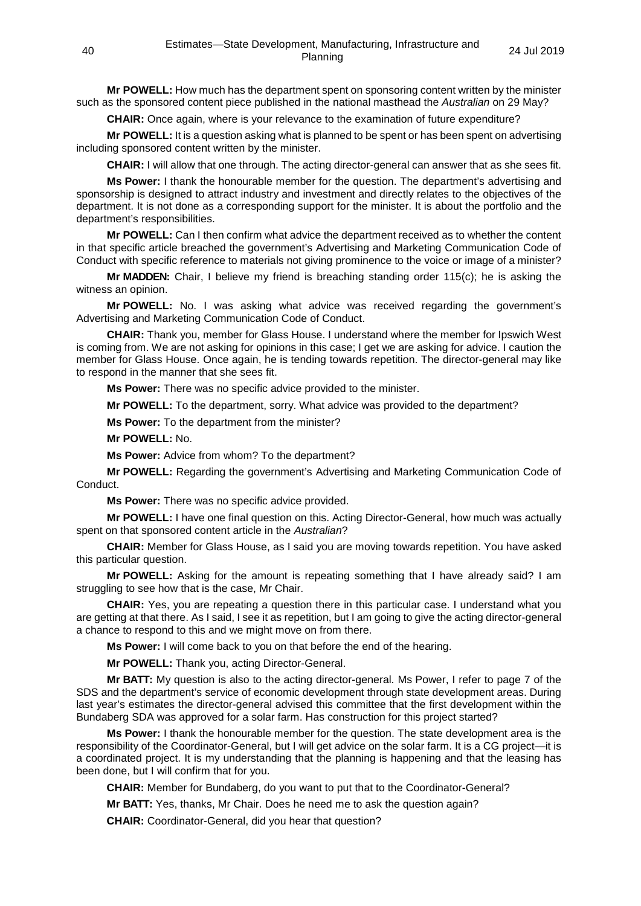**Mr POWELL:** How much has the department spent on sponsoring content written by the minister such as the sponsored content piece published in the national masthead the *Australian* on 29 May?

**CHAIR:** Once again, where is your relevance to the examination of future expenditure?

**Mr POWELL:** It is a question asking what is planned to be spent or has been spent on advertising including sponsored content written by the minister.

**CHAIR:** I will allow that one through. The acting director-general can answer that as she sees fit.

**Ms Power:** I thank the honourable member for the question. The department's advertising and sponsorship is designed to attract industry and investment and directly relates to the objectives of the department. It is not done as a corresponding support for the minister. It is about the portfolio and the department's responsibilities.

**Mr POWELL:** Can I then confirm what advice the department received as to whether the content in that specific article breached the government's Advertising and Marketing Communication Code of Conduct with specific reference to materials not giving prominence to the voice or image of a minister?

**Mr MADDEN:** Chair, I believe my friend is breaching standing order 115(c); he is asking the witness an opinion.

**Mr POWELL:** No. I was asking what advice was received regarding the government's Advertising and Marketing Communication Code of Conduct.

**CHAIR:** Thank you, member for Glass House. I understand where the member for Ipswich West is coming from. We are not asking for opinions in this case; I get we are asking for advice. I caution the member for Glass House. Once again, he is tending towards repetition. The director-general may like to respond in the manner that she sees fit.

**Ms Power:** There was no specific advice provided to the minister.

**Mr POWELL:** To the department, sorry. What advice was provided to the department?

**Ms Power:** To the department from the minister?

**Mr POWELL:** No.

**Ms Power:** Advice from whom? To the department?

**Mr POWELL:** Regarding the government's Advertising and Marketing Communication Code of Conduct.

**Ms Power:** There was no specific advice provided.

**Mr POWELL:** I have one final question on this. Acting Director-General, how much was actually spent on that sponsored content article in the *Australian*?

**CHAIR:** Member for Glass House, as I said you are moving towards repetition. You have asked this particular question.

**Mr POWELL:** Asking for the amount is repeating something that I have already said? I am struggling to see how that is the case, Mr Chair.

**CHAIR:** Yes, you are repeating a question there in this particular case. I understand what you are getting at that there. As I said, I see it as repetition, but I am going to give the acting director-general a chance to respond to this and we might move on from there.

**Ms Power:** I will come back to you on that before the end of the hearing.

**Mr POWELL:** Thank you, acting Director-General.

**Mr BATT:** My question is also to the acting director-general. Ms Power, I refer to page 7 of the SDS and the department's service of economic development through state development areas. During last year's estimates the director-general advised this committee that the first development within the Bundaberg SDA was approved for a solar farm. Has construction for this project started?

**Ms Power:** I thank the honourable member for the question. The state development area is the responsibility of the Coordinator-General, but I will get advice on the solar farm. It is a CG project—it is a coordinated project. It is my understanding that the planning is happening and that the leasing has been done, but I will confirm that for you.

**CHAIR:** Member for Bundaberg, do you want to put that to the Coordinator-General?

**Mr BATT:** Yes, thanks, Mr Chair. Does he need me to ask the question again?

**CHAIR:** Coordinator-General, did you hear that question?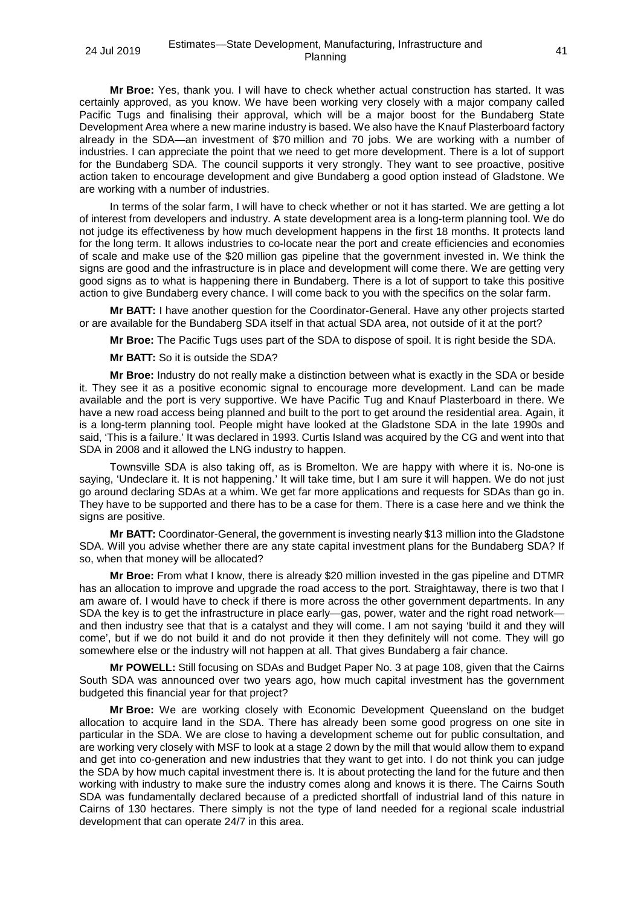**Mr Broe:** Yes, thank you. I will have to check whether actual construction has started. It was certainly approved, as you know. We have been working very closely with a major company called Pacific Tugs and finalising their approval, which will be a major boost for the Bundaberg State Development Area where a new marine industry is based. We also have the Knauf Plasterboard factory already in the SDA—an investment of \$70 million and 70 jobs. We are working with a number of industries. I can appreciate the point that we need to get more development. There is a lot of support for the Bundaberg SDA. The council supports it very strongly. They want to see proactive, positive action taken to encourage development and give Bundaberg a good option instead of Gladstone. We are working with a number of industries.

In terms of the solar farm, I will have to check whether or not it has started. We are getting a lot of interest from developers and industry. A state development area is a long-term planning tool. We do not judge its effectiveness by how much development happens in the first 18 months. It protects land for the long term. It allows industries to co-locate near the port and create efficiencies and economies of scale and make use of the \$20 million gas pipeline that the government invested in. We think the signs are good and the infrastructure is in place and development will come there. We are getting very good signs as to what is happening there in Bundaberg. There is a lot of support to take this positive action to give Bundaberg every chance. I will come back to you with the specifics on the solar farm.

**Mr BATT:** I have another question for the Coordinator-General. Have any other projects started or are available for the Bundaberg SDA itself in that actual SDA area, not outside of it at the port?

**Mr Broe:** The Pacific Tugs uses part of the SDA to dispose of spoil. It is right beside the SDA.

**Mr BATT:** So it is outside the SDA?

**Mr Broe:** Industry do not really make a distinction between what is exactly in the SDA or beside it. They see it as a positive economic signal to encourage more development. Land can be made available and the port is very supportive. We have Pacific Tug and Knauf Plasterboard in there. We have a new road access being planned and built to the port to get around the residential area. Again, it is a long-term planning tool. People might have looked at the Gladstone SDA in the late 1990s and said, 'This is a failure.' It was declared in 1993. Curtis Island was acquired by the CG and went into that SDA in 2008 and it allowed the LNG industry to happen.

Townsville SDA is also taking off, as is Bromelton. We are happy with where it is. No-one is saying, 'Undeclare it. It is not happening.' It will take time, but I am sure it will happen. We do not just go around declaring SDAs at a whim. We get far more applications and requests for SDAs than go in. They have to be supported and there has to be a case for them. There is a case here and we think the signs are positive.

**Mr BATT:** Coordinator-General, the government is investing nearly \$13 million into the Gladstone SDA. Will you advise whether there are any state capital investment plans for the Bundaberg SDA? If so, when that money will be allocated?

**Mr Broe:** From what I know, there is already \$20 million invested in the gas pipeline and DTMR has an allocation to improve and upgrade the road access to the port. Straightaway, there is two that I am aware of. I would have to check if there is more across the other government departments. In any SDA the key is to get the infrastructure in place early—gas, power, water and the right road network and then industry see that that is a catalyst and they will come. I am not saying 'build it and they will come', but if we do not build it and do not provide it then they definitely will not come. They will go somewhere else or the industry will not happen at all. That gives Bundaberg a fair chance.

**Mr POWELL:** Still focusing on SDAs and Budget Paper No. 3 at page 108, given that the Cairns South SDA was announced over two years ago, how much capital investment has the government budgeted this financial year for that project?

**Mr Broe:** We are working closely with Economic Development Queensland on the budget allocation to acquire land in the SDA. There has already been some good progress on one site in particular in the SDA. We are close to having a development scheme out for public consultation, and are working very closely with MSF to look at a stage 2 down by the mill that would allow them to expand and get into co-generation and new industries that they want to get into. I do not think you can judge the SDA by how much capital investment there is. It is about protecting the land for the future and then working with industry to make sure the industry comes along and knows it is there. The Cairns South SDA was fundamentally declared because of a predicted shortfall of industrial land of this nature in Cairns of 130 hectares. There simply is not the type of land needed for a regional scale industrial development that can operate 24/7 in this area.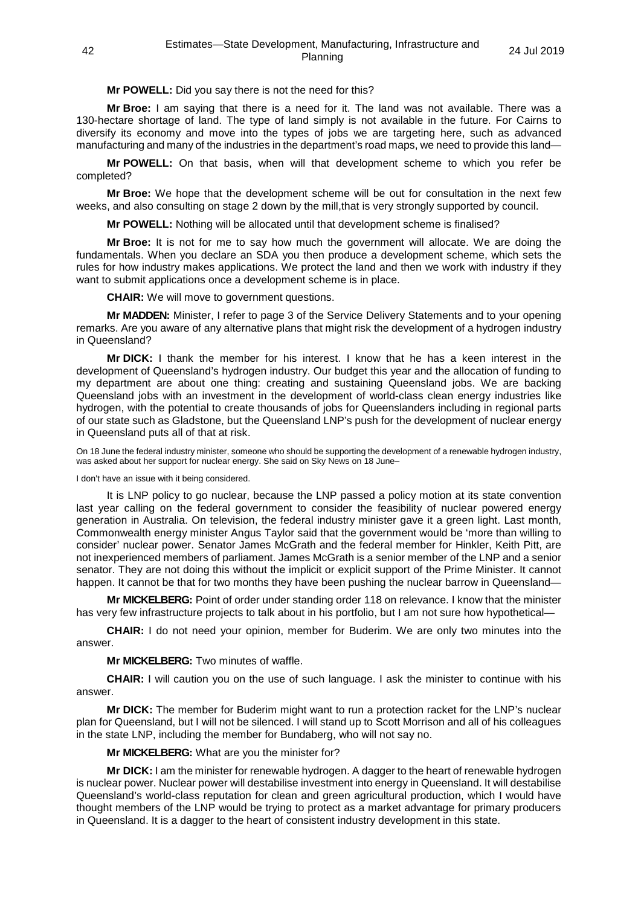## **Mr POWELL:** Did you say there is not the need for this?

**Mr Broe:** I am saying that there is a need for it. The land was not available. There was a 130-hectare shortage of land. The type of land simply is not available in the future. For Cairns to diversify its economy and move into the types of jobs we are targeting here, such as advanced manufacturing and many of the industries in the department's road maps, we need to provide this land—

**Mr POWELL:** On that basis, when will that development scheme to which you refer be completed?

**Mr Broe:** We hope that the development scheme will be out for consultation in the next few weeks, and also consulting on stage 2 down by the mill, that is very strongly supported by council.

**Mr POWELL:** Nothing will be allocated until that development scheme is finalised?

**Mr Broe:** It is not for me to say how much the government will allocate. We are doing the fundamentals. When you declare an SDA you then produce a development scheme, which sets the rules for how industry makes applications. We protect the land and then we work with industry if they want to submit applications once a development scheme is in place.

**CHAIR:** We will move to government questions.

**Mr MADDEN:** Minister, I refer to page 3 of the Service Delivery Statements and to your opening remarks. Are you aware of any alternative plans that might risk the development of a hydrogen industry in Queensland?

**Mr DICK:** I thank the member for his interest. I know that he has a keen interest in the development of Queensland's hydrogen industry. Our budget this year and the allocation of funding to my department are about one thing: creating and sustaining Queensland jobs. We are backing Queensland jobs with an investment in the development of world-class clean energy industries like hydrogen, with the potential to create thousands of jobs for Queenslanders including in regional parts of our state such as Gladstone, but the Queensland LNP's push for the development of nuclear energy in Queensland puts all of that at risk.

On 18 June the federal industry minister, someone who should be supporting the development of a renewable hydrogen industry, was asked about her support for nuclear energy. She said on Sky News on 18 June–

I don't have an issue with it being considered.

It is LNP policy to go nuclear, because the LNP passed a policy motion at its state convention last year calling on the federal government to consider the feasibility of nuclear powered energy generation in Australia. On television, the federal industry minister gave it a green light. Last month, Commonwealth energy minister Angus Taylor said that the government would be 'more than willing to consider' nuclear power. Senator James McGrath and the federal member for Hinkler, Keith Pitt, are not inexperienced members of parliament. James McGrath is a senior member of the LNP and a senior senator. They are not doing this without the implicit or explicit support of the Prime Minister. It cannot happen. It cannot be that for two months they have been pushing the nuclear barrow in Queensland—

**Mr MICKELBERG:** Point of order under standing order 118 on relevance. I know that the minister has very few infrastructure projects to talk about in his portfolio, but I am not sure how hypothetical—

**CHAIR:** I do not need your opinion, member for Buderim. We are only two minutes into the answer.

**Mr MICKELBERG:** Two minutes of waffle.

**CHAIR:** I will caution you on the use of such language. I ask the minister to continue with his answer.

**Mr DICK:** The member for Buderim might want to run a protection racket for the LNP's nuclear plan for Queensland, but I will not be silenced. I will stand up to Scott Morrison and all of his colleagues in the state LNP, including the member for Bundaberg, who will not say no.

**Mr MICKELBERG:** What are you the minister for?

**Mr DICK:** I am the minister for renewable hydrogen. A dagger to the heart of renewable hydrogen is nuclear power. Nuclear power will destabilise investment into energy in Queensland. It will destabilise Queensland's world-class reputation for clean and green agricultural production, which I would have thought members of the LNP would be trying to protect as a market advantage for primary producers in Queensland. It is a dagger to the heart of consistent industry development in this state.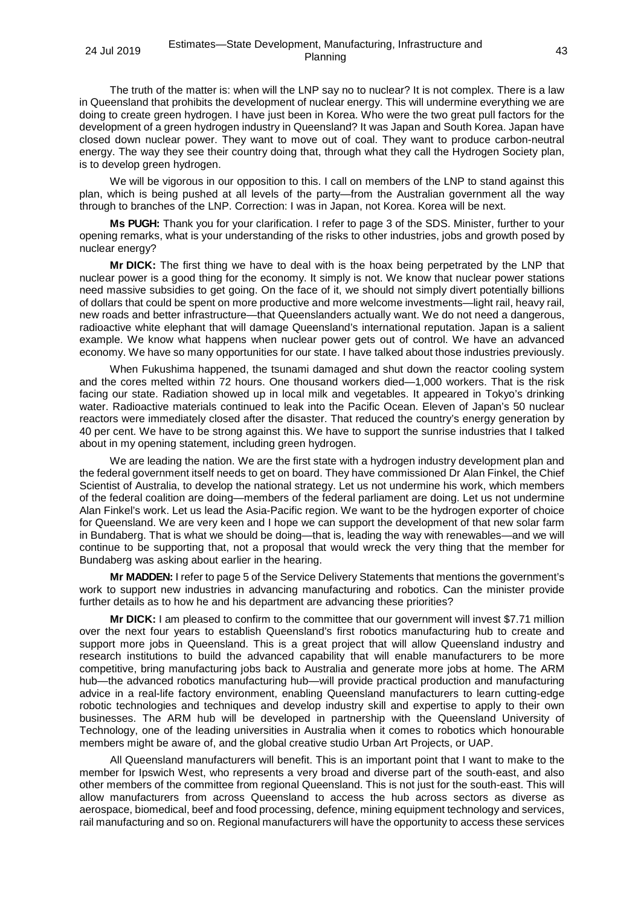The truth of the matter is: when will the LNP say no to nuclear? It is not complex. There is a law in Queensland that prohibits the development of nuclear energy. This will undermine everything we are doing to create green hydrogen. I have just been in Korea. Who were the two great pull factors for the development of a green hydrogen industry in Queensland? It was Japan and South Korea. Japan have closed down nuclear power. They want to move out of coal. They want to produce carbon-neutral energy. The way they see their country doing that, through what they call the Hydrogen Society plan, is to develop green hydrogen.

We will be vigorous in our opposition to this. I call on members of the LNP to stand against this plan, which is being pushed at all levels of the party—from the Australian government all the way through to branches of the LNP. Correction: I was in Japan, not Korea. Korea will be next.

**Ms PUGH:** Thank you for your clarification. I refer to page 3 of the SDS. Minister, further to your opening remarks, what is your understanding of the risks to other industries, jobs and growth posed by nuclear energy?

**Mr DICK:** The first thing we have to deal with is the hoax being perpetrated by the LNP that nuclear power is a good thing for the economy. It simply is not. We know that nuclear power stations need massive subsidies to get going. On the face of it, we should not simply divert potentially billions of dollars that could be spent on more productive and more welcome investments—light rail, heavy rail, new roads and better infrastructure—that Queenslanders actually want. We do not need a dangerous, radioactive white elephant that will damage Queensland's international reputation. Japan is a salient example. We know what happens when nuclear power gets out of control. We have an advanced economy. We have so many opportunities for our state. I have talked about those industries previously.

When Fukushima happened, the tsunami damaged and shut down the reactor cooling system and the cores melted within 72 hours. One thousand workers died—1,000 workers. That is the risk facing our state. Radiation showed up in local milk and vegetables. It appeared in Tokyo's drinking water. Radioactive materials continued to leak into the Pacific Ocean. Eleven of Japan's 50 nuclear reactors were immediately closed after the disaster. That reduced the country's energy generation by 40 per cent. We have to be strong against this. We have to support the sunrise industries that I talked about in my opening statement, including green hydrogen.

We are leading the nation. We are the first state with a hydrogen industry development plan and the federal government itself needs to get on board. They have commissioned Dr Alan Finkel, the Chief Scientist of Australia, to develop the national strategy. Let us not undermine his work, which members of the federal coalition are doing—members of the federal parliament are doing. Let us not undermine Alan Finkel's work. Let us lead the Asia-Pacific region. We want to be the hydrogen exporter of choice for Queensland. We are very keen and I hope we can support the development of that new solar farm in Bundaberg. That is what we should be doing—that is, leading the way with renewables—and we will continue to be supporting that, not a proposal that would wreck the very thing that the member for Bundaberg was asking about earlier in the hearing.

**Mr MADDEN:** I refer to page 5 of the Service Delivery Statements that mentions the government's work to support new industries in advancing manufacturing and robotics. Can the minister provide further details as to how he and his department are advancing these priorities?

**Mr DICK:** I am pleased to confirm to the committee that our government will invest \$7.71 million over the next four years to establish Queensland's first robotics manufacturing hub to create and support more jobs in Queensland. This is a great project that will allow Queensland industry and research institutions to build the advanced capability that will enable manufacturers to be more competitive, bring manufacturing jobs back to Australia and generate more jobs at home. The ARM hub—the advanced robotics manufacturing hub—will provide practical production and manufacturing advice in a real-life factory environment, enabling Queensland manufacturers to learn cutting-edge robotic technologies and techniques and develop industry skill and expertise to apply to their own businesses. The ARM hub will be developed in partnership with the Queensland University of Technology, one of the leading universities in Australia when it comes to robotics which honourable members might be aware of, and the global creative studio Urban Art Projects, or UAP.

All Queensland manufacturers will benefit. This is an important point that I want to make to the member for Ipswich West, who represents a very broad and diverse part of the south-east, and also other members of the committee from regional Queensland. This is not just for the south-east. This will allow manufacturers from across Queensland to access the hub across sectors as diverse as aerospace, biomedical, beef and food processing, defence, mining equipment technology and services, rail manufacturing and so on. Regional manufacturers will have the opportunity to access these services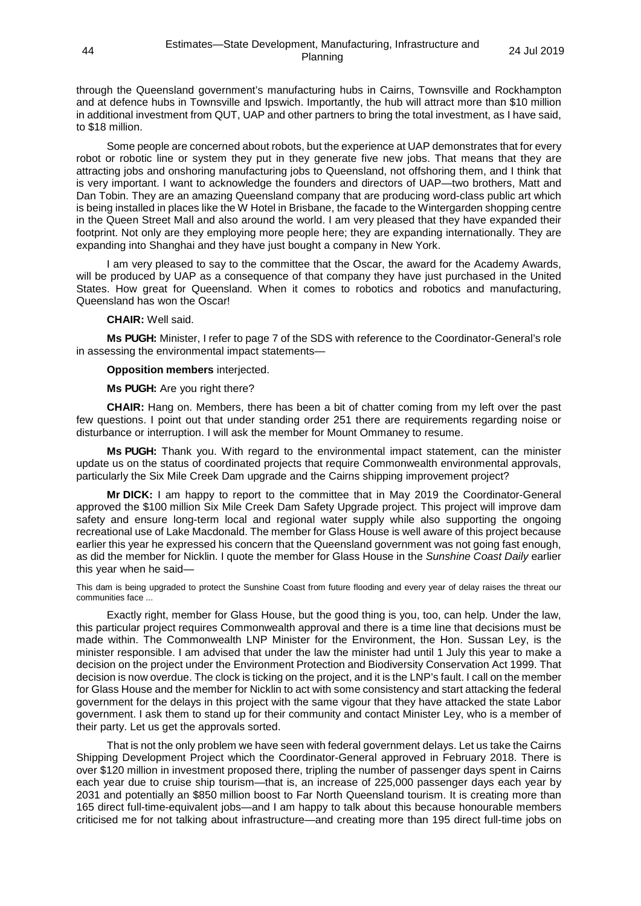through the Queensland government's manufacturing hubs in Cairns, Townsville and Rockhampton and at defence hubs in Townsville and Ipswich. Importantly, the hub will attract more than \$10 million in additional investment from QUT, UAP and other partners to bring the total investment, as I have said, to \$18 million.

Some people are concerned about robots, but the experience at UAP demonstrates that for every robot or robotic line or system they put in they generate five new jobs. That means that they are attracting jobs and onshoring manufacturing jobs to Queensland, not offshoring them, and I think that is very important. I want to acknowledge the founders and directors of UAP—two brothers, Matt and Dan Tobin. They are an amazing Queensland company that are producing word-class public art which is being installed in places like the W Hotel in Brisbane, the facade to the Wintergarden shopping centre in the Queen Street Mall and also around the world. I am very pleased that they have expanded their footprint. Not only are they employing more people here; they are expanding internationally. They are expanding into Shanghai and they have just bought a company in New York.

I am very pleased to say to the committee that the Oscar, the award for the Academy Awards, will be produced by UAP as a consequence of that company they have just purchased in the United States. How great for Queensland. When it comes to robotics and robotics and manufacturing, Queensland has won the Oscar!

## **CHAIR:** Well said.

**Ms PUGH:** Minister, I refer to page 7 of the SDS with reference to the Coordinator-General's role in assessing the environmental impact statements—

## **Opposition members** interjected.

#### **Ms PUGH:** Are you right there?

**CHAIR:** Hang on. Members, there has been a bit of chatter coming from my left over the past few questions. I point out that under standing order 251 there are requirements regarding noise or disturbance or interruption. I will ask the member for Mount Ommaney to resume.

**Ms PUGH:** Thank you. With regard to the environmental impact statement, can the minister update us on the status of coordinated projects that require Commonwealth environmental approvals, particularly the Six Mile Creek Dam upgrade and the Cairns shipping improvement project?

**Mr DICK:** I am happy to report to the committee that in May 2019 the Coordinator-General approved the \$100 million Six Mile Creek Dam Safety Upgrade project. This project will improve dam safety and ensure long-term local and regional water supply while also supporting the ongoing recreational use of Lake Macdonald. The member for Glass House is well aware of this project because earlier this year he expressed his concern that the Queensland government was not going fast enough, as did the member for Nicklin. I quote the member for Glass House in the *Sunshine Coast Daily* earlier this year when he said—

This dam is being upgraded to protect the Sunshine Coast from future flooding and every year of delay raises the threat our communities face ...

Exactly right, member for Glass House, but the good thing is you, too, can help. Under the law, this particular project requires Commonwealth approval and there is a time line that decisions must be made within. The Commonwealth LNP Minister for the Environment, the Hon. Sussan Ley, is the minister responsible. I am advised that under the law the minister had until 1 July this year to make a decision on the project under the Environment Protection and Biodiversity Conservation Act 1999. That decision is now overdue. The clock is ticking on the project, and it is the LNP's fault. I call on the member for Glass House and the member for Nicklin to act with some consistency and start attacking the federal government for the delays in this project with the same vigour that they have attacked the state Labor government. I ask them to stand up for their community and contact Minister Ley, who is a member of their party. Let us get the approvals sorted.

That is not the only problem we have seen with federal government delays. Let us take the Cairns Shipping Development Project which the Coordinator-General approved in February 2018. There is over \$120 million in investment proposed there, tripling the number of passenger days spent in Cairns each year due to cruise ship tourism—that is, an increase of 225,000 passenger days each year by 2031 and potentially an \$850 million boost to Far North Queensland tourism. It is creating more than 165 direct full-time-equivalent jobs—and I am happy to talk about this because honourable members criticised me for not talking about infrastructure—and creating more than 195 direct full-time jobs on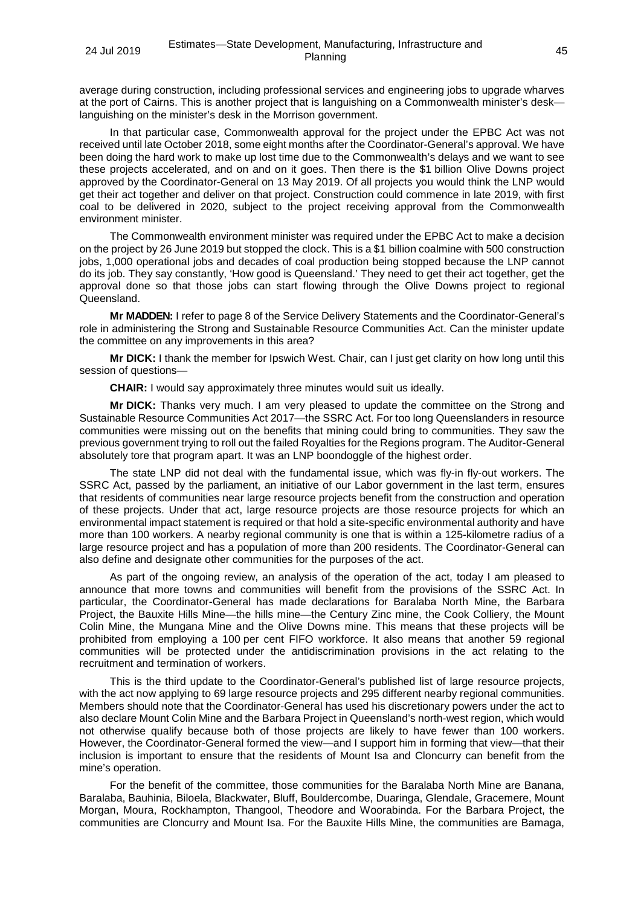average during construction, including professional services and engineering jobs to upgrade wharves at the port of Cairns. This is another project that is languishing on a Commonwealth minister's desk languishing on the minister's desk in the Morrison government.

In that particular case, Commonwealth approval for the project under the EPBC Act was not received until late October 2018, some eight months after the Coordinator-General's approval. We have been doing the hard work to make up lost time due to the Commonwealth's delays and we want to see these projects accelerated, and on and on it goes. Then there is the \$1 billion Olive Downs project approved by the Coordinator-General on 13 May 2019. Of all projects you would think the LNP would get their act together and deliver on that project. Construction could commence in late 2019, with first coal to be delivered in 2020, subject to the project receiving approval from the Commonwealth environment minister.

The Commonwealth environment minister was required under the EPBC Act to make a decision on the project by 26 June 2019 but stopped the clock. This is a \$1 billion coalmine with 500 construction jobs, 1,000 operational jobs and decades of coal production being stopped because the LNP cannot do its job. They say constantly, 'How good is Queensland.' They need to get their act together, get the approval done so that those jobs can start flowing through the Olive Downs project to regional Queensland.

**Mr MADDEN:** I refer to page 8 of the Service Delivery Statements and the Coordinator-General's role in administering the Strong and Sustainable Resource Communities Act. Can the minister update the committee on any improvements in this area?

**Mr DICK:** I thank the member for Ipswich West. Chair, can I just get clarity on how long until this session of questions—

**CHAIR:** I would say approximately three minutes would suit us ideally.

**Mr DICK:** Thanks very much. I am very pleased to update the committee on the Strong and Sustainable Resource Communities Act 2017—the SSRC Act. For too long Queenslanders in resource communities were missing out on the benefits that mining could bring to communities. They saw the previous government trying to roll out the failed Royalties for the Regions program. The Auditor-General absolutely tore that program apart. It was an LNP boondoggle of the highest order.

The state LNP did not deal with the fundamental issue, which was fly-in fly-out workers. The SSRC Act, passed by the parliament, an initiative of our Labor government in the last term, ensures that residents of communities near large resource projects benefit from the construction and operation of these projects. Under that act, large resource projects are those resource projects for which an environmental impact statement is required or that hold a site-specific environmental authority and have more than 100 workers. A nearby regional community is one that is within a 125-kilometre radius of a large resource project and has a population of more than 200 residents. The Coordinator-General can also define and designate other communities for the purposes of the act.

As part of the ongoing review, an analysis of the operation of the act, today I am pleased to announce that more towns and communities will benefit from the provisions of the SSRC Act. In particular, the Coordinator-General has made declarations for Baralaba North Mine, the Barbara Project, the Bauxite Hills Mine—the hills mine—the Century Zinc mine, the Cook Colliery, the Mount Colin Mine, the Mungana Mine and the Olive Downs mine. This means that these projects will be prohibited from employing a 100 per cent FIFO workforce. It also means that another 59 regional communities will be protected under the antidiscrimination provisions in the act relating to the recruitment and termination of workers.

This is the third update to the Coordinator-General's published list of large resource projects, with the act now applying to 69 large resource projects and 295 different nearby regional communities. Members should note that the Coordinator-General has used his discretionary powers under the act to also declare Mount Colin Mine and the Barbara Project in Queensland's north-west region, which would not otherwise qualify because both of those projects are likely to have fewer than 100 workers. However, the Coordinator-General formed the view—and I support him in forming that view—that their inclusion is important to ensure that the residents of Mount Isa and Cloncurry can benefit from the mine's operation.

For the benefit of the committee, those communities for the Baralaba North Mine are Banana, Baralaba, Bauhinia, Biloela, Blackwater, Bluff, Bouldercombe, Duaringa, Glendale, Gracemere, Mount Morgan, Moura, Rockhampton, Thangool, Theodore and Woorabinda. For the Barbara Project, the communities are Cloncurry and Mount Isa. For the Bauxite Hills Mine, the communities are Bamaga,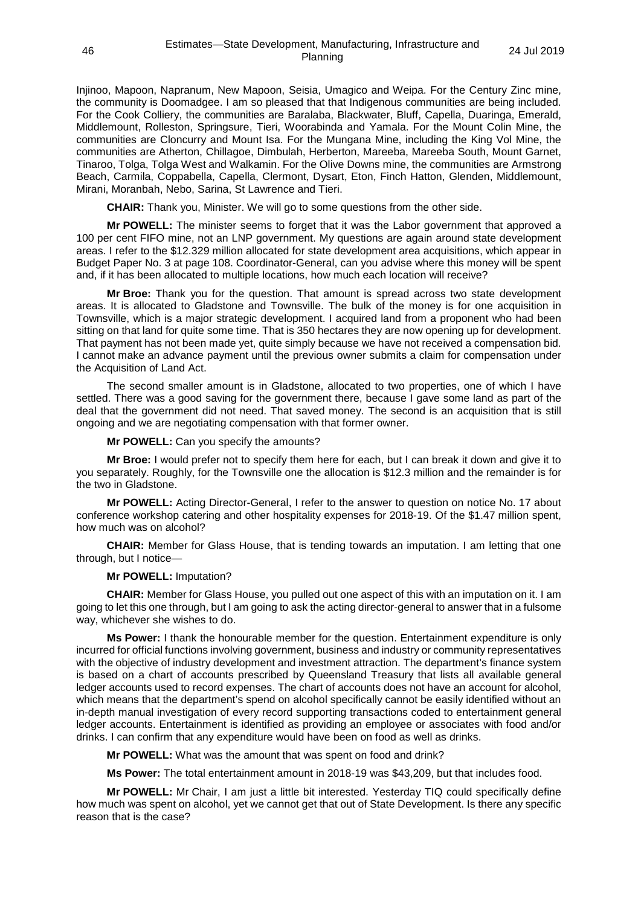Injinoo, Mapoon, Napranum, New Mapoon, Seisia, Umagico and Weipa. For the Century Zinc mine, the community is Doomadgee. I am so pleased that that Indigenous communities are being included. For the Cook Colliery, the communities are Baralaba, Blackwater, Bluff, Capella, Duaringa, Emerald, Middlemount, Rolleston, Springsure, Tieri, Woorabinda and Yamala. For the Mount Colin Mine, the communities are Cloncurry and Mount Isa. For the Mungana Mine, including the King Vol Mine, the communities are Atherton, Chillagoe, Dimbulah, Herberton, Mareeba, Mareeba South, Mount Garnet, Tinaroo, Tolga, Tolga West and Walkamin. For the Olive Downs mine, the communities are Armstrong Beach, Carmila, Coppabella, Capella, Clermont, Dysart, Eton, Finch Hatton, Glenden, Middlemount, Mirani, Moranbah, Nebo, Sarina, St Lawrence and Tieri.

**CHAIR:** Thank you, Minister. We will go to some questions from the other side.

**Mr POWELL:** The minister seems to forget that it was the Labor government that approved a 100 per cent FIFO mine, not an LNP government. My questions are again around state development areas. I refer to the \$12.329 million allocated for state development area acquisitions, which appear in Budget Paper No. 3 at page 108. Coordinator-General, can you advise where this money will be spent and, if it has been allocated to multiple locations, how much each location will receive?

**Mr Broe:** Thank you for the question. That amount is spread across two state development areas. It is allocated to Gladstone and Townsville. The bulk of the money is for one acquisition in Townsville, which is a major strategic development. I acquired land from a proponent who had been sitting on that land for quite some time. That is 350 hectares they are now opening up for development. That payment has not been made yet, quite simply because we have not received a compensation bid. I cannot make an advance payment until the previous owner submits a claim for compensation under the Acquisition of Land Act.

The second smaller amount is in Gladstone, allocated to two properties, one of which I have settled. There was a good saving for the government there, because I gave some land as part of the deal that the government did not need. That saved money. The second is an acquisition that is still ongoing and we are negotiating compensation with that former owner.

**Mr POWELL:** Can you specify the amounts?

**Mr Broe:** I would prefer not to specify them here for each, but I can break it down and give it to you separately. Roughly, for the Townsville one the allocation is \$12.3 million and the remainder is for the two in Gladstone.

**Mr POWELL:** Acting Director-General, I refer to the answer to question on notice No. 17 about conference workshop catering and other hospitality expenses for 2018-19. Of the \$1.47 million spent, how much was on alcohol?

**CHAIR:** Member for Glass House, that is tending towards an imputation. I am letting that one through, but I notice—

## **Mr POWELL:** Imputation?

**CHAIR:** Member for Glass House, you pulled out one aspect of this with an imputation on it. I am going to let this one through, but I am going to ask the acting director-general to answer that in a fulsome way, whichever she wishes to do.

**Ms Power:** I thank the honourable member for the question. Entertainment expenditure is only incurred for official functions involving government, business and industry or community representatives with the objective of industry development and investment attraction. The department's finance system is based on a chart of accounts prescribed by Queensland Treasury that lists all available general ledger accounts used to record expenses. The chart of accounts does not have an account for alcohol, which means that the department's spend on alcohol specifically cannot be easily identified without an in-depth manual investigation of every record supporting transactions coded to entertainment general ledger accounts. Entertainment is identified as providing an employee or associates with food and/or drinks. I can confirm that any expenditure would have been on food as well as drinks.

**Mr POWELL:** What was the amount that was spent on food and drink?

**Ms Power:** The total entertainment amount in 2018-19 was \$43,209, but that includes food.

**Mr POWELL:** Mr Chair, I am just a little bit interested. Yesterday TIQ could specifically define how much was spent on alcohol, yet we cannot get that out of State Development. Is there any specific reason that is the case?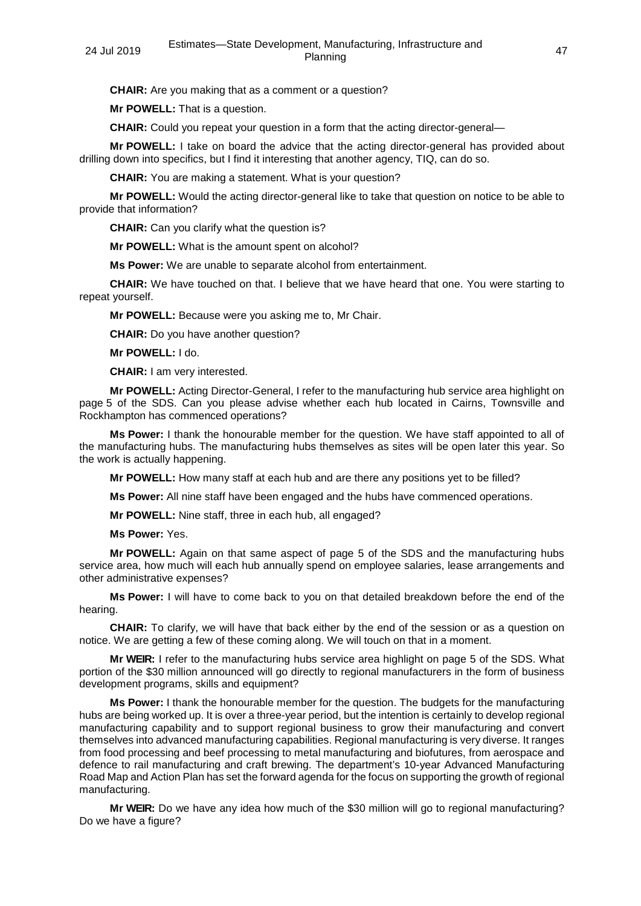**CHAIR:** Are you making that as a comment or a question?

**Mr POWELL:** That is a question.

**CHAIR:** Could you repeat your question in a form that the acting director-general—

**Mr POWELL:** I take on board the advice that the acting director-general has provided about drilling down into specifics, but I find it interesting that another agency, TIQ, can do so.

**CHAIR:** You are making a statement. What is your question?

**Mr POWELL:** Would the acting director-general like to take that question on notice to be able to provide that information?

**CHAIR:** Can you clarify what the question is?

**Mr POWELL:** What is the amount spent on alcohol?

**Ms Power:** We are unable to separate alcohol from entertainment.

**CHAIR:** We have touched on that. I believe that we have heard that one. You were starting to repeat yourself.

**Mr POWELL:** Because were you asking me to, Mr Chair.

**CHAIR:** Do you have another question?

**Mr POWELL:** I do.

**CHAIR:** I am very interested.

**Mr POWELL:** Acting Director-General, I refer to the manufacturing hub service area highlight on page 5 of the SDS. Can you please advise whether each hub located in Cairns, Townsville and Rockhampton has commenced operations?

**Ms Power:** I thank the honourable member for the question. We have staff appointed to all of the manufacturing hubs. The manufacturing hubs themselves as sites will be open later this year. So the work is actually happening.

**Mr POWELL:** How many staff at each hub and are there any positions yet to be filled?

**Ms Power:** All nine staff have been engaged and the hubs have commenced operations.

**Mr POWELL:** Nine staff, three in each hub, all engaged?

**Ms Power:** Yes.

**Mr POWELL:** Again on that same aspect of page 5 of the SDS and the manufacturing hubs service area, how much will each hub annually spend on employee salaries, lease arrangements and other administrative expenses?

**Ms Power:** I will have to come back to you on that detailed breakdown before the end of the hearing.

**CHAIR:** To clarify, we will have that back either by the end of the session or as a question on notice. We are getting a few of these coming along. We will touch on that in a moment.

**Mr WEIR:** I refer to the manufacturing hubs service area highlight on page 5 of the SDS. What portion of the \$30 million announced will go directly to regional manufacturers in the form of business development programs, skills and equipment?

**Ms Power:** I thank the honourable member for the question. The budgets for the manufacturing hubs are being worked up. It is over a three-year period, but the intention is certainly to develop regional manufacturing capability and to support regional business to grow their manufacturing and convert themselves into advanced manufacturing capabilities. Regional manufacturing is very diverse. It ranges from food processing and beef processing to metal manufacturing and biofutures, from aerospace and defence to rail manufacturing and craft brewing. The department's 10-year Advanced Manufacturing Road Map and Action Plan has set the forward agenda for the focus on supporting the growth of regional manufacturing.

**Mr WEIR:** Do we have any idea how much of the \$30 million will go to regional manufacturing? Do we have a figure?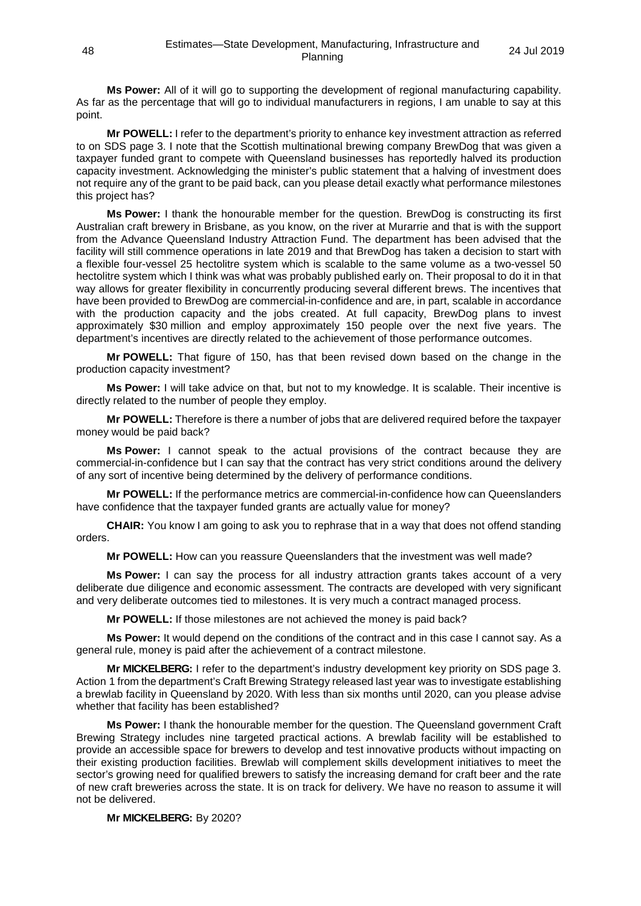**Ms Power:** All of it will go to supporting the development of regional manufacturing capability. As far as the percentage that will go to individual manufacturers in regions, I am unable to say at this point.

**Mr POWELL:** I refer to the department's priority to enhance key investment attraction as referred to on SDS page 3. I note that the Scottish multinational brewing company BrewDog that was given a taxpayer funded grant to compete with Queensland businesses has reportedly halved its production capacity investment. Acknowledging the minister's public statement that a halving of investment does not require any of the grant to be paid back, can you please detail exactly what performance milestones this project has?

**Ms Power:** I thank the honourable member for the question. BrewDog is constructing its first Australian craft brewery in Brisbane, as you know, on the river at Murarrie and that is with the support from the Advance Queensland Industry Attraction Fund. The department has been advised that the facility will still commence operations in late 2019 and that BrewDog has taken a decision to start with a flexible four-vessel 25 hectolitre system which is scalable to the same volume as a two-vessel 50 hectolitre system which I think was what was probably published early on. Their proposal to do it in that way allows for greater flexibility in concurrently producing several different brews. The incentives that have been provided to BrewDog are commercial-in-confidence and are, in part, scalable in accordance with the production capacity and the jobs created. At full capacity, BrewDog plans to invest approximately \$30 million and employ approximately 150 people over the next five years. The department's incentives are directly related to the achievement of those performance outcomes.

**Mr POWELL:** That figure of 150, has that been revised down based on the change in the production capacity investment?

**Ms Power:** I will take advice on that, but not to my knowledge. It is scalable. Their incentive is directly related to the number of people they employ.

**Mr POWELL:** Therefore is there a number of jobs that are delivered required before the taxpayer money would be paid back?

**Ms Power:** I cannot speak to the actual provisions of the contract because they are commercial-in-confidence but I can say that the contract has very strict conditions around the delivery of any sort of incentive being determined by the delivery of performance conditions.

**Mr POWELL:** If the performance metrics are commercial-in-confidence how can Queenslanders have confidence that the taxpayer funded grants are actually value for money?

**CHAIR:** You know I am going to ask you to rephrase that in a way that does not offend standing orders.

**Mr POWELL:** How can you reassure Queenslanders that the investment was well made?

**Ms Power:** I can say the process for all industry attraction grants takes account of a very deliberate due diligence and economic assessment. The contracts are developed with very significant and very deliberate outcomes tied to milestones. It is very much a contract managed process.

**Mr POWELL:** If those milestones are not achieved the money is paid back?

**Ms Power:** It would depend on the conditions of the contract and in this case I cannot say. As a general rule, money is paid after the achievement of a contract milestone.

**Mr MICKELBERG:** I refer to the department's industry development key priority on SDS page 3. Action 1 from the department's Craft Brewing Strategy released last year was to investigate establishing a brewlab facility in Queensland by 2020. With less than six months until 2020, can you please advise whether that facility has been established?

**Ms Power:** I thank the honourable member for the question. The Queensland government Craft Brewing Strategy includes nine targeted practical actions. A brewlab facility will be established to provide an accessible space for brewers to develop and test innovative products without impacting on their existing production facilities. Brewlab will complement skills development initiatives to meet the sector's growing need for qualified brewers to satisfy the increasing demand for craft beer and the rate of new craft breweries across the state. It is on track for delivery. We have no reason to assume it will not be delivered.

**Mr MICKELBERG:** By 2020?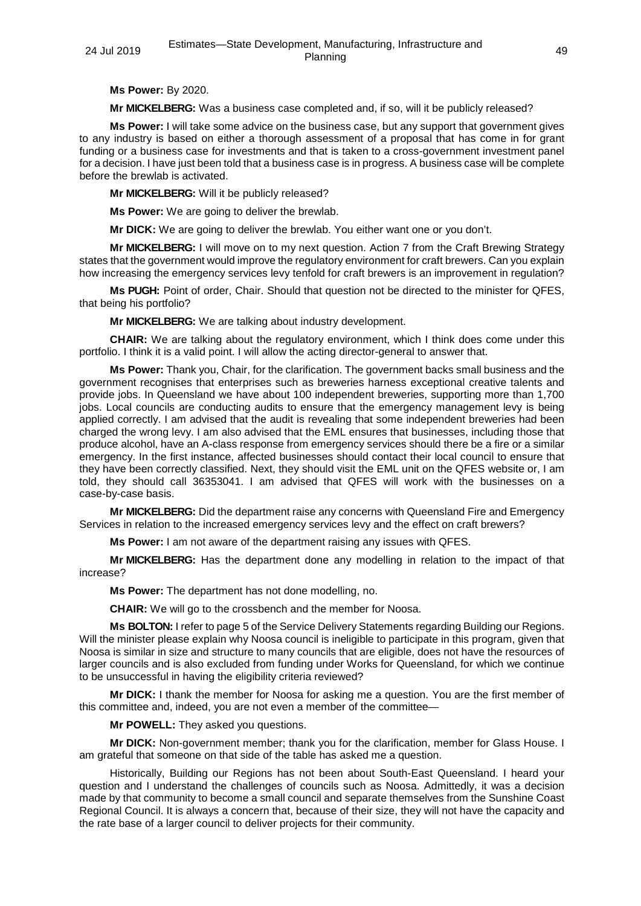**Ms Power:** By 2020.

**Mr MICKELBERG:** Was a business case completed and, if so, will it be publicly released?

**Ms Power:** I will take some advice on the business case, but any support that government gives to any industry is based on either a thorough assessment of a proposal that has come in for grant funding or a business case for investments and that is taken to a cross-government investment panel for a decision. I have just been told that a business case is in progress. A business case will be complete before the brewlab is activated.

**Mr MICKELBERG:** Will it be publicly released?

**Ms Power:** We are going to deliver the brewlab.

**Mr DICK:** We are going to deliver the brewlab. You either want one or you don't.

**Mr MICKELBERG:** I will move on to my next question. Action 7 from the Craft Brewing Strategy states that the government would improve the regulatory environment for craft brewers. Can you explain how increasing the emergency services levy tenfold for craft brewers is an improvement in regulation?

**Ms PUGH:** Point of order, Chair. Should that question not be directed to the minister for QFES, that being his portfolio?

**Mr MICKELBERG:** We are talking about industry development.

**CHAIR:** We are talking about the regulatory environment, which I think does come under this portfolio. I think it is a valid point. I will allow the acting director-general to answer that.

**Ms Power:** Thank you, Chair, for the clarification. The government backs small business and the government recognises that enterprises such as breweries harness exceptional creative talents and provide jobs. In Queensland we have about 100 independent breweries, supporting more than 1,700 jobs. Local councils are conducting audits to ensure that the emergency management levy is being applied correctly. I am advised that the audit is revealing that some independent breweries had been charged the wrong levy. I am also advised that the EML ensures that businesses, including those that produce alcohol, have an A-class response from emergency services should there be a fire or a similar emergency. In the first instance, affected businesses should contact their local council to ensure that they have been correctly classified. Next, they should visit the EML unit on the QFES website or, I am told, they should call 36353041. I am advised that QFES will work with the businesses on a case-by-case basis.

**Mr MICKELBERG:** Did the department raise any concerns with Queensland Fire and Emergency Services in relation to the increased emergency services levy and the effect on craft brewers?

**Ms Power:** I am not aware of the department raising any issues with QFES.

**Mr MICKELBERG:** Has the department done any modelling in relation to the impact of that increase?

**Ms Power:** The department has not done modelling, no.

**CHAIR:** We will go to the crossbench and the member for Noosa.

**Ms BOLTON:** I refer to page 5 of the Service Delivery Statements regarding Building our Regions. Will the minister please explain why Noosa council is ineligible to participate in this program, given that Noosa is similar in size and structure to many councils that are eligible, does not have the resources of larger councils and is also excluded from funding under Works for Queensland, for which we continue to be unsuccessful in having the eligibility criteria reviewed?

**Mr DICK:** I thank the member for Noosa for asking me a question. You are the first member of this committee and, indeed, you are not even a member of the committee—

**Mr POWELL:** They asked you questions.

**Mr DICK:** Non-government member; thank you for the clarification, member for Glass House. I am grateful that someone on that side of the table has asked me a question.

Historically, Building our Regions has not been about South-East Queensland. I heard your question and I understand the challenges of councils such as Noosa. Admittedly, it was a decision made by that community to become a small council and separate themselves from the Sunshine Coast Regional Council. It is always a concern that, because of their size, they will not have the capacity and the rate base of a larger council to deliver projects for their community.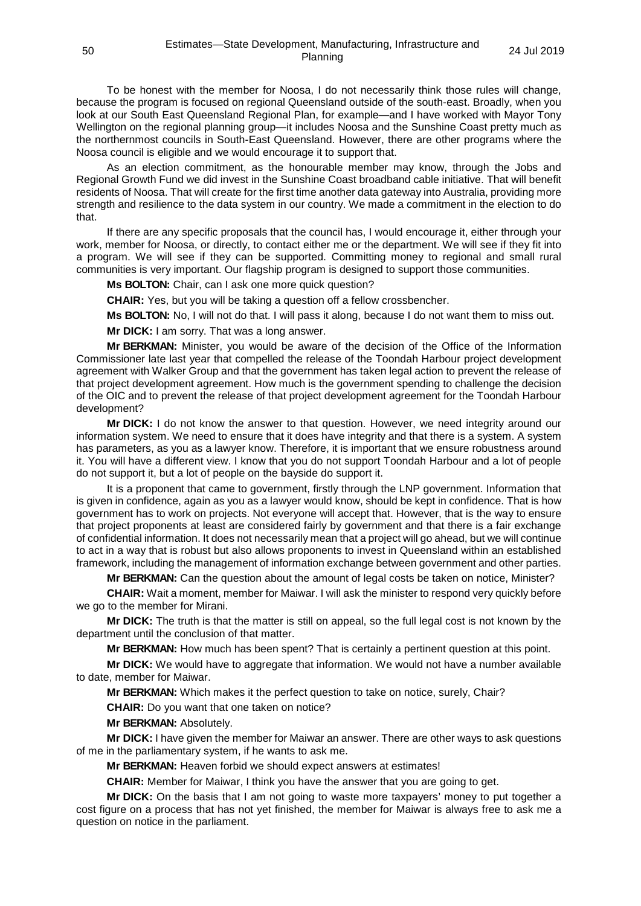To be honest with the member for Noosa, I do not necessarily think those rules will change, because the program is focused on regional Queensland outside of the south-east. Broadly, when you look at our South East Queensland Regional Plan, for example—and I have worked with Mayor Tony Wellington on the regional planning group—it includes Noosa and the Sunshine Coast pretty much as the northernmost councils in South-East Queensland. However, there are other programs where the Noosa council is eligible and we would encourage it to support that.

As an election commitment, as the honourable member may know, through the Jobs and Regional Growth Fund we did invest in the Sunshine Coast broadband cable initiative. That will benefit residents of Noosa. That will create for the first time another data gateway into Australia, providing more strength and resilience to the data system in our country. We made a commitment in the election to do that.

If there are any specific proposals that the council has, I would encourage it, either through your work, member for Noosa, or directly, to contact either me or the department. We will see if they fit into a program. We will see if they can be supported. Committing money to regional and small rural communities is very important. Our flagship program is designed to support those communities.

**Ms BOLTON:** Chair, can I ask one more quick question?

**CHAIR:** Yes, but you will be taking a question off a fellow crossbencher.

**Ms BOLTON:** No, I will not do that. I will pass it along, because I do not want them to miss out.

**Mr DICK:** I am sorry. That was a long answer.

**Mr BERKMAN:** Minister, you would be aware of the decision of the Office of the Information Commissioner late last year that compelled the release of the Toondah Harbour project development agreement with Walker Group and that the government has taken legal action to prevent the release of that project development agreement. How much is the government spending to challenge the decision of the OIC and to prevent the release of that project development agreement for the Toondah Harbour development?

**Mr DICK:** I do not know the answer to that question. However, we need integrity around our information system. We need to ensure that it does have integrity and that there is a system. A system has parameters, as you as a lawyer know. Therefore, it is important that we ensure robustness around it. You will have a different view. I know that you do not support Toondah Harbour and a lot of people do not support it, but a lot of people on the bayside do support it.

It is a proponent that came to government, firstly through the LNP government. Information that is given in confidence, again as you as a lawyer would know, should be kept in confidence. That is how government has to work on projects. Not everyone will accept that. However, that is the way to ensure that project proponents at least are considered fairly by government and that there is a fair exchange of confidential information. It does not necessarily mean that a project will go ahead, but we will continue to act in a way that is robust but also allows proponents to invest in Queensland within an established framework, including the management of information exchange between government and other parties.

**Mr BERKMAN:** Can the question about the amount of legal costs be taken on notice, Minister?

**CHAIR:** Wait a moment, member for Maiwar. I will ask the minister to respond very quickly before we go to the member for Mirani.

**Mr DICK:** The truth is that the matter is still on appeal, so the full legal cost is not known by the department until the conclusion of that matter.

**Mr BERKMAN:** How much has been spent? That is certainly a pertinent question at this point.

**Mr DICK:** We would have to aggregate that information. We would not have a number available to date, member for Maiwar.

**Mr BERKMAN:** Which makes it the perfect question to take on notice, surely, Chair?

**CHAIR:** Do you want that one taken on notice?

**Mr BERKMAN:** Absolutely.

**Mr DICK:** I have given the member for Maiwar an answer. There are other ways to ask questions of me in the parliamentary system, if he wants to ask me.

**Mr BERKMAN:** Heaven forbid we should expect answers at estimates!

**CHAIR:** Member for Maiwar, I think you have the answer that you are going to get.

**Mr DICK:** On the basis that I am not going to waste more taxpayers' money to put together a cost figure on a process that has not yet finished, the member for Maiwar is always free to ask me a question on notice in the parliament.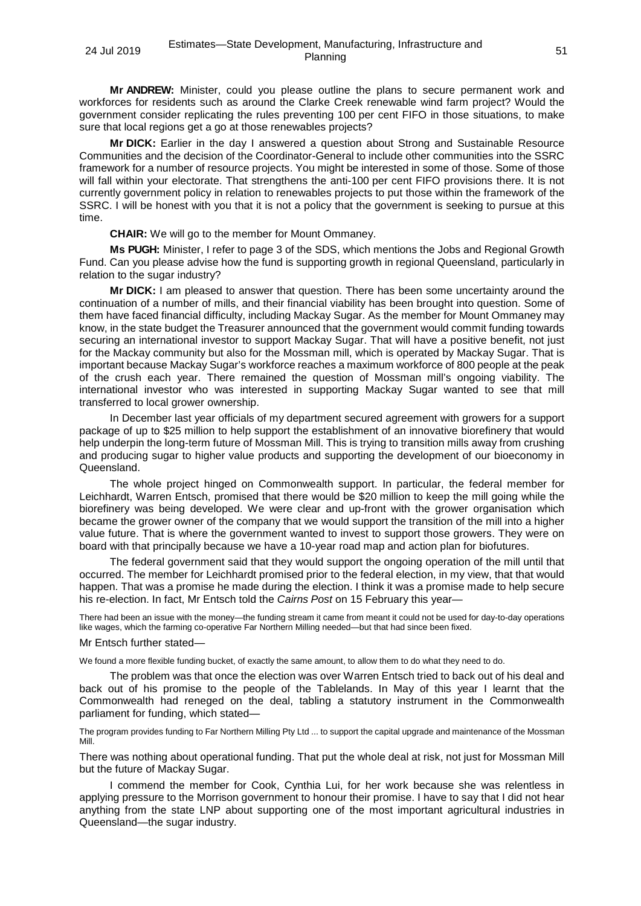**Mr ANDREW:** Minister, could you please outline the plans to secure permanent work and workforces for residents such as around the Clarke Creek renewable wind farm project? Would the government consider replicating the rules preventing 100 per cent FIFO in those situations, to make sure that local regions get a go at those renewables projects?

**Mr DICK:** Earlier in the day I answered a question about Strong and Sustainable Resource Communities and the decision of the Coordinator-General to include other communities into the SSRC framework for a number of resource projects. You might be interested in some of those. Some of those will fall within your electorate. That strengthens the anti-100 per cent FIFO provisions there. It is not currently government policy in relation to renewables projects to put those within the framework of the SSRC. I will be honest with you that it is not a policy that the government is seeking to pursue at this time.

**CHAIR:** We will go to the member for Mount Ommaney.

**Ms PUGH:** Minister, I refer to page 3 of the SDS, which mentions the Jobs and Regional Growth Fund. Can you please advise how the fund is supporting growth in regional Queensland, particularly in relation to the sugar industry?

**Mr DICK:** I am pleased to answer that question. There has been some uncertainty around the continuation of a number of mills, and their financial viability has been brought into question. Some of them have faced financial difficulty, including Mackay Sugar. As the member for Mount Ommaney may know, in the state budget the Treasurer announced that the government would commit funding towards securing an international investor to support Mackay Sugar. That will have a positive benefit, not just for the Mackay community but also for the Mossman mill, which is operated by Mackay Sugar. That is important because Mackay Sugar's workforce reaches a maximum workforce of 800 people at the peak of the crush each year. There remained the question of Mossman mill's ongoing viability. The international investor who was interested in supporting Mackay Sugar wanted to see that mill transferred to local grower ownership.

In December last year officials of my department secured agreement with growers for a support package of up to \$25 million to help support the establishment of an innovative biorefinery that would help underpin the long-term future of Mossman Mill. This is trying to transition mills away from crushing and producing sugar to higher value products and supporting the development of our bioeconomy in Queensland.

The whole project hinged on Commonwealth support. In particular, the federal member for Leichhardt, Warren Entsch, promised that there would be \$20 million to keep the mill going while the biorefinery was being developed. We were clear and up-front with the grower organisation which became the grower owner of the company that we would support the transition of the mill into a higher value future. That is where the government wanted to invest to support those growers. They were on board with that principally because we have a 10-year road map and action plan for biofutures.

The federal government said that they would support the ongoing operation of the mill until that occurred. The member for Leichhardt promised prior to the federal election, in my view, that that would happen. That was a promise he made during the election. I think it was a promise made to help secure his re-election. In fact, Mr Entsch told the *Cairns Post* on 15 February this year—

There had been an issue with the money—the funding stream it came from meant it could not be used for day-to-day operations like wages, which the farming co-operative Far Northern Milling needed—but that had since been fixed.

## Mr Entsch further stated—

We found a more flexible funding bucket, of exactly the same amount, to allow them to do what they need to do.

The problem was that once the election was over Warren Entsch tried to back out of his deal and back out of his promise to the people of the Tablelands. In May of this year I learnt that the Commonwealth had reneged on the deal, tabling a statutory instrument in the Commonwealth parliament for funding, which stated—

The program provides funding to Far Northern Milling Pty Ltd ... to support the capital upgrade and maintenance of the Mossman Mill.

There was nothing about operational funding. That put the whole deal at risk, not just for Mossman Mill but the future of Mackay Sugar.

I commend the member for Cook, Cynthia Lui, for her work because she was relentless in applying pressure to the Morrison government to honour their promise. I have to say that I did not hear anything from the state LNP about supporting one of the most important agricultural industries in Queensland—the sugar industry.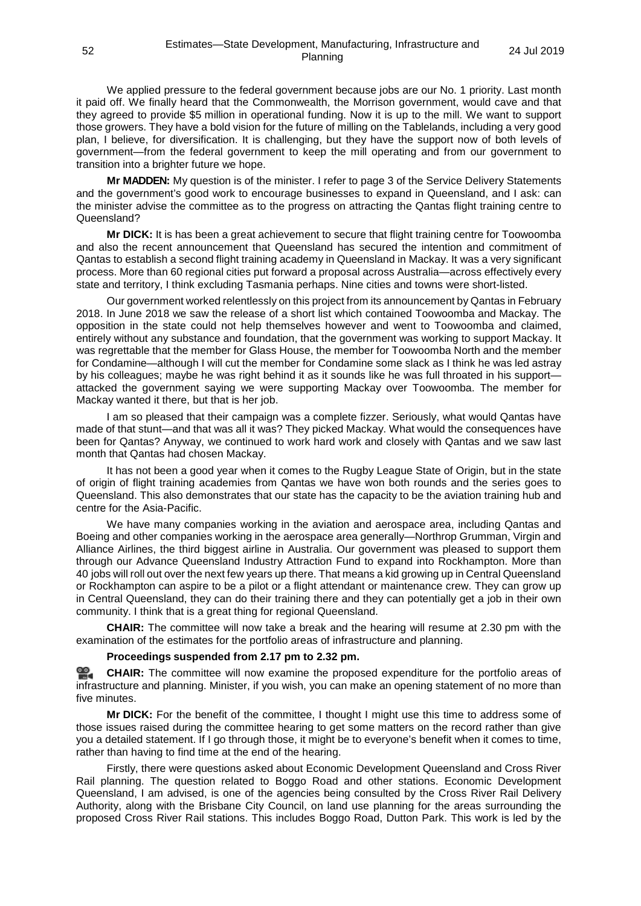We applied pressure to the federal government because jobs are our No. 1 priority. Last month it paid off. We finally heard that the Commonwealth, the Morrison government, would cave and that they agreed to provide \$5 million in operational funding. Now it is up to the mill. We want to support those growers. They have a bold vision for the future of milling on the Tablelands, including a very good plan, I believe, for diversification. It is challenging, but they have the support now of both levels of government—from the federal government to keep the mill operating and from our government to transition into a brighter future we hope.

**Mr MADDEN:** My question is of the minister. I refer to page 3 of the Service Delivery Statements and the government's good work to encourage businesses to expand in Queensland, and I ask: can the minister advise the committee as to the progress on attracting the Qantas flight training centre to Queensland?

**Mr DICK:** It is has been a great achievement to secure that flight training centre for Toowoomba and also the recent announcement that Queensland has secured the intention and commitment of Qantas to establish a second flight training academy in Queensland in Mackay. It was a very significant process. More than 60 regional cities put forward a proposal across Australia—across effectively every state and territory, I think excluding Tasmania perhaps. Nine cities and towns were short-listed.

Our government worked relentlessly on this project from its announcement by Qantas in February 2018. In June 2018 we saw the release of a short list which contained Toowoomba and Mackay. The opposition in the state could not help themselves however and went to Toowoomba and claimed, entirely without any substance and foundation, that the government was working to support Mackay. It was regrettable that the member for Glass House, the member for Toowoomba North and the member for Condamine—although I will cut the member for Condamine some slack as I think he was led astray by his colleagues; maybe he was right behind it as it sounds like he was full throated in his support attacked the government saying we were supporting Mackay over Toowoomba. The member for Mackay wanted it there, but that is her job.

I am so pleased that their campaign was a complete fizzer. Seriously, what would Qantas have made of that stunt—and that was all it was? They picked Mackay. What would the consequences have been for Qantas? Anyway, we continued to work hard work and closely with Qantas and we saw last month that Qantas had chosen Mackay.

It has not been a good year when it comes to the Rugby League State of Origin, but in the state of origin of flight training academies from Qantas we have won both rounds and the series goes to Queensland. This also demonstrates that our state has the capacity to be the aviation training hub and centre for the Asia-Pacific.

We have many companies working in the aviation and aerospace area, including Qantas and Boeing and other companies working in the aerospace area generally—Northrop Grumman, Virgin and Alliance Airlines, the third biggest airline in Australia. Our government was pleased to support them through our Advance Queensland Industry Attraction Fund to expand into Rockhampton. More than 40 jobs will roll out over the next few years up there. That means a kid growing up in Central Queensland or Rockhampton can aspire to be a pilot or a flight attendant or maintenance crew. They can grow up in Central Queensland, they can do their training there and they can potentially get a job in their own community. I think that is a great thing for regional Queensland.

**CHAIR:** The committee will now take a break and the hearing will resume at 2.30 pm with the examination of the estimates for the portfolio areas of infrastructure and planning.

## **Proceedings suspended from 2.17 pm to 2.32 pm.**

**[CHAIR:](http://www.parliament.qld.gov.au/docs/find.aspx?id=0Mba20190724_143245)** The committee will now examine the proposed expenditure for the portfolio areas of infrastructure and planning. Minister, if you wish, you can make an opening statement of no more than five minutes.

**Mr DICK:** For the benefit of the committee, I thought I might use this time to address some of those issues raised during the committee hearing to get some matters on the record rather than give you a detailed statement. If I go through those, it might be to everyone's benefit when it comes to time, rather than having to find time at the end of the hearing.

Firstly, there were questions asked about Economic Development Queensland and Cross River Rail planning. The question related to Boggo Road and other stations. Economic Development Queensland, I am advised, is one of the agencies being consulted by the Cross River Rail Delivery Authority, along with the Brisbane City Council, on land use planning for the areas surrounding the proposed Cross River Rail stations. This includes Boggo Road, Dutton Park. This work is led by the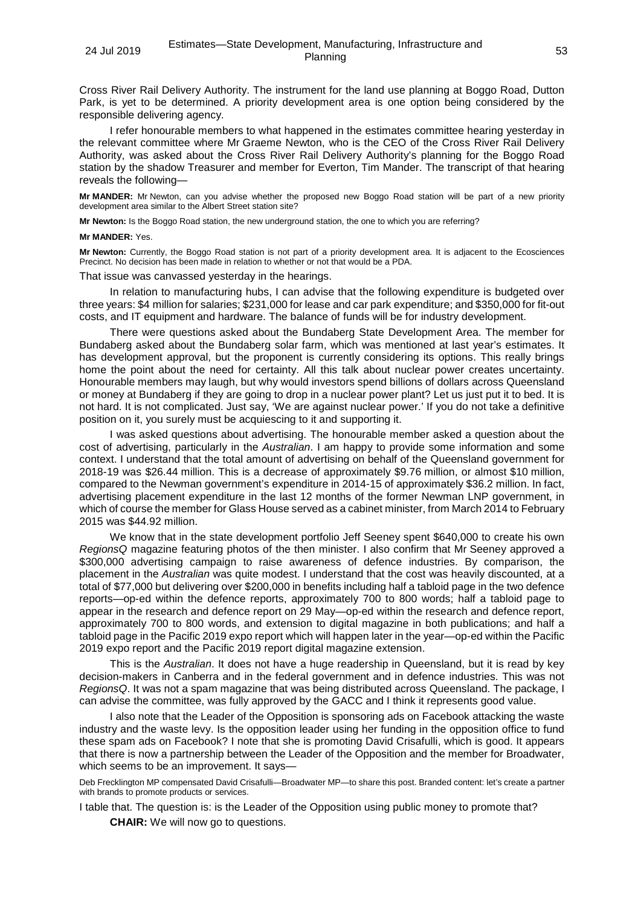Cross River Rail Delivery Authority. The instrument for the land use planning at Boggo Road, Dutton Park, is yet to be determined. A priority development area is one option being considered by the responsible delivering agency.

I refer honourable members to what happened in the estimates committee hearing yesterday in the relevant committee where Mr Graeme Newton, who is the CEO of the Cross River Rail Delivery Authority, was asked about the Cross River Rail Delivery Authority's planning for the Boggo Road station by the shadow Treasurer and member for Everton, Tim Mander. The transcript of that hearing reveals the following—

**Mr MANDER:** Mr Newton, can you advise whether the proposed new Boggo Road station will be part of a new priority development area similar to the Albert Street station site?

**Mr Newton:** Is the Boggo Road station, the new underground station, the one to which you are referring?

#### **Mr MANDER:** Yes.

**Mr Newton:** Currently, the Boggo Road station is not part of a priority development area. It is adjacent to the Ecosciences Precinct. No decision has been made in relation to whether or not that would be a PDA.

That issue was canvassed yesterday in the hearings.

In relation to manufacturing hubs, I can advise that the following expenditure is budgeted over three years: \$4 million for salaries; \$231,000 for lease and car park expenditure; and \$350,000 for fit-out costs, and IT equipment and hardware. The balance of funds will be for industry development.

There were questions asked about the Bundaberg State Development Area. The member for Bundaberg asked about the Bundaberg solar farm, which was mentioned at last year's estimates. It has development approval, but the proponent is currently considering its options. This really brings home the point about the need for certainty. All this talk about nuclear power creates uncertainty. Honourable members may laugh, but why would investors spend billions of dollars across Queensland or money at Bundaberg if they are going to drop in a nuclear power plant? Let us just put it to bed. It is not hard. It is not complicated. Just say, 'We are against nuclear power.' If you do not take a definitive position on it, you surely must be acquiescing to it and supporting it.

I was asked questions about advertising. The honourable member asked a question about the cost of advertising, particularly in the *Australian*. I am happy to provide some information and some context. I understand that the total amount of advertising on behalf of the Queensland government for 2018-19 was \$26.44 million. This is a decrease of approximately \$9.76 million, or almost \$10 million, compared to the Newman government's expenditure in 2014-15 of approximately \$36.2 million. In fact, advertising placement expenditure in the last 12 months of the former Newman LNP government, in which of course the member for Glass House served as a cabinet minister, from March 2014 to February 2015 was \$44.92 million.

We know that in the state development portfolio Jeff Seeney spent \$640,000 to create his own *RegionsQ* magazine featuring photos of the then minister. I also confirm that Mr Seeney approved a \$300,000 advertising campaign to raise awareness of defence industries. By comparison, the placement in the *Australian* was quite modest. I understand that the cost was heavily discounted, at a total of \$77,000 but delivering over \$200,000 in benefits including half a tabloid page in the two defence reports—op-ed within the defence reports, approximately 700 to 800 words; half a tabloid page to appear in the research and defence report on 29 May—op-ed within the research and defence report, approximately 700 to 800 words, and extension to digital magazine in both publications; and half a tabloid page in the Pacific 2019 expo report which will happen later in the year—op-ed within the Pacific 2019 expo report and the Pacific 2019 report digital magazine extension.

This is the *Australian*. It does not have a huge readership in Queensland, but it is read by key decision-makers in Canberra and in the federal government and in defence industries. This was not *RegionsQ*. It was not a spam magazine that was being distributed across Queensland. The package, I can advise the committee, was fully approved by the GACC and I think it represents good value.

I also note that the Leader of the Opposition is sponsoring ads on Facebook attacking the waste industry and the waste levy. Is the opposition leader using her funding in the opposition office to fund these spam ads on Facebook? I note that she is promoting David Crisafulli, which is good. It appears that there is now a partnership between the Leader of the Opposition and the member for Broadwater, which seems to be an improvement. It says—

Deb Frecklington MP compensated David Crisafulli—Broadwater MP—to share this post. Branded content: let's create a partner with brands to promote products or services.

I table that. The question is: is the Leader of the Opposition using public money to promote that?

**CHAIR:** We will now go to questions.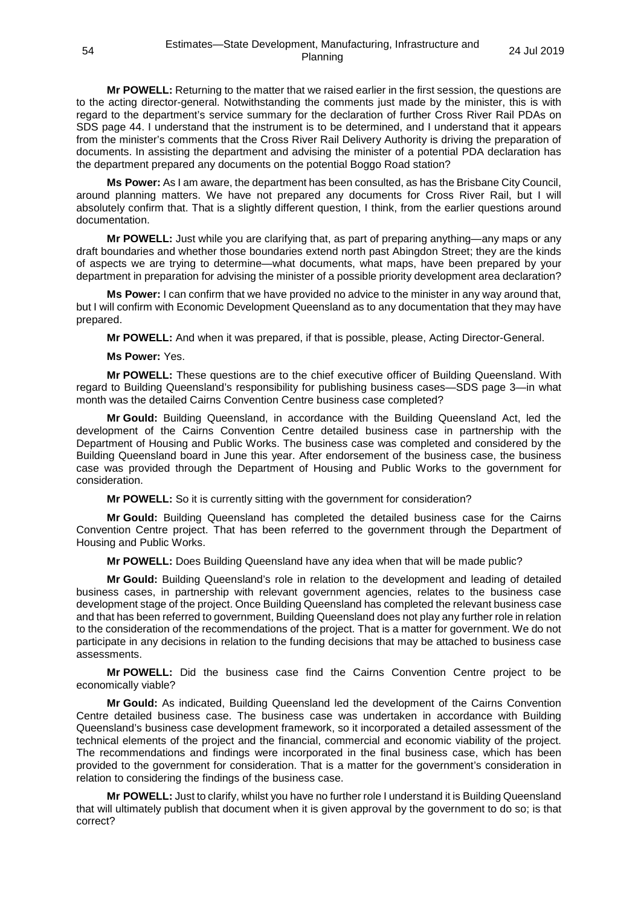**Mr POWELL:** Returning to the matter that we raised earlier in the first session, the questions are to the acting director-general. Notwithstanding the comments just made by the minister, this is with regard to the department's service summary for the declaration of further Cross River Rail PDAs on SDS page 44. I understand that the instrument is to be determined, and I understand that it appears from the minister's comments that the Cross River Rail Delivery Authority is driving the preparation of documents. In assisting the department and advising the minister of a potential PDA declaration has the department prepared any documents on the potential Boggo Road station?

**Ms Power:** As I am aware, the department has been consulted, as has the Brisbane City Council, around planning matters. We have not prepared any documents for Cross River Rail, but I will absolutely confirm that. That is a slightly different question, I think, from the earlier questions around documentation.

**Mr POWELL:** Just while you are clarifying that, as part of preparing anything—any maps or any draft boundaries and whether those boundaries extend north past Abingdon Street; they are the kinds of aspects we are trying to determine—what documents, what maps, have been prepared by your department in preparation for advising the minister of a possible priority development area declaration?

**Ms Power:** I can confirm that we have provided no advice to the minister in any way around that, but I will confirm with Economic Development Queensland as to any documentation that they may have prepared.

**Mr POWELL:** And when it was prepared, if that is possible, please, Acting Director-General.

## **Ms Power:** Yes.

**Mr POWELL:** These questions are to the chief executive officer of Building Queensland. With regard to Building Queensland's responsibility for publishing business cases—SDS page 3—in what month was the detailed Cairns Convention Centre business case completed?

**Mr Gould:** Building Queensland, in accordance with the Building Queensland Act, led the development of the Cairns Convention Centre detailed business case in partnership with the Department of Housing and Public Works. The business case was completed and considered by the Building Queensland board in June this year. After endorsement of the business case, the business case was provided through the Department of Housing and Public Works to the government for consideration.

**Mr POWELL:** So it is currently sitting with the government for consideration?

**Mr Gould:** Building Queensland has completed the detailed business case for the Cairns Convention Centre project. That has been referred to the government through the Department of Housing and Public Works.

**Mr POWELL:** Does Building Queensland have any idea when that will be made public?

**Mr Gould:** Building Queensland's role in relation to the development and leading of detailed business cases, in partnership with relevant government agencies, relates to the business case development stage of the project. Once Building Queensland has completed the relevant business case and that has been referred to government, Building Queensland does not play any further role in relation to the consideration of the recommendations of the project. That is a matter for government. We do not participate in any decisions in relation to the funding decisions that may be attached to business case assessments.

**Mr POWELL:** Did the business case find the Cairns Convention Centre project to be economically viable?

**Mr Gould:** As indicated, Building Queensland led the development of the Cairns Convention Centre detailed business case. The business case was undertaken in accordance with Building Queensland's business case development framework, so it incorporated a detailed assessment of the technical elements of the project and the financial, commercial and economic viability of the project. The recommendations and findings were incorporated in the final business case, which has been provided to the government for consideration. That is a matter for the government's consideration in relation to considering the findings of the business case.

**Mr POWELL:** Just to clarify, whilst you have no further role I understand it is Building Queensland that will ultimately publish that document when it is given approval by the government to do so; is that correct?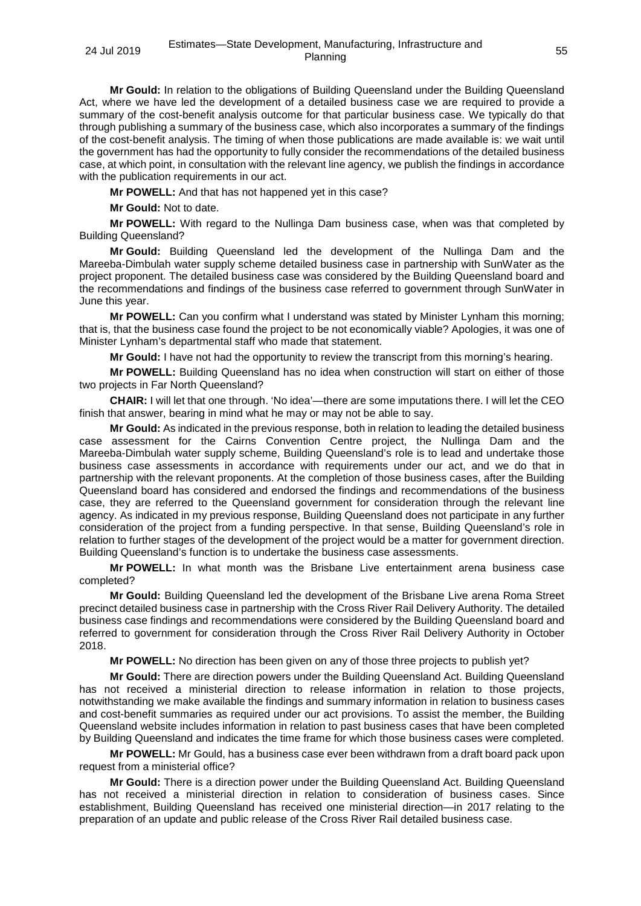**Mr Gould:** In relation to the obligations of Building Queensland under the Building Queensland Act, where we have led the development of a detailed business case we are required to provide a summary of the cost-benefit analysis outcome for that particular business case. We typically do that through publishing a summary of the business case, which also incorporates a summary of the findings of the cost-benefit analysis. The timing of when those publications are made available is: we wait until the government has had the opportunity to fully consider the recommendations of the detailed business case, at which point, in consultation with the relevant line agency, we publish the findings in accordance with the publication requirements in our act.

**Mr POWELL:** And that has not happened yet in this case?

**Mr Gould:** Not to date.

**Mr POWELL:** With regard to the Nullinga Dam business case, when was that completed by Building Queensland?

**Mr Gould:** Building Queensland led the development of the Nullinga Dam and the Mareeba-Dimbulah water supply scheme detailed business case in partnership with SunWater as the project proponent. The detailed business case was considered by the Building Queensland board and the recommendations and findings of the business case referred to government through SunWater in June this year.

**Mr POWELL:** Can you confirm what I understand was stated by Minister Lynham this morning; that is, that the business case found the project to be not economically viable? Apologies, it was one of Minister Lynham's departmental staff who made that statement.

**Mr Gould:** I have not had the opportunity to review the transcript from this morning's hearing.

**Mr POWELL:** Building Queensland has no idea when construction will start on either of those two projects in Far North Queensland?

**CHAIR:** I will let that one through. 'No idea'—there are some imputations there. I will let the CEO finish that answer, bearing in mind what he may or may not be able to say.

**Mr Gould:** As indicated in the previous response, both in relation to leading the detailed business case assessment for the Cairns Convention Centre project, the Nullinga Dam and the Mareeba-Dimbulah water supply scheme, Building Queensland's role is to lead and undertake those business case assessments in accordance with requirements under our act, and we do that in partnership with the relevant proponents. At the completion of those business cases, after the Building Queensland board has considered and endorsed the findings and recommendations of the business case, they are referred to the Queensland government for consideration through the relevant line agency. As indicated in my previous response, Building Queensland does not participate in any further consideration of the project from a funding perspective. In that sense, Building Queensland's role in relation to further stages of the development of the project would be a matter for government direction. Building Queensland's function is to undertake the business case assessments.

**Mr POWELL:** In what month was the Brisbane Live entertainment arena business case completed?

**Mr Gould:** Building Queensland led the development of the Brisbane Live arena Roma Street precinct detailed business case in partnership with the Cross River Rail Delivery Authority. The detailed business case findings and recommendations were considered by the Building Queensland board and referred to government for consideration through the Cross River Rail Delivery Authority in October 2018.

**Mr POWELL:** No direction has been given on any of those three projects to publish yet?

**Mr Gould:** There are direction powers under the Building Queensland Act. Building Queensland has not received a ministerial direction to release information in relation to those projects, notwithstanding we make available the findings and summary information in relation to business cases and cost-benefit summaries as required under our act provisions. To assist the member, the Building Queensland website includes information in relation to past business cases that have been completed by Building Queensland and indicates the time frame for which those business cases were completed.

**Mr POWELL:** Mr Gould, has a business case ever been withdrawn from a draft board pack upon request from a ministerial office?

**Mr Gould:** There is a direction power under the Building Queensland Act. Building Queensland has not received a ministerial direction in relation to consideration of business cases. Since establishment, Building Queensland has received one ministerial direction—in 2017 relating to the preparation of an update and public release of the Cross River Rail detailed business case.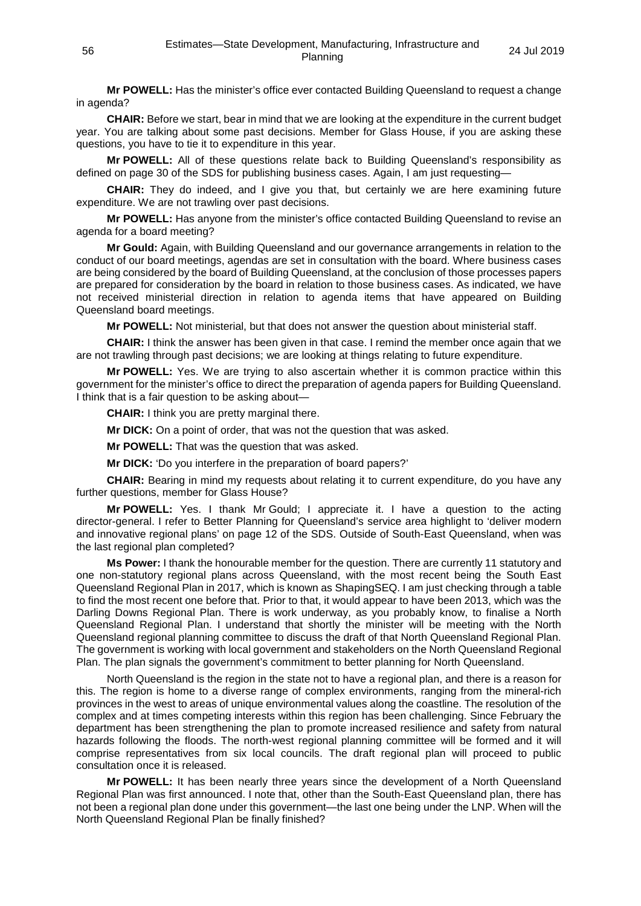**Mr POWELL:** Has the minister's office ever contacted Building Queensland to request a change in agenda?

**CHAIR:** Before we start, bear in mind that we are looking at the expenditure in the current budget year. You are talking about some past decisions. Member for Glass House, if you are asking these questions, you have to tie it to expenditure in this year.

**Mr POWELL:** All of these questions relate back to Building Queensland's responsibility as defined on page 30 of the SDS for publishing business cases. Again, I am just requesting—

**CHAIR:** They do indeed, and I give you that, but certainly we are here examining future expenditure. We are not trawling over past decisions.

**Mr POWELL:** Has anyone from the minister's office contacted Building Queensland to revise an agenda for a board meeting?

**Mr Gould:** Again, with Building Queensland and our governance arrangements in relation to the conduct of our board meetings, agendas are set in consultation with the board. Where business cases are being considered by the board of Building Queensland, at the conclusion of those processes papers are prepared for consideration by the board in relation to those business cases. As indicated, we have not received ministerial direction in relation to agenda items that have appeared on Building Queensland board meetings.

**Mr POWELL:** Not ministerial, but that does not answer the question about ministerial staff.

**CHAIR:** I think the answer has been given in that case. I remind the member once again that we are not trawling through past decisions; we are looking at things relating to future expenditure.

**Mr POWELL:** Yes. We are trying to also ascertain whether it is common practice within this government for the minister's office to direct the preparation of agenda papers for Building Queensland. I think that is a fair question to be asking about—

**CHAIR:** I think you are pretty marginal there.

**Mr DICK:** On a point of order, that was not the question that was asked.

**Mr POWELL:** That was the question that was asked.

**Mr DICK:** 'Do you interfere in the preparation of board papers?'

**CHAIR:** Bearing in mind my requests about relating it to current expenditure, do you have any further questions, member for Glass House?

**Mr POWELL:** Yes. I thank Mr Gould; I appreciate it. I have a question to the acting director-general. I refer to Better Planning for Queensland's service area highlight to 'deliver modern and innovative regional plans' on page 12 of the SDS. Outside of South-East Queensland, when was the last regional plan completed?

**Ms Power:** I thank the honourable member for the question. There are currently 11 statutory and one non-statutory regional plans across Queensland, with the most recent being the South East Queensland Regional Plan in 2017, which is known as ShapingSEQ. I am just checking through a table to find the most recent one before that. Prior to that, it would appear to have been 2013, which was the Darling Downs Regional Plan. There is work underway, as you probably know, to finalise a North Queensland Regional Plan. I understand that shortly the minister will be meeting with the North Queensland regional planning committee to discuss the draft of that North Queensland Regional Plan. The government is working with local government and stakeholders on the North Queensland Regional Plan. The plan signals the government's commitment to better planning for North Queensland.

North Queensland is the region in the state not to have a regional plan, and there is a reason for this. The region is home to a diverse range of complex environments, ranging from the mineral-rich provinces in the west to areas of unique environmental values along the coastline. The resolution of the complex and at times competing interests within this region has been challenging. Since February the department has been strengthening the plan to promote increased resilience and safety from natural hazards following the floods. The north-west regional planning committee will be formed and it will comprise representatives from six local councils. The draft regional plan will proceed to public consultation once it is released.

**Mr POWELL:** It has been nearly three years since the development of a North Queensland Regional Plan was first announced. I note that, other than the South-East Queensland plan, there has not been a regional plan done under this government—the last one being under the LNP. When will the North Queensland Regional Plan be finally finished?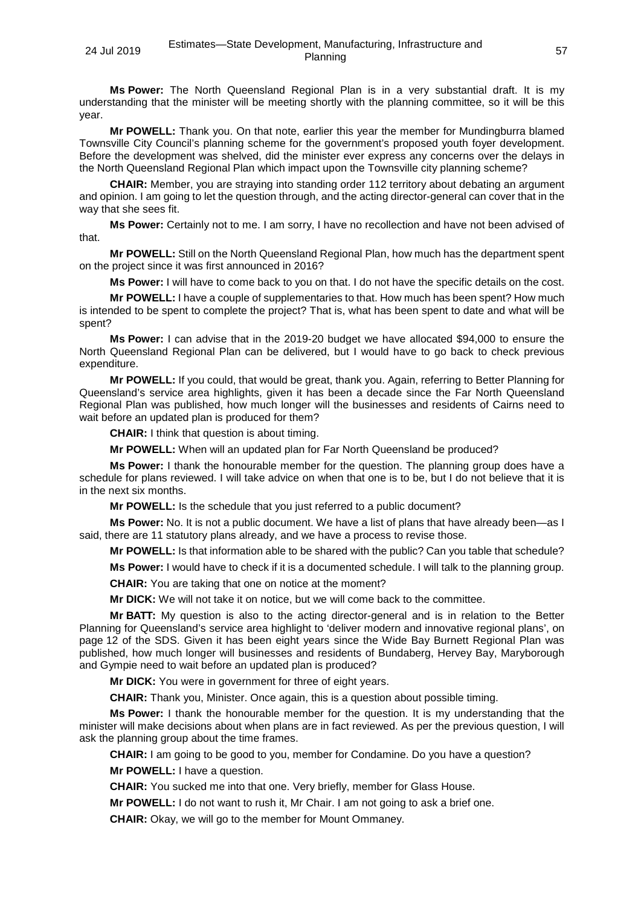**Ms Power:** The North Queensland Regional Plan is in a very substantial draft. It is my understanding that the minister will be meeting shortly with the planning committee, so it will be this year.

**Mr POWELL:** Thank you. On that note, earlier this year the member for Mundingburra blamed Townsville City Council's planning scheme for the government's proposed youth foyer development. Before the development was shelved, did the minister ever express any concerns over the delays in the North Queensland Regional Plan which impact upon the Townsville city planning scheme?

**CHAIR:** Member, you are straying into standing order 112 territory about debating an argument and opinion. I am going to let the question through, and the acting director-general can cover that in the way that she sees fit.

**Ms Power:** Certainly not to me. I am sorry, I have no recollection and have not been advised of that.

**Mr POWELL:** Still on the North Queensland Regional Plan, how much has the department spent on the project since it was first announced in 2016?

**Ms Power:** I will have to come back to you on that. I do not have the specific details on the cost.

**Mr POWELL:** I have a couple of supplementaries to that. How much has been spent? How much is intended to be spent to complete the project? That is, what has been spent to date and what will be spent?

**Ms Power:** I can advise that in the 2019-20 budget we have allocated \$94,000 to ensure the North Queensland Regional Plan can be delivered, but I would have to go back to check previous expenditure.

**Mr POWELL:** If you could, that would be great, thank you. Again, referring to Better Planning for Queensland's service area highlights, given it has been a decade since the Far North Queensland Regional Plan was published, how much longer will the businesses and residents of Cairns need to wait before an updated plan is produced for them?

**CHAIR:** I think that question is about timing.

**Mr POWELL:** When will an updated plan for Far North Queensland be produced?

**Ms Power:** I thank the honourable member for the question. The planning group does have a schedule for plans reviewed. I will take advice on when that one is to be, but I do not believe that it is in the next six months.

**Mr POWELL:** Is the schedule that you just referred to a public document?

**Ms Power:** No. It is not a public document. We have a list of plans that have already been—as I said, there are 11 statutory plans already, and we have a process to revise those.

**Mr POWELL:** Is that information able to be shared with the public? Can you table that schedule?

**Ms Power:** I would have to check if it is a documented schedule. I will talk to the planning group.

**CHAIR:** You are taking that one on notice at the moment?

**Mr DICK:** We will not take it on notice, but we will come back to the committee.

**Mr BATT:** My question is also to the acting director-general and is in relation to the Better Planning for Queensland's service area highlight to 'deliver modern and innovative regional plans', on page 12 of the SDS. Given it has been eight years since the Wide Bay Burnett Regional Plan was published, how much longer will businesses and residents of Bundaberg, Hervey Bay, Maryborough and Gympie need to wait before an updated plan is produced?

**Mr DICK:** You were in government for three of eight years.

**CHAIR:** Thank you, Minister. Once again, this is a question about possible timing.

**Ms Power:** I thank the honourable member for the question. It is my understanding that the minister will make decisions about when plans are in fact reviewed. As per the previous question, I will ask the planning group about the time frames.

**CHAIR:** I am going to be good to you, member for Condamine. Do you have a question?

**Mr POWELL:** I have a question.

**CHAIR:** You sucked me into that one. Very briefly, member for Glass House.

**Mr POWELL:** I do not want to rush it, Mr Chair. I am not going to ask a brief one.

**CHAIR:** Okay, we will go to the member for Mount Ommaney.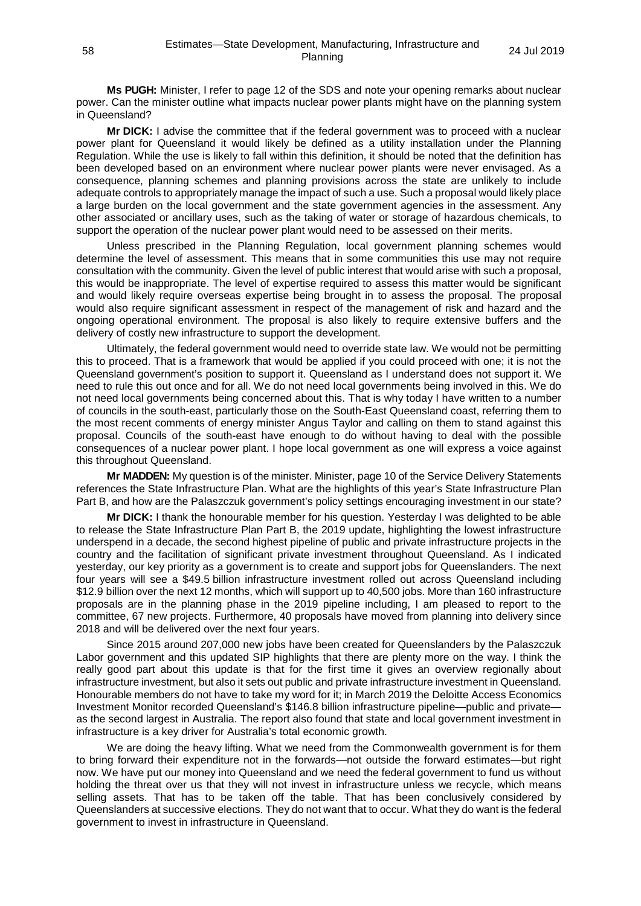**Ms PUGH:** Minister, I refer to page 12 of the SDS and note your opening remarks about nuclear power. Can the minister outline what impacts nuclear power plants might have on the planning system in Queensland?

**Mr DICK:** I advise the committee that if the federal government was to proceed with a nuclear power plant for Queensland it would likely be defined as a utility installation under the Planning Regulation. While the use is likely to fall within this definition, it should be noted that the definition has been developed based on an environment where nuclear power plants were never envisaged. As a consequence, planning schemes and planning provisions across the state are unlikely to include adequate controls to appropriately manage the impact of such a use. Such a proposal would likely place a large burden on the local government and the state government agencies in the assessment. Any other associated or ancillary uses, such as the taking of water or storage of hazardous chemicals, to support the operation of the nuclear power plant would need to be assessed on their merits.

Unless prescribed in the Planning Regulation, local government planning schemes would determine the level of assessment. This means that in some communities this use may not require consultation with the community. Given the level of public interest that would arise with such a proposal, this would be inappropriate. The level of expertise required to assess this matter would be significant and would likely require overseas expertise being brought in to assess the proposal. The proposal would also require significant assessment in respect of the management of risk and hazard and the ongoing operational environment. The proposal is also likely to require extensive buffers and the delivery of costly new infrastructure to support the development.

Ultimately, the federal government would need to override state law. We would not be permitting this to proceed. That is a framework that would be applied if you could proceed with one; it is not the Queensland government's position to support it. Queensland as I understand does not support it. We need to rule this out once and for all. We do not need local governments being involved in this. We do not need local governments being concerned about this. That is why today I have written to a number of councils in the south-east, particularly those on the South-East Queensland coast, referring them to the most recent comments of energy minister Angus Taylor and calling on them to stand against this proposal. Councils of the south-east have enough to do without having to deal with the possible consequences of a nuclear power plant. I hope local government as one will express a voice against this throughout Queensland.

**Mr MADDEN:** My question is of the minister. Minister, page 10 of the Service Delivery Statements references the State Infrastructure Plan. What are the highlights of this year's State Infrastructure Plan Part B, and how are the Palaszczuk government's policy settings encouraging investment in our state?

**Mr DICK:** I thank the honourable member for his question. Yesterday I was delighted to be able to release the State Infrastructure Plan Part B, the 2019 update, highlighting the lowest infrastructure underspend in a decade, the second highest pipeline of public and private infrastructure projects in the country and the facilitation of significant private investment throughout Queensland. As I indicated yesterday, our key priority as a government is to create and support jobs for Queenslanders. The next four years will see a \$49.5 billion infrastructure investment rolled out across Queensland including \$12.9 billion over the next 12 months, which will support up to 40,500 jobs. More than 160 infrastructure proposals are in the planning phase in the 2019 pipeline including, I am pleased to report to the committee, 67 new projects. Furthermore, 40 proposals have moved from planning into delivery since 2018 and will be delivered over the next four years.

Since 2015 around 207,000 new jobs have been created for Queenslanders by the Palaszczuk Labor government and this updated SIP highlights that there are plenty more on the way. I think the really good part about this update is that for the first time it gives an overview regionally about infrastructure investment, but also it sets out public and private infrastructure investment in Queensland. Honourable members do not have to take my word for it; in March 2019 the Deloitte Access Economics Investment Monitor recorded Queensland's \$146.8 billion infrastructure pipeline—public and private as the second largest in Australia. The report also found that state and local government investment in infrastructure is a key driver for Australia's total economic growth.

We are doing the heavy lifting. What we need from the Commonwealth government is for them to bring forward their expenditure not in the forwards—not outside the forward estimates—but right now. We have put our money into Queensland and we need the federal government to fund us without holding the threat over us that they will not invest in infrastructure unless we recycle, which means selling assets. That has to be taken off the table. That has been conclusively considered by Queenslanders at successive elections. They do not want that to occur. What they do want is the federal government to invest in infrastructure in Queensland.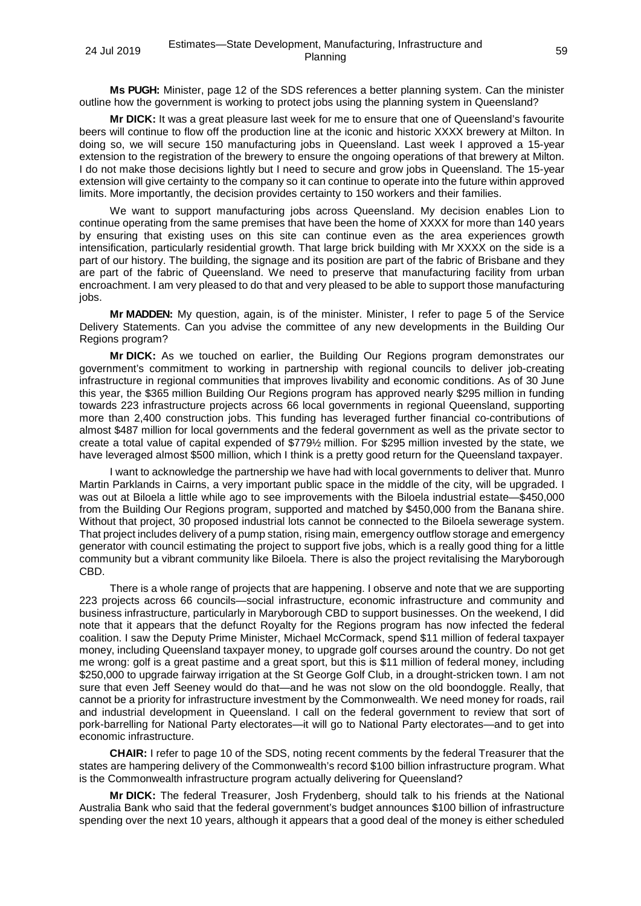**Ms PUGH:** Minister, page 12 of the SDS references a better planning system. Can the minister outline how the government is working to protect jobs using the planning system in Queensland?

**Mr DICK:** It was a great pleasure last week for me to ensure that one of Queensland's favourite beers will continue to flow off the production line at the iconic and historic XXXX brewery at Milton. In doing so, we will secure 150 manufacturing jobs in Queensland. Last week I approved a 15-year extension to the registration of the brewery to ensure the ongoing operations of that brewery at Milton. I do not make those decisions lightly but I need to secure and grow jobs in Queensland. The 15-year extension will give certainty to the company so it can continue to operate into the future within approved limits. More importantly, the decision provides certainty to 150 workers and their families.

We want to support manufacturing jobs across Queensland. My decision enables Lion to continue operating from the same premises that have been the home of XXXX for more than 140 years by ensuring that existing uses on this site can continue even as the area experiences growth intensification, particularly residential growth. That large brick building with Mr XXXX on the side is a part of our history. The building, the signage and its position are part of the fabric of Brisbane and they are part of the fabric of Queensland. We need to preserve that manufacturing facility from urban encroachment. I am very pleased to do that and very pleased to be able to support those manufacturing iobs.

**Mr MADDEN:** My question, again, is of the minister. Minister, I refer to page 5 of the Service Delivery Statements. Can you advise the committee of any new developments in the Building Our Regions program?

**Mr DICK:** As we touched on earlier, the Building Our Regions program demonstrates our government's commitment to working in partnership with regional councils to deliver job-creating infrastructure in regional communities that improves livability and economic conditions. As of 30 June this year, the \$365 million Building Our Regions program has approved nearly \$295 million in funding towards 223 infrastructure projects across 66 local governments in regional Queensland, supporting more than 2,400 construction jobs. This funding has leveraged further financial co-contributions of almost \$487 million for local governments and the federal government as well as the private sector to create a total value of capital expended of \$779½ million. For \$295 million invested by the state, we have leveraged almost \$500 million, which I think is a pretty good return for the Queensland taxpayer.

I want to acknowledge the partnership we have had with local governments to deliver that. Munro Martin Parklands in Cairns, a very important public space in the middle of the city, will be upgraded. I was out at Biloela a little while ago to see improvements with the Biloela industrial estate—\$450,000 from the Building Our Regions program, supported and matched by \$450,000 from the Banana shire. Without that project, 30 proposed industrial lots cannot be connected to the Biloela sewerage system. That project includes delivery of a pump station, rising main, emergency outflow storage and emergency generator with council estimating the project to support five jobs, which is a really good thing for a little community but a vibrant community like Biloela. There is also the project revitalising the Maryborough CBD.

There is a whole range of projects that are happening. I observe and note that we are supporting 223 projects across 66 councils—social infrastructure, economic infrastructure and community and business infrastructure, particularly in Maryborough CBD to support businesses. On the weekend, I did note that it appears that the defunct Royalty for the Regions program has now infected the federal coalition. I saw the Deputy Prime Minister, Michael McCormack, spend \$11 million of federal taxpayer money, including Queensland taxpayer money, to upgrade golf courses around the country. Do not get me wrong: golf is a great pastime and a great sport, but this is \$11 million of federal money, including \$250,000 to upgrade fairway irrigation at the St George Golf Club, in a drought-stricken town. I am not sure that even Jeff Seeney would do that—and he was not slow on the old boondoggle. Really, that cannot be a priority for infrastructure investment by the Commonwealth. We need money for roads, rail and industrial development in Queensland. I call on the federal government to review that sort of pork-barrelling for National Party electorates—it will go to National Party electorates—and to get into economic infrastructure.

**CHAIR:** I refer to page 10 of the SDS, noting recent comments by the federal Treasurer that the states are hampering delivery of the Commonwealth's record \$100 billion infrastructure program. What is the Commonwealth infrastructure program actually delivering for Queensland?

**Mr DICK:** The federal Treasurer, Josh Frydenberg, should talk to his friends at the National Australia Bank who said that the federal government's budget announces \$100 billion of infrastructure spending over the next 10 years, although it appears that a good deal of the money is either scheduled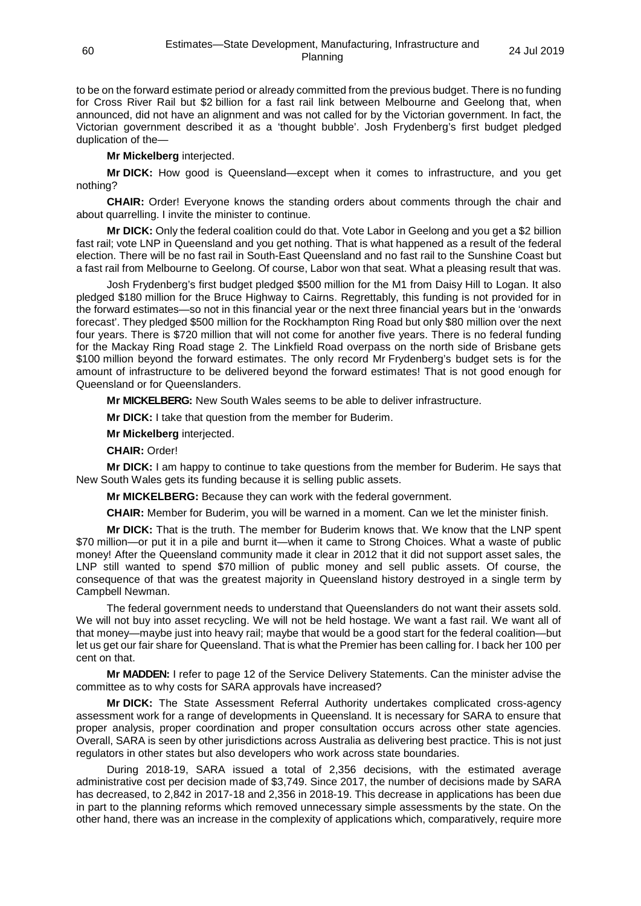to be on the forward estimate period or already committed from the previous budget. There is no funding for Cross River Rail but \$2 billion for a fast rail link between Melbourne and Geelong that, when announced, did not have an alignment and was not called for by the Victorian government. In fact, the Victorian government described it as a 'thought bubble'. Josh Frydenberg's first budget pledged duplication of the—

**Mr Mickelberg** interjected.

**Mr DICK:** How good is Queensland—except when it comes to infrastructure, and you get nothing?

**CHAIR:** Order! Everyone knows the standing orders about comments through the chair and about quarrelling. I invite the minister to continue.

**Mr DICK:** Only the federal coalition could do that. Vote Labor in Geelong and you get a \$2 billion fast rail; vote LNP in Queensland and you get nothing. That is what happened as a result of the federal election. There will be no fast rail in South-East Queensland and no fast rail to the Sunshine Coast but a fast rail from Melbourne to Geelong. Of course, Labor won that seat. What a pleasing result that was.

Josh Frydenberg's first budget pledged \$500 million for the M1 from Daisy Hill to Logan. It also pledged \$180 million for the Bruce Highway to Cairns. Regrettably, this funding is not provided for in the forward estimates—so not in this financial year or the next three financial years but in the 'onwards forecast'. They pledged \$500 million for the Rockhampton Ring Road but only \$80 million over the next four years. There is \$720 million that will not come for another five years. There is no federal funding for the Mackay Ring Road stage 2. The Linkfield Road overpass on the north side of Brisbane gets \$100 million beyond the forward estimates. The only record Mr Frydenberg's budget sets is for the amount of infrastructure to be delivered beyond the forward estimates! That is not good enough for Queensland or for Queenslanders.

**Mr MICKELBERG:** New South Wales seems to be able to deliver infrastructure.

**Mr DICK:** I take that question from the member for Buderim.

**Mr Mickelberg** interjected.

**CHAIR:** Order!

**Mr DICK:** I am happy to continue to take questions from the member for Buderim. He says that New South Wales gets its funding because it is selling public assets.

**Mr MICKELBERG:** Because they can work with the federal government.

**CHAIR:** Member for Buderim, you will be warned in a moment. Can we let the minister finish.

**Mr DICK:** That is the truth. The member for Buderim knows that. We know that the LNP spent \$70 million—or put it in a pile and burnt it—when it came to Strong Choices. What a waste of public money! After the Queensland community made it clear in 2012 that it did not support asset sales, the LNP still wanted to spend \$70 million of public money and sell public assets. Of course, the consequence of that was the greatest majority in Queensland history destroyed in a single term by Campbell Newman.

The federal government needs to understand that Queenslanders do not want their assets sold. We will not buy into asset recycling. We will not be held hostage. We want a fast rail. We want all of that money—maybe just into heavy rail; maybe that would be a good start for the federal coalition—but let us get our fair share for Queensland. That is what the Premier has been calling for. I back her 100 per cent on that.

**Mr MADDEN:** I refer to page 12 of the Service Delivery Statements. Can the minister advise the committee as to why costs for SARA approvals have increased?

**Mr DICK:** The State Assessment Referral Authority undertakes complicated cross-agency assessment work for a range of developments in Queensland. It is necessary for SARA to ensure that proper analysis, proper coordination and proper consultation occurs across other state agencies. Overall, SARA is seen by other jurisdictions across Australia as delivering best practice. This is not just regulators in other states but also developers who work across state boundaries.

During 2018-19, SARA issued a total of 2,356 decisions, with the estimated average administrative cost per decision made of \$3,749. Since 2017, the number of decisions made by SARA has decreased, to 2,842 in 2017-18 and 2,356 in 2018-19. This decrease in applications has been due in part to the planning reforms which removed unnecessary simple assessments by the state. On the other hand, there was an increase in the complexity of applications which, comparatively, require more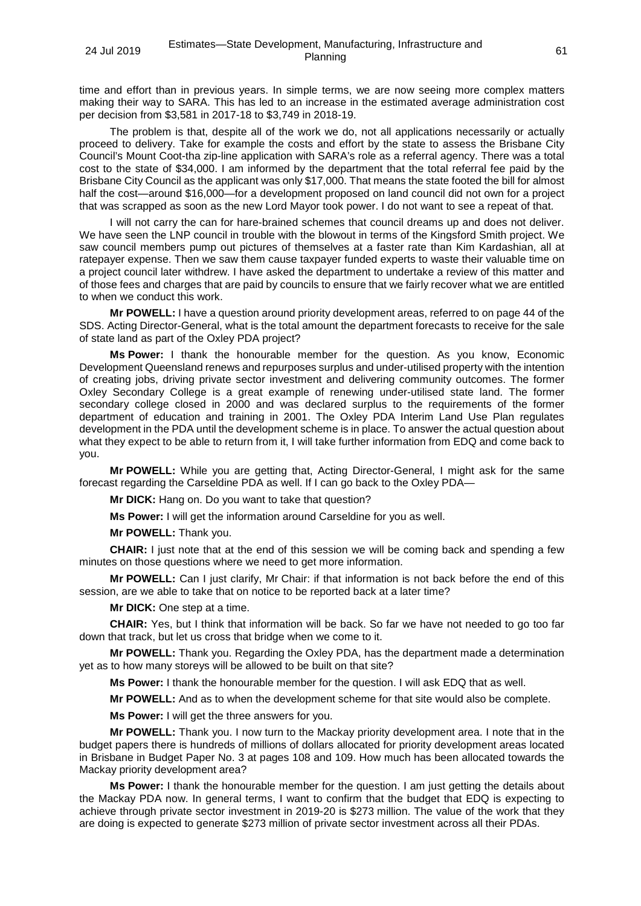time and effort than in previous years. In simple terms, we are now seeing more complex matters making their way to SARA. This has led to an increase in the estimated average administration cost per decision from \$3,581 in 2017-18 to \$3,749 in 2018-19.

The problem is that, despite all of the work we do, not all applications necessarily or actually proceed to delivery. Take for example the costs and effort by the state to assess the Brisbane City Council's Mount Coot-tha zip-line application with SARA's role as a referral agency. There was a total cost to the state of \$34,000. I am informed by the department that the total referral fee paid by the Brisbane City Council as the applicant was only \$17,000. That means the state footed the bill for almost half the cost—around \$16,000—for a development proposed on land council did not own for a project that was scrapped as soon as the new Lord Mayor took power. I do not want to see a repeat of that.

I will not carry the can for hare-brained schemes that council dreams up and does not deliver. We have seen the LNP council in trouble with the blowout in terms of the Kingsford Smith project. We saw council members pump out pictures of themselves at a faster rate than Kim Kardashian, all at ratepayer expense. Then we saw them cause taxpayer funded experts to waste their valuable time on a project council later withdrew. I have asked the department to undertake a review of this matter and of those fees and charges that are paid by councils to ensure that we fairly recover what we are entitled to when we conduct this work.

**Mr POWELL:** I have a question around priority development areas, referred to on page 44 of the SDS. Acting Director-General, what is the total amount the department forecasts to receive for the sale of state land as part of the Oxley PDA project?

**Ms Power:** I thank the honourable member for the question. As you know, Economic Development Queensland renews and repurposes surplus and under-utilised property with the intention of creating jobs, driving private sector investment and delivering community outcomes. The former Oxley Secondary College is a great example of renewing under-utilised state land. The former secondary college closed in 2000 and was declared surplus to the requirements of the former department of education and training in 2001. The Oxley PDA Interim Land Use Plan regulates development in the PDA until the development scheme is in place. To answer the actual question about what they expect to be able to return from it, I will take further information from EDQ and come back to you.

**Mr POWELL:** While you are getting that, Acting Director-General, I might ask for the same forecast regarding the Carseldine PDA as well. If I can go back to the Oxley PDA—

**Mr DICK:** Hang on. Do you want to take that question?

**Ms Power:** I will get the information around Carseldine for you as well.

**Mr POWELL:** Thank you.

**CHAIR:** I just note that at the end of this session we will be coming back and spending a few minutes on those questions where we need to get more information.

**Mr POWELL:** Can I just clarify, Mr Chair: if that information is not back before the end of this session, are we able to take that on notice to be reported back at a later time?

**Mr DICK:** One step at a time.

**CHAIR:** Yes, but I think that information will be back. So far we have not needed to go too far down that track, but let us cross that bridge when we come to it.

**Mr POWELL:** Thank you. Regarding the Oxley PDA, has the department made a determination yet as to how many storeys will be allowed to be built on that site?

**Ms Power:** I thank the honourable member for the question. I will ask EDQ that as well.

**Mr POWELL:** And as to when the development scheme for that site would also be complete.

**Ms Power:** I will get the three answers for you.

**Mr POWELL:** Thank you. I now turn to the Mackay priority development area. I note that in the budget papers there is hundreds of millions of dollars allocated for priority development areas located in Brisbane in Budget Paper No. 3 at pages 108 and 109. How much has been allocated towards the Mackay priority development area?

**Ms Power:** I thank the honourable member for the question. I am just getting the details about the Mackay PDA now. In general terms, I want to confirm that the budget that EDQ is expecting to achieve through private sector investment in 2019-20 is \$273 million. The value of the work that they are doing is expected to generate \$273 million of private sector investment across all their PDAs.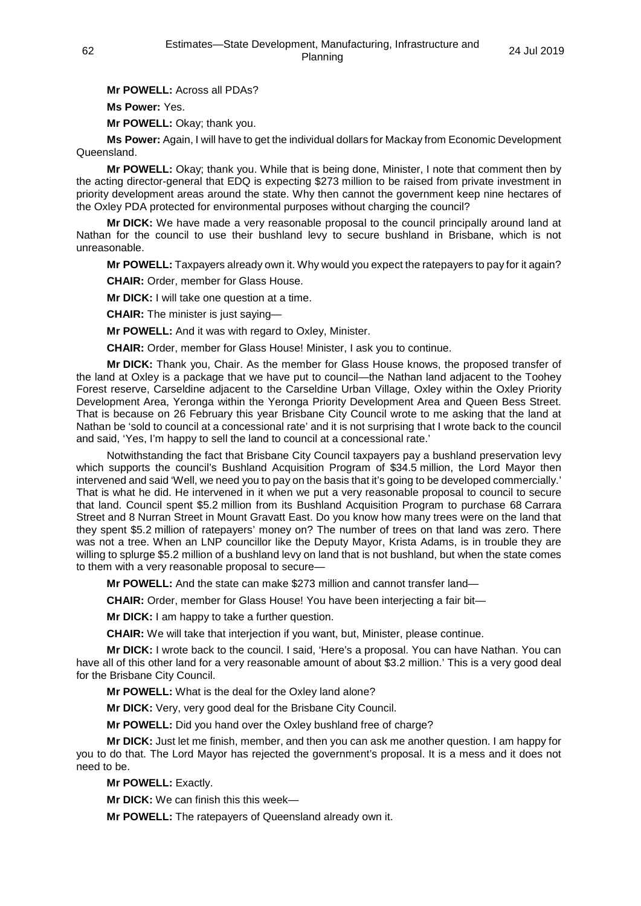**Mr POWELL:** Across all PDAs?

**Ms Power:** Yes.

**Mr POWELL:** Okay; thank you.

**Ms Power:** Again, I will have to get the individual dollars for Mackay from Economic Development Queensland.

**Mr POWELL:** Okay; thank you. While that is being done, Minister, I note that comment then by the acting director-general that EDQ is expecting \$273 million to be raised from private investment in priority development areas around the state. Why then cannot the government keep nine hectares of the Oxley PDA protected for environmental purposes without charging the council?

**Mr DICK:** We have made a very reasonable proposal to the council principally around land at Nathan for the council to use their bushland levy to secure bushland in Brisbane, which is not unreasonable.

**Mr POWELL:** Taxpayers already own it. Why would you expect the ratepayers to pay for it again?

**CHAIR:** Order, member for Glass House.

**Mr DICK:** I will take one question at a time.

**CHAIR:** The minister is just saying—

**Mr POWELL:** And it was with regard to Oxley, Minister.

**CHAIR:** Order, member for Glass House! Minister, I ask you to continue.

**Mr DICK:** Thank you, Chair. As the member for Glass House knows, the proposed transfer of the land at Oxley is a package that we have put to council—the Nathan land adjacent to the Toohey Forest reserve, Carseldine adjacent to the Carseldine Urban Village, Oxley within the Oxley Priority Development Area, Yeronga within the Yeronga Priority Development Area and Queen Bess Street. That is because on 26 February this year Brisbane City Council wrote to me asking that the land at Nathan be 'sold to council at a concessional rate' and it is not surprising that I wrote back to the council and said, 'Yes, I'm happy to sell the land to council at a concessional rate.'

Notwithstanding the fact that Brisbane City Council taxpayers pay a bushland preservation levy which supports the council's Bushland Acquisition Program of \$34.5 million, the Lord Mayor then intervened and said 'Well, we need you to pay on the basis that it's going to be developed commercially.' That is what he did. He intervened in it when we put a very reasonable proposal to council to secure that land. Council spent \$5.2 million from its Bushland Acquisition Program to purchase 68 Carrara Street and 8 Nurran Street in Mount Gravatt East. Do you know how many trees were on the land that they spent \$5.2 million of ratepayers' money on? The number of trees on that land was zero. There was not a tree. When an LNP councillor like the Deputy Mayor, Krista Adams, is in trouble they are willing to splurge \$5.2 million of a bushland levy on land that is not bushland, but when the state comes to them with a very reasonable proposal to secure—

**Mr POWELL:** And the state can make \$273 million and cannot transfer land—

**CHAIR:** Order, member for Glass House! You have been interjecting a fair bit—

**Mr DICK:** I am happy to take a further question.

**CHAIR:** We will take that interjection if you want, but, Minister, please continue.

**Mr DICK:** I wrote back to the council. I said, 'Here's a proposal. You can have Nathan. You can have all of this other land for a very reasonable amount of about \$3.2 million.' This is a very good deal for the Brisbane City Council.

**Mr POWELL:** What is the deal for the Oxley land alone?

**Mr DICK:** Very, very good deal for the Brisbane City Council.

**Mr POWELL:** Did you hand over the Oxley bushland free of charge?

**Mr DICK:** Just let me finish, member, and then you can ask me another question. I am happy for you to do that. The Lord Mayor has rejected the government's proposal. It is a mess and it does not need to be.

**Mr POWELL:** Exactly.

**Mr DICK:** We can finish this this week—

**Mr POWELL:** The ratepayers of Queensland already own it.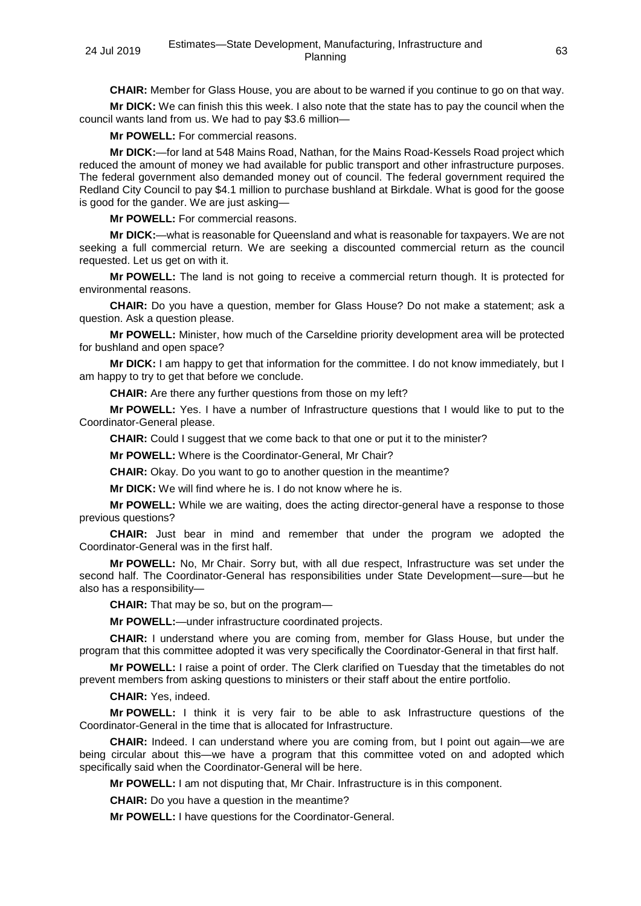**CHAIR:** Member for Glass House, you are about to be warned if you continue to go on that way.

**Mr DICK:** We can finish this this week. I also note that the state has to pay the council when the council wants land from us. We had to pay \$3.6 million—

**Mr POWELL:** For commercial reasons.

**Mr DICK:**—for land at 548 Mains Road, Nathan, for the Mains Road-Kessels Road project which reduced the amount of money we had available for public transport and other infrastructure purposes. The federal government also demanded money out of council. The federal government required the Redland City Council to pay \$4.1 million to purchase bushland at Birkdale. What is good for the goose is good for the gander. We are just asking—

**Mr POWELL:** For commercial reasons.

**Mr DICK:**—what is reasonable for Queensland and what is reasonable for taxpayers. We are not seeking a full commercial return. We are seeking a discounted commercial return as the council requested. Let us get on with it.

**Mr POWELL:** The land is not going to receive a commercial return though. It is protected for environmental reasons.

**CHAIR:** Do you have a question, member for Glass House? Do not make a statement; ask a question. Ask a question please.

**Mr POWELL:** Minister, how much of the Carseldine priority development area will be protected for bushland and open space?

**Mr DICK:** I am happy to get that information for the committee. I do not know immediately, but I am happy to try to get that before we conclude.

**CHAIR:** Are there any further questions from those on my left?

**Mr POWELL:** Yes. I have a number of Infrastructure questions that I would like to put to the Coordinator-General please.

**CHAIR:** Could I suggest that we come back to that one or put it to the minister?

**Mr POWELL:** Where is the Coordinator-General, Mr Chair?

**CHAIR:** Okay. Do you want to go to another question in the meantime?

**Mr DICK:** We will find where he is. I do not know where he is.

**Mr POWELL:** While we are waiting, does the acting director-general have a response to those previous questions?

**CHAIR:** Just bear in mind and remember that under the program we adopted the Coordinator-General was in the first half.

**Mr POWELL:** No, Mr Chair. Sorry but, with all due respect, Infrastructure was set under the second half. The Coordinator-General has responsibilities under State Development—sure—but he also has a responsibility—

**CHAIR:** That may be so, but on the program—

**Mr POWELL:**—under infrastructure coordinated projects.

**CHAIR:** I understand where you are coming from, member for Glass House, but under the program that this committee adopted it was very specifically the Coordinator-General in that first half.

**Mr POWELL:** I raise a point of order. The Clerk clarified on Tuesday that the timetables do not prevent members from asking questions to ministers or their staff about the entire portfolio.

**CHAIR:** Yes, indeed.

**Mr POWELL:** I think it is very fair to be able to ask Infrastructure questions of the Coordinator-General in the time that is allocated for Infrastructure.

**CHAIR:** Indeed. I can understand where you are coming from, but I point out again—we are being circular about this—we have a program that this committee voted on and adopted which specifically said when the Coordinator-General will be here.

**Mr POWELL:** I am not disputing that, Mr Chair. Infrastructure is in this component.

**CHAIR:** Do you have a question in the meantime?

**Mr POWELL:** I have questions for the Coordinator-General.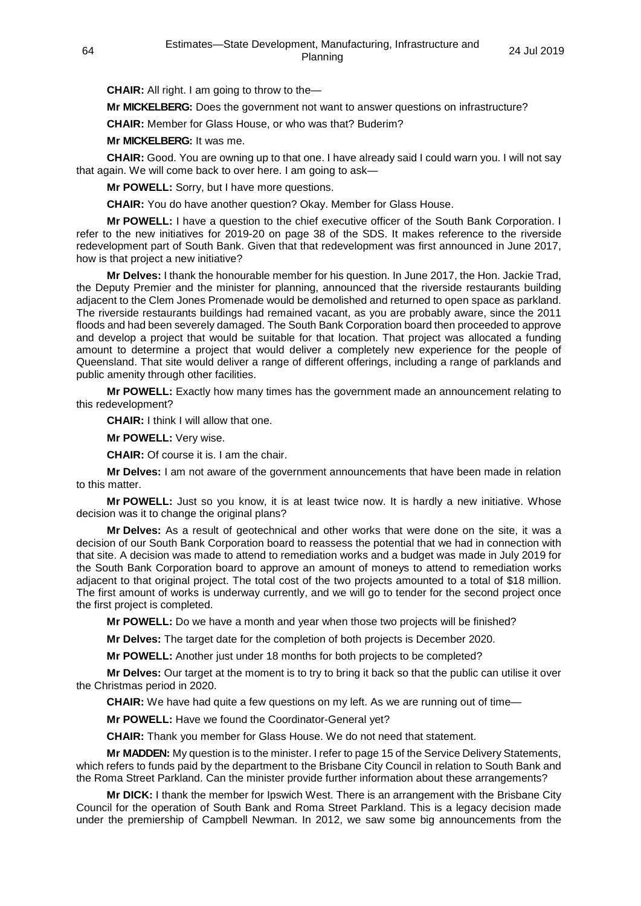**CHAIR:** All right. I am going to throw to the—

**Mr MICKELBERG:** Does the government not want to answer questions on infrastructure?

**CHAIR:** Member for Glass House, or who was that? Buderim?

**Mr MICKELBERG:** It was me.

**CHAIR:** Good. You are owning up to that one. I have already said I could warn you. I will not say that again. We will come back to over here. I am going to ask—

**Mr POWELL:** Sorry, but I have more questions.

**CHAIR:** You do have another question? Okay. Member for Glass House.

**Mr POWELL:** I have a question to the chief executive officer of the South Bank Corporation. I refer to the new initiatives for 2019-20 on page 38 of the SDS. It makes reference to the riverside redevelopment part of South Bank. Given that that redevelopment was first announced in June 2017, how is that project a new initiative?

**Mr Delves:** I thank the honourable member for his question. In June 2017, the Hon. Jackie Trad, the Deputy Premier and the minister for planning, announced that the riverside restaurants building adjacent to the Clem Jones Promenade would be demolished and returned to open space as parkland. The riverside restaurants buildings had remained vacant, as you are probably aware, since the 2011 floods and had been severely damaged. The South Bank Corporation board then proceeded to approve and develop a project that would be suitable for that location. That project was allocated a funding amount to determine a project that would deliver a completely new experience for the people of Queensland. That site would deliver a range of different offerings, including a range of parklands and public amenity through other facilities.

**Mr POWELL:** Exactly how many times has the government made an announcement relating to this redevelopment?

**CHAIR:** I think I will allow that one.

**Mr POWELL:** Very wise.

**CHAIR:** Of course it is. I am the chair.

**Mr Delves:** I am not aware of the government announcements that have been made in relation to this matter.

**Mr POWELL:** Just so you know, it is at least twice now. It is hardly a new initiative. Whose decision was it to change the original plans?

**Mr Delves:** As a result of geotechnical and other works that were done on the site, it was a decision of our South Bank Corporation board to reassess the potential that we had in connection with that site. A decision was made to attend to remediation works and a budget was made in July 2019 for the South Bank Corporation board to approve an amount of moneys to attend to remediation works adjacent to that original project. The total cost of the two projects amounted to a total of \$18 million. The first amount of works is underway currently, and we will go to tender for the second project once the first project is completed.

**Mr POWELL:** Do we have a month and year when those two projects will be finished?

**Mr Delves:** The target date for the completion of both projects is December 2020.

**Mr POWELL:** Another just under 18 months for both projects to be completed?

**Mr Delves:** Our target at the moment is to try to bring it back so that the public can utilise it over the Christmas period in 2020.

**CHAIR:** We have had quite a few questions on my left. As we are running out of time—

**Mr POWELL:** Have we found the Coordinator-General yet?

**CHAIR:** Thank you member for Glass House. We do not need that statement.

**Mr MADDEN:** My question is to the minister. I refer to page 15 of the Service Delivery Statements, which refers to funds paid by the department to the Brisbane City Council in relation to South Bank and the Roma Street Parkland. Can the minister provide further information about these arrangements?

**Mr DICK:** I thank the member for Ipswich West. There is an arrangement with the Brisbane City Council for the operation of South Bank and Roma Street Parkland. This is a legacy decision made under the premiership of Campbell Newman. In 2012, we saw some big announcements from the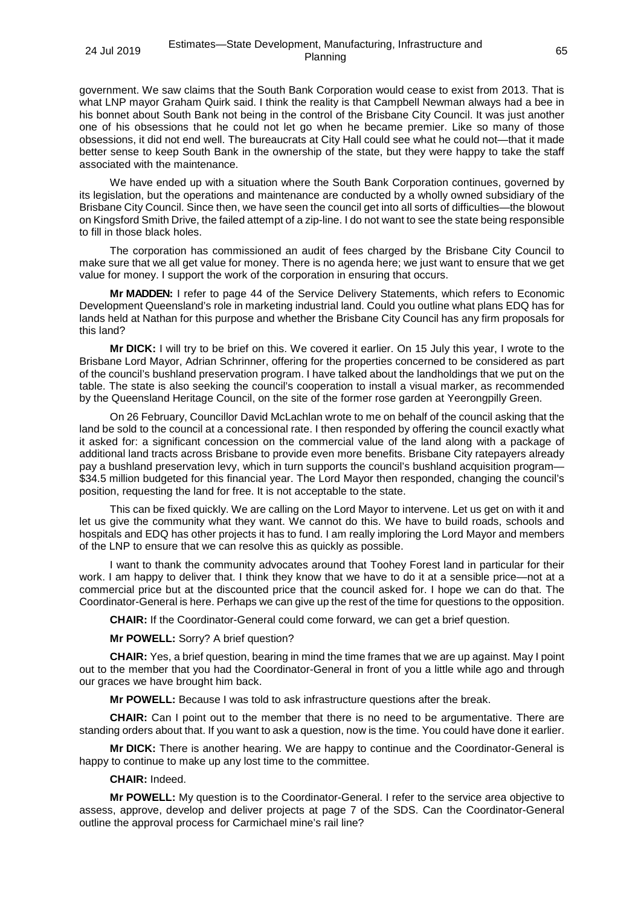government. We saw claims that the South Bank Corporation would cease to exist from 2013. That is what LNP mayor Graham Quirk said. I think the reality is that Campbell Newman always had a bee in his bonnet about South Bank not being in the control of the Brisbane City Council. It was just another one of his obsessions that he could not let go when he became premier. Like so many of those obsessions, it did not end well. The bureaucrats at City Hall could see what he could not—that it made better sense to keep South Bank in the ownership of the state, but they were happy to take the staff associated with the maintenance.

We have ended up with a situation where the South Bank Corporation continues, governed by its legislation, but the operations and maintenance are conducted by a wholly owned subsidiary of the Brisbane City Council. Since then, we have seen the council get into all sorts of difficulties—the blowout on Kingsford Smith Drive, the failed attempt of a zip-line. I do not want to see the state being responsible to fill in those black holes.

The corporation has commissioned an audit of fees charged by the Brisbane City Council to make sure that we all get value for money. There is no agenda here; we just want to ensure that we get value for money. I support the work of the corporation in ensuring that occurs.

**Mr MADDEN:** I refer to page 44 of the Service Delivery Statements, which refers to Economic Development Queensland's role in marketing industrial land. Could you outline what plans EDQ has for lands held at Nathan for this purpose and whether the Brisbane City Council has any firm proposals for this land?

**Mr DICK:** I will try to be brief on this. We covered it earlier. On 15 July this year, I wrote to the Brisbane Lord Mayor, Adrian Schrinner, offering for the properties concerned to be considered as part of the council's bushland preservation program. I have talked about the landholdings that we put on the table. The state is also seeking the council's cooperation to install a visual marker, as recommended by the Queensland Heritage Council, on the site of the former rose garden at Yeerongpilly Green.

On 26 February, Councillor David McLachlan wrote to me on behalf of the council asking that the land be sold to the council at a concessional rate. I then responded by offering the council exactly what it asked for: a significant concession on the commercial value of the land along with a package of additional land tracts across Brisbane to provide even more benefits. Brisbane City ratepayers already pay a bushland preservation levy, which in turn supports the council's bushland acquisition program— \$34.5 million budgeted for this financial year. The Lord Mayor then responded, changing the council's position, requesting the land for free. It is not acceptable to the state.

This can be fixed quickly. We are calling on the Lord Mayor to intervene. Let us get on with it and let us give the community what they want. We cannot do this. We have to build roads, schools and hospitals and EDQ has other projects it has to fund. I am really imploring the Lord Mayor and members of the LNP to ensure that we can resolve this as quickly as possible.

I want to thank the community advocates around that Toohey Forest land in particular for their work. I am happy to deliver that. I think they know that we have to do it at a sensible price—not at a commercial price but at the discounted price that the council asked for. I hope we can do that. The Coordinator-General is here. Perhaps we can give up the rest of the time for questions to the opposition.

**CHAIR:** If the Coordinator-General could come forward, we can get a brief question.

**Mr POWELL:** Sorry? A brief question?

**CHAIR:** Yes, a brief question, bearing in mind the time frames that we are up against. May I point out to the member that you had the Coordinator-General in front of you a little while ago and through our graces we have brought him back.

**Mr POWELL:** Because I was told to ask infrastructure questions after the break.

**CHAIR:** Can I point out to the member that there is no need to be argumentative. There are standing orders about that. If you want to ask a question, now is the time. You could have done it earlier.

**Mr DICK:** There is another hearing. We are happy to continue and the Coordinator-General is happy to continue to make up any lost time to the committee.

# **CHAIR:** Indeed.

**Mr POWELL:** My question is to the Coordinator-General. I refer to the service area objective to assess, approve, develop and deliver projects at page 7 of the SDS. Can the Coordinator-General outline the approval process for Carmichael mine's rail line?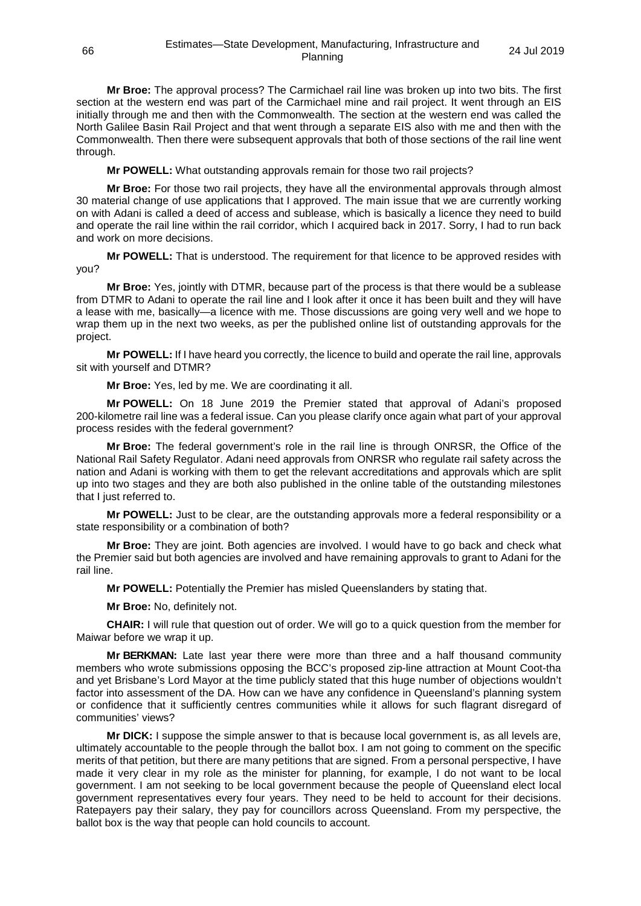**Mr Broe:** The approval process? The Carmichael rail line was broken up into two bits. The first section at the western end was part of the Carmichael mine and rail project. It went through an EIS initially through me and then with the Commonwealth. The section at the western end was called the North Galilee Basin Rail Project and that went through a separate EIS also with me and then with the Commonwealth. Then there were subsequent approvals that both of those sections of the rail line went through.

**Mr POWELL:** What outstanding approvals remain for those two rail projects?

**Mr Broe:** For those two rail projects, they have all the environmental approvals through almost 30 material change of use applications that I approved. The main issue that we are currently working on with Adani is called a deed of access and sublease, which is basically a licence they need to build and operate the rail line within the rail corridor, which I acquired back in 2017. Sorry, I had to run back and work on more decisions.

**Mr POWELL:** That is understood. The requirement for that licence to be approved resides with you?

**Mr Broe:** Yes, jointly with DTMR, because part of the process is that there would be a sublease from DTMR to Adani to operate the rail line and I look after it once it has been built and they will have a lease with me, basically—a licence with me. Those discussions are going very well and we hope to wrap them up in the next two weeks, as per the published online list of outstanding approvals for the project.

**Mr POWELL:** If I have heard you correctly, the licence to build and operate the rail line, approvals sit with yourself and DTMR?

**Mr Broe:** Yes, led by me. We are coordinating it all.

**Mr POWELL:** On 18 June 2019 the Premier stated that approval of Adani's proposed 200-kilometre rail line was a federal issue. Can you please clarify once again what part of your approval process resides with the federal government?

**Mr Broe:** The federal government's role in the rail line is through ONRSR, the Office of the National Rail Safety Regulator. Adani need approvals from ONRSR who regulate rail safety across the nation and Adani is working with them to get the relevant accreditations and approvals which are split up into two stages and they are both also published in the online table of the outstanding milestones that I just referred to.

**Mr POWELL:** Just to be clear, are the outstanding approvals more a federal responsibility or a state responsibility or a combination of both?

**Mr Broe:** They are joint. Both agencies are involved. I would have to go back and check what the Premier said but both agencies are involved and have remaining approvals to grant to Adani for the rail line.

**Mr POWELL:** Potentially the Premier has misled Queenslanders by stating that.

**Mr Broe:** No, definitely not.

**CHAIR:** I will rule that question out of order. We will go to a quick question from the member for Maiwar before we wrap it up.

**Mr BERKMAN:** Late last year there were more than three and a half thousand community members who wrote submissions opposing the BCC's proposed zip-line attraction at Mount Coot-tha and yet Brisbane's Lord Mayor at the time publicly stated that this huge number of objections wouldn't factor into assessment of the DA. How can we have any confidence in Queensland's planning system or confidence that it sufficiently centres communities while it allows for such flagrant disregard of communities' views?

**Mr DICK:** I suppose the simple answer to that is because local government is, as all levels are, ultimately accountable to the people through the ballot box. I am not going to comment on the specific merits of that petition, but there are many petitions that are signed. From a personal perspective, I have made it very clear in my role as the minister for planning, for example, I do not want to be local government. I am not seeking to be local government because the people of Queensland elect local government representatives every four years. They need to be held to account for their decisions. Ratepayers pay their salary, they pay for councillors across Queensland. From my perspective, the ballot box is the way that people can hold councils to account.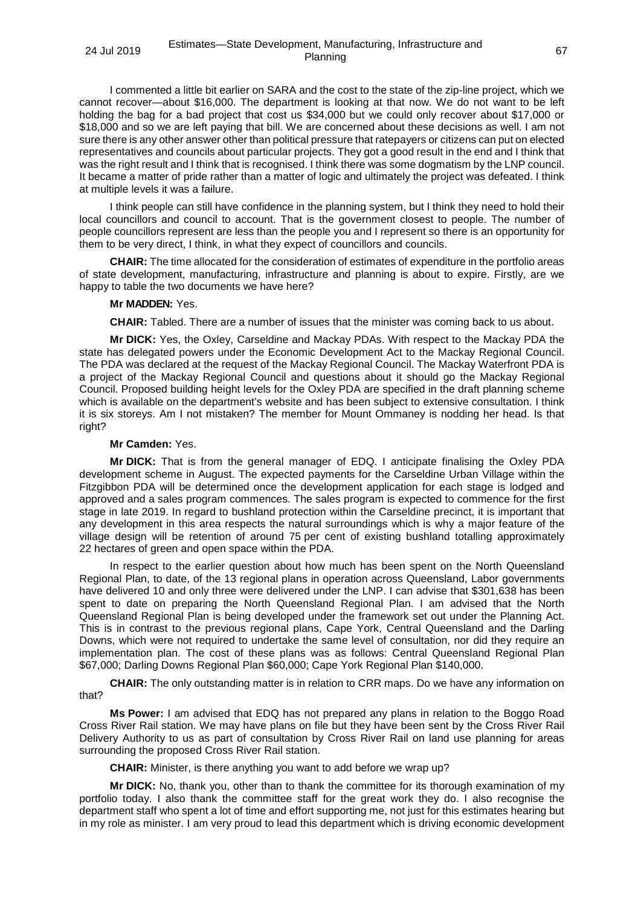I commented a little bit earlier on SARA and the cost to the state of the zip-line project, which we cannot recover—about \$16,000. The department is looking at that now. We do not want to be left holding the bag for a bad project that cost us \$34,000 but we could only recover about \$17,000 or \$18,000 and so we are left paying that bill. We are concerned about these decisions as well. I am not sure there is any other answer other than political pressure that ratepayers or citizens can put on elected representatives and councils about particular projects. They got a good result in the end and I think that was the right result and I think that is recognised. I think there was some dogmatism by the LNP council. It became a matter of pride rather than a matter of logic and ultimately the project was defeated. I think at multiple levels it was a failure.

I think people can still have confidence in the planning system, but I think they need to hold their local councillors and council to account. That is the government closest to people. The number of people councillors represent are less than the people you and I represent so there is an opportunity for them to be very direct, I think, in what they expect of councillors and councils.

**CHAIR:** The time allocated for the consideration of estimates of expenditure in the portfolio areas of state development, manufacturing, infrastructure and planning is about to expire. Firstly, are we happy to table the two documents we have here?

## **Mr MADDEN:** Yes.

**CHAIR:** Tabled. There are a number of issues that the minister was coming back to us about.

**Mr DICK:** Yes, the Oxley, Carseldine and Mackay PDAs. With respect to the Mackay PDA the state has delegated powers under the Economic Development Act to the Mackay Regional Council. The PDA was declared at the request of the Mackay Regional Council. The Mackay Waterfront PDA is a project of the Mackay Regional Council and questions about it should go the Mackay Regional Council. Proposed building height levels for the Oxley PDA are specified in the draft planning scheme which is available on the department's website and has been subject to extensive consultation. I think it is six storeys. Am I not mistaken? The member for Mount Ommaney is nodding her head. Is that right?

# **Mr Camden:** Yes.

**Mr DICK:** That is from the general manager of EDQ. I anticipate finalising the Oxley PDA development scheme in August. The expected payments for the Carseldine Urban Village within the Fitzgibbon PDA will be determined once the development application for each stage is lodged and approved and a sales program commences. The sales program is expected to commence for the first stage in late 2019. In regard to bushland protection within the Carseldine precinct, it is important that any development in this area respects the natural surroundings which is why a major feature of the village design will be retention of around 75 per cent of existing bushland totalling approximately 22 hectares of green and open space within the PDA.

In respect to the earlier question about how much has been spent on the North Queensland Regional Plan, to date, of the 13 regional plans in operation across Queensland, Labor governments have delivered 10 and only three were delivered under the LNP. I can advise that \$301,638 has been spent to date on preparing the North Queensland Regional Plan. I am advised that the North Queensland Regional Plan is being developed under the framework set out under the Planning Act. This is in contrast to the previous regional plans, Cape York, Central Queensland and the Darling Downs, which were not required to undertake the same level of consultation, nor did they require an implementation plan. The cost of these plans was as follows: Central Queensland Regional Plan \$67,000; Darling Downs Regional Plan \$60,000; Cape York Regional Plan \$140,000.

**CHAIR:** The only outstanding matter is in relation to CRR maps. Do we have any information on that?

**Ms Power:** I am advised that EDQ has not prepared any plans in relation to the Boggo Road Cross River Rail station. We may have plans on file but they have been sent by the Cross River Rail Delivery Authority to us as part of consultation by Cross River Rail on land use planning for areas surrounding the proposed Cross River Rail station.

**CHAIR:** Minister, is there anything you want to add before we wrap up?

**Mr DICK:** No, thank you, other than to thank the committee for its thorough examination of my portfolio today. I also thank the committee staff for the great work they do. I also recognise the department staff who spent a lot of time and effort supporting me, not just for this estimates hearing but in my role as minister. I am very proud to lead this department which is driving economic development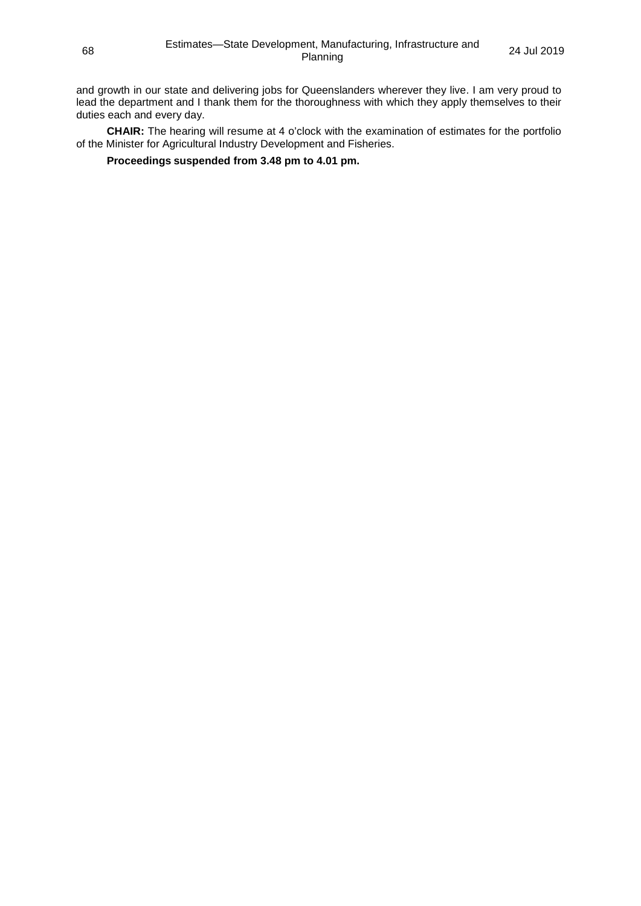and growth in our state and delivering jobs for Queenslanders wherever they live. I am very proud to lead the department and I thank them for the thoroughness with which they apply themselves to their duties each and every day.

**CHAIR:** The hearing will resume at 4 o'clock with the examination of estimates for the portfolio of the Minister for Agricultural Industry Development and Fisheries.

**Proceedings suspended from 3.48 pm to 4.01 pm.**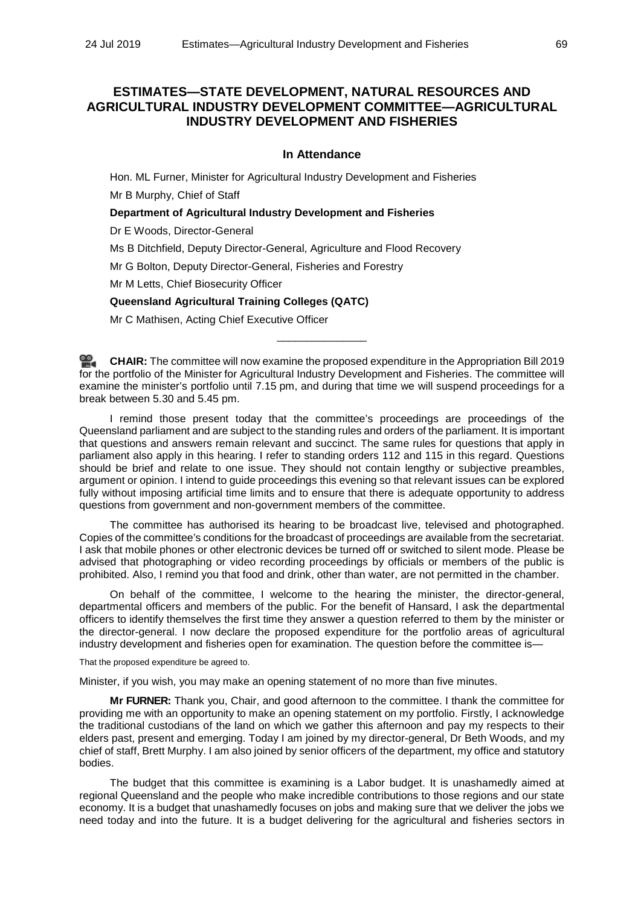# **ESTIMATES—STATE DEVELOPMENT, NATURAL RESOURCES AND AGRICULTURAL INDUSTRY DEVELOPMENT COMMITTEE—AGRICULTURAL INDUSTRY DEVELOPMENT AND FISHERIES**

## **In Attendance**

Hon. ML Furner, Minister for Agricultural Industry Development and Fisheries

Mr B Murphy, Chief of Staff

**Department of Agricultural Industry Development and Fisheries**

Dr E Woods, Director-General

Ms B Ditchfield, Deputy Director-General, Agriculture and Flood Recovery

Mr G Bolton, Deputy Director-General, Fisheries and Forestry

Mr M Letts, Chief Biosecurity Officer

# **Queensland Agricultural Training Colleges (QATC)**

Mr C Mathisen, Acting Chief Executive Officer

**[CHAIR:](http://www.parliament.qld.gov.au/docs/find.aspx?id=0Mba20190724_160155)** The committee will now examine the proposed expenditure in the Appropriation Bill 2019 for the portfolio of the Minister for Agricultural Industry Development and Fisheries. The committee will examine the minister's portfolio until 7.15 pm, and during that time we will suspend proceedings for a break between 5.30 and 5.45 pm.

\_\_\_\_\_\_\_\_\_\_\_\_\_\_\_

I remind those present today that the committee's proceedings are proceedings of the Queensland parliament and are subject to the standing rules and orders of the parliament. It is important that questions and answers remain relevant and succinct. The same rules for questions that apply in parliament also apply in this hearing. I refer to standing orders 112 and 115 in this regard. Questions should be brief and relate to one issue. They should not contain lengthy or subjective preambles, argument or opinion. I intend to guide proceedings this evening so that relevant issues can be explored fully without imposing artificial time limits and to ensure that there is adequate opportunity to address questions from government and non-government members of the committee.

The committee has authorised its hearing to be broadcast live, televised and photographed. Copies of the committee's conditions for the broadcast of proceedings are available from the secretariat. I ask that mobile phones or other electronic devices be turned off or switched to silent mode. Please be advised that photographing or video recording proceedings by officials or members of the public is prohibited. Also, I remind you that food and drink, other than water, are not permitted in the chamber.

On behalf of the committee, I welcome to the hearing the minister, the director-general, departmental officers and members of the public. For the benefit of Hansard, I ask the departmental officers to identify themselves the first time they answer a question referred to them by the minister or the director-general. I now declare the proposed expenditure for the portfolio areas of agricultural industry development and fisheries open for examination. The question before the committee is—

That the proposed expenditure be agreed to.

Minister, if you wish, you may make an opening statement of no more than five minutes.

**Mr FURNER:** Thank you, Chair, and good afternoon to the committee. I thank the committee for providing me with an opportunity to make an opening statement on my portfolio. Firstly, I acknowledge the traditional custodians of the land on which we gather this afternoon and pay my respects to their elders past, present and emerging. Today I am joined by my director-general, Dr Beth Woods, and my chief of staff, Brett Murphy. I am also joined by senior officers of the department, my office and statutory bodies.

The budget that this committee is examining is a Labor budget. It is unashamedly aimed at regional Queensland and the people who make incredible contributions to those regions and our state economy. It is a budget that unashamedly focuses on jobs and making sure that we deliver the jobs we need today and into the future. It is a budget delivering for the agricultural and fisheries sectors in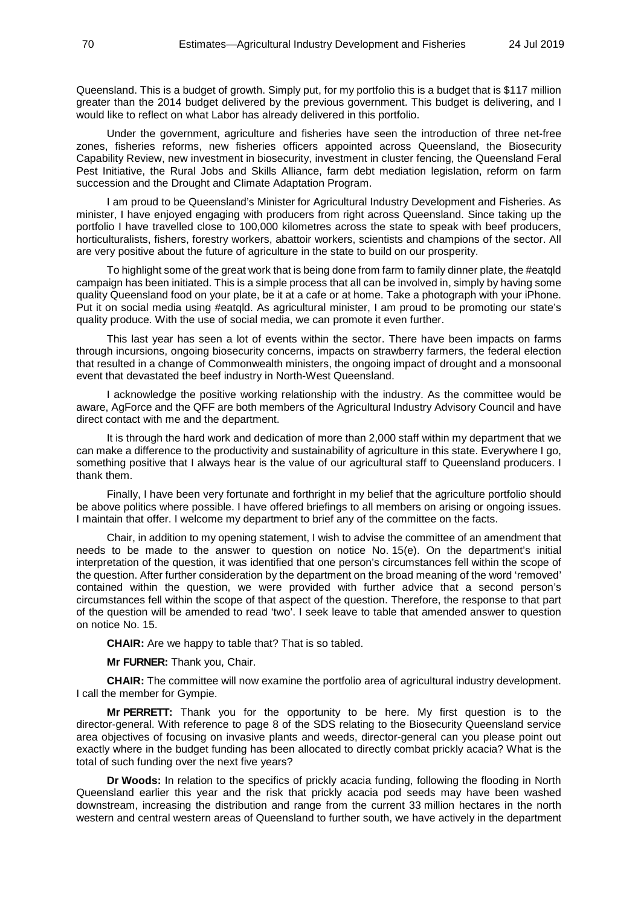Queensland. This is a budget of growth. Simply put, for my portfolio this is a budget that is \$117 million greater than the 2014 budget delivered by the previous government. This budget is delivering, and I would like to reflect on what Labor has already delivered in this portfolio.

Under the government, agriculture and fisheries have seen the introduction of three net-free zones, fisheries reforms, new fisheries officers appointed across Queensland, the Biosecurity Capability Review, new investment in biosecurity, investment in cluster fencing, the Queensland Feral Pest Initiative, the Rural Jobs and Skills Alliance, farm debt mediation legislation, reform on farm succession and the Drought and Climate Adaptation Program.

I am proud to be Queensland's Minister for Agricultural Industry Development and Fisheries. As minister, I have enjoyed engaging with producers from right across Queensland. Since taking up the portfolio I have travelled close to 100,000 kilometres across the state to speak with beef producers, horticulturalists, fishers, forestry workers, abattoir workers, scientists and champions of the sector. All are very positive about the future of agriculture in the state to build on our prosperity.

To highlight some of the great work that is being done from farm to family dinner plate, the #eatqld campaign has been initiated. This is a simple process that all can be involved in, simply by having some quality Queensland food on your plate, be it at a cafe or at home. Take a photograph with your iPhone. Put it on social media using #eatqld. As agricultural minister, I am proud to be promoting our state's quality produce. With the use of social media, we can promote it even further.

This last year has seen a lot of events within the sector. There have been impacts on farms through incursions, ongoing biosecurity concerns, impacts on strawberry farmers, the federal election that resulted in a change of Commonwealth ministers, the ongoing impact of drought and a monsoonal event that devastated the beef industry in North-West Queensland.

I acknowledge the positive working relationship with the industry. As the committee would be aware, AgForce and the QFF are both members of the Agricultural Industry Advisory Council and have direct contact with me and the department.

It is through the hard work and dedication of more than 2,000 staff within my department that we can make a difference to the productivity and sustainability of agriculture in this state. Everywhere I go, something positive that I always hear is the value of our agricultural staff to Queensland producers. I thank them.

Finally, I have been very fortunate and forthright in my belief that the agriculture portfolio should be above politics where possible. I have offered briefings to all members on arising or ongoing issues. I maintain that offer. I welcome my department to brief any of the committee on the facts.

Chair, in addition to my opening statement, I wish to advise the committee of an amendment that needs to be made to the answer to question on notice No. 15(e). On the department's initial interpretation of the question, it was identified that one person's circumstances fell within the scope of the question. After further consideration by the department on the broad meaning of the word 'removed' contained within the question, we were provided with further advice that a second person's circumstances fell within the scope of that aspect of the question. Therefore, the response to that part of the question will be amended to read 'two'. I seek leave to table that amended answer to question on notice No. 15.

**CHAIR:** Are we happy to table that? That is so tabled.

**Mr FURNER:** Thank you, Chair.

**CHAIR:** The committee will now examine the portfolio area of agricultural industry development. I call the member for Gympie.

**Mr PERRETT:** Thank you for the opportunity to be here. My first question is to the director-general. With reference to page 8 of the SDS relating to the Biosecurity Queensland service area objectives of focusing on invasive plants and weeds, director-general can you please point out exactly where in the budget funding has been allocated to directly combat prickly acacia? What is the total of such funding over the next five years?

**Dr Woods:** In relation to the specifics of prickly acacia funding, following the flooding in North Queensland earlier this year and the risk that prickly acacia pod seeds may have been washed downstream, increasing the distribution and range from the current 33 million hectares in the north western and central western areas of Queensland to further south, we have actively in the department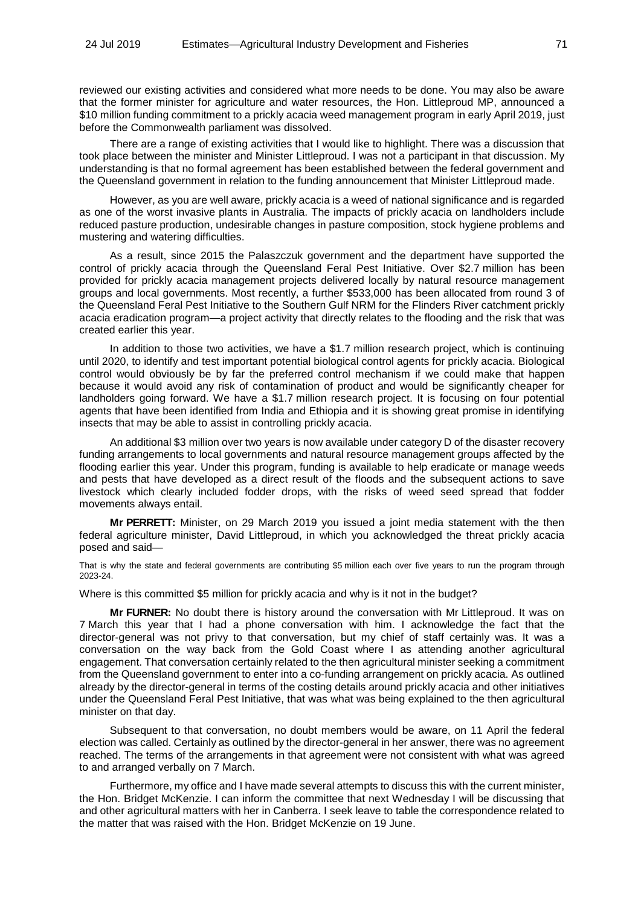reviewed our existing activities and considered what more needs to be done. You may also be aware that the former minister for agriculture and water resources, the Hon. Littleproud MP, announced a \$10 million funding commitment to a prickly acacia weed management program in early April 2019, just before the Commonwealth parliament was dissolved.

There are a range of existing activities that I would like to highlight. There was a discussion that took place between the minister and Minister Littleproud. I was not a participant in that discussion. My understanding is that no formal agreement has been established between the federal government and the Queensland government in relation to the funding announcement that Minister Littleproud made.

However, as you are well aware, prickly acacia is a weed of national significance and is regarded as one of the worst invasive plants in Australia. The impacts of prickly acacia on landholders include reduced pasture production, undesirable changes in pasture composition, stock hygiene problems and mustering and watering difficulties.

As a result, since 2015 the Palaszczuk government and the department have supported the control of prickly acacia through the Queensland Feral Pest Initiative. Over \$2.7 million has been provided for prickly acacia management projects delivered locally by natural resource management groups and local governments. Most recently, a further \$533,000 has been allocated from round 3 of the Queensland Feral Pest Initiative to the Southern Gulf NRM for the Flinders River catchment prickly acacia eradication program—a project activity that directly relates to the flooding and the risk that was created earlier this year.

In addition to those two activities, we have a \$1.7 million research project, which is continuing until 2020, to identify and test important potential biological control agents for prickly acacia. Biological control would obviously be by far the preferred control mechanism if we could make that happen because it would avoid any risk of contamination of product and would be significantly cheaper for landholders going forward. We have a \$1.7 million research project. It is focusing on four potential agents that have been identified from India and Ethiopia and it is showing great promise in identifying insects that may be able to assist in controlling prickly acacia.

An additional \$3 million over two years is now available under category D of the disaster recovery funding arrangements to local governments and natural resource management groups affected by the flooding earlier this year. Under this program, funding is available to help eradicate or manage weeds and pests that have developed as a direct result of the floods and the subsequent actions to save livestock which clearly included fodder drops, with the risks of weed seed spread that fodder movements always entail.

**Mr PERRETT:** Minister, on 29 March 2019 you issued a joint media statement with the then federal agriculture minister, David Littleproud, in which you acknowledged the threat prickly acacia posed and said—

That is why the state and federal governments are contributing \$5 million each over five years to run the program through 2023-24.

Where is this committed \$5 million for prickly acacia and why is it not in the budget?

**Mr FURNER:** No doubt there is history around the conversation with Mr Littleproud. It was on 7 March this year that I had a phone conversation with him. I acknowledge the fact that the director-general was not privy to that conversation, but my chief of staff certainly was. It was a conversation on the way back from the Gold Coast where I as attending another agricultural engagement. That conversation certainly related to the then agricultural minister seeking a commitment from the Queensland government to enter into a co-funding arrangement on prickly acacia. As outlined already by the director-general in terms of the costing details around prickly acacia and other initiatives under the Queensland Feral Pest Initiative, that was what was being explained to the then agricultural minister on that day.

Subsequent to that conversation, no doubt members would be aware, on 11 April the federal election was called. Certainly as outlined by the director-general in her answer, there was no agreement reached. The terms of the arrangements in that agreement were not consistent with what was agreed to and arranged verbally on 7 March.

Furthermore, my office and I have made several attempts to discuss this with the current minister, the Hon. Bridget McKenzie. I can inform the committee that next Wednesday I will be discussing that and other agricultural matters with her in Canberra. I seek leave to table the correspondence related to the matter that was raised with the Hon. Bridget McKenzie on 19 June.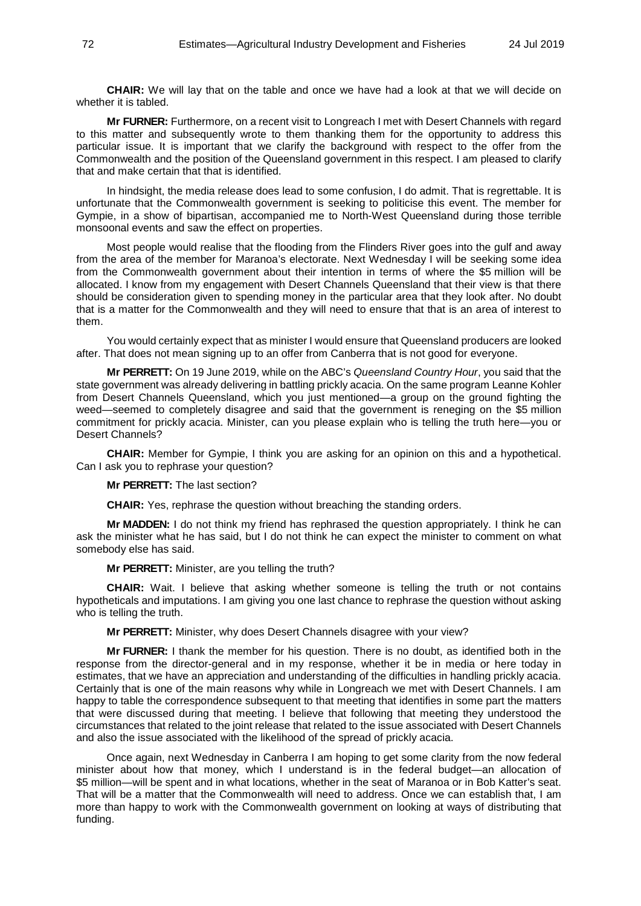**CHAIR:** We will lay that on the table and once we have had a look at that we will decide on whether it is tabled.

**Mr FURNER:** Furthermore, on a recent visit to Longreach I met with Desert Channels with regard to this matter and subsequently wrote to them thanking them for the opportunity to address this particular issue. It is important that we clarify the background with respect to the offer from the Commonwealth and the position of the Queensland government in this respect. I am pleased to clarify that and make certain that that is identified.

In hindsight, the media release does lead to some confusion, I do admit. That is regrettable. It is unfortunate that the Commonwealth government is seeking to politicise this event. The member for Gympie, in a show of bipartisan, accompanied me to North-West Queensland during those terrible monsoonal events and saw the effect on properties.

Most people would realise that the flooding from the Flinders River goes into the gulf and away from the area of the member for Maranoa's electorate. Next Wednesday I will be seeking some idea from the Commonwealth government about their intention in terms of where the \$5 million will be allocated. I know from my engagement with Desert Channels Queensland that their view is that there should be consideration given to spending money in the particular area that they look after. No doubt that is a matter for the Commonwealth and they will need to ensure that that is an area of interest to them.

You would certainly expect that as minister I would ensure that Queensland producers are looked after. That does not mean signing up to an offer from Canberra that is not good for everyone.

**Mr PERRETT:** On 19 June 2019, while on the ABC's *Queensland Country Hour*, you said that the state government was already delivering in battling prickly acacia. On the same program Leanne Kohler from Desert Channels Queensland, which you just mentioned—a group on the ground fighting the weed—seemed to completely disagree and said that the government is reneging on the \$5 million commitment for prickly acacia. Minister, can you please explain who is telling the truth here—you or Desert Channels?

**CHAIR:** Member for Gympie, I think you are asking for an opinion on this and a hypothetical. Can I ask you to rephrase your question?

**Mr PERRETT:** The last section?

**CHAIR:** Yes, rephrase the question without breaching the standing orders.

**Mr MADDEN:** I do not think my friend has rephrased the question appropriately. I think he can ask the minister what he has said, but I do not think he can expect the minister to comment on what somebody else has said.

**Mr PERRETT:** Minister, are you telling the truth?

**CHAIR:** Wait. I believe that asking whether someone is telling the truth or not contains hypotheticals and imputations. I am giving you one last chance to rephrase the question without asking who is telling the truth.

**Mr PERRETT:** Minister, why does Desert Channels disagree with your view?

**Mr FURNER:** I thank the member for his question. There is no doubt, as identified both in the response from the director-general and in my response, whether it be in media or here today in estimates, that we have an appreciation and understanding of the difficulties in handling prickly acacia. Certainly that is one of the main reasons why while in Longreach we met with Desert Channels. I am happy to table the correspondence subsequent to that meeting that identifies in some part the matters that were discussed during that meeting. I believe that following that meeting they understood the circumstances that related to the joint release that related to the issue associated with Desert Channels and also the issue associated with the likelihood of the spread of prickly acacia.

Once again, next Wednesday in Canberra I am hoping to get some clarity from the now federal minister about how that money, which I understand is in the federal budget—an allocation of \$5 million—will be spent and in what locations, whether in the seat of Maranoa or in Bob Katter's seat. That will be a matter that the Commonwealth will need to address. Once we can establish that, I am more than happy to work with the Commonwealth government on looking at ways of distributing that funding.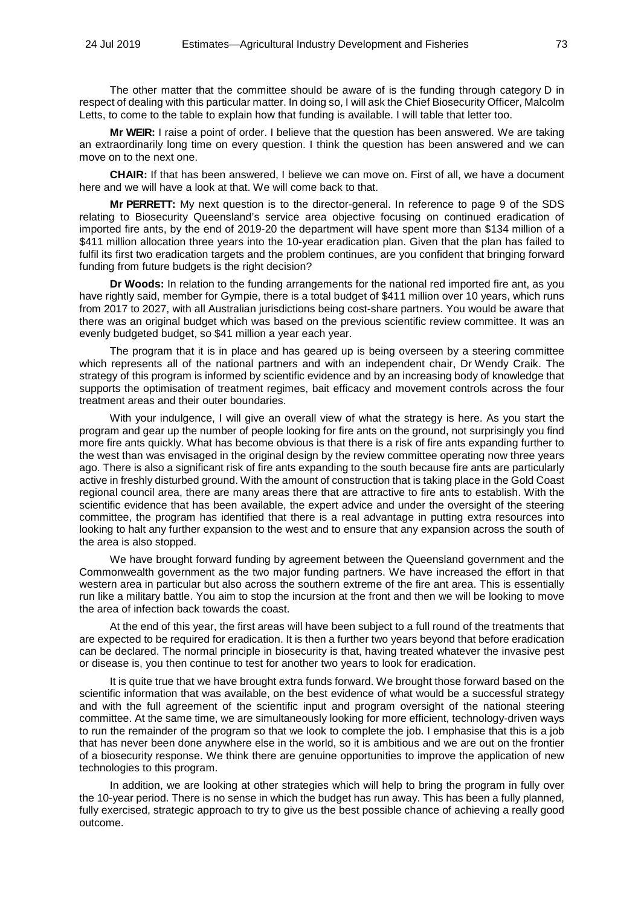The other matter that the committee should be aware of is the funding through category D in respect of dealing with this particular matter. In doing so, I will ask the Chief Biosecurity Officer, Malcolm Letts, to come to the table to explain how that funding is available. I will table that letter too.

**Mr WEIR:** I raise a point of order. I believe that the question has been answered. We are taking an extraordinarily long time on every question. I think the question has been answered and we can move on to the next one.

**CHAIR:** If that has been answered, I believe we can move on. First of all, we have a document here and we will have a look at that. We will come back to that.

**Mr PERRETT:** My next question is to the director-general. In reference to page 9 of the SDS relating to Biosecurity Queensland's service area objective focusing on continued eradication of imported fire ants, by the end of 2019-20 the department will have spent more than \$134 million of a \$411 million allocation three years into the 10-year eradication plan. Given that the plan has failed to fulfil its first two eradication targets and the problem continues, are you confident that bringing forward funding from future budgets is the right decision?

**Dr Woods:** In relation to the funding arrangements for the national red imported fire ant, as you have rightly said, member for Gympie, there is a total budget of \$411 million over 10 years, which runs from 2017 to 2027, with all Australian jurisdictions being cost-share partners. You would be aware that there was an original budget which was based on the previous scientific review committee. It was an evenly budgeted budget, so \$41 million a year each year.

The program that it is in place and has geared up is being overseen by a steering committee which represents all of the national partners and with an independent chair, Dr Wendy Craik. The strategy of this program is informed by scientific evidence and by an increasing body of knowledge that supports the optimisation of treatment regimes, bait efficacy and movement controls across the four treatment areas and their outer boundaries.

With your indulgence, I will give an overall view of what the strategy is here. As you start the program and gear up the number of people looking for fire ants on the ground, not surprisingly you find more fire ants quickly. What has become obvious is that there is a risk of fire ants expanding further to the west than was envisaged in the original design by the review committee operating now three years ago. There is also a significant risk of fire ants expanding to the south because fire ants are particularly active in freshly disturbed ground. With the amount of construction that is taking place in the Gold Coast regional council area, there are many areas there that are attractive to fire ants to establish. With the scientific evidence that has been available, the expert advice and under the oversight of the steering committee, the program has identified that there is a real advantage in putting extra resources into looking to halt any further expansion to the west and to ensure that any expansion across the south of the area is also stopped.

We have brought forward funding by agreement between the Queensland government and the Commonwealth government as the two major funding partners. We have increased the effort in that western area in particular but also across the southern extreme of the fire ant area. This is essentially run like a military battle. You aim to stop the incursion at the front and then we will be looking to move the area of infection back towards the coast.

At the end of this year, the first areas will have been subject to a full round of the treatments that are expected to be required for eradication. It is then a further two years beyond that before eradication can be declared. The normal principle in biosecurity is that, having treated whatever the invasive pest or disease is, you then continue to test for another two years to look for eradication.

It is quite true that we have brought extra funds forward. We brought those forward based on the scientific information that was available, on the best evidence of what would be a successful strategy and with the full agreement of the scientific input and program oversight of the national steering committee. At the same time, we are simultaneously looking for more efficient, technology-driven ways to run the remainder of the program so that we look to complete the job. I emphasise that this is a job that has never been done anywhere else in the world, so it is ambitious and we are out on the frontier of a biosecurity response. We think there are genuine opportunities to improve the application of new technologies to this program.

In addition, we are looking at other strategies which will help to bring the program in fully over the 10-year period. There is no sense in which the budget has run away. This has been a fully planned, fully exercised, strategic approach to try to give us the best possible chance of achieving a really good outcome.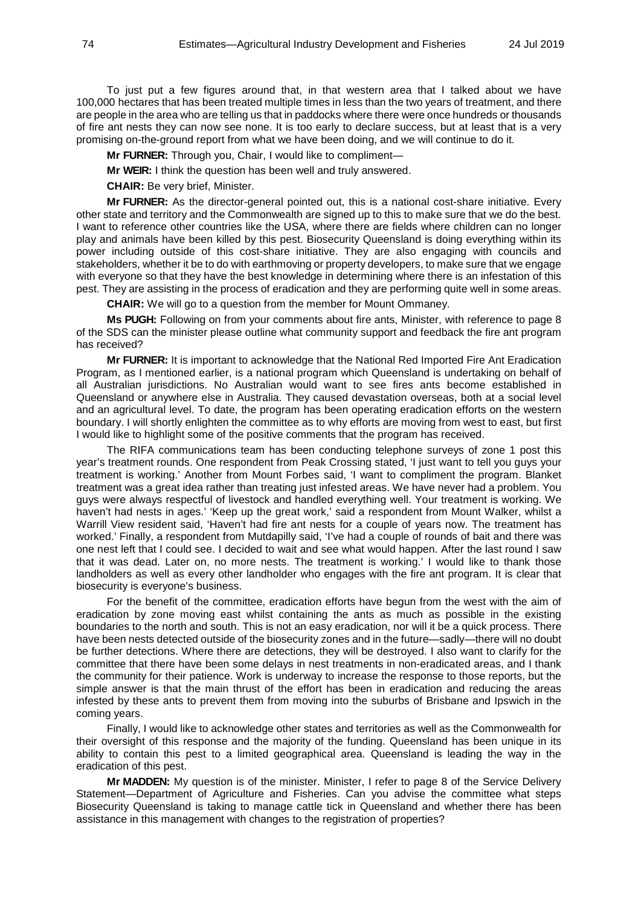To just put a few figures around that, in that western area that I talked about we have 100,000 hectares that has been treated multiple times in less than the two years of treatment, and there are people in the area who are telling us that in paddocks where there were once hundreds or thousands of fire ant nests they can now see none. It is too early to declare success, but at least that is a very promising on-the-ground report from what we have been doing, and we will continue to do it.

**Mr FURNER:** Through you, Chair, I would like to compliment—

**Mr WEIR:** I think the question has been well and truly answered.

**CHAIR:** Be very brief, Minister.

**Mr FURNER:** As the director-general pointed out, this is a national cost-share initiative. Every other state and territory and the Commonwealth are signed up to this to make sure that we do the best. I want to reference other countries like the USA, where there are fields where children can no longer play and animals have been killed by this pest. Biosecurity Queensland is doing everything within its power including outside of this cost-share initiative. They are also engaging with councils and stakeholders, whether it be to do with earthmoving or property developers, to make sure that we engage with everyone so that they have the best knowledge in determining where there is an infestation of this pest. They are assisting in the process of eradication and they are performing quite well in some areas.

**CHAIR:** We will go to a question from the member for Mount Ommaney.

**Ms PUGH:** Following on from your comments about fire ants, Minister, with reference to page 8 of the SDS can the minister please outline what community support and feedback the fire ant program has received?

**Mr FURNER:** It is important to acknowledge that the National Red Imported Fire Ant Eradication Program, as I mentioned earlier, is a national program which Queensland is undertaking on behalf of all Australian jurisdictions. No Australian would want to see fires ants become established in Queensland or anywhere else in Australia. They caused devastation overseas, both at a social level and an agricultural level. To date, the program has been operating eradication efforts on the western boundary. I will shortly enlighten the committee as to why efforts are moving from west to east, but first I would like to highlight some of the positive comments that the program has received.

The RIFA communications team has been conducting telephone surveys of zone 1 post this year's treatment rounds. One respondent from Peak Crossing stated, 'I just want to tell you guys your treatment is working.' Another from Mount Forbes said, 'I want to compliment the program. Blanket treatment was a great idea rather than treating just infested areas. We have never had a problem. You guys were always respectful of livestock and handled everything well. Your treatment is working. We haven't had nests in ages.' 'Keep up the great work,' said a respondent from Mount Walker, whilst a Warrill View resident said, 'Haven't had fire ant nests for a couple of years now. The treatment has worked.' Finally, a respondent from Mutdapilly said, 'I've had a couple of rounds of bait and there was one nest left that I could see. I decided to wait and see what would happen. After the last round I saw that it was dead. Later on, no more nests. The treatment is working.' I would like to thank those landholders as well as every other landholder who engages with the fire ant program. It is clear that biosecurity is everyone's business.

For the benefit of the committee, eradication efforts have begun from the west with the aim of eradication by zone moving east whilst containing the ants as much as possible in the existing boundaries to the north and south. This is not an easy eradication, nor will it be a quick process. There have been nests detected outside of the biosecurity zones and in the future—sadly—there will no doubt be further detections. Where there are detections, they will be destroyed. I also want to clarify for the committee that there have been some delays in nest treatments in non-eradicated areas, and I thank the community for their patience. Work is underway to increase the response to those reports, but the simple answer is that the main thrust of the effort has been in eradication and reducing the areas infested by these ants to prevent them from moving into the suburbs of Brisbane and Ipswich in the coming years.

Finally, I would like to acknowledge other states and territories as well as the Commonwealth for their oversight of this response and the majority of the funding. Queensland has been unique in its ability to contain this pest to a limited geographical area. Queensland is leading the way in the eradication of this pest.

**Mr MADDEN:** My question is of the minister. Minister, I refer to page 8 of the Service Delivery Statement—Department of Agriculture and Fisheries. Can you advise the committee what steps Biosecurity Queensland is taking to manage cattle tick in Queensland and whether there has been assistance in this management with changes to the registration of properties?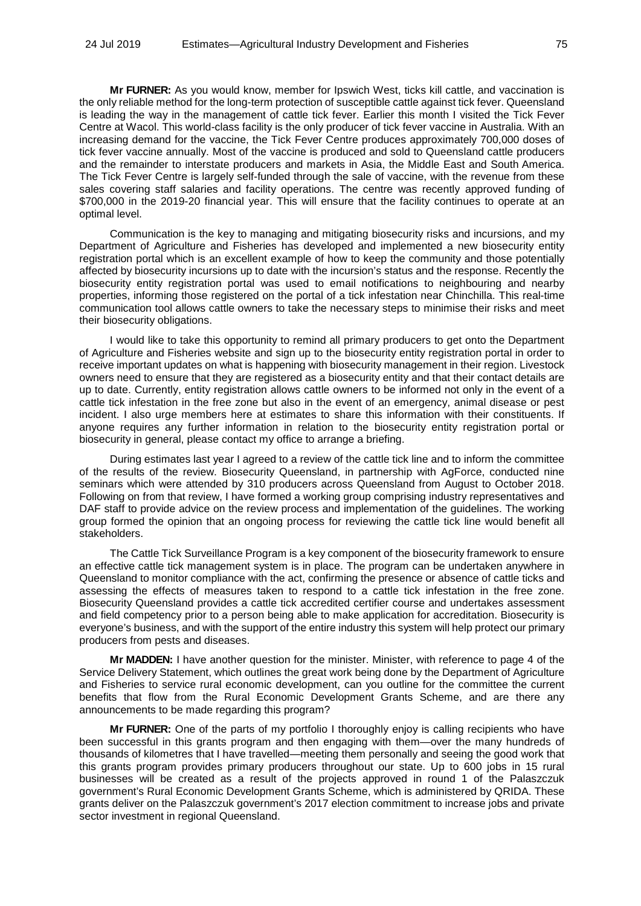**Mr FURNER:** As you would know, member for Ipswich West, ticks kill cattle, and vaccination is the only reliable method for the long-term protection of susceptible cattle against tick fever. Queensland is leading the way in the management of cattle tick fever. Earlier this month I visited the Tick Fever Centre at Wacol. This world-class facility is the only producer of tick fever vaccine in Australia. With an increasing demand for the vaccine, the Tick Fever Centre produces approximately 700,000 doses of tick fever vaccine annually. Most of the vaccine is produced and sold to Queensland cattle producers and the remainder to interstate producers and markets in Asia, the Middle East and South America. The Tick Fever Centre is largely self-funded through the sale of vaccine, with the revenue from these sales covering staff salaries and facility operations. The centre was recently approved funding of \$700,000 in the 2019-20 financial year. This will ensure that the facility continues to operate at an optimal level.

Communication is the key to managing and mitigating biosecurity risks and incursions, and my Department of Agriculture and Fisheries has developed and implemented a new biosecurity entity registration portal which is an excellent example of how to keep the community and those potentially affected by biosecurity incursions up to date with the incursion's status and the response. Recently the biosecurity entity registration portal was used to email notifications to neighbouring and nearby properties, informing those registered on the portal of a tick infestation near Chinchilla. This real-time communication tool allows cattle owners to take the necessary steps to minimise their risks and meet their biosecurity obligations.

I would like to take this opportunity to remind all primary producers to get onto the Department of Agriculture and Fisheries website and sign up to the biosecurity entity registration portal in order to receive important updates on what is happening with biosecurity management in their region. Livestock owners need to ensure that they are registered as a biosecurity entity and that their contact details are up to date. Currently, entity registration allows cattle owners to be informed not only in the event of a cattle tick infestation in the free zone but also in the event of an emergency, animal disease or pest incident. I also urge members here at estimates to share this information with their constituents. If anyone requires any further information in relation to the biosecurity entity registration portal or biosecurity in general, please contact my office to arrange a briefing.

During estimates last year I agreed to a review of the cattle tick line and to inform the committee of the results of the review. Biosecurity Queensland, in partnership with AgForce, conducted nine seminars which were attended by 310 producers across Queensland from August to October 2018. Following on from that review, I have formed a working group comprising industry representatives and DAF staff to provide advice on the review process and implementation of the guidelines. The working group formed the opinion that an ongoing process for reviewing the cattle tick line would benefit all stakeholders.

The Cattle Tick Surveillance Program is a key component of the biosecurity framework to ensure an effective cattle tick management system is in place. The program can be undertaken anywhere in Queensland to monitor compliance with the act, confirming the presence or absence of cattle ticks and assessing the effects of measures taken to respond to a cattle tick infestation in the free zone. Biosecurity Queensland provides a cattle tick accredited certifier course and undertakes assessment and field competency prior to a person being able to make application for accreditation. Biosecurity is everyone's business, and with the support of the entire industry this system will help protect our primary producers from pests and diseases.

**Mr MADDEN:** I have another question for the minister. Minister, with reference to page 4 of the Service Delivery Statement, which outlines the great work being done by the Department of Agriculture and Fisheries to service rural economic development, can you outline for the committee the current benefits that flow from the Rural Economic Development Grants Scheme, and are there any announcements to be made regarding this program?

**Mr FURNER:** One of the parts of my portfolio I thoroughly enjoy is calling recipients who have been successful in this grants program and then engaging with them—over the many hundreds of thousands of kilometres that I have travelled—meeting them personally and seeing the good work that this grants program provides primary producers throughout our state. Up to 600 jobs in 15 rural businesses will be created as a result of the projects approved in round 1 of the Palaszczuk government's Rural Economic Development Grants Scheme, which is administered by QRIDA. These grants deliver on the Palaszczuk government's 2017 election commitment to increase jobs and private sector investment in regional Queensland.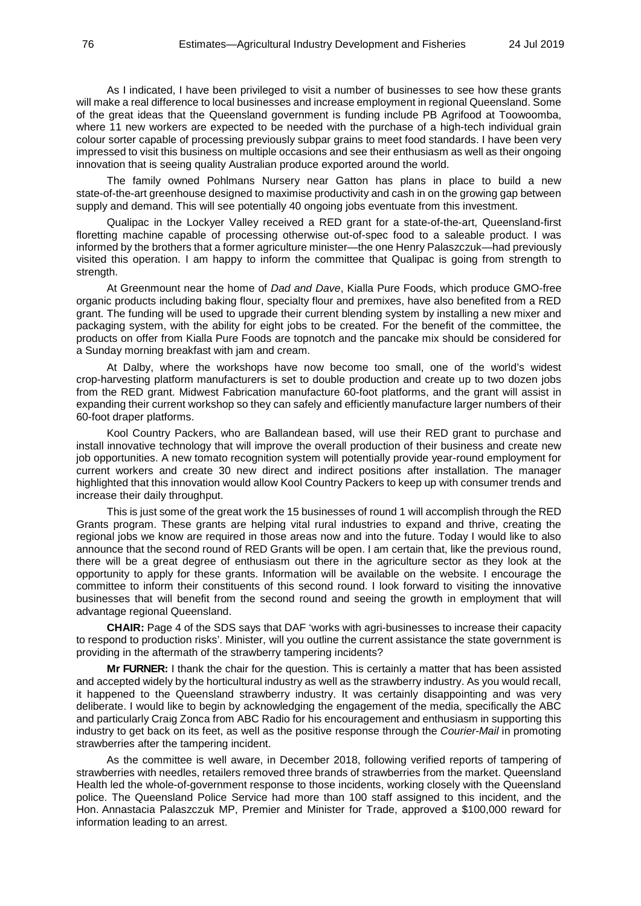As I indicated, I have been privileged to visit a number of businesses to see how these grants will make a real difference to local businesses and increase employment in regional Queensland. Some of the great ideas that the Queensland government is funding include PB Agrifood at Toowoomba, where 11 new workers are expected to be needed with the purchase of a high-tech individual grain colour sorter capable of processing previously subpar grains to meet food standards. I have been very impressed to visit this business on multiple occasions and see their enthusiasm as well as their ongoing innovation that is seeing quality Australian produce exported around the world.

The family owned Pohlmans Nursery near Gatton has plans in place to build a new state-of-the-art greenhouse designed to maximise productivity and cash in on the growing gap between supply and demand. This will see potentially 40 ongoing jobs eventuate from this investment.

Qualipac in the Lockyer Valley received a RED grant for a state-of-the-art, Queensland-first floretting machine capable of processing otherwise out-of-spec food to a saleable product. I was informed by the brothers that a former agriculture minister—the one Henry Palaszczuk—had previously visited this operation. I am happy to inform the committee that Qualipac is going from strength to strength.

At Greenmount near the home of *Dad and Dave*, Kialla Pure Foods, which produce GMO-free organic products including baking flour, specialty flour and premixes, have also benefited from a RED grant. The funding will be used to upgrade their current blending system by installing a new mixer and packaging system, with the ability for eight jobs to be created. For the benefit of the committee, the products on offer from Kialla Pure Foods are topnotch and the pancake mix should be considered for a Sunday morning breakfast with jam and cream.

At Dalby, where the workshops have now become too small, one of the world's widest crop-harvesting platform manufacturers is set to double production and create up to two dozen jobs from the RED grant. Midwest Fabrication manufacture 60-foot platforms, and the grant will assist in expanding their current workshop so they can safely and efficiently manufacture larger numbers of their 60-foot draper platforms.

Kool Country Packers, who are Ballandean based, will use their RED grant to purchase and install innovative technology that will improve the overall production of their business and create new job opportunities. A new tomato recognition system will potentially provide year-round employment for current workers and create 30 new direct and indirect positions after installation. The manager highlighted that this innovation would allow Kool Country Packers to keep up with consumer trends and increase their daily throughput.

This is just some of the great work the 15 businesses of round 1 will accomplish through the RED Grants program. These grants are helping vital rural industries to expand and thrive, creating the regional jobs we know are required in those areas now and into the future. Today I would like to also announce that the second round of RED Grants will be open. I am certain that, like the previous round, there will be a great degree of enthusiasm out there in the agriculture sector as they look at the opportunity to apply for these grants. Information will be available on the website. I encourage the committee to inform their constituents of this second round. I look forward to visiting the innovative businesses that will benefit from the second round and seeing the growth in employment that will advantage regional Queensland.

**CHAIR:** Page 4 of the SDS says that DAF 'works with agri-businesses to increase their capacity to respond to production risks'. Minister, will you outline the current assistance the state government is providing in the aftermath of the strawberry tampering incidents?

**Mr FURNER:** I thank the chair for the question. This is certainly a matter that has been assisted and accepted widely by the horticultural industry as well as the strawberry industry. As you would recall, it happened to the Queensland strawberry industry. It was certainly disappointing and was very deliberate. I would like to begin by acknowledging the engagement of the media, specifically the ABC and particularly Craig Zonca from ABC Radio for his encouragement and enthusiasm in supporting this industry to get back on its feet, as well as the positive response through the *Courier-Mail* in promoting strawberries after the tampering incident.

As the committee is well aware, in December 2018, following verified reports of tampering of strawberries with needles, retailers removed three brands of strawberries from the market. Queensland Health led the whole-of-government response to those incidents, working closely with the Queensland police. The Queensland Police Service had more than 100 staff assigned to this incident, and the Hon. Annastacia Palaszczuk MP, Premier and Minister for Trade, approved a \$100,000 reward for information leading to an arrest.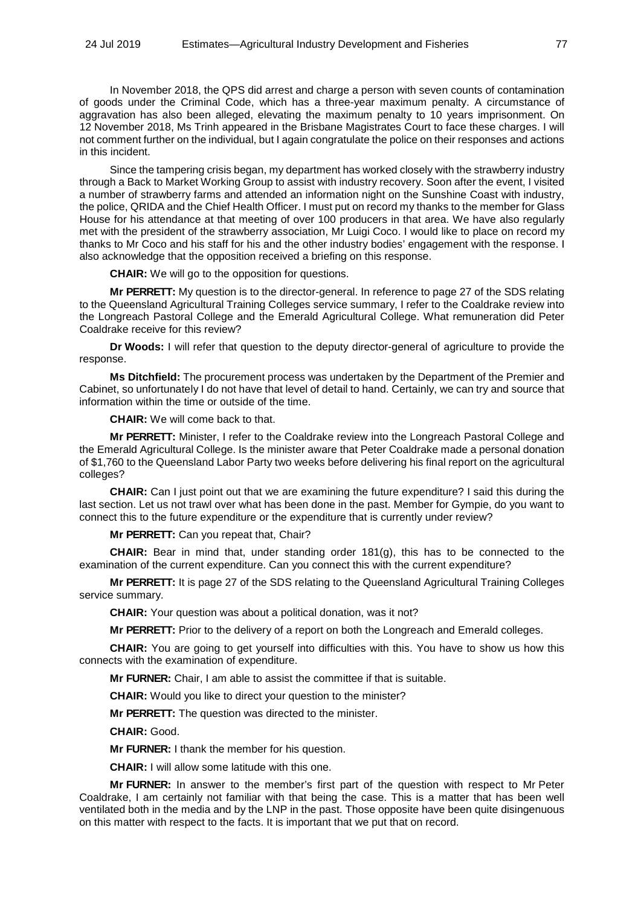In November 2018, the QPS did arrest and charge a person with seven counts of contamination of goods under the Criminal Code, which has a three-year maximum penalty. A circumstance of aggravation has also been alleged, elevating the maximum penalty to 10 years imprisonment. On 12 November 2018, Ms Trinh appeared in the Brisbane Magistrates Court to face these charges. I will not comment further on the individual, but I again congratulate the police on their responses and actions in this incident.

Since the tampering crisis began, my department has worked closely with the strawberry industry through a Back to Market Working Group to assist with industry recovery. Soon after the event, I visited a number of strawberry farms and attended an information night on the Sunshine Coast with industry, the police, QRIDA and the Chief Health Officer. I must put on record my thanks to the member for Glass House for his attendance at that meeting of over 100 producers in that area. We have also regularly met with the president of the strawberry association, Mr Luigi Coco. I would like to place on record my thanks to Mr Coco and his staff for his and the other industry bodies' engagement with the response. I also acknowledge that the opposition received a briefing on this response.

**CHAIR:** We will go to the opposition for questions.

**Mr PERRETT:** My question is to the director-general. In reference to page 27 of the SDS relating to the Queensland Agricultural Training Colleges service summary, I refer to the Coaldrake review into the Longreach Pastoral College and the Emerald Agricultural College. What remuneration did Peter Coaldrake receive for this review?

**Dr Woods:** I will refer that question to the deputy director-general of agriculture to provide the response.

**Ms Ditchfield:** The procurement process was undertaken by the Department of the Premier and Cabinet, so unfortunately I do not have that level of detail to hand. Certainly, we can try and source that information within the time or outside of the time.

**CHAIR:** We will come back to that.

**Mr PERRETT:** Minister, I refer to the Coaldrake review into the Longreach Pastoral College and the Emerald Agricultural College. Is the minister aware that Peter Coaldrake made a personal donation of \$1,760 to the Queensland Labor Party two weeks before delivering his final report on the agricultural colleges?

**CHAIR:** Can I just point out that we are examining the future expenditure? I said this during the last section. Let us not trawl over what has been done in the past. Member for Gympie, do you want to connect this to the future expenditure or the expenditure that is currently under review?

**Mr PERRETT:** Can you repeat that, Chair?

**CHAIR:** Bear in mind that, under standing order 181(g), this has to be connected to the examination of the current expenditure. Can you connect this with the current expenditure?

**Mr PERRETT:** It is page 27 of the SDS relating to the Queensland Agricultural Training Colleges service summary.

**CHAIR:** Your question was about a political donation, was it not?

**Mr PERRETT:** Prior to the delivery of a report on both the Longreach and Emerald colleges.

**CHAIR:** You are going to get yourself into difficulties with this. You have to show us how this connects with the examination of expenditure.

**Mr FURNER:** Chair, I am able to assist the committee if that is suitable.

**CHAIR:** Would you like to direct your question to the minister?

**Mr PERRETT:** The question was directed to the minister.

**CHAIR:** Good.

**Mr FURNER:** I thank the member for his question.

**CHAIR:** I will allow some latitude with this one.

**Mr FURNER:** In answer to the member's first part of the question with respect to Mr Peter Coaldrake, I am certainly not familiar with that being the case. This is a matter that has been well ventilated both in the media and by the LNP in the past. Those opposite have been quite disingenuous on this matter with respect to the facts. It is important that we put that on record.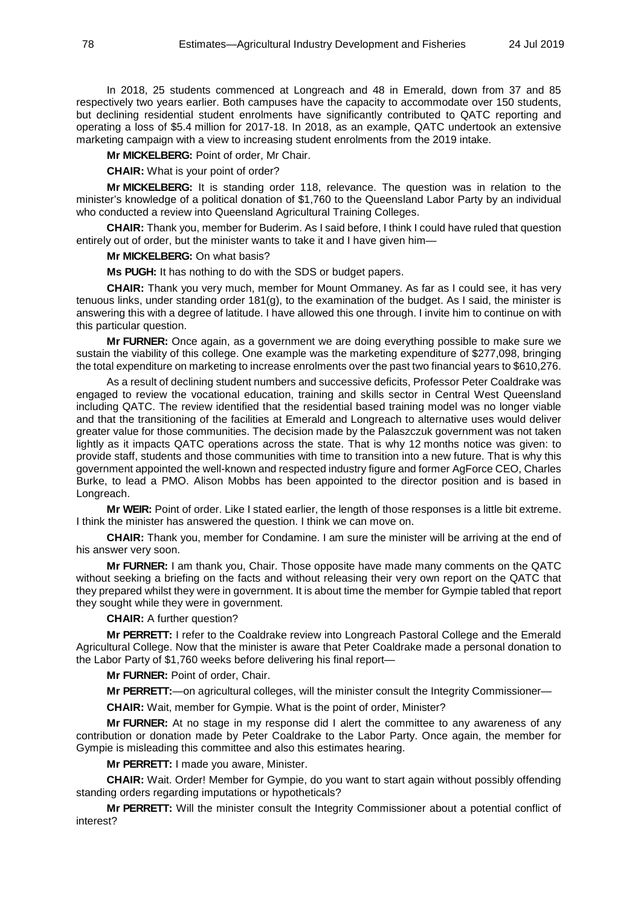In 2018, 25 students commenced at Longreach and 48 in Emerald, down from 37 and 85 respectively two years earlier. Both campuses have the capacity to accommodate over 150 students, but declining residential student enrolments have significantly contributed to QATC reporting and operating a loss of \$5.4 million for 2017-18. In 2018, as an example, QATC undertook an extensive marketing campaign with a view to increasing student enrolments from the 2019 intake.

**Mr MICKELBERG:** Point of order, Mr Chair.

**CHAIR:** What is your point of order?

**Mr MICKELBERG:** It is standing order 118, relevance. The question was in relation to the minister's knowledge of a political donation of \$1,760 to the Queensland Labor Party by an individual who conducted a review into Queensland Agricultural Training Colleges.

**CHAIR:** Thank you, member for Buderim. As I said before, I think I could have ruled that question entirely out of order, but the minister wants to take it and I have given him—

**Mr MICKELBERG:** On what basis?

**Ms PUGH:** It has nothing to do with the SDS or budget papers.

**CHAIR:** Thank you very much, member for Mount Ommaney. As far as I could see, it has very tenuous links, under standing order 181(g), to the examination of the budget. As I said, the minister is answering this with a degree of latitude. I have allowed this one through. I invite him to continue on with this particular question.

**Mr FURNER:** Once again, as a government we are doing everything possible to make sure we sustain the viability of this college. One example was the marketing expenditure of \$277,098, bringing the total expenditure on marketing to increase enrolments over the past two financial years to \$610,276.

As a result of declining student numbers and successive deficits, Professor Peter Coaldrake was engaged to review the vocational education, training and skills sector in Central West Queensland including QATC. The review identified that the residential based training model was no longer viable and that the transitioning of the facilities at Emerald and Longreach to alternative uses would deliver greater value for those communities. The decision made by the Palaszczuk government was not taken lightly as it impacts QATC operations across the state. That is why 12 months notice was given: to provide staff, students and those communities with time to transition into a new future. That is why this government appointed the well-known and respected industry figure and former AgForce CEO, Charles Burke, to lead a PMO. Alison Mobbs has been appointed to the director position and is based in Longreach.

**Mr WEIR:** Point of order. Like I stated earlier, the length of those responses is a little bit extreme. I think the minister has answered the question. I think we can move on.

**CHAIR:** Thank you, member for Condamine. I am sure the minister will be arriving at the end of his answer very soon.

**Mr FURNER:** I am thank you, Chair. Those opposite have made many comments on the QATC without seeking a briefing on the facts and without releasing their very own report on the QATC that they prepared whilst they were in government. It is about time the member for Gympie tabled that report they sought while they were in government.

**CHAIR:** A further question?

**Mr PERRETT:** I refer to the Coaldrake review into Longreach Pastoral College and the Emerald Agricultural College. Now that the minister is aware that Peter Coaldrake made a personal donation to the Labor Party of \$1,760 weeks before delivering his final report—

**Mr FURNER:** Point of order, Chair.

**Mr PERRETT:**—on agricultural colleges, will the minister consult the Integrity Commissioner—

**CHAIR:** Wait, member for Gympie. What is the point of order, Minister?

**Mr FURNER:** At no stage in my response did I alert the committee to any awareness of any contribution or donation made by Peter Coaldrake to the Labor Party. Once again, the member for Gympie is misleading this committee and also this estimates hearing.

**Mr PERRETT:** I made you aware, Minister.

**CHAIR:** Wait. Order! Member for Gympie, do you want to start again without possibly offending standing orders regarding imputations or hypotheticals?

**Mr PERRETT:** Will the minister consult the Integrity Commissioner about a potential conflict of interest?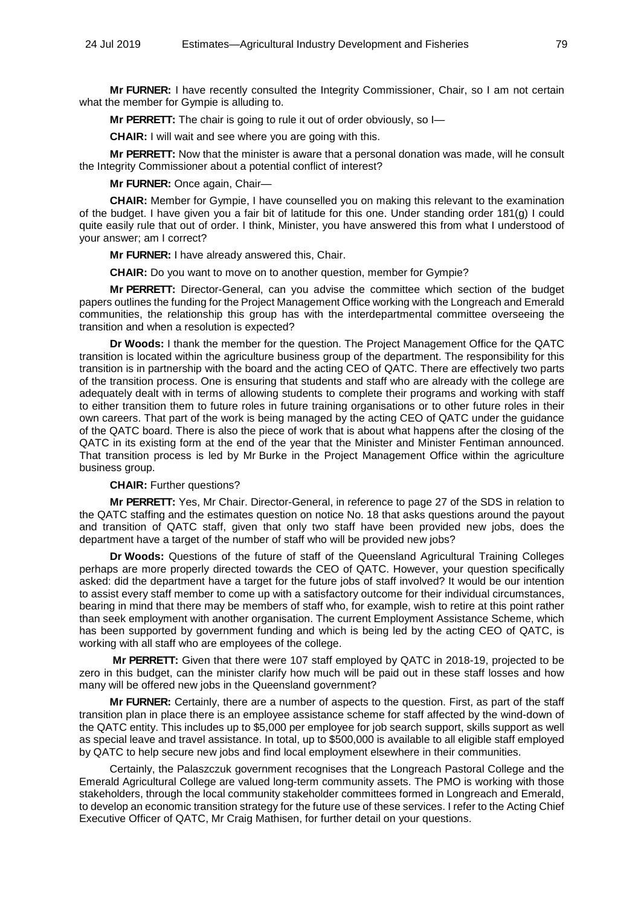**Mr FURNER:** I have recently consulted the Integrity Commissioner, Chair, so I am not certain what the member for Gympie is alluding to.

**Mr PERRETT:** The chair is going to rule it out of order obviously, so I—

**CHAIR:** I will wait and see where you are going with this.

**Mr PERRETT:** Now that the minister is aware that a personal donation was made, will he consult the Integrity Commissioner about a potential conflict of interest?

**Mr FURNER:** Once again, Chair—

**CHAIR:** Member for Gympie, I have counselled you on making this relevant to the examination of the budget. I have given you a fair bit of latitude for this one. Under standing order 181(g) I could quite easily rule that out of order. I think, Minister, you have answered this from what I understood of your answer; am I correct?

**Mr FURNER:** I have already answered this, Chair.

**CHAIR:** Do you want to move on to another question, member for Gympie?

**Mr PERRETT:** Director-General, can you advise the committee which section of the budget papers outlines the funding for the Project Management Office working with the Longreach and Emerald communities, the relationship this group has with the interdepartmental committee overseeing the transition and when a resolution is expected?

**Dr Woods:** I thank the member for the question. The Project Management Office for the QATC transition is located within the agriculture business group of the department. The responsibility for this transition is in partnership with the board and the acting CEO of QATC. There are effectively two parts of the transition process. One is ensuring that students and staff who are already with the college are adequately dealt with in terms of allowing students to complete their programs and working with staff to either transition them to future roles in future training organisations or to other future roles in their own careers. That part of the work is being managed by the acting CEO of QATC under the guidance of the QATC board. There is also the piece of work that is about what happens after the closing of the QATC in its existing form at the end of the year that the Minister and Minister Fentiman announced. That transition process is led by Mr Burke in the Project Management Office within the agriculture business group.

#### **CHAIR:** Further questions?

**Mr PERRETT:** Yes, Mr Chair. Director-General, in reference to page 27 of the SDS in relation to the QATC staffing and the estimates question on notice No. 18 that asks questions around the payout and transition of QATC staff, given that only two staff have been provided new jobs, does the department have a target of the number of staff who will be provided new jobs?

**Dr Woods:** Questions of the future of staff of the Queensland Agricultural Training Colleges perhaps are more properly directed towards the CEO of QATC. However, your question specifically asked: did the department have a target for the future jobs of staff involved? It would be our intention to assist every staff member to come up with a satisfactory outcome for their individual circumstances, bearing in mind that there may be members of staff who, for example, wish to retire at this point rather than seek employment with another organisation. The current Employment Assistance Scheme, which has been supported by government funding and which is being led by the acting CEO of QATC, is working with all staff who are employees of the college.

**Mr PERRETT:** Given that there were 107 staff employed by QATC in 2018-19, projected to be zero in this budget, can the minister clarify how much will be paid out in these staff losses and how many will be offered new jobs in the Queensland government?

**Mr FURNER:** Certainly, there are a number of aspects to the question. First, as part of the staff transition plan in place there is an employee assistance scheme for staff affected by the wind-down of the QATC entity. This includes up to \$5,000 per employee for job search support, skills support as well as special leave and travel assistance. In total, up to \$500,000 is available to all eligible staff employed by QATC to help secure new jobs and find local employment elsewhere in their communities.

Certainly, the Palaszczuk government recognises that the Longreach Pastoral College and the Emerald Agricultural College are valued long-term community assets. The PMO is working with those stakeholders, through the local community stakeholder committees formed in Longreach and Emerald, to develop an economic transition strategy for the future use of these services. I refer to the Acting Chief Executive Officer of QATC, Mr Craig Mathisen, for further detail on your questions.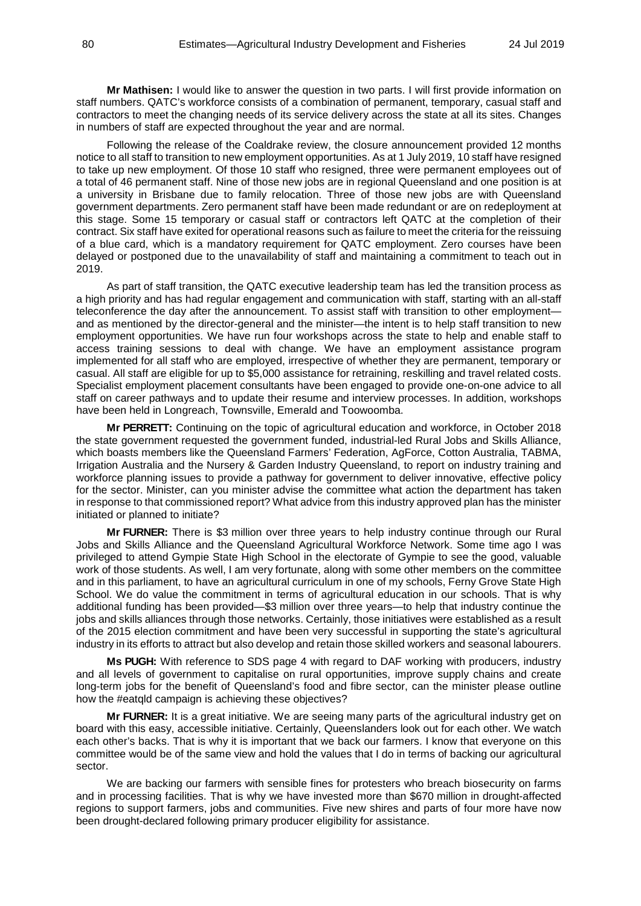**Mr Mathisen:** I would like to answer the question in two parts. I will first provide information on staff numbers. QATC's workforce consists of a combination of permanent, temporary, casual staff and contractors to meet the changing needs of its service delivery across the state at all its sites. Changes in numbers of staff are expected throughout the year and are normal.

Following the release of the Coaldrake review, the closure announcement provided 12 months notice to all staff to transition to new employment opportunities. As at 1 July 2019, 10 staff have resigned to take up new employment. Of those 10 staff who resigned, three were permanent employees out of a total of 46 permanent staff. Nine of those new jobs are in regional Queensland and one position is at a university in Brisbane due to family relocation. Three of those new jobs are with Queensland government departments. Zero permanent staff have been made redundant or are on redeployment at this stage. Some 15 temporary or casual staff or contractors left QATC at the completion of their contract. Six staff have exited for operational reasons such as failure to meet the criteria for the reissuing of a blue card, which is a mandatory requirement for QATC employment. Zero courses have been delayed or postponed due to the unavailability of staff and maintaining a commitment to teach out in 2019.

As part of staff transition, the QATC executive leadership team has led the transition process as a high priority and has had regular engagement and communication with staff, starting with an all-staff teleconference the day after the announcement. To assist staff with transition to other employment and as mentioned by the director-general and the minister—the intent is to help staff transition to new employment opportunities. We have run four workshops across the state to help and enable staff to access training sessions to deal with change. We have an employment assistance program implemented for all staff who are employed, irrespective of whether they are permanent, temporary or casual. All staff are eligible for up to \$5,000 assistance for retraining, reskilling and travel related costs. Specialist employment placement consultants have been engaged to provide one-on-one advice to all staff on career pathways and to update their resume and interview processes. In addition, workshops have been held in Longreach, Townsville, Emerald and Toowoomba.

**Mr PERRETT:** Continuing on the topic of agricultural education and workforce, in October 2018 the state government requested the government funded, industrial-led Rural Jobs and Skills Alliance, which boasts members like the Queensland Farmers' Federation, AgForce, Cotton Australia, TABMA, Irrigation Australia and the Nursery & Garden Industry Queensland, to report on industry training and workforce planning issues to provide a pathway for government to deliver innovative, effective policy for the sector. Minister, can you minister advise the committee what action the department has taken in response to that commissioned report? What advice from this industry approved plan has the minister initiated or planned to initiate?

**Mr FURNER:** There is \$3 million over three years to help industry continue through our Rural Jobs and Skills Alliance and the Queensland Agricultural Workforce Network. Some time ago I was privileged to attend Gympie State High School in the electorate of Gympie to see the good, valuable work of those students. As well, I am very fortunate, along with some other members on the committee and in this parliament, to have an agricultural curriculum in one of my schools, Ferny Grove State High School. We do value the commitment in terms of agricultural education in our schools. That is why additional funding has been provided—\$3 million over three years—to help that industry continue the jobs and skills alliances through those networks. Certainly, those initiatives were established as a result of the 2015 election commitment and have been very successful in supporting the state's agricultural industry in its efforts to attract but also develop and retain those skilled workers and seasonal labourers.

**Ms PUGH:** With reference to SDS page 4 with regard to DAF working with producers, industry and all levels of government to capitalise on rural opportunities, improve supply chains and create long-term jobs for the benefit of Queensland's food and fibre sector, can the minister please outline how the #eatqld campaign is achieving these objectives?

**Mr FURNER:** It is a great initiative. We are seeing many parts of the agricultural industry get on board with this easy, accessible initiative. Certainly, Queenslanders look out for each other. We watch each other's backs. That is why it is important that we back our farmers. I know that everyone on this committee would be of the same view and hold the values that I do in terms of backing our agricultural sector.

We are backing our farmers with sensible fines for protesters who breach biosecurity on farms and in processing facilities. That is why we have invested more than \$670 million in drought-affected regions to support farmers, jobs and communities. Five new shires and parts of four more have now been drought-declared following primary producer eligibility for assistance.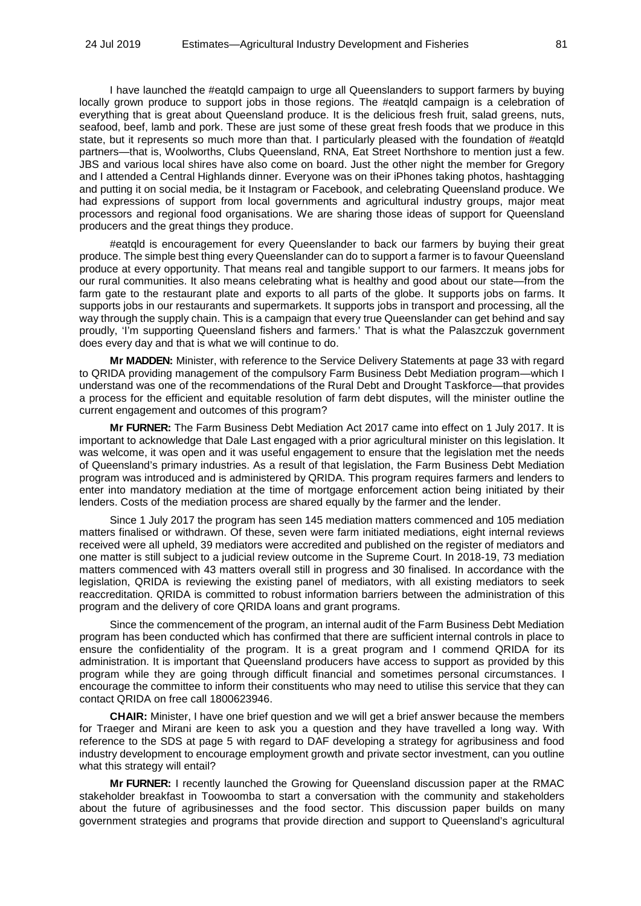I have launched the #eatqld campaign to urge all Queenslanders to support farmers by buying locally grown produce to support jobs in those regions. The #eatqld campaign is a celebration of everything that is great about Queensland produce. It is the delicious fresh fruit, salad greens, nuts, seafood, beef, lamb and pork. These are just some of these great fresh foods that we produce in this state, but it represents so much more than that. I particularly pleased with the foundation of #eatqld partners—that is, Woolworths, Clubs Queensland, RNA, Eat Street Northshore to mention just a few. JBS and various local shires have also come on board. Just the other night the member for Gregory and I attended a Central Highlands dinner. Everyone was on their iPhones taking photos, hashtagging and putting it on social media, be it Instagram or Facebook, and celebrating Queensland produce. We had expressions of support from local governments and agricultural industry groups, major meat processors and regional food organisations. We are sharing those ideas of support for Queensland producers and the great things they produce.

#eatqld is encouragement for every Queenslander to back our farmers by buying their great produce. The simple best thing every Queenslander can do to support a farmer is to favour Queensland produce at every opportunity. That means real and tangible support to our farmers. It means jobs for our rural communities. It also means celebrating what is healthy and good about our state—from the farm gate to the restaurant plate and exports to all parts of the globe. It supports jobs on farms. It supports jobs in our restaurants and supermarkets. It supports jobs in transport and processing, all the way through the supply chain. This is a campaign that every true Queenslander can get behind and say proudly, 'I'm supporting Queensland fishers and farmers.' That is what the Palaszczuk government does every day and that is what we will continue to do.

**Mr MADDEN:** Minister, with reference to the Service Delivery Statements at page 33 with regard to QRIDA providing management of the compulsory Farm Business Debt Mediation program—which I understand was one of the recommendations of the Rural Debt and Drought Taskforce—that provides a process for the efficient and equitable resolution of farm debt disputes, will the minister outline the current engagement and outcomes of this program?

**Mr FURNER:** The Farm Business Debt Mediation Act 2017 came into effect on 1 July 2017. It is important to acknowledge that Dale Last engaged with a prior agricultural minister on this legislation. It was welcome, it was open and it was useful engagement to ensure that the legislation met the needs of Queensland's primary industries. As a result of that legislation, the Farm Business Debt Mediation program was introduced and is administered by QRIDA. This program requires farmers and lenders to enter into mandatory mediation at the time of mortgage enforcement action being initiated by their lenders. Costs of the mediation process are shared equally by the farmer and the lender.

Since 1 July 2017 the program has seen 145 mediation matters commenced and 105 mediation matters finalised or withdrawn. Of these, seven were farm initiated mediations, eight internal reviews received were all upheld, 39 mediators were accredited and published on the register of mediators and one matter is still subject to a judicial review outcome in the Supreme Court. In 2018-19, 73 mediation matters commenced with 43 matters overall still in progress and 30 finalised. In accordance with the legislation, QRIDA is reviewing the existing panel of mediators, with all existing mediators to seek reaccreditation. QRIDA is committed to robust information barriers between the administration of this program and the delivery of core QRIDA loans and grant programs.

Since the commencement of the program, an internal audit of the Farm Business Debt Mediation program has been conducted which has confirmed that there are sufficient internal controls in place to ensure the confidentiality of the program. It is a great program and I commend QRIDA for its administration. It is important that Queensland producers have access to support as provided by this program while they are going through difficult financial and sometimes personal circumstances. I encourage the committee to inform their constituents who may need to utilise this service that they can contact QRIDA on free call 1800623946.

**CHAIR:** Minister, I have one brief question and we will get a brief answer because the members for Traeger and Mirani are keen to ask you a question and they have travelled a long way. With reference to the SDS at page 5 with regard to DAF developing a strategy for agribusiness and food industry development to encourage employment growth and private sector investment, can you outline what this strategy will entail?

**Mr FURNER:** I recently launched the Growing for Queensland discussion paper at the RMAC stakeholder breakfast in Toowoomba to start a conversation with the community and stakeholders about the future of agribusinesses and the food sector. This discussion paper builds on many government strategies and programs that provide direction and support to Queensland's agricultural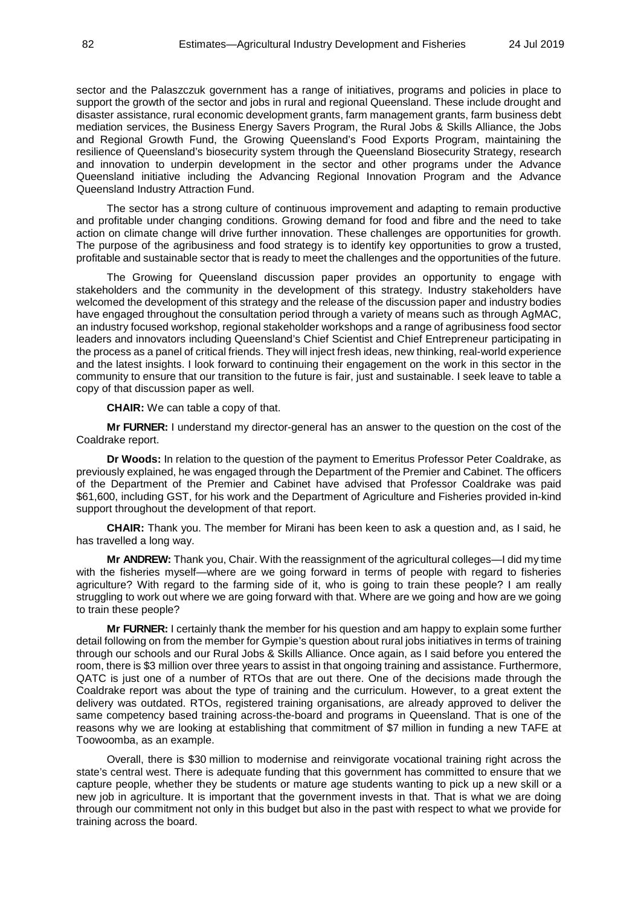sector and the Palaszczuk government has a range of initiatives, programs and policies in place to support the growth of the sector and jobs in rural and regional Queensland. These include drought and disaster assistance, rural economic development grants, farm management grants, farm business debt mediation services, the Business Energy Savers Program, the Rural Jobs & Skills Alliance, the Jobs and Regional Growth Fund, the Growing Queensland's Food Exports Program, maintaining the resilience of Queensland's biosecurity system through the Queensland Biosecurity Strategy, research and innovation to underpin development in the sector and other programs under the Advance Queensland initiative including the Advancing Regional Innovation Program and the Advance Queensland Industry Attraction Fund.

The sector has a strong culture of continuous improvement and adapting to remain productive and profitable under changing conditions. Growing demand for food and fibre and the need to take action on climate change will drive further innovation. These challenges are opportunities for growth. The purpose of the agribusiness and food strategy is to identify key opportunities to grow a trusted, profitable and sustainable sector that is ready to meet the challenges and the opportunities of the future.

The Growing for Queensland discussion paper provides an opportunity to engage with stakeholders and the community in the development of this strategy. Industry stakeholders have welcomed the development of this strategy and the release of the discussion paper and industry bodies have engaged throughout the consultation period through a variety of means such as through AgMAC. an industry focused workshop, regional stakeholder workshops and a range of agribusiness food sector leaders and innovators including Queensland's Chief Scientist and Chief Entrepreneur participating in the process as a panel of critical friends. They will inject fresh ideas, new thinking, real-world experience and the latest insights. I look forward to continuing their engagement on the work in this sector in the community to ensure that our transition to the future is fair, just and sustainable. I seek leave to table a copy of that discussion paper as well.

**CHAIR:** We can table a copy of that.

**Mr FURNER:** I understand my director-general has an answer to the question on the cost of the Coaldrake report.

**Dr Woods:** In relation to the question of the payment to Emeritus Professor Peter Coaldrake, as previously explained, he was engaged through the Department of the Premier and Cabinet. The officers of the Department of the Premier and Cabinet have advised that Professor Coaldrake was paid \$61,600, including GST, for his work and the Department of Agriculture and Fisheries provided in-kind support throughout the development of that report.

**CHAIR:** Thank you. The member for Mirani has been keen to ask a question and, as I said, he has travelled a long way.

**Mr ANDREW:** Thank you, Chair. With the reassignment of the agricultural colleges—I did my time with the fisheries myself—where are we going forward in terms of people with regard to fisheries agriculture? With regard to the farming side of it, who is going to train these people? I am really struggling to work out where we are going forward with that. Where are we going and how are we going to train these people?

**Mr FURNER:** I certainly thank the member for his question and am happy to explain some further detail following on from the member for Gympie's question about rural jobs initiatives in terms of training through our schools and our Rural Jobs & Skills Alliance. Once again, as I said before you entered the room, there is \$3 million over three years to assist in that ongoing training and assistance. Furthermore, QATC is just one of a number of RTOs that are out there. One of the decisions made through the Coaldrake report was about the type of training and the curriculum. However, to a great extent the delivery was outdated. RTOs, registered training organisations, are already approved to deliver the same competency based training across-the-board and programs in Queensland. That is one of the reasons why we are looking at establishing that commitment of \$7 million in funding a new TAFE at Toowoomba, as an example.

Overall, there is \$30 million to modernise and reinvigorate vocational training right across the state's central west. There is adequate funding that this government has committed to ensure that we capture people, whether they be students or mature age students wanting to pick up a new skill or a new job in agriculture. It is important that the government invests in that. That is what we are doing through our commitment not only in this budget but also in the past with respect to what we provide for training across the board.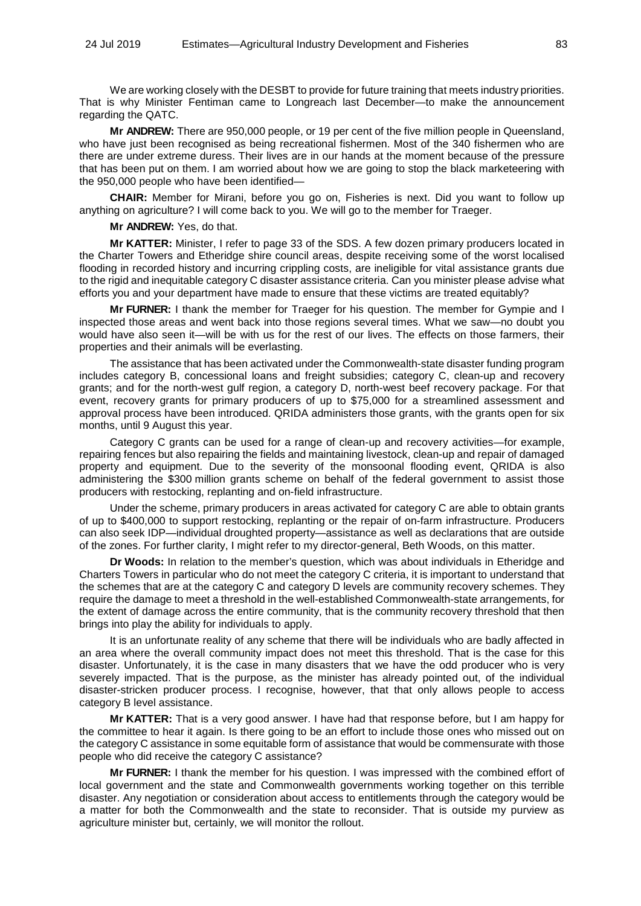We are working closely with the DESBT to provide for future training that meets industry priorities. That is why Minister Fentiman came to Longreach last December—to make the announcement regarding the QATC.

**Mr ANDREW:** There are 950,000 people, or 19 per cent of the five million people in Queensland, who have just been recognised as being recreational fishermen. Most of the 340 fishermen who are there are under extreme duress. Their lives are in our hands at the moment because of the pressure that has been put on them. I am worried about how we are going to stop the black marketeering with the 950,000 people who have been identified—

**CHAIR:** Member for Mirani, before you go on, Fisheries is next. Did you want to follow up anything on agriculture? I will come back to you. We will go to the member for Traeger.

**Mr ANDREW:** Yes, do that.

**Mr KATTER:** Minister, I refer to page 33 of the SDS. A few dozen primary producers located in the Charter Towers and Etheridge shire council areas, despite receiving some of the worst localised flooding in recorded history and incurring crippling costs, are ineligible for vital assistance grants due to the rigid and inequitable category C disaster assistance criteria. Can you minister please advise what efforts you and your department have made to ensure that these victims are treated equitably?

**Mr FURNER:** I thank the member for Traeger for his question. The member for Gympie and I inspected those areas and went back into those regions several times. What we saw—no doubt you would have also seen it—will be with us for the rest of our lives. The effects on those farmers, their properties and their animals will be everlasting.

The assistance that has been activated under the Commonwealth-state disaster funding program includes category B, concessional loans and freight subsidies; category C, clean-up and recovery grants; and for the north-west gulf region, a category D, north-west beef recovery package. For that event, recovery grants for primary producers of up to \$75,000 for a streamlined assessment and approval process have been introduced. QRIDA administers those grants, with the grants open for six months, until 9 August this year.

Category C grants can be used for a range of clean-up and recovery activities—for example, repairing fences but also repairing the fields and maintaining livestock, clean-up and repair of damaged property and equipment. Due to the severity of the monsoonal flooding event, QRIDA is also administering the \$300 million grants scheme on behalf of the federal government to assist those producers with restocking, replanting and on-field infrastructure.

Under the scheme, primary producers in areas activated for category C are able to obtain grants of up to \$400,000 to support restocking, replanting or the repair of on-farm infrastructure. Producers can also seek IDP—individual droughted property—assistance as well as declarations that are outside of the zones. For further clarity, I might refer to my director-general, Beth Woods, on this matter.

**Dr Woods:** In relation to the member's question, which was about individuals in Etheridge and Charters Towers in particular who do not meet the category C criteria, it is important to understand that the schemes that are at the category C and category D levels are community recovery schemes. They require the damage to meet a threshold in the well-established Commonwealth-state arrangements, for the extent of damage across the entire community, that is the community recovery threshold that then brings into play the ability for individuals to apply.

It is an unfortunate reality of any scheme that there will be individuals who are badly affected in an area where the overall community impact does not meet this threshold. That is the case for this disaster. Unfortunately, it is the case in many disasters that we have the odd producer who is very severely impacted. That is the purpose, as the minister has already pointed out, of the individual disaster-stricken producer process. I recognise, however, that that only allows people to access category B level assistance.

**Mr KATTER:** That is a very good answer. I have had that response before, but I am happy for the committee to hear it again. Is there going to be an effort to include those ones who missed out on the category C assistance in some equitable form of assistance that would be commensurate with those people who did receive the category C assistance?

**Mr FURNER:** I thank the member for his question. I was impressed with the combined effort of local government and the state and Commonwealth governments working together on this terrible disaster. Any negotiation or consideration about access to entitlements through the category would be a matter for both the Commonwealth and the state to reconsider. That is outside my purview as agriculture minister but, certainly, we will monitor the rollout.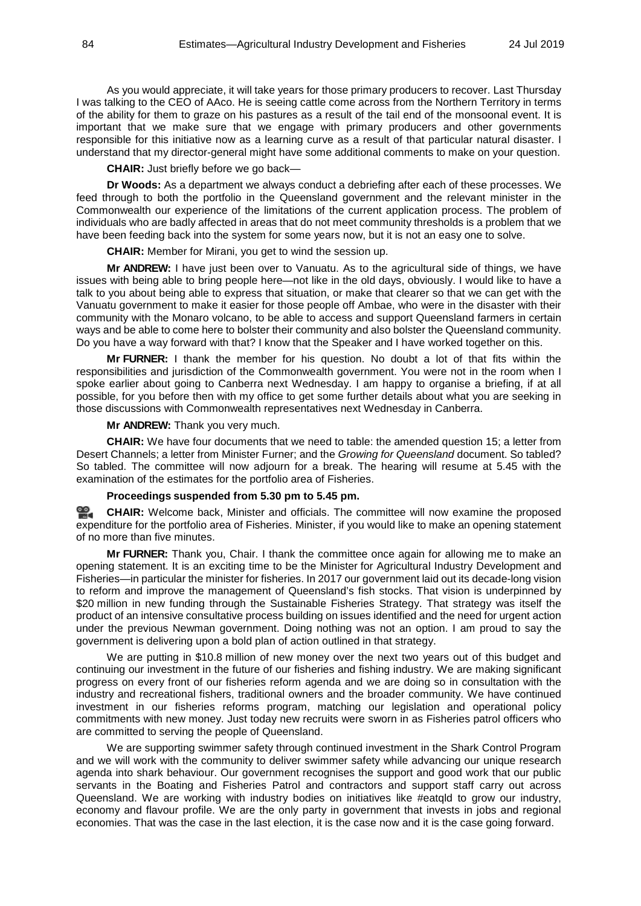As you would appreciate, it will take years for those primary producers to recover. Last Thursday I was talking to the CEO of AAco. He is seeing cattle come across from the Northern Territory in terms of the ability for them to graze on his pastures as a result of the tail end of the monsoonal event. It is important that we make sure that we engage with primary producers and other governments responsible for this initiative now as a learning curve as a result of that particular natural disaster. I understand that my director-general might have some additional comments to make on your question.

**CHAIR:** Just briefly before we go back—

**Dr Woods:** As a department we always conduct a debriefing after each of these processes. We feed through to both the portfolio in the Queensland government and the relevant minister in the Commonwealth our experience of the limitations of the current application process. The problem of individuals who are badly affected in areas that do not meet community thresholds is a problem that we have been feeding back into the system for some years now, but it is not an easy one to solve.

**CHAIR:** Member for Mirani, you get to wind the session up.

**Mr ANDREW:** I have just been over to Vanuatu. As to the agricultural side of things, we have issues with being able to bring people here—not like in the old days, obviously. I would like to have a talk to you about being able to express that situation, or make that clearer so that we can get with the Vanuatu government to make it easier for those people off Ambae, who were in the disaster with their community with the Monaro volcano, to be able to access and support Queensland farmers in certain ways and be able to come here to bolster their community and also bolster the Queensland community. Do you have a way forward with that? I know that the Speaker and I have worked together on this.

**Mr FURNER:** I thank the member for his question. No doubt a lot of that fits within the responsibilities and jurisdiction of the Commonwealth government. You were not in the room when I spoke earlier about going to Canberra next Wednesday. I am happy to organise a briefing, if at all possible, for you before then with my office to get some further details about what you are seeking in those discussions with Commonwealth representatives next Wednesday in Canberra.

## **Mr ANDREW:** Thank you very much.

**CHAIR:** We have four documents that we need to table: the amended question 15; a letter from Desert Channels; a letter from Minister Furner; and the *Growing for Queensland* document. So tabled? So tabled. The committee will now adjourn for a break. The hearing will resume at 5.45 with the examination of the estimates for the portfolio area of Fisheries.

# **Proceedings suspended from 5.30 pm to 5.45 pm.**

**[CHAIR:](http://www.parliament.qld.gov.au/docs/find.aspx?id=0Mba20190724_174532)** Welcome back, Minister and officials. The committee will now examine the proposed expenditure for the portfolio area of Fisheries. Minister, if you would like to make an opening statement of no more than five minutes.

**Mr FURNER:** Thank you, Chair. I thank the committee once again for allowing me to make an opening statement. It is an exciting time to be the Minister for Agricultural Industry Development and Fisheries—in particular the minister for fisheries. In 2017 our government laid out its decade-long vision to reform and improve the management of Queensland's fish stocks. That vision is underpinned by \$20 million in new funding through the Sustainable Fisheries Strategy. That strategy was itself the product of an intensive consultative process building on issues identified and the need for urgent action under the previous Newman government. Doing nothing was not an option. I am proud to say the government is delivering upon a bold plan of action outlined in that strategy.

We are putting in \$10.8 million of new money over the next two years out of this budget and continuing our investment in the future of our fisheries and fishing industry. We are making significant progress on every front of our fisheries reform agenda and we are doing so in consultation with the industry and recreational fishers, traditional owners and the broader community. We have continued investment in our fisheries reforms program, matching our legislation and operational policy commitments with new money. Just today new recruits were sworn in as Fisheries patrol officers who are committed to serving the people of Queensland.

We are supporting swimmer safety through continued investment in the Shark Control Program and we will work with the community to deliver swimmer safety while advancing our unique research agenda into shark behaviour. Our government recognises the support and good work that our public servants in the Boating and Fisheries Patrol and contractors and support staff carry out across Queensland. We are working with industry bodies on initiatives like #eatqld to grow our industry, economy and flavour profile. We are the only party in government that invests in jobs and regional economies. That was the case in the last election, it is the case now and it is the case going forward.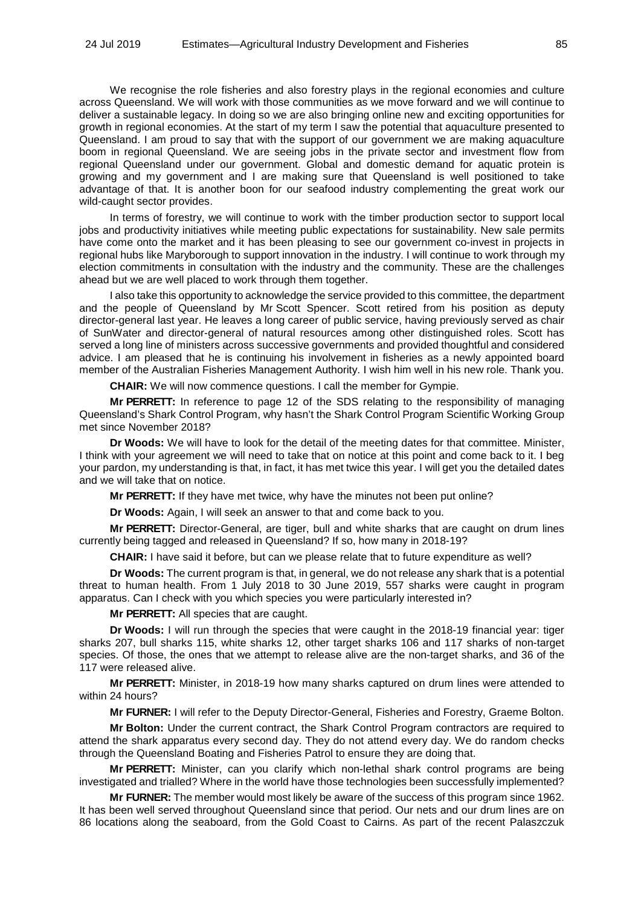We recognise the role fisheries and also forestry plays in the regional economies and culture across Queensland. We will work with those communities as we move forward and we will continue to deliver a sustainable legacy. In doing so we are also bringing online new and exciting opportunities for growth in regional economies. At the start of my term I saw the potential that aquaculture presented to Queensland. I am proud to say that with the support of our government we are making aquaculture boom in regional Queensland. We are seeing jobs in the private sector and investment flow from regional Queensland under our government. Global and domestic demand for aquatic protein is growing and my government and I are making sure that Queensland is well positioned to take advantage of that. It is another boon for our seafood industry complementing the great work our wild-caught sector provides.

In terms of forestry, we will continue to work with the timber production sector to support local jobs and productivity initiatives while meeting public expectations for sustainability. New sale permits have come onto the market and it has been pleasing to see our government co-invest in projects in regional hubs like Maryborough to support innovation in the industry. I will continue to work through my election commitments in consultation with the industry and the community. These are the challenges ahead but we are well placed to work through them together.

I also take this opportunity to acknowledge the service provided to this committee, the department and the people of Queensland by Mr Scott Spencer. Scott retired from his position as deputy director-general last year. He leaves a long career of public service, having previously served as chair of SunWater and director-general of natural resources among other distinguished roles. Scott has served a long line of ministers across successive governments and provided thoughtful and considered advice. I am pleased that he is continuing his involvement in fisheries as a newly appointed board member of the Australian Fisheries Management Authority. I wish him well in his new role. Thank you.

**CHAIR:** We will now commence questions. I call the member for Gympie.

**Mr PERRETT:** In reference to page 12 of the SDS relating to the responsibility of managing Queensland's Shark Control Program, why hasn't the Shark Control Program Scientific Working Group met since November 2018?

**Dr Woods:** We will have to look for the detail of the meeting dates for that committee. Minister, I think with your agreement we will need to take that on notice at this point and come back to it. I beg your pardon, my understanding is that, in fact, it has met twice this year. I will get you the detailed dates and we will take that on notice.

**Mr PERRETT:** If they have met twice, why have the minutes not been put online?

**Dr Woods:** Again, I will seek an answer to that and come back to you.

**Mr PERRETT:** Director-General, are tiger, bull and white sharks that are caught on drum lines currently being tagged and released in Queensland? If so, how many in 2018-19?

**CHAIR:** I have said it before, but can we please relate that to future expenditure as well?

**Dr Woods:** The current program is that, in general, we do not release any shark that is a potential threat to human health. From 1 July 2018 to 30 June 2019, 557 sharks were caught in program apparatus. Can I check with you which species you were particularly interested in?

**Mr PERRETT:** All species that are caught.

**Dr Woods:** I will run through the species that were caught in the 2018-19 financial year: tiger sharks 207, bull sharks 115, white sharks 12, other target sharks 106 and 117 sharks of non-target species. Of those, the ones that we attempt to release alive are the non-target sharks, and 36 of the 117 were released alive.

**Mr PERRETT:** Minister, in 2018-19 how many sharks captured on drum lines were attended to within 24 hours?

**Mr FURNER:** I will refer to the Deputy Director-General, Fisheries and Forestry, Graeme Bolton.

**Mr Bolton:** Under the current contract, the Shark Control Program contractors are required to attend the shark apparatus every second day. They do not attend every day. We do random checks through the Queensland Boating and Fisheries Patrol to ensure they are doing that.

**Mr PERRETT:** Minister, can you clarify which non-lethal shark control programs are being investigated and trialled? Where in the world have those technologies been successfully implemented?

**Mr FURNER:** The member would most likely be aware of the success of this program since 1962. It has been well served throughout Queensland since that period. Our nets and our drum lines are on 86 locations along the seaboard, from the Gold Coast to Cairns. As part of the recent Palaszczuk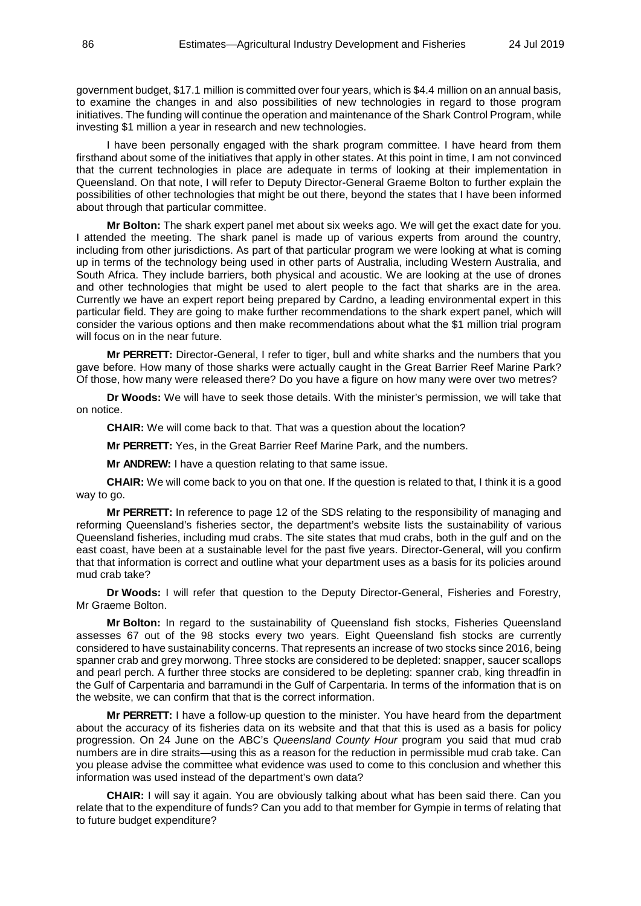government budget, \$17.1 million is committed over four years, which is \$4.4 million on an annual basis, to examine the changes in and also possibilities of new technologies in regard to those program initiatives. The funding will continue the operation and maintenance of the Shark Control Program, while investing \$1 million a year in research and new technologies.

I have been personally engaged with the shark program committee. I have heard from them firsthand about some of the initiatives that apply in other states. At this point in time, I am not convinced that the current technologies in place are adequate in terms of looking at their implementation in Queensland. On that note, I will refer to Deputy Director-General Graeme Bolton to further explain the possibilities of other technologies that might be out there, beyond the states that I have been informed about through that particular committee.

**Mr Bolton:** The shark expert panel met about six weeks ago. We will get the exact date for you. I attended the meeting. The shark panel is made up of various experts from around the country, including from other jurisdictions. As part of that particular program we were looking at what is coming up in terms of the technology being used in other parts of Australia, including Western Australia, and South Africa. They include barriers, both physical and acoustic. We are looking at the use of drones and other technologies that might be used to alert people to the fact that sharks are in the area. Currently we have an expert report being prepared by Cardno, a leading environmental expert in this particular field. They are going to make further recommendations to the shark expert panel, which will consider the various options and then make recommendations about what the \$1 million trial program will focus on in the near future.

**Mr PERRETT:** Director-General, I refer to tiger, bull and white sharks and the numbers that you gave before. How many of those sharks were actually caught in the Great Barrier Reef Marine Park? Of those, how many were released there? Do you have a figure on how many were over two metres?

**Dr Woods:** We will have to seek those details. With the minister's permission, we will take that on notice.

**CHAIR:** We will come back to that. That was a question about the location?

**Mr PERRETT:** Yes, in the Great Barrier Reef Marine Park, and the numbers.

**Mr ANDREW:** I have a question relating to that same issue.

**CHAIR:** We will come back to you on that one. If the question is related to that, I think it is a good way to go.

**Mr PERRETT:** In reference to page 12 of the SDS relating to the responsibility of managing and reforming Queensland's fisheries sector, the department's website lists the sustainability of various Queensland fisheries, including mud crabs. The site states that mud crabs, both in the gulf and on the east coast, have been at a sustainable level for the past five years. Director-General, will you confirm that that information is correct and outline what your department uses as a basis for its policies around mud crab take?

**Dr Woods:** I will refer that question to the Deputy Director-General, Fisheries and Forestry, Mr Graeme Bolton.

**Mr Bolton:** In regard to the sustainability of Queensland fish stocks, Fisheries Queensland assesses 67 out of the 98 stocks every two years. Eight Queensland fish stocks are currently considered to have sustainability concerns. That represents an increase of two stocks since 2016, being spanner crab and grey morwong. Three stocks are considered to be depleted: snapper, saucer scallops and pearl perch. A further three stocks are considered to be depleting: spanner crab, king threadfin in the Gulf of Carpentaria and barramundi in the Gulf of Carpentaria. In terms of the information that is on the website, we can confirm that that is the correct information.

**Mr PERRETT:** I have a follow-up question to the minister. You have heard from the department about the accuracy of its fisheries data on its website and that that this is used as a basis for policy progression. On 24 June on the ABC's *Queensland County Hour* program you said that mud crab numbers are in dire straits—using this as a reason for the reduction in permissible mud crab take. Can you please advise the committee what evidence was used to come to this conclusion and whether this information was used instead of the department's own data?

**CHAIR:** I will say it again. You are obviously talking about what has been said there. Can you relate that to the expenditure of funds? Can you add to that member for Gympie in terms of relating that to future budget expenditure?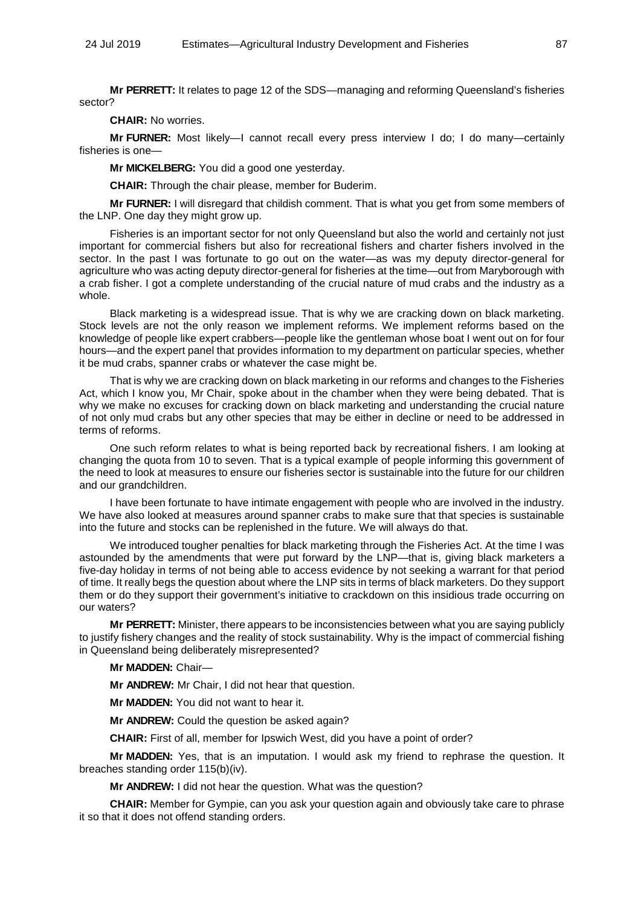**Mr PERRETT:** It relates to page 12 of the SDS—managing and reforming Queensland's fisheries sector?

**CHAIR:** No worries.

**Mr FURNER:** Most likely—I cannot recall every press interview I do; I do many—certainly fisheries is one—

**Mr MICKELBERG:** You did a good one yesterday.

**CHAIR:** Through the chair please, member for Buderim.

**Mr FURNER:** I will disregard that childish comment. That is what you get from some members of the LNP. One day they might grow up.

Fisheries is an important sector for not only Queensland but also the world and certainly not just important for commercial fishers but also for recreational fishers and charter fishers involved in the sector. In the past I was fortunate to go out on the water—as was my deputy director-general for agriculture who was acting deputy director-general for fisheries at the time—out from Maryborough with a crab fisher. I got a complete understanding of the crucial nature of mud crabs and the industry as a whole.

Black marketing is a widespread issue. That is why we are cracking down on black marketing. Stock levels are not the only reason we implement reforms. We implement reforms based on the knowledge of people like expert crabbers—people like the gentleman whose boat I went out on for four hours—and the expert panel that provides information to my department on particular species, whether it be mud crabs, spanner crabs or whatever the case might be.

That is why we are cracking down on black marketing in our reforms and changes to the Fisheries Act, which I know you, Mr Chair, spoke about in the chamber when they were being debated. That is why we make no excuses for cracking down on black marketing and understanding the crucial nature of not only mud crabs but any other species that may be either in decline or need to be addressed in terms of reforms.

One such reform relates to what is being reported back by recreational fishers. I am looking at changing the quota from 10 to seven. That is a typical example of people informing this government of the need to look at measures to ensure our fisheries sector is sustainable into the future for our children and our grandchildren.

I have been fortunate to have intimate engagement with people who are involved in the industry. We have also looked at measures around spanner crabs to make sure that that species is sustainable into the future and stocks can be replenished in the future. We will always do that.

We introduced tougher penalties for black marketing through the Fisheries Act. At the time I was astounded by the amendments that were put forward by the LNP—that is, giving black marketers a five-day holiday in terms of not being able to access evidence by not seeking a warrant for that period of time. It really begs the question about where the LNP sits in terms of black marketers. Do they support them or do they support their government's initiative to crackdown on this insidious trade occurring on our waters?

**Mr PERRETT:** Minister, there appears to be inconsistencies between what you are saying publicly to justify fishery changes and the reality of stock sustainability. Why is the impact of commercial fishing in Queensland being deliberately misrepresented?

# **Mr MADDEN:** Chair—

**Mr ANDREW:** Mr Chair, I did not hear that question.

**Mr MADDEN:** You did not want to hear it.

**Mr ANDREW:** Could the question be asked again?

**CHAIR:** First of all, member for Ipswich West, did you have a point of order?

**Mr MADDEN:** Yes, that is an imputation. I would ask my friend to rephrase the question. It breaches standing order 115(b)(iv).

**Mr ANDREW:** I did not hear the question. What was the question?

**CHAIR:** Member for Gympie, can you ask your question again and obviously take care to phrase it so that it does not offend standing orders.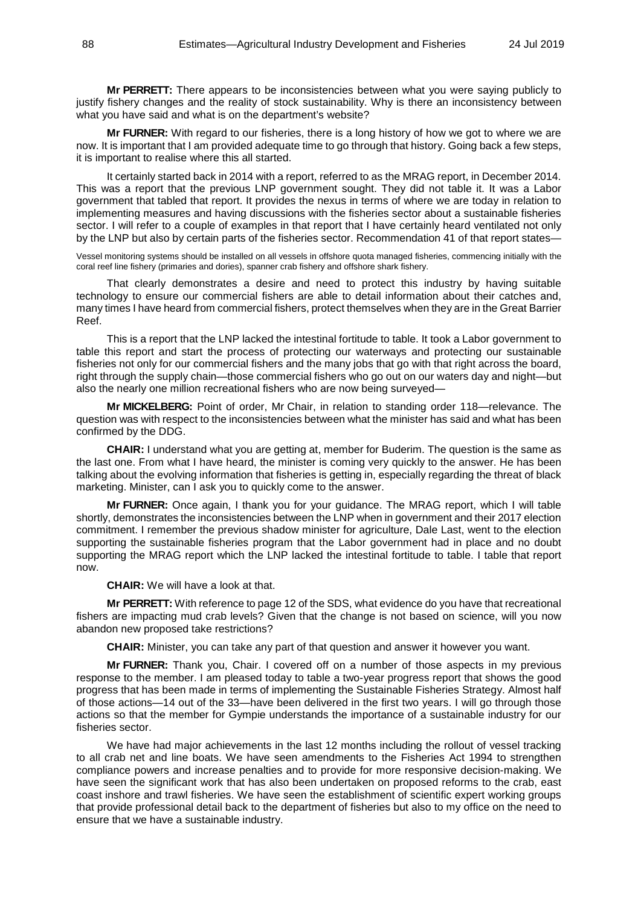**Mr PERRETT:** There appears to be inconsistencies between what you were saying publicly to justify fishery changes and the reality of stock sustainability. Why is there an inconsistency between what you have said and what is on the department's website?

**Mr FURNER:** With regard to our fisheries, there is a long history of how we got to where we are now. It is important that I am provided adequate time to go through that history. Going back a few steps, it is important to realise where this all started.

It certainly started back in 2014 with a report, referred to as the MRAG report, in December 2014. This was a report that the previous LNP government sought. They did not table it. It was a Labor government that tabled that report. It provides the nexus in terms of where we are today in relation to implementing measures and having discussions with the fisheries sector about a sustainable fisheries sector. I will refer to a couple of examples in that report that I have certainly heard ventilated not only by the LNP but also by certain parts of the fisheries sector. Recommendation 41 of that report states—

Vessel monitoring systems should be installed on all vessels in offshore quota managed fisheries, commencing initially with the coral reef line fishery (primaries and dories), spanner crab fishery and offshore shark fishery.

That clearly demonstrates a desire and need to protect this industry by having suitable technology to ensure our commercial fishers are able to detail information about their catches and, many times I have heard from commercial fishers, protect themselves when they are in the Great Barrier Reef.

This is a report that the LNP lacked the intestinal fortitude to table. It took a Labor government to table this report and start the process of protecting our waterways and protecting our sustainable fisheries not only for our commercial fishers and the many jobs that go with that right across the board, right through the supply chain—those commercial fishers who go out on our waters day and night—but also the nearly one million recreational fishers who are now being surveyed—

**Mr MICKELBERG:** Point of order, Mr Chair, in relation to standing order 118—relevance. The question was with respect to the inconsistencies between what the minister has said and what has been confirmed by the DDG.

**CHAIR:** I understand what you are getting at, member for Buderim. The question is the same as the last one. From what I have heard, the minister is coming very quickly to the answer. He has been talking about the evolving information that fisheries is getting in, especially regarding the threat of black marketing. Minister, can I ask you to quickly come to the answer.

**Mr FURNER:** Once again, I thank you for your guidance. The MRAG report, which I will table shortly, demonstrates the inconsistencies between the LNP when in government and their 2017 election commitment. I remember the previous shadow minister for agriculture, Dale Last, went to the election supporting the sustainable fisheries program that the Labor government had in place and no doubt supporting the MRAG report which the LNP lacked the intestinal fortitude to table. I table that report now.

**CHAIR:** We will have a look at that.

**Mr PERRETT:** With reference to page 12 of the SDS, what evidence do you have that recreational fishers are impacting mud crab levels? Given that the change is not based on science, will you now abandon new proposed take restrictions?

**CHAIR:** Minister, you can take any part of that question and answer it however you want.

**Mr FURNER:** Thank you, Chair. I covered off on a number of those aspects in my previous response to the member. I am pleased today to table a two-year progress report that shows the good progress that has been made in terms of implementing the Sustainable Fisheries Strategy. Almost half of those actions—14 out of the 33—have been delivered in the first two years. I will go through those actions so that the member for Gympie understands the importance of a sustainable industry for our fisheries sector.

We have had major achievements in the last 12 months including the rollout of vessel tracking to all crab net and line boats. We have seen amendments to the Fisheries Act 1994 to strengthen compliance powers and increase penalties and to provide for more responsive decision-making. We have seen the significant work that has also been undertaken on proposed reforms to the crab, east coast inshore and trawl fisheries. We have seen the establishment of scientific expert working groups that provide professional detail back to the department of fisheries but also to my office on the need to ensure that we have a sustainable industry.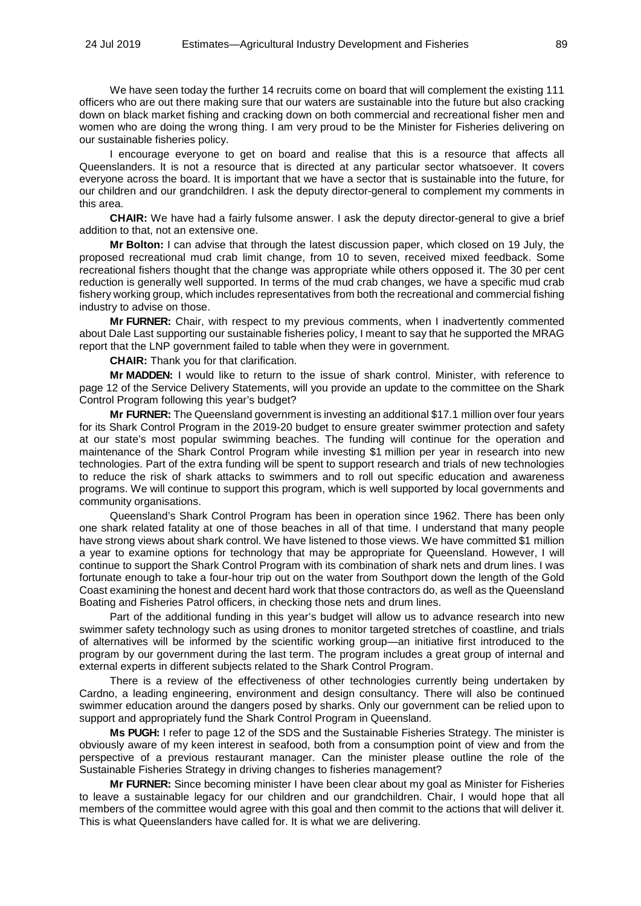We have seen today the further 14 recruits come on board that will complement the existing 111 officers who are out there making sure that our waters are sustainable into the future but also cracking down on black market fishing and cracking down on both commercial and recreational fisher men and women who are doing the wrong thing. I am very proud to be the Minister for Fisheries delivering on our sustainable fisheries policy.

I encourage everyone to get on board and realise that this is a resource that affects all Queenslanders. It is not a resource that is directed at any particular sector whatsoever. It covers everyone across the board. It is important that we have a sector that is sustainable into the future, for our children and our grandchildren. I ask the deputy director-general to complement my comments in this area.

**CHAIR:** We have had a fairly fulsome answer. I ask the deputy director-general to give a brief addition to that, not an extensive one.

**Mr Bolton:** I can advise that through the latest discussion paper, which closed on 19 July, the proposed recreational mud crab limit change, from 10 to seven, received mixed feedback. Some recreational fishers thought that the change was appropriate while others opposed it. The 30 per cent reduction is generally well supported. In terms of the mud crab changes, we have a specific mud crab fishery working group, which includes representatives from both the recreational and commercial fishing industry to advise on those.

**Mr FURNER:** Chair, with respect to my previous comments, when I inadvertently commented about Dale Last supporting our sustainable fisheries policy, I meant to say that he supported the MRAG report that the LNP government failed to table when they were in government.

**CHAIR:** Thank you for that clarification.

**Mr MADDEN:** I would like to return to the issue of shark control. Minister, with reference to page 12 of the Service Delivery Statements, will you provide an update to the committee on the Shark Control Program following this year's budget?

**Mr FURNER:** The Queensland government is investing an additional \$17.1 million over four years for its Shark Control Program in the 2019-20 budget to ensure greater swimmer protection and safety at our state's most popular swimming beaches. The funding will continue for the operation and maintenance of the Shark Control Program while investing \$1 million per year in research into new technologies. Part of the extra funding will be spent to support research and trials of new technologies to reduce the risk of shark attacks to swimmers and to roll out specific education and awareness programs. We will continue to support this program, which is well supported by local governments and community organisations.

Queensland's Shark Control Program has been in operation since 1962. There has been only one shark related fatality at one of those beaches in all of that time. I understand that many people have strong views about shark control. We have listened to those views. We have committed \$1 million a year to examine options for technology that may be appropriate for Queensland. However, I will continue to support the Shark Control Program with its combination of shark nets and drum lines. I was fortunate enough to take a four-hour trip out on the water from Southport down the length of the Gold Coast examining the honest and decent hard work that those contractors do, as well as the Queensland Boating and Fisheries Patrol officers, in checking those nets and drum lines.

Part of the additional funding in this year's budget will allow us to advance research into new swimmer safety technology such as using drones to monitor targeted stretches of coastline, and trials of alternatives will be informed by the scientific working group—an initiative first introduced to the program by our government during the last term. The program includes a great group of internal and external experts in different subjects related to the Shark Control Program.

There is a review of the effectiveness of other technologies currently being undertaken by Cardno, a leading engineering, environment and design consultancy. There will also be continued swimmer education around the dangers posed by sharks. Only our government can be relied upon to support and appropriately fund the Shark Control Program in Queensland.

**Ms PUGH:** I refer to page 12 of the SDS and the Sustainable Fisheries Strategy. The minister is obviously aware of my keen interest in seafood, both from a consumption point of view and from the perspective of a previous restaurant manager. Can the minister please outline the role of the Sustainable Fisheries Strategy in driving changes to fisheries management?

**Mr FURNER:** Since becoming minister I have been clear about my goal as Minister for Fisheries to leave a sustainable legacy for our children and our grandchildren. Chair, I would hope that all members of the committee would agree with this goal and then commit to the actions that will deliver it. This is what Queenslanders have called for. It is what we are delivering.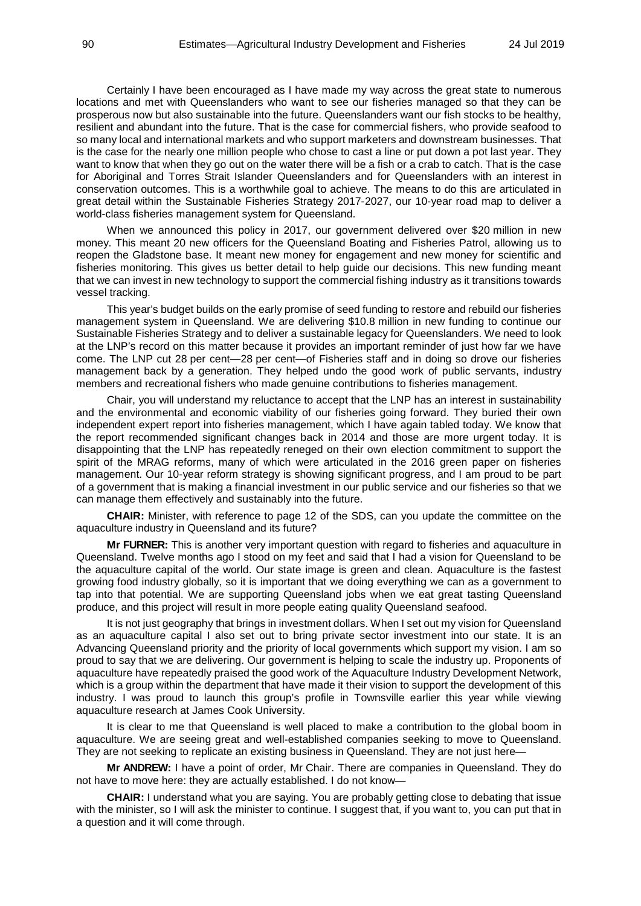Certainly I have been encouraged as I have made my way across the great state to numerous locations and met with Queenslanders who want to see our fisheries managed so that they can be prosperous now but also sustainable into the future. Queenslanders want our fish stocks to be healthy, resilient and abundant into the future. That is the case for commercial fishers, who provide seafood to so many local and international markets and who support marketers and downstream businesses. That is the case for the nearly one million people who chose to cast a line or put down a pot last year. They want to know that when they go out on the water there will be a fish or a crab to catch. That is the case for Aboriginal and Torres Strait Islander Queenslanders and for Queenslanders with an interest in conservation outcomes. This is a worthwhile goal to achieve. The means to do this are articulated in great detail within the Sustainable Fisheries Strategy 2017-2027, our 10-year road map to deliver a world-class fisheries management system for Queensland.

When we announced this policy in 2017, our government delivered over \$20 million in new money. This meant 20 new officers for the Queensland Boating and Fisheries Patrol, allowing us to reopen the Gladstone base. It meant new money for engagement and new money for scientific and fisheries monitoring. This gives us better detail to help guide our decisions. This new funding meant that we can invest in new technology to support the commercial fishing industry as it transitions towards vessel tracking.

This year's budget builds on the early promise of seed funding to restore and rebuild our fisheries management system in Queensland. We are delivering \$10.8 million in new funding to continue our Sustainable Fisheries Strategy and to deliver a sustainable legacy for Queenslanders. We need to look at the LNP's record on this matter because it provides an important reminder of just how far we have come. The LNP cut 28 per cent—28 per cent—of Fisheries staff and in doing so drove our fisheries management back by a generation. They helped undo the good work of public servants, industry members and recreational fishers who made genuine contributions to fisheries management.

Chair, you will understand my reluctance to accept that the LNP has an interest in sustainability and the environmental and economic viability of our fisheries going forward. They buried their own independent expert report into fisheries management, which I have again tabled today. We know that the report recommended significant changes back in 2014 and those are more urgent today. It is disappointing that the LNP has repeatedly reneged on their own election commitment to support the spirit of the MRAG reforms, many of which were articulated in the 2016 green paper on fisheries management. Our 10-year reform strategy is showing significant progress, and I am proud to be part of a government that is making a financial investment in our public service and our fisheries so that we can manage them effectively and sustainably into the future.

**CHAIR:** Minister, with reference to page 12 of the SDS, can you update the committee on the aquaculture industry in Queensland and its future?

**Mr FURNER:** This is another very important question with regard to fisheries and aquaculture in Queensland. Twelve months ago I stood on my feet and said that I had a vision for Queensland to be the aquaculture capital of the world. Our state image is green and clean. Aquaculture is the fastest growing food industry globally, so it is important that we doing everything we can as a government to tap into that potential. We are supporting Queensland jobs when we eat great tasting Queensland produce, and this project will result in more people eating quality Queensland seafood.

It is not just geography that brings in investment dollars. When I set out my vision for Queensland as an aquaculture capital I also set out to bring private sector investment into our state. It is an Advancing Queensland priority and the priority of local governments which support my vision. I am so proud to say that we are delivering. Our government is helping to scale the industry up. Proponents of aquaculture have repeatedly praised the good work of the Aquaculture Industry Development Network, which is a group within the department that have made it their vision to support the development of this industry. I was proud to launch this group's profile in Townsville earlier this year while viewing aquaculture research at James Cook University.

It is clear to me that Queensland is well placed to make a contribution to the global boom in aquaculture. We are seeing great and well-established companies seeking to move to Queensland. They are not seeking to replicate an existing business in Queensland. They are not just here—

**Mr ANDREW:** I have a point of order, Mr Chair. There are companies in Queensland. They do not have to move here: they are actually established. I do not know—

**CHAIR:** I understand what you are saying. You are probably getting close to debating that issue with the minister, so I will ask the minister to continue. I suggest that, if you want to, you can put that in a question and it will come through.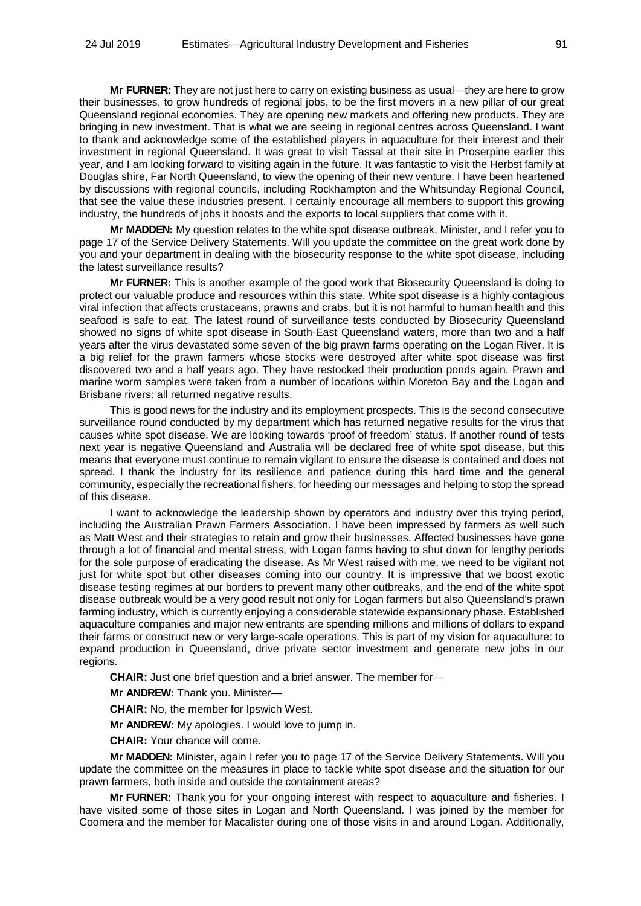**Mr FURNER:** They are not just here to carry on existing business as usual—they are here to grow their businesses, to grow hundreds of regional jobs, to be the first movers in a new pillar of our great Queensland regional economies. They are opening new markets and offering new products. They are bringing in new investment. That is what we are seeing in regional centres across Queensland. I want to thank and acknowledge some of the established players in aquaculture for their interest and their investment in regional Queensland. It was great to visit Tassal at their site in Proserpine earlier this year, and I am looking forward to visiting again in the future. It was fantastic to visit the Herbst family at Douglas shire, Far North Queensland, to view the opening of their new venture. I have been heartened by discussions with regional councils, including Rockhampton and the Whitsunday Regional Council, that see the value these industries present. I certainly encourage all members to support this growing industry, the hundreds of jobs it boosts and the exports to local suppliers that come with it.

**Mr MADDEN:** My question relates to the white spot disease outbreak, Minister, and I refer you to page 17 of the Service Delivery Statements. Will you update the committee on the great work done by you and your department in dealing with the biosecurity response to the white spot disease, including the latest surveillance results?

**Mr FURNER:** This is another example of the good work that Biosecurity Queensland is doing to protect our valuable produce and resources within this state. White spot disease is a highly contagious viral infection that affects crustaceans, prawns and crabs, but it is not harmful to human health and this seafood is safe to eat. The latest round of surveillance tests conducted by Biosecurity Queensland showed no signs of white spot disease in South-East Queensland waters, more than two and a half years after the virus devastated some seven of the big prawn farms operating on the Logan River. It is a big relief for the prawn farmers whose stocks were destroyed after white spot disease was first discovered two and a half years ago. They have restocked their production ponds again. Prawn and marine worm samples were taken from a number of locations within Moreton Bay and the Logan and Brisbane rivers: all returned negative results.

This is good news for the industry and its employment prospects. This is the second consecutive surveillance round conducted by my department which has returned negative results for the virus that causes white spot disease. We are looking towards 'proof of freedom' status. If another round of tests next year is negative Queensland and Australia will be declared free of white spot disease, but this means that everyone must continue to remain vigilant to ensure the disease is contained and does not spread. I thank the industry for its resilience and patience during this hard time and the general community, especially the recreational fishers, for heeding our messages and helping to stop the spread of this disease.

I want to acknowledge the leadership shown by operators and industry over this trying period, including the Australian Prawn Farmers Association. I have been impressed by farmers as well such as Matt West and their strategies to retain and grow their businesses. Affected businesses have gone through a lot of financial and mental stress, with Logan farms having to shut down for lengthy periods for the sole purpose of eradicating the disease. As Mr West raised with me, we need to be vigilant not just for white spot but other diseases coming into our country. It is impressive that we boost exotic disease testing regimes at our borders to prevent many other outbreaks, and the end of the white spot disease outbreak would be a very good result not only for Logan farmers but also Queensland's prawn farming industry, which is currently enjoying a considerable statewide expansionary phase. Established aquaculture companies and major new entrants are spending millions and millions of dollars to expand their farms or construct new or very large-scale operations. This is part of my vision for aquaculture: to expand production in Queensland, drive private sector investment and generate new jobs in our regions.

**CHAIR:** Just one brief question and a brief answer. The member for—

**Mr ANDREW:** Thank you. Minister—

**CHAIR:** No, the member for Ipswich West.

**Mr ANDREW:** My apologies. I would love to jump in.

**CHAIR:** Your chance will come.

**Mr MADDEN:** Minister, again I refer you to page 17 of the Service Delivery Statements. Will you update the committee on the measures in place to tackle white spot disease and the situation for our prawn farmers, both inside and outside the containment areas?

**Mr FURNER:** Thank you for your ongoing interest with respect to aquaculture and fisheries. I have visited some of those sites in Logan and North Queensland. I was joined by the member for Coomera and the member for Macalister during one of those visits in and around Logan. Additionally,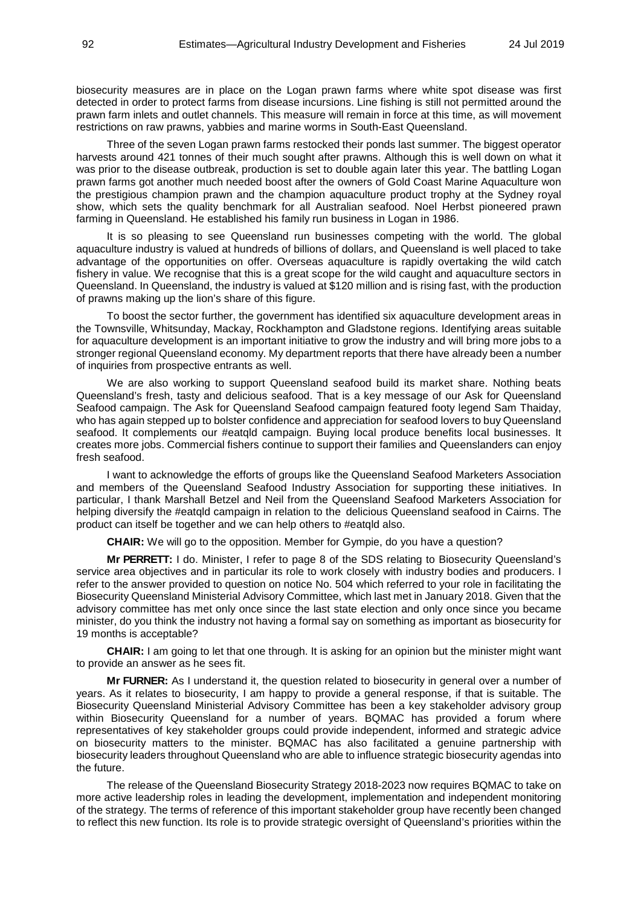biosecurity measures are in place on the Logan prawn farms where white spot disease was first detected in order to protect farms from disease incursions. Line fishing is still not permitted around the prawn farm inlets and outlet channels. This measure will remain in force at this time, as will movement restrictions on raw prawns, yabbies and marine worms in South-East Queensland.

Three of the seven Logan prawn farms restocked their ponds last summer. The biggest operator harvests around 421 tonnes of their much sought after prawns. Although this is well down on what it was prior to the disease outbreak, production is set to double again later this year. The battling Logan prawn farms got another much needed boost after the owners of Gold Coast Marine Aquaculture won the prestigious champion prawn and the champion aquaculture product trophy at the Sydney royal show, which sets the quality benchmark for all Australian seafood. Noel Herbst pioneered prawn farming in Queensland. He established his family run business in Logan in 1986.

It is so pleasing to see Queensland run businesses competing with the world. The global aquaculture industry is valued at hundreds of billions of dollars, and Queensland is well placed to take advantage of the opportunities on offer. Overseas aquaculture is rapidly overtaking the wild catch fishery in value. We recognise that this is a great scope for the wild caught and aquaculture sectors in Queensland. In Queensland, the industry is valued at \$120 million and is rising fast, with the production of prawns making up the lion's share of this figure.

To boost the sector further, the government has identified six aquaculture development areas in the Townsville, Whitsunday, Mackay, Rockhampton and Gladstone regions. Identifying areas suitable for aquaculture development is an important initiative to grow the industry and will bring more jobs to a stronger regional Queensland economy. My department reports that there have already been a number of inquiries from prospective entrants as well.

We are also working to support Queensland seafood build its market share. Nothing beats Queensland's fresh, tasty and delicious seafood. That is a key message of our Ask for Queensland Seafood campaign. The Ask for Queensland Seafood campaign featured footy legend Sam Thaiday, who has again stepped up to bolster confidence and appreciation for seafood lovers to buy Queensland seafood. It complements our #eatqld campaign. Buying local produce benefits local businesses. It creates more jobs. Commercial fishers continue to support their families and Queenslanders can enjoy fresh seafood.

I want to acknowledge the efforts of groups like the Queensland Seafood Marketers Association and members of the Queensland Seafood Industry Association for supporting these initiatives. In particular, I thank Marshall Betzel and Neil from the Queensland Seafood Marketers Association for helping diversify the #eatqld campaign in relation to the delicious Queensland seafood in Cairns. The product can itself be together and we can help others to #eatqld also.

**CHAIR:** We will go to the opposition. Member for Gympie, do you have a question?

**Mr PERRETT:** I do. Minister, I refer to page 8 of the SDS relating to Biosecurity Queensland's service area objectives and in particular its role to work closely with industry bodies and producers. I refer to the answer provided to question on notice No. 504 which referred to your role in facilitating the Biosecurity Queensland Ministerial Advisory Committee, which last met in January 2018. Given that the advisory committee has met only once since the last state election and only once since you became minister, do you think the industry not having a formal say on something as important as biosecurity for 19 months is acceptable?

**CHAIR:** I am going to let that one through. It is asking for an opinion but the minister might want to provide an answer as he sees fit.

**Mr FURNER:** As I understand it, the question related to biosecurity in general over a number of years. As it relates to biosecurity, I am happy to provide a general response, if that is suitable. The Biosecurity Queensland Ministerial Advisory Committee has been a key stakeholder advisory group within Biosecurity Queensland for a number of years. BQMAC has provided a forum where representatives of key stakeholder groups could provide independent, informed and strategic advice on biosecurity matters to the minister. BQMAC has also facilitated a genuine partnership with biosecurity leaders throughout Queensland who are able to influence strategic biosecurity agendas into the future.

The release of the Queensland Biosecurity Strategy 2018-2023 now requires BQMAC to take on more active leadership roles in leading the development, implementation and independent monitoring of the strategy. The terms of reference of this important stakeholder group have recently been changed to reflect this new function. Its role is to provide strategic oversight of Queensland's priorities within the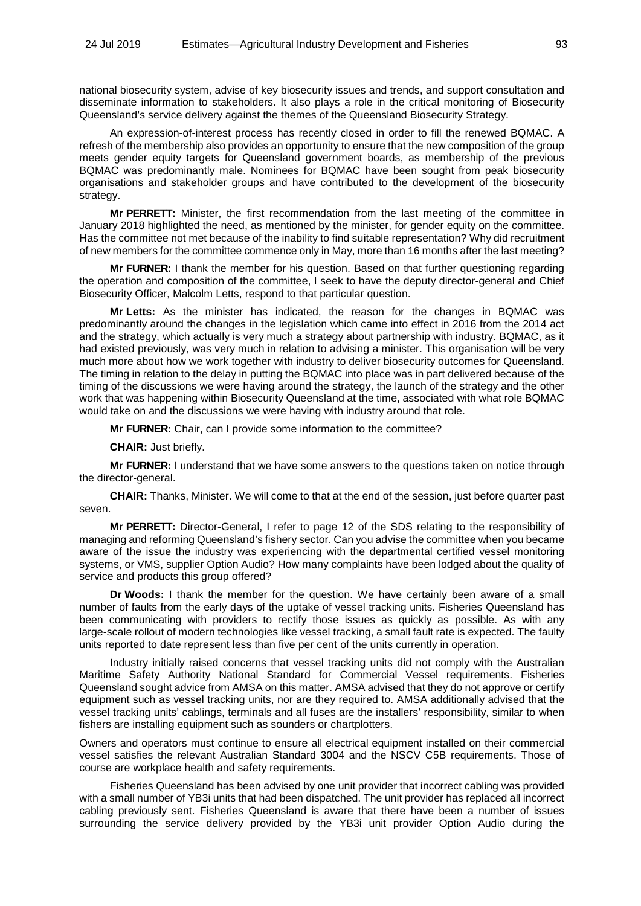national biosecurity system, advise of key biosecurity issues and trends, and support consultation and disseminate information to stakeholders. It also plays a role in the critical monitoring of Biosecurity Queensland's service delivery against the themes of the Queensland Biosecurity Strategy.

An expression-of-interest process has recently closed in order to fill the renewed BQMAC. A refresh of the membership also provides an opportunity to ensure that the new composition of the group meets gender equity targets for Queensland government boards, as membership of the previous BQMAC was predominantly male. Nominees for BQMAC have been sought from peak biosecurity organisations and stakeholder groups and have contributed to the development of the biosecurity strategy.

**Mr PERRETT:** Minister, the first recommendation from the last meeting of the committee in January 2018 highlighted the need, as mentioned by the minister, for gender equity on the committee. Has the committee not met because of the inability to find suitable representation? Why did recruitment of new members for the committee commence only in May, more than 16 months after the last meeting?

**Mr FURNER:** I thank the member for his question. Based on that further questioning regarding the operation and composition of the committee, I seek to have the deputy director-general and Chief Biosecurity Officer, Malcolm Letts, respond to that particular question.

**Mr Letts:** As the minister has indicated, the reason for the changes in BQMAC was predominantly around the changes in the legislation which came into effect in 2016 from the 2014 act and the strategy, which actually is very much a strategy about partnership with industry. BQMAC, as it had existed previously, was very much in relation to advising a minister. This organisation will be very much more about how we work together with industry to deliver biosecurity outcomes for Queensland. The timing in relation to the delay in putting the BQMAC into place was in part delivered because of the timing of the discussions we were having around the strategy, the launch of the strategy and the other work that was happening within Biosecurity Queensland at the time, associated with what role BQMAC would take on and the discussions we were having with industry around that role.

**Mr FURNER:** Chair, can I provide some information to the committee?

**CHAIR:** Just briefly.

**Mr FURNER:** I understand that we have some answers to the questions taken on notice through the director-general.

**CHAIR:** Thanks, Minister. We will come to that at the end of the session, just before quarter past seven.

**Mr PERRETT:** Director-General, I refer to page 12 of the SDS relating to the responsibility of managing and reforming Queensland's fishery sector. Can you advise the committee when you became aware of the issue the industry was experiencing with the departmental certified vessel monitoring systems, or VMS, supplier Option Audio? How many complaints have been lodged about the quality of service and products this group offered?

**Dr Woods:** I thank the member for the question. We have certainly been aware of a small number of faults from the early days of the uptake of vessel tracking units. Fisheries Queensland has been communicating with providers to rectify those issues as quickly as possible. As with any large-scale rollout of modern technologies like vessel tracking, a small fault rate is expected. The faulty units reported to date represent less than five per cent of the units currently in operation.

Industry initially raised concerns that vessel tracking units did not comply with the Australian Maritime Safety Authority National Standard for Commercial Vessel requirements. Fisheries Queensland sought advice from AMSA on this matter. AMSA advised that they do not approve or certify equipment such as vessel tracking units, nor are they required to. AMSA additionally advised that the vessel tracking units' cablings, terminals and all fuses are the installers' responsibility, similar to when fishers are installing equipment such as sounders or chartplotters.

Owners and operators must continue to ensure all electrical equipment installed on their commercial vessel satisfies the relevant Australian Standard 3004 and the NSCV C5B requirements. Those of course are workplace health and safety requirements.

Fisheries Queensland has been advised by one unit provider that incorrect cabling was provided with a small number of YB3i units that had been dispatched. The unit provider has replaced all incorrect cabling previously sent. Fisheries Queensland is aware that there have been a number of issues surrounding the service delivery provided by the YB3i unit provider Option Audio during the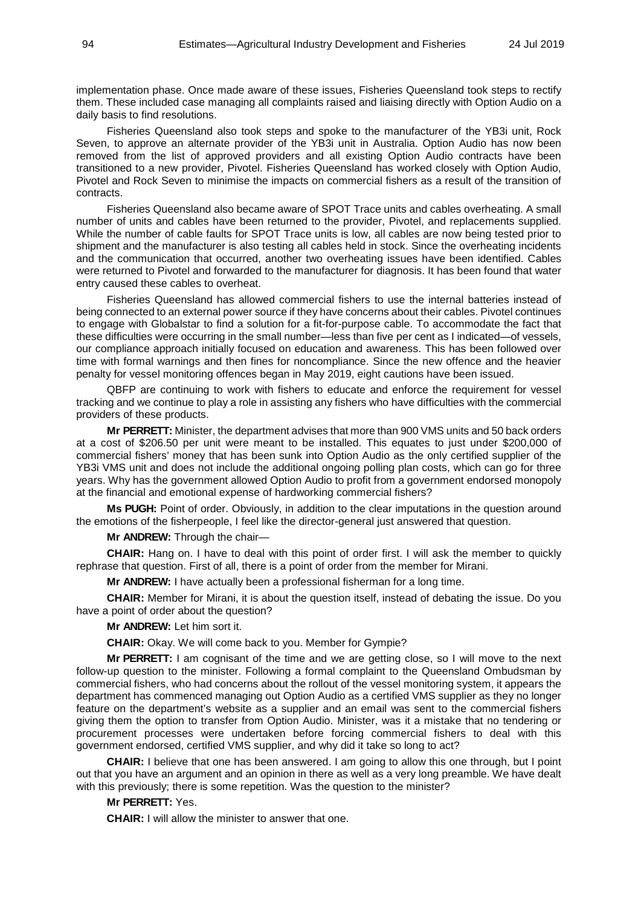implementation phase. Once made aware of these issues, Fisheries Queensland took steps to rectify them. These included case managing all complaints raised and liaising directly with Option Audio on a daily basis to find resolutions.

Fisheries Queensland also took steps and spoke to the manufacturer of the YB3i unit, Rock Seven, to approve an alternate provider of the YB3i unit in Australia. Option Audio has now been removed from the list of approved providers and all existing Option Audio contracts have been transitioned to a new provider, Pivotel. Fisheries Queensland has worked closely with Option Audio, Pivotel and Rock Seven to minimise the impacts on commercial fishers as a result of the transition of contracts.

Fisheries Queensland also became aware of SPOT Trace units and cables overheating. A small number of units and cables have been returned to the provider, Pivotel, and replacements supplied. While the number of cable faults for SPOT Trace units is low, all cables are now being tested prior to shipment and the manufacturer is also testing all cables held in stock. Since the overheating incidents and the communication that occurred, another two overheating issues have been identified. Cables were returned to Pivotel and forwarded to the manufacturer for diagnosis. It has been found that water entry caused these cables to overheat.

Fisheries Queensland has allowed commercial fishers to use the internal batteries instead of being connected to an external power source if they have concerns about their cables. Pivotel continues to engage with Globalstar to find a solution for a fit-for-purpose cable. To accommodate the fact that these difficulties were occurring in the small number—less than five per cent as I indicated—of vessels, our compliance approach initially focused on education and awareness. This has been followed over time with formal warnings and then fines for noncompliance. Since the new offence and the heavier penalty for vessel monitoring offences began in May 2019, eight cautions have been issued.

QBFP are continuing to work with fishers to educate and enforce the requirement for vessel tracking and we continue to play a role in assisting any fishers who have difficulties with the commercial providers of these products.

**Mr PERRETT:** Minister, the department advises that more than 900 VMS units and 50 back orders at a cost of \$206.50 per unit were meant to be installed. This equates to just under \$200,000 of commercial fishers' money that has been sunk into Option Audio as the only certified supplier of the YB3i VMS unit and does not include the additional ongoing polling plan costs, which can go for three years. Why has the government allowed Option Audio to profit from a government endorsed monopoly at the financial and emotional expense of hardworking commercial fishers?

**Ms PUGH:** Point of order. Obviously, in addition to the clear imputations in the question around the emotions of the fisherpeople, I feel like the director-general just answered that question.

**Mr ANDREW:** Through the chair—

**CHAIR:** Hang on. I have to deal with this point of order first. I will ask the member to quickly rephrase that question. First of all, there is a point of order from the member for Mirani.

**Mr ANDREW:** I have actually been a professional fisherman for a long time.

**CHAIR:** Member for Mirani, it is about the question itself, instead of debating the issue. Do you have a point of order about the question?

**Mr ANDREW:** Let him sort it.

**CHAIR:** Okay. We will come back to you. Member for Gympie?

**Mr PERRETT:** I am cognisant of the time and we are getting close, so I will move to the next follow-up question to the minister. Following a formal complaint to the Queensland Ombudsman by commercial fishers, who had concerns about the rollout of the vessel monitoring system, it appears the department has commenced managing out Option Audio as a certified VMS supplier as they no longer feature on the department's website as a supplier and an email was sent to the commercial fishers giving them the option to transfer from Option Audio. Minister, was it a mistake that no tendering or procurement processes were undertaken before forcing commercial fishers to deal with this government endorsed, certified VMS supplier, and why did it take so long to act?

**CHAIR:** I believe that one has been answered. I am going to allow this one through, but I point out that you have an argument and an opinion in there as well as a very long preamble. We have dealt with this previously; there is some repetition. Was the question to the minister?

**Mr PERRETT:** Yes.

**CHAIR:** I will allow the minister to answer that one.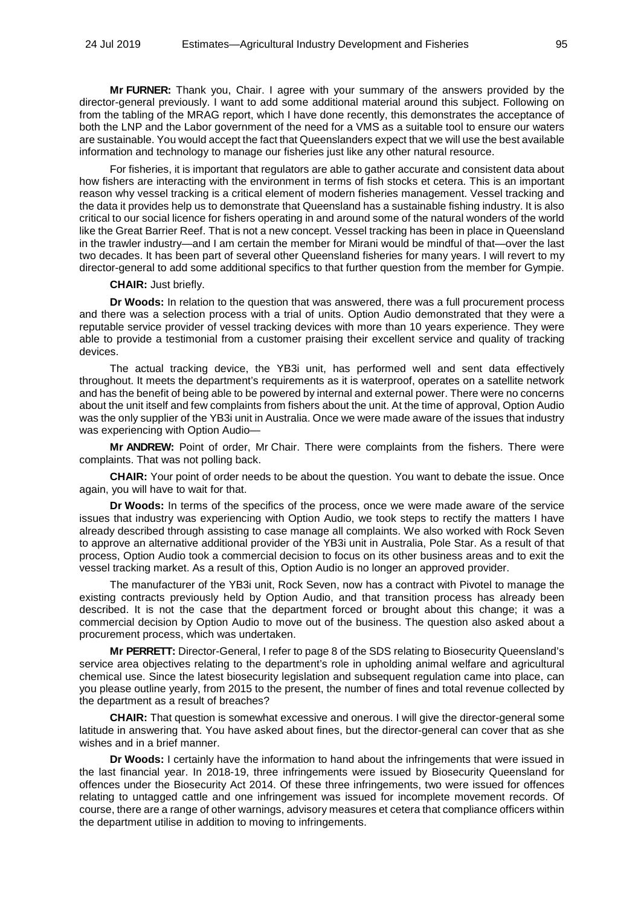**Mr FURNER:** Thank you, Chair. I agree with your summary of the answers provided by the director-general previously. I want to add some additional material around this subject. Following on from the tabling of the MRAG report, which I have done recently, this demonstrates the acceptance of both the LNP and the Labor government of the need for a VMS as a suitable tool to ensure our waters are sustainable. You would accept the fact that Queenslanders expect that we will use the best available information and technology to manage our fisheries just like any other natural resource.

For fisheries, it is important that regulators are able to gather accurate and consistent data about how fishers are interacting with the environment in terms of fish stocks et cetera. This is an important reason why vessel tracking is a critical element of modern fisheries management. Vessel tracking and the data it provides help us to demonstrate that Queensland has a sustainable fishing industry. It is also critical to our social licence for fishers operating in and around some of the natural wonders of the world like the Great Barrier Reef. That is not a new concept. Vessel tracking has been in place in Queensland in the trawler industry—and I am certain the member for Mirani would be mindful of that—over the last two decades. It has been part of several other Queensland fisheries for many years. I will revert to my director-general to add some additional specifics to that further question from the member for Gympie.

### **CHAIR:** Just briefly.

**Dr Woods:** In relation to the question that was answered, there was a full procurement process and there was a selection process with a trial of units. Option Audio demonstrated that they were a reputable service provider of vessel tracking devices with more than 10 years experience. They were able to provide a testimonial from a customer praising their excellent service and quality of tracking devices.

The actual tracking device, the YB3i unit, has performed well and sent data effectively throughout. It meets the department's requirements as it is waterproof, operates on a satellite network and has the benefit of being able to be powered by internal and external power. There were no concerns about the unit itself and few complaints from fishers about the unit. At the time of approval, Option Audio was the only supplier of the YB3i unit in Australia. Once we were made aware of the issues that industry was experiencing with Option Audio—

**Mr ANDREW:** Point of order, Mr Chair. There were complaints from the fishers. There were complaints. That was not polling back.

**CHAIR:** Your point of order needs to be about the question. You want to debate the issue. Once again, you will have to wait for that.

**Dr Woods:** In terms of the specifics of the process, once we were made aware of the service issues that industry was experiencing with Option Audio, we took steps to rectify the matters I have already described through assisting to case manage all complaints. We also worked with Rock Seven to approve an alternative additional provider of the YB3i unit in Australia, Pole Star. As a result of that process, Option Audio took a commercial decision to focus on its other business areas and to exit the vessel tracking market. As a result of this, Option Audio is no longer an approved provider.

The manufacturer of the YB3i unit, Rock Seven, now has a contract with Pivotel to manage the existing contracts previously held by Option Audio, and that transition process has already been described. It is not the case that the department forced or brought about this change; it was a commercial decision by Option Audio to move out of the business. The question also asked about a procurement process, which was undertaken.

**Mr PERRETT:** Director-General, I refer to page 8 of the SDS relating to Biosecurity Queensland's service area objectives relating to the department's role in upholding animal welfare and agricultural chemical use. Since the latest biosecurity legislation and subsequent regulation came into place, can you please outline yearly, from 2015 to the present, the number of fines and total revenue collected by the department as a result of breaches?

**CHAIR:** That question is somewhat excessive and onerous. I will give the director-general some latitude in answering that. You have asked about fines, but the director-general can cover that as she wishes and in a brief manner.

**Dr Woods:** I certainly have the information to hand about the infringements that were issued in the last financial year. In 2018-19, three infringements were issued by Biosecurity Queensland for offences under the Biosecurity Act 2014. Of these three infringements, two were issued for offences relating to untagged cattle and one infringement was issued for incomplete movement records. Of course, there are a range of other warnings, advisory measures et cetera that compliance officers within the department utilise in addition to moving to infringements.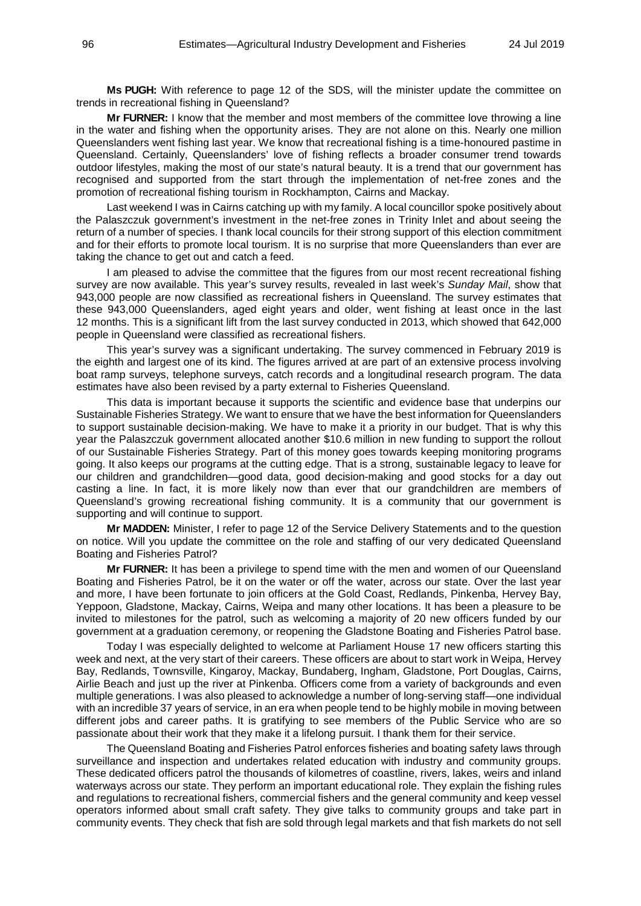**Ms PUGH:** With reference to page 12 of the SDS, will the minister update the committee on trends in recreational fishing in Queensland?

**Mr FURNER:** I know that the member and most members of the committee love throwing a line in the water and fishing when the opportunity arises. They are not alone on this. Nearly one million Queenslanders went fishing last year. We know that recreational fishing is a time-honoured pastime in Queensland. Certainly, Queenslanders' love of fishing reflects a broader consumer trend towards outdoor lifestyles, making the most of our state's natural beauty. It is a trend that our government has recognised and supported from the start through the implementation of net-free zones and the promotion of recreational fishing tourism in Rockhampton, Cairns and Mackay.

Last weekend I was in Cairns catching up with my family. A local councillor spoke positively about the Palaszczuk government's investment in the net-free zones in Trinity Inlet and about seeing the return of a number of species. I thank local councils for their strong support of this election commitment and for their efforts to promote local tourism. It is no surprise that more Queenslanders than ever are taking the chance to get out and catch a feed.

I am pleased to advise the committee that the figures from our most recent recreational fishing survey are now available. This year's survey results, revealed in last week's *Sunday Mail*, show that 943,000 people are now classified as recreational fishers in Queensland. The survey estimates that these 943,000 Queenslanders, aged eight years and older, went fishing at least once in the last 12 months. This is a significant lift from the last survey conducted in 2013, which showed that 642,000 people in Queensland were classified as recreational fishers.

This year's survey was a significant undertaking. The survey commenced in February 2019 is the eighth and largest one of its kind. The figures arrived at are part of an extensive process involving boat ramp surveys, telephone surveys, catch records and a longitudinal research program. The data estimates have also been revised by a party external to Fisheries Queensland.

This data is important because it supports the scientific and evidence base that underpins our Sustainable Fisheries Strategy. We want to ensure that we have the best information for Queenslanders to support sustainable decision-making. We have to make it a priority in our budget. That is why this year the Palaszczuk government allocated another \$10.6 million in new funding to support the rollout of our Sustainable Fisheries Strategy. Part of this money goes towards keeping monitoring programs going. It also keeps our programs at the cutting edge. That is a strong, sustainable legacy to leave for our children and grandchildren—good data, good decision-making and good stocks for a day out casting a line. In fact, it is more likely now than ever that our grandchildren are members of Queensland's growing recreational fishing community. It is a community that our government is supporting and will continue to support.

**Mr MADDEN:** Minister, I refer to page 12 of the Service Delivery Statements and to the question on notice. Will you update the committee on the role and staffing of our very dedicated Queensland Boating and Fisheries Patrol?

**Mr FURNER:** It has been a privilege to spend time with the men and women of our Queensland Boating and Fisheries Patrol, be it on the water or off the water, across our state. Over the last year and more, I have been fortunate to join officers at the Gold Coast, Redlands, Pinkenba, Hervey Bay, Yeppoon, Gladstone, Mackay, Cairns, Weipa and many other locations. It has been a pleasure to be invited to milestones for the patrol, such as welcoming a majority of 20 new officers funded by our government at a graduation ceremony, or reopening the Gladstone Boating and Fisheries Patrol base.

Today I was especially delighted to welcome at Parliament House 17 new officers starting this week and next, at the very start of their careers. These officers are about to start work in Weipa, Hervey Bay, Redlands, Townsville, Kingaroy, Mackay, Bundaberg, Ingham, Gladstone, Port Douglas, Cairns, Airlie Beach and just up the river at Pinkenba. Officers come from a variety of backgrounds and even multiple generations. I was also pleased to acknowledge a number of long-serving staff—one individual with an incredible 37 years of service, in an era when people tend to be highly mobile in moving between different jobs and career paths. It is gratifying to see members of the Public Service who are so passionate about their work that they make it a lifelong pursuit. I thank them for their service.

The Queensland Boating and Fisheries Patrol enforces fisheries and boating safety laws through surveillance and inspection and undertakes related education with industry and community groups. These dedicated officers patrol the thousands of kilometres of coastline, rivers, lakes, weirs and inland waterways across our state. They perform an important educational role. They explain the fishing rules and regulations to recreational fishers, commercial fishers and the general community and keep vessel operators informed about small craft safety. They give talks to community groups and take part in community events. They check that fish are sold through legal markets and that fish markets do not sell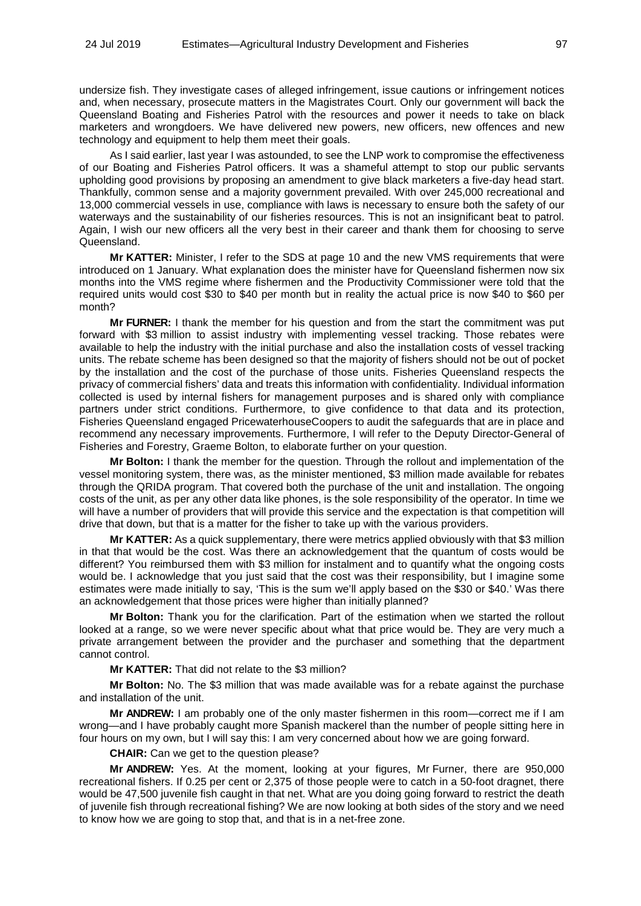undersize fish. They investigate cases of alleged infringement, issue cautions or infringement notices and, when necessary, prosecute matters in the Magistrates Court. Only our government will back the Queensland Boating and Fisheries Patrol with the resources and power it needs to take on black marketers and wrongdoers. We have delivered new powers, new officers, new offences and new technology and equipment to help them meet their goals.

As I said earlier, last year I was astounded, to see the LNP work to compromise the effectiveness of our Boating and Fisheries Patrol officers. It was a shameful attempt to stop our public servants upholding good provisions by proposing an amendment to give black marketers a five-day head start. Thankfully, common sense and a majority government prevailed. With over 245,000 recreational and 13,000 commercial vessels in use, compliance with laws is necessary to ensure both the safety of our waterways and the sustainability of our fisheries resources. This is not an insignificant beat to patrol. Again, I wish our new officers all the very best in their career and thank them for choosing to serve Queensland.

**Mr KATTER:** Minister, I refer to the SDS at page 10 and the new VMS requirements that were introduced on 1 January. What explanation does the minister have for Queensland fishermen now six months into the VMS regime where fishermen and the Productivity Commissioner were told that the required units would cost \$30 to \$40 per month but in reality the actual price is now \$40 to \$60 per month?

**Mr FURNER:** I thank the member for his question and from the start the commitment was put forward with \$3 million to assist industry with implementing vessel tracking. Those rebates were available to help the industry with the initial purchase and also the installation costs of vessel tracking units. The rebate scheme has been designed so that the majority of fishers should not be out of pocket by the installation and the cost of the purchase of those units. Fisheries Queensland respects the privacy of commercial fishers' data and treats this information with confidentiality. Individual information collected is used by internal fishers for management purposes and is shared only with compliance partners under strict conditions. Furthermore, to give confidence to that data and its protection, Fisheries Queensland engaged PricewaterhouseCoopers to audit the safeguards that are in place and recommend any necessary improvements. Furthermore, I will refer to the Deputy Director-General of Fisheries and Forestry, Graeme Bolton, to elaborate further on your question.

**Mr Bolton:** I thank the member for the question. Through the rollout and implementation of the vessel monitoring system, there was, as the minister mentioned, \$3 million made available for rebates through the QRIDA program. That covered both the purchase of the unit and installation. The ongoing costs of the unit, as per any other data like phones, is the sole responsibility of the operator. In time we will have a number of providers that will provide this service and the expectation is that competition will drive that down, but that is a matter for the fisher to take up with the various providers.

**Mr KATTER:** As a quick supplementary, there were metrics applied obviously with that \$3 million in that that would be the cost. Was there an acknowledgement that the quantum of costs would be different? You reimbursed them with \$3 million for instalment and to quantify what the ongoing costs would be. I acknowledge that you just said that the cost was their responsibility, but I imagine some estimates were made initially to say, 'This is the sum we'll apply based on the \$30 or \$40.' Was there an acknowledgement that those prices were higher than initially planned?

**Mr Bolton:** Thank you for the clarification. Part of the estimation when we started the rollout looked at a range, so we were never specific about what that price would be. They are very much a private arrangement between the provider and the purchaser and something that the department cannot control.

**Mr KATTER:** That did not relate to the \$3 million?

**Mr Bolton:** No. The \$3 million that was made available was for a rebate against the purchase and installation of the unit.

**Mr ANDREW:** I am probably one of the only master fishermen in this room—correct me if I am wrong—and I have probably caught more Spanish mackerel than the number of people sitting here in four hours on my own, but I will say this: I am very concerned about how we are going forward.

**CHAIR:** Can we get to the question please?

**Mr ANDREW:** Yes. At the moment, looking at your figures, Mr Furner, there are 950,000 recreational fishers. If 0.25 per cent or 2,375 of those people were to catch in a 50-foot dragnet, there would be 47,500 juvenile fish caught in that net. What are you doing going forward to restrict the death of juvenile fish through recreational fishing? We are now looking at both sides of the story and we need to know how we are going to stop that, and that is in a net-free zone.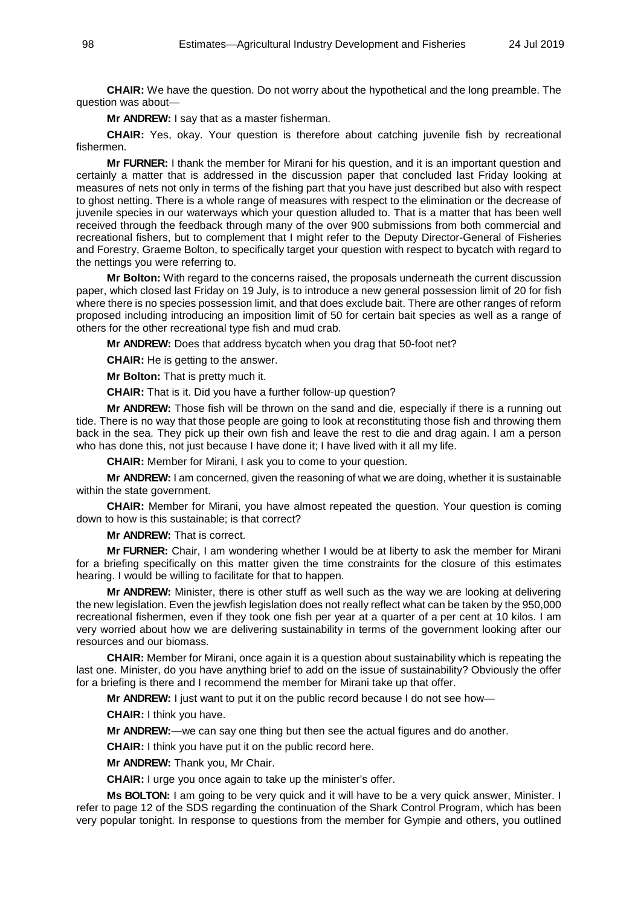**CHAIR:** We have the question. Do not worry about the hypothetical and the long preamble. The question was about—

**Mr ANDREW:** I say that as a master fisherman.

**CHAIR:** Yes, okay. Your question is therefore about catching juvenile fish by recreational fishermen.

**Mr FURNER:** I thank the member for Mirani for his question, and it is an important question and certainly a matter that is addressed in the discussion paper that concluded last Friday looking at measures of nets not only in terms of the fishing part that you have just described but also with respect to ghost netting. There is a whole range of measures with respect to the elimination or the decrease of juvenile species in our waterways which your question alluded to. That is a matter that has been well received through the feedback through many of the over 900 submissions from both commercial and recreational fishers, but to complement that I might refer to the Deputy Director-General of Fisheries and Forestry, Graeme Bolton, to specifically target your question with respect to bycatch with regard to the nettings you were referring to.

**Mr Bolton:** With regard to the concerns raised, the proposals underneath the current discussion paper, which closed last Friday on 19 July, is to introduce a new general possession limit of 20 for fish where there is no species possession limit, and that does exclude bait. There are other ranges of reform proposed including introducing an imposition limit of 50 for certain bait species as well as a range of others for the other recreational type fish and mud crab.

**Mr ANDREW:** Does that address bycatch when you drag that 50-foot net?

**CHAIR:** He is getting to the answer.

**Mr Bolton:** That is pretty much it.

**CHAIR:** That is it. Did you have a further follow-up question?

**Mr ANDREW:** Those fish will be thrown on the sand and die, especially if there is a running out tide. There is no way that those people are going to look at reconstituting those fish and throwing them back in the sea. They pick up their own fish and leave the rest to die and drag again. I am a person who has done this, not just because I have done it; I have lived with it all my life.

**CHAIR:** Member for Mirani, I ask you to come to your question.

**Mr ANDREW:** I am concerned, given the reasoning of what we are doing, whether it is sustainable within the state government.

**CHAIR:** Member for Mirani, you have almost repeated the question. Your question is coming down to how is this sustainable; is that correct?

**Mr ANDREW:** That is correct.

**Mr FURNER:** Chair, I am wondering whether I would be at liberty to ask the member for Mirani for a briefing specifically on this matter given the time constraints for the closure of this estimates hearing. I would be willing to facilitate for that to happen.

**Mr ANDREW:** Minister, there is other stuff as well such as the way we are looking at delivering the new legislation. Even the jewfish legislation does not really reflect what can be taken by the 950,000 recreational fishermen, even if they took one fish per year at a quarter of a per cent at 10 kilos. I am very worried about how we are delivering sustainability in terms of the government looking after our resources and our biomass.

**CHAIR:** Member for Mirani, once again it is a question about sustainability which is repeating the last one. Minister, do you have anything brief to add on the issue of sustainability? Obviously the offer for a briefing is there and I recommend the member for Mirani take up that offer.

**Mr ANDREW:** I just want to put it on the public record because I do not see how—

**CHAIR:** I think you have.

**Mr ANDREW:**—we can say one thing but then see the actual figures and do another.

**CHAIR:** I think you have put it on the public record here.

**Mr ANDREW:** Thank you, Mr Chair.

**CHAIR:** I urge you once again to take up the minister's offer.

**Ms BOLTON:** I am going to be very quick and it will have to be a very quick answer, Minister. I refer to page 12 of the SDS regarding the continuation of the Shark Control Program, which has been very popular tonight. In response to questions from the member for Gympie and others, you outlined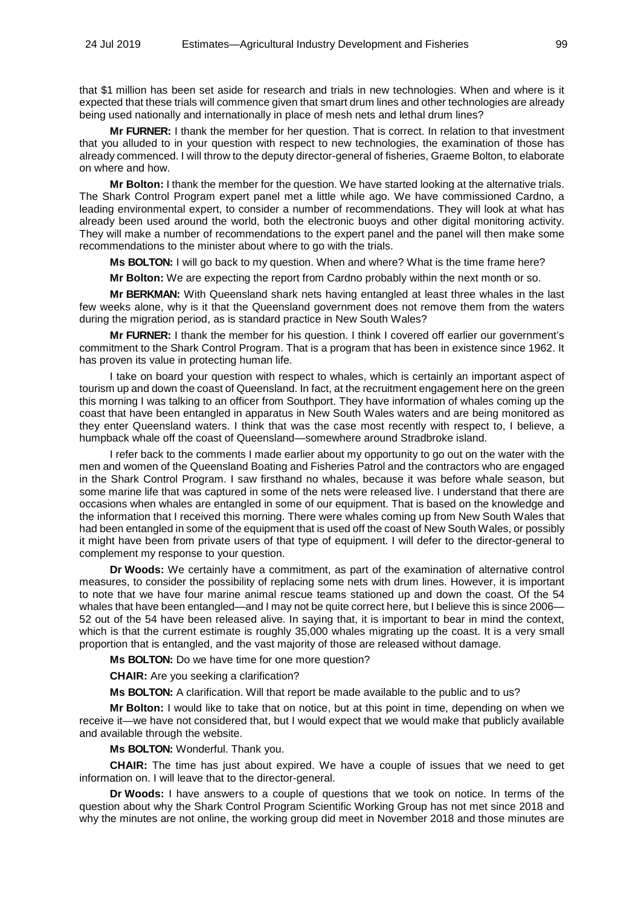that \$1 million has been set aside for research and trials in new technologies. When and where is it expected that these trials will commence given that smart drum lines and other technologies are already being used nationally and internationally in place of mesh nets and lethal drum lines?

**Mr FURNER:** I thank the member for her question. That is correct. In relation to that investment that you alluded to in your question with respect to new technologies, the examination of those has already commenced. I will throw to the deputy director-general of fisheries, Graeme Bolton, to elaborate on where and how.

**Mr Bolton:** I thank the member for the question. We have started looking at the alternative trials. The Shark Control Program expert panel met a little while ago. We have commissioned Cardno, a leading environmental expert, to consider a number of recommendations. They will look at what has already been used around the world, both the electronic buoys and other digital monitoring activity. They will make a number of recommendations to the expert panel and the panel will then make some recommendations to the minister about where to go with the trials.

**Ms BOLTON:** I will go back to my question. When and where? What is the time frame here?

**Mr Bolton:** We are expecting the report from Cardno probably within the next month or so.

**Mr BERKMAN:** With Queensland shark nets having entangled at least three whales in the last few weeks alone, why is it that the Queensland government does not remove them from the waters during the migration period, as is standard practice in New South Wales?

**Mr FURNER:** I thank the member for his question. I think I covered off earlier our government's commitment to the Shark Control Program. That is a program that has been in existence since 1962. It has proven its value in protecting human life.

I take on board your question with respect to whales, which is certainly an important aspect of tourism up and down the coast of Queensland. In fact, at the recruitment engagement here on the green this morning I was talking to an officer from Southport. They have information of whales coming up the coast that have been entangled in apparatus in New South Wales waters and are being monitored as they enter Queensland waters. I think that was the case most recently with respect to, I believe, a humpback whale off the coast of Queensland—somewhere around Stradbroke island.

I refer back to the comments I made earlier about my opportunity to go out on the water with the men and women of the Queensland Boating and Fisheries Patrol and the contractors who are engaged in the Shark Control Program. I saw firsthand no whales, because it was before whale season, but some marine life that was captured in some of the nets were released live. I understand that there are occasions when whales are entangled in some of our equipment. That is based on the knowledge and the information that I received this morning. There were whales coming up from New South Wales that had been entangled in some of the equipment that is used off the coast of New South Wales, or possibly it might have been from private users of that type of equipment. I will defer to the director-general to complement my response to your question.

**Dr Woods:** We certainly have a commitment, as part of the examination of alternative control measures, to consider the possibility of replacing some nets with drum lines. However, it is important to note that we have four marine animal rescue teams stationed up and down the coast. Of the 54 whales that have been entangled—and I may not be quite correct here, but I believe this is since 2006— 52 out of the 54 have been released alive. In saying that, it is important to bear in mind the context, which is that the current estimate is roughly 35,000 whales migrating up the coast. It is a very small proportion that is entangled, and the vast majority of those are released without damage.

**Ms BOLTON:** Do we have time for one more question?

**CHAIR:** Are you seeking a clarification?

**Ms BOLTON:** A clarification. Will that report be made available to the public and to us?

**Mr Bolton:** I would like to take that on notice, but at this point in time, depending on when we receive it—we have not considered that, but I would expect that we would make that publicly available and available through the website.

**Ms BOLTON:** Wonderful. Thank you.

**CHAIR:** The time has just about expired. We have a couple of issues that we need to get information on. I will leave that to the director-general.

**Dr Woods:** I have answers to a couple of questions that we took on notice. In terms of the question about why the Shark Control Program Scientific Working Group has not met since 2018 and why the minutes are not online, the working group did meet in November 2018 and those minutes are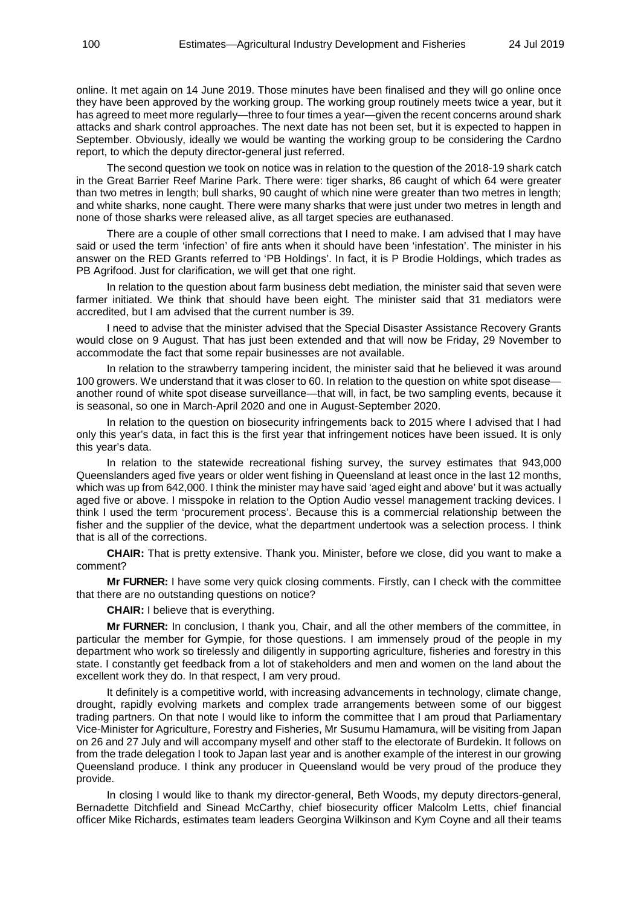online. It met again on 14 June 2019. Those minutes have been finalised and they will go online once they have been approved by the working group. The working group routinely meets twice a year, but it has agreed to meet more regularly—three to four times a year—given the recent concerns around shark attacks and shark control approaches. The next date has not been set, but it is expected to happen in September. Obviously, ideally we would be wanting the working group to be considering the Cardno report, to which the deputy director-general just referred.

The second question we took on notice was in relation to the question of the 2018-19 shark catch in the Great Barrier Reef Marine Park. There were: tiger sharks, 86 caught of which 64 were greater than two metres in length; bull sharks, 90 caught of which nine were greater than two metres in length; and white sharks, none caught. There were many sharks that were just under two metres in length and none of those sharks were released alive, as all target species are euthanased.

There are a couple of other small corrections that I need to make. I am advised that I may have said or used the term 'infection' of fire ants when it should have been 'infestation'. The minister in his answer on the RED Grants referred to 'PB Holdings'. In fact, it is P Brodie Holdings, which trades as PB Agrifood. Just for clarification, we will get that one right.

In relation to the question about farm business debt mediation, the minister said that seven were farmer initiated. We think that should have been eight. The minister said that 31 mediators were accredited, but I am advised that the current number is 39.

I need to advise that the minister advised that the Special Disaster Assistance Recovery Grants would close on 9 August. That has just been extended and that will now be Friday, 29 November to accommodate the fact that some repair businesses are not available.

In relation to the strawberry tampering incident, the minister said that he believed it was around 100 growers. We understand that it was closer to 60. In relation to the question on white spot disease another round of white spot disease surveillance—that will, in fact, be two sampling events, because it is seasonal, so one in March-April 2020 and one in August-September 2020.

In relation to the question on biosecurity infringements back to 2015 where I advised that I had only this year's data, in fact this is the first year that infringement notices have been issued. It is only this year's data.

In relation to the statewide recreational fishing survey, the survey estimates that 943,000 Queenslanders aged five years or older went fishing in Queensland at least once in the last 12 months, which was up from 642,000. I think the minister may have said 'aged eight and above' but it was actually aged five or above. I misspoke in relation to the Option Audio vessel management tracking devices. I think I used the term 'procurement process'. Because this is a commercial relationship between the fisher and the supplier of the device, what the department undertook was a selection process. I think that is all of the corrections.

**CHAIR:** That is pretty extensive. Thank you. Minister, before we close, did you want to make a comment?

**Mr FURNER:** I have some very quick closing comments. Firstly, can I check with the committee that there are no outstanding questions on notice?

**CHAIR:** I believe that is everything.

**Mr FURNER:** In conclusion, I thank you, Chair, and all the other members of the committee, in particular the member for Gympie, for those questions. I am immensely proud of the people in my department who work so tirelessly and diligently in supporting agriculture, fisheries and forestry in this state. I constantly get feedback from a lot of stakeholders and men and women on the land about the excellent work they do. In that respect, I am very proud.

It definitely is a competitive world, with increasing advancements in technology, climate change, drought, rapidly evolving markets and complex trade arrangements between some of our biggest trading partners. On that note I would like to inform the committee that I am proud that Parliamentary Vice-Minister for Agriculture, Forestry and Fisheries, Mr Susumu Hamamura, will be visiting from Japan on 26 and 27 July and will accompany myself and other staff to the electorate of Burdekin. It follows on from the trade delegation I took to Japan last year and is another example of the interest in our growing Queensland produce. I think any producer in Queensland would be very proud of the produce they provide.

In closing I would like to thank my director-general, Beth Woods, my deputy directors-general, Bernadette Ditchfield and Sinead McCarthy, chief biosecurity officer Malcolm Letts, chief financial officer Mike Richards, estimates team leaders Georgina Wilkinson and Kym Coyne and all their teams